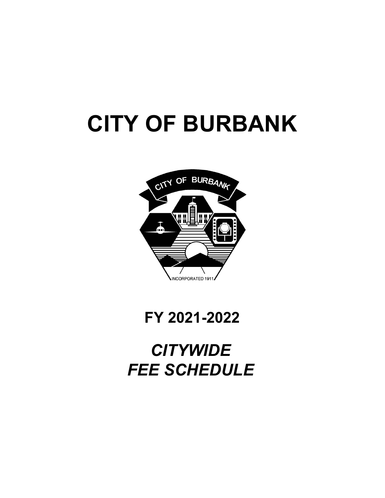# **CITY OF BURBANK**



## **FY 2021-2022**

## *CITYWIDE FEE SCHEDULE*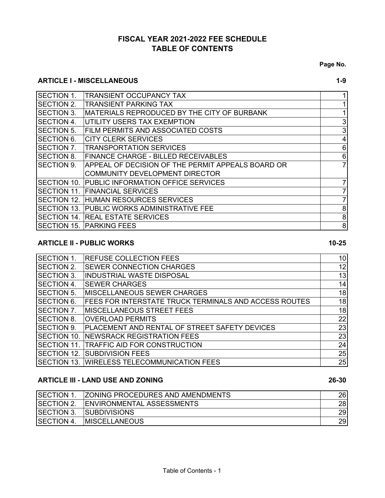## **FISCAL YEAR 2021-2022 FEE SCHEDULE TABLE OF CONTENTS**

**Page No.**

#### **ARTICLE I - MISCELLANEOUS** 1-9

| <b>ISECTION 1.</b>  | <b>TRANSIENT OCCUPANCY TAX</b>                    |         |
|---------------------|---------------------------------------------------|---------|
| <b>ISECTION 2.</b>  | <b>TRANSIENT PARKING TAX</b>                      |         |
| ISECTION 3.         | MATERIALS REPRODUCED BY THE CITY OF BURBANK       |         |
| <b>ISECTION 4.</b>  | UTILITY USERS TAX EXEMPTION                       | 3       |
| <b>ISECTION 5.</b>  | FILM PERMITS AND ASSOCIATED COSTS                 | 3       |
| <b>SECTION 6.</b>   | <b>CITY CLERK SERVICES</b>                        | 4       |
| <b>SECTION 7.</b>   | <b>TRANSPORTATION SERVICES</b>                    | 6       |
| <b>ISECTION 8.</b>  | <b>FINANCE CHARGE - BILLED RECEIVABLES</b>        | $\,6$   |
| <b>ISECTION 9.</b>  | APPEAL OF DECISION OF THE PERMIT APPEALS BOARD OR | 7       |
|                     | <b>COMMUNITY DEVELOPMENT DIRECTOR</b>             |         |
| <b>ISECTION 10.</b> | PUBLIC INFORMATION OFFICE SERVICES                |         |
| <b>ISECTION 11.</b> | <b>FINANCIAL SERVICES</b>                         |         |
| <b>ISECTION 12.</b> | <b>HUMAN RESOURCES SERVICES</b>                   |         |
| <b>ISECTION 13.</b> | <b>PUBLIC WORKS ADMINISTRATIVE FEE</b>            | 8       |
| <b>SECTION 14.</b>  | <b>REAL ESTATE SERVICES</b>                       | 8       |
| <b>SECTION 15.</b>  | <b>PARKING FEES</b>                               | $\bf 8$ |

### **ARTICLE II - PUBLIC WORKS** 10-25

| <b>SECTION 1.</b>   | <b>REFUSE COLLECTION FEES</b>                                | 10 <sub>l</sub> |
|---------------------|--------------------------------------------------------------|-----------------|
| SECTION 2.          | <b>SEWER CONNECTION CHARGES</b>                              | 12              |
| <b>SECTION 3.</b>   | <b>INDUSTRIAL WASTE DISPOSAL</b>                             | 13              |
| <b>ISECTION 4.</b>  | <b>SEWER CHARGES</b>                                         | 14              |
| <b>ISECTION 5.</b>  | <b>IMISCELLANEOUS SEWER CHARGES</b>                          | 18              |
| <b>SECTION 6.</b>   | <b>FEES FOR INTERSTATE TRUCK TERMINALS AND ACCESS ROUTES</b> | 18              |
| <b>ISECTION 7.</b>  | <b>MISCELLANEOUS STREET FEES</b>                             | 18              |
| <b>SECTION 8.</b>   | <b>OVERLOAD PERMITS</b>                                      | 22              |
| <b>SECTION 9.</b>   | PLACEMENT AND RENTAL OF STREET SAFETY DEVICES                | 23              |
| <b>ISECTION 10.</b> | NEWSRACK REGISTRATION FEES                                   | 23              |
| <b>ISECTION 11</b>  | TRAFFIC AID FOR CONSTRUCTION                                 | 24              |
| <b>SECTION 12.</b>  | <b>SUBDIVISION FEES</b>                                      | 25              |
| <b>SECTION 13.</b>  | <b>WIRELESS TELECOMMUNICATION FEES</b>                       | 25              |

#### **ARTICLE III - LAND USE AND ZONING 26-30**

| <b>SECTION 1.</b> | <b>ZONING PROCEDURES AND AMENDMENTS</b> | 26 |
|-------------------|-----------------------------------------|----|
| SECTION 2.        | <b>IENVIRONMENTAL ASSESSMENTS</b>       | 28 |
| <b>SECTION 3.</b> | <b>SUBDIVISIONS</b>                     | 29 |
| <b>SECTION 4.</b> | <b>IMISCELLANEOUS</b>                   | 29 |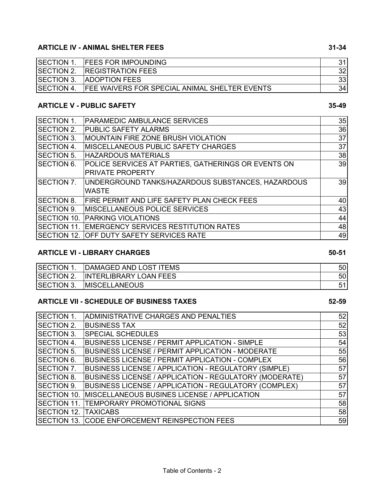#### **ARTICLE IV - ANIMAL SHELTER FEES 31-34**

| <b>SECTION 1.</b> | <b>FEES FOR IMPOUNDING</b>                           |    |
|-------------------|------------------------------------------------------|----|
| SECTION 2.        | <b>REGISTRATION FEES</b>                             |    |
| <b>SECTION 3.</b> | <b>ADOPTION FEES</b>                                 |    |
| <b>SECTION 4.</b> | <b>FEE WAIVERS FOR SPECIAL ANIMAL SHELTER EVENTS</b> | 34 |

#### **ARTICLE V - PUBLIC SAFETY 35-49**

#### SECTION 1. 35 PARAMEDIC AMBULANCE SERVICES SECTION 2. 36 PUBLIC SAFETY ALARMS SECTION 3. MOUNTAIN FIRE ZONE BRUSH VIOLATION NAME AND THE STUDY OF STUDY ASSESSED. SECTION 4. 37 MISCELLANEOUS PUBLIC SAFETY CHARGES SECTION 5. 38 HAZARDOUS MATERIALS SECTION 6. 39 POLICE SERVICES AT PARTIES, GATHERINGS OR EVENTS ON SECTION 7. UNDERGROUND TANKS/HAZARDOUS SUBSTANCES, HAZARDOUS  $\qquad \qquad | \qquad \qquad 39$ SECTION 8. FIRE PERMIT AND LIFE SAFETY PLAN CHECK FEES  $\hspace{1.5cm} 40$ SECTION 9. 43 MISCELLANEOUS POLICE SERVICES SECTION 10. 44 PARKING VIOLATIONS SECTION 11. EMERGENCY SERVICES RESTITUTION RATES  $\hspace{1.5cm}$  48 SECTION 12. OFF DUTY SAFETY SERVICES RATE  $\begin{array}{|c|c|c|c|c|}\hline \text{SECTION 12.} & \text{OFF DUTY SAFETY SERVICES RATE} \\\hline \end{array}$ PRIVATE PROPERTY WASTE

#### **ARTICLE VI - LIBRARY CHARGES** 60-51

| <b>SECTION 1.</b> | DAMAGED AND LOST ITEMS        | 50             |
|-------------------|-------------------------------|----------------|
| <b>SECTION 2.</b> | <b>INTERLIBRARY LOAN FEES</b> | 50             |
| <b>SECTION 3.</b> | <b>IMISCELLANEOUS</b>         | E <sub>4</sub> |

#### **ARTICLE VII - SCHEDULE OF BUSINESS TAXES 52-59**

| SECTION 1.          | ADMINISTRATIVE CHARGES AND PENALTIES                    | 52 |
|---------------------|---------------------------------------------------------|----|
| <b>SECTION 2.</b>   | <b>BUSINESS TAX</b>                                     | 52 |
| <b>ISECTION 3.</b>  | <b>SPECIAL SCHEDULES</b>                                | 53 |
| <b>ISECTION 4.</b>  | BUSINESS LICENSE / PERMIT APPLICATION - SIMPLE          | 54 |
| <b>SECTION 5.</b>   | <b>BUSINESS LICENSE / PERMIT APPLICATION - MODERATE</b> | 55 |
| <b>ISECTION 6.</b>  | BUSINESS LICENSE / PERMIT APPLICATION - COMPLEX         | 56 |
| <b>SECTION 7.</b>   | BUSINESS LICENSE / APPLICATION - REGULATORY (SIMPLE)    | 57 |
| <b>ISECTION 8.</b>  | BUSINESS LICENSE / APPLICATION - REGULATORY (MODERATE)  | 57 |
| <b>ISECTION 9.</b>  | BUSINESS LICENSE / APPLICATION - REGULATORY (COMPLEX)   | 57 |
| <b>ISECTION 10.</b> | MISCELLANEOUS BUSINES LICENSE / APPLICATION             | 57 |
| <b>ISECTION 11.</b> | <b>TEMPORARY PROMOTIONAL SIGNS</b>                      | 58 |
| <b>ISECTION 12.</b> | <b>TAXICABS</b>                                         | 58 |
|                     | SECTION 13. CODE ENFORCEMENT REINSPECTION FEES          | 59 |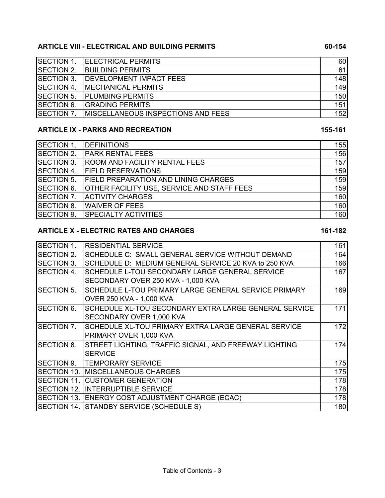#### **ARTICLE VIII - ELECTRICAL AND BUILDING PERMITS 60-154**

| <b>SECTION 1.</b>  | <b>ELECTRICAL PERMITS</b>                 | 60  |
|--------------------|-------------------------------------------|-----|
| <b>SECTION 2.</b>  | <b>BUILDING PERMITS</b>                   | 61  |
| <b>SECTION 3.</b>  | <b>DEVELOPMENT IMPACT FEES</b>            | 148 |
| <b>ISECTION 4.</b> | <b>IMECHANICAL PERMITS</b>                | 149 |
| <b>SECTION 5.</b>  | <b>PLUMBING PERMITS</b>                   | 150 |
| <b>SECTION 6.</b>  | <b>GRADING PERMITS</b>                    | 151 |
| <b>SECTION 7.</b>  | <b>MISCELLANEOUS INSPECTIONS AND FEES</b> | 152 |

#### **ARTICLE IX - PARKS AND RECREATION** 155-161

#### SECTION 1. 155 DEFINITIONS SECTION 2. 156 PARK RENTAL FEES SECTION 3. 157 ROOM AND FACILITY RENTAL FEES SECTION 4. 159 FIELD RESERVATIONS SECTION 5. 159 FIELD PREPARATION AND LINING CHARGES SECTION 6. 159 OTHER FACILITY USE, SERVICE AND STAFF FEES SECTION 7. ACTIVITY CHARGES AND THE SECTION 7. ACTIVITY CHARGES SECTION 8. 160 WAIVER OF FEES SECTION 9. 160 SPECIALTY ACTIVITIES

#### ARTICLE X - ELECTRIC RATES AND CHARGES **161-182**

| <b>RESIDENTIAL SERVICE</b>                            | 161         |
|-------------------------------------------------------|-------------|
| SCHEDULE C: SMALL GENERAL SERVICE WITHOUT DEMAND      | 164         |
| SCHEDULE D: MEDIUM GENERAL SERVICE 20 KVA to 250 KVA  | 166         |
| SCHEDULE L-TOU SECONDARY LARGE GENERAL SERVICE        | 167         |
| SECONDARY OVER 250 KVA - 1,000 KVA                    |             |
| SCHEDULE L-TOU PRIMARY LARGE GENERAL SERVICE PRIMARY  | 169         |
| OVER 250 KVA - 1,000 KVA                              |             |
| SCHEDULE XL-TOU SECONDARY EXTRA LARGE GENERAL SERVICE | 171         |
| SECONDARY OVER 1,000 KVA                              |             |
| SCHEDULE XL-TOU PRIMARY EXTRA LARGE GENERAL SERVICE   | 172         |
| PRIMARY OVER 1,000 KVA                                |             |
| STREET LIGHTING, TRAFFIC SIGNAL, AND FREEWAY LIGHTING | 174         |
| <b>SERVICE</b>                                        |             |
| <b>TEMPORARY SERVICE</b>                              | 175         |
| <b>IMISCELLANEOUS CHARGES</b>                         | 175         |
| <b>CUSTOMER GENERATION</b>                            | 178         |
| <b>INTERRUPTIBLE SERVICE</b>                          | 178         |
| <b>ENERGY COST ADJUSTMENT CHARGE (ECAC)</b>           | 178         |
| <b>STANDBY SERVICE (SCHEDULE S)</b>                   | 180         |
| SECTION 12.<br><b>SECTION 13.</b>                     | SECTION 14. |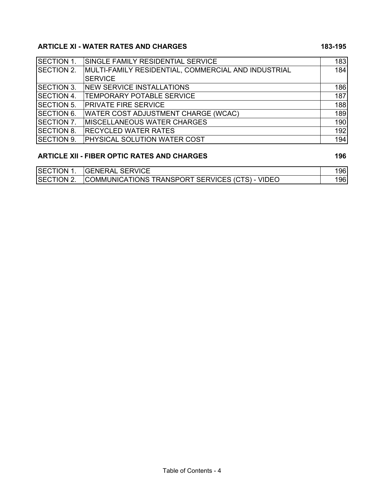## ARTICLE XI - WATER RATES AND CHARGES **183-195**

| SINGLE FAMILY RESIDENTIAL SERVICE                   | 183 |
|-----------------------------------------------------|-----|
| MULTI-FAMILY RESIDENTIAL, COMMERCIAL AND INDUSTRIAL | 184 |
| <b>SERVICE</b>                                      |     |
| <b>NEW SERVICE INSTALLATIONS</b>                    | 186 |
| <b>TEMPORARY POTABLE SERVICE</b>                    | 187 |
| <b>PRIVATE FIRE SERVICE</b>                         | 188 |
| <b>WATER COST ADJUSTMENT CHARGE (WCAC)</b>          | 189 |
| <b>MISCELLANEOUS WATER CHARGES</b>                  | 190 |
| <b>RECYCLED WATER RATES</b>                         | 192 |
| PHYSICAL SOLUTION WATER COST                        | 194 |
|                                                     |     |

### ARTICLE XII - FIBER OPTIC RATES AND CHARGES 196

| <b>SECTION 1</b> | <b>GENERAL SERVICE</b>                          | 96  |
|------------------|-------------------------------------------------|-----|
| SECTION 2.       | COMMUNICATIONS TRANSPORT SERVICES (CTS) - VIDEO | 961 |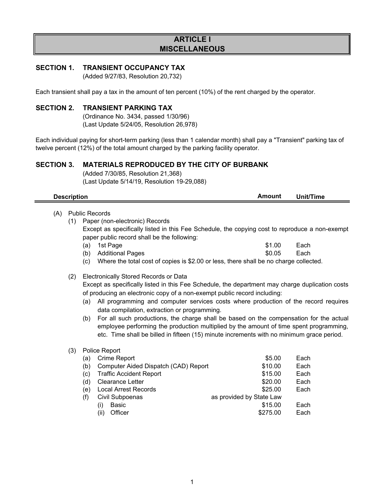#### **ARTICLE I MISCELLANEOUS**

#### **SECTION 1. TRANSIENT OCCUPANCY TAX**

(Added 9/27/83, Resolution 20,732)

Each transient shall pay a tax in the amount of ten percent (10%) of the rent charged by the operator.

#### **SECTION 2. TRANSIENT PARKING TAX**

(Ordinance No. 3434, passed 1/30/96) (Last Update 5/24/05, Resolution 26,978)

Each individual paying for short-term parking (less than 1 calendar month) shall pay a "Transient" parking tax of twelve percent (12%) of the total amount charged by the parking facility operator.

**Description Amount Unit/Time**

#### **SECTION 3. MATERIALS REPRODUCED BY THE CITY OF BURBANK**

(Added 7/30/85, Resolution 21,368) (Last Update 5/14/19, Resolution 19-29,088)

| (A) |     | <b>Public Records</b><br>(1) Paper (non-electronic) Records<br>Except as specifically listed in this Fee Schedule, the copying cost to reproduce a non-exempt<br>paper public record shall be the following:<br>1st Page<br>(a)                                                    | \$1.00                                                                                                                                                                                                                                                                                                                                                               | Each                         |
|-----|-----|------------------------------------------------------------------------------------------------------------------------------------------------------------------------------------------------------------------------------------------------------------------------------------|----------------------------------------------------------------------------------------------------------------------------------------------------------------------------------------------------------------------------------------------------------------------------------------------------------------------------------------------------------------------|------------------------------|
|     |     | <b>Additional Pages</b><br>(b)                                                                                                                                                                                                                                                     | \$0.05                                                                                                                                                                                                                                                                                                                                                               | Each                         |
|     |     | (c)                                                                                                                                                                                                                                                                                | Where the total cost of copies is \$2.00 or less, there shall be no charge collected.                                                                                                                                                                                                                                                                                |                              |
|     | (2) | Electronically Stored Records or Data<br>Except as specifically listed in this Fee Schedule, the department may charge duplication costs<br>of producing an electronic copy of a non-exempt public record including:<br>(a)<br>data compilation, extraction or programming.<br>(b) | All programming and computer services costs where production of the record requires<br>For all such productions, the charge shall be based on the compensation for the actual<br>employee performing the production multiplied by the amount of time spent programming,<br>etc. Time shall be billed in fifteen (15) minute increments with no minimum grace period. |                              |
|     | (3) | Police Report<br>Crime Report<br>(a)<br>Computer Aided Dispatch (CAD) Report<br>(b)<br><b>Traffic Accident Report</b><br>(c)<br><b>Clearance Letter</b><br>(d)<br><b>Local Arrest Records</b><br>(e)                                                                               | \$5.00<br>\$10.00<br>\$15.00<br>\$20.00                                                                                                                                                                                                                                                                                                                              | Each<br>Each<br>Each<br>Each |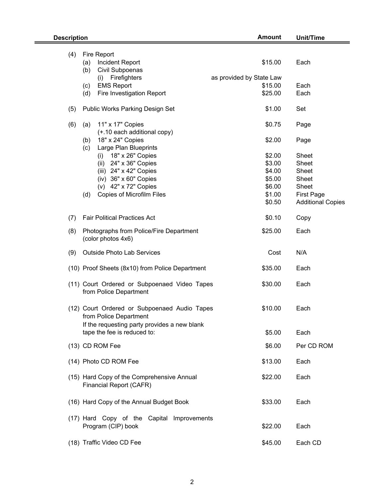| <b>Description</b> |                                                                        | <b>Amount</b>            | <b>Unit/Time</b>         |
|--------------------|------------------------------------------------------------------------|--------------------------|--------------------------|
|                    |                                                                        |                          |                          |
| (4)                | Fire Report                                                            |                          |                          |
|                    | Incident Report<br>(a)                                                 | \$15.00                  | Each                     |
|                    | Civil Subpoenas<br>(b)                                                 |                          |                          |
|                    | Firefighters<br>(i)                                                    | as provided by State Law |                          |
|                    | <b>EMS Report</b>                                                      | \$15.00                  | Each                     |
|                    | (c)                                                                    |                          |                          |
|                    | Fire Investigation Report<br>(d)                                       | \$25.00                  | Each                     |
| (5)                | <b>Public Works Parking Design Set</b>                                 | \$1.00                   | Set                      |
| (6)                | 11" x 17" Copies<br>(a)                                                | \$0.75                   | Page                     |
|                    | (+.10 each additional copy)                                            |                          |                          |
|                    | 18" x 24" Copies<br>(b)                                                | \$2.00                   | Page                     |
|                    | Large Plan Blueprints<br>(c)                                           |                          |                          |
|                    |                                                                        |                          |                          |
|                    | 18" x 26" Copies<br>(i)                                                | \$2.00                   | Sheet                    |
|                    | 24" x 36" Copies<br>(ii)                                               | \$3.00                   | <b>Sheet</b>             |
|                    | (iii) $24" \times 42"$ Copies                                          | \$4.00                   | Sheet                    |
|                    | (iv) 36" x 60" Copies                                                  | \$5.00                   | Sheet                    |
|                    | (v) 42" x 72" Copies                                                   | \$6.00                   | Sheet                    |
|                    |                                                                        |                          |                          |
|                    | Copies of Microfilm Files<br>(d)                                       | \$1.00                   | <b>First Page</b>        |
|                    |                                                                        | \$0.50                   | <b>Additional Copies</b> |
| (7)                | <b>Fair Political Practices Act</b>                                    | \$0.10                   | Copy                     |
| (8)                | Photographs from Police/Fire Department<br>(color photos 4x6)          | \$25.00                  | Each                     |
|                    |                                                                        |                          |                          |
| (9)                | <b>Outside Photo Lab Services</b>                                      | Cost                     | N/A                      |
|                    | (10) Proof Sheets (8x10) from Police Department                        | \$35.00                  | Each                     |
|                    | (11) Court Ordered or Subpoenaed Video Tapes<br>from Police Department | \$30.00                  | Each                     |
|                    | (12) Court Ordered or Subpoenaed Audio Tapes<br>from Police Department | \$10.00                  | Each                     |
|                    | If the requesting party provides a new blank                           |                          |                          |
|                    | tape the fee is reduced to:                                            | \$5.00                   | Each                     |
|                    |                                                                        |                          |                          |
|                    | (13) CD ROM Fee                                                        | \$6.00                   | Per CD ROM               |
|                    | (14) Photo CD ROM Fee                                                  | \$13.00                  | Each                     |
|                    | (15) Hard Copy of the Comprehensive Annual                             | \$22.00                  | Each                     |
|                    | Financial Report (CAFR)                                                |                          |                          |
|                    | (16) Hard Copy of the Annual Budget Book                               | \$33.00                  | Each                     |
|                    | (17) Hard Copy of the Capital Improvements                             |                          |                          |
|                    | Program (CIP) book                                                     | \$22.00                  | Each                     |
|                    |                                                                        |                          |                          |
|                    | (18) Traffic Video CD Fee                                              | \$45.00                  | Each CD                  |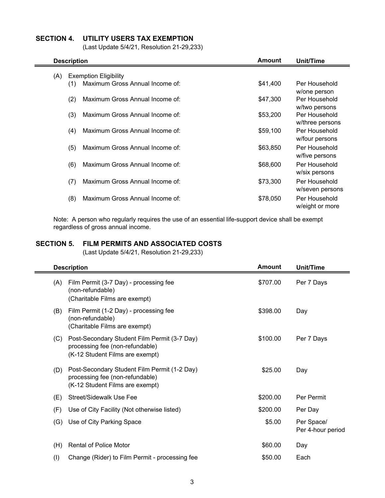#### **SECTION 4. UTILITY USERS TAX EXEMPTION**

(Last Update 5/4/21, Resolution 21-29,233)

| <b>Description</b> | Unit/Time                       |          |                                  |
|--------------------|---------------------------------|----------|----------------------------------|
| (A)                | <b>Exemption Eligibility</b>    |          |                                  |
| (1)                | Maximum Gross Annual Income of: | \$41,400 | Per Household<br>w/one person    |
| (2)                | Maximum Gross Annual Income of: | \$47,300 | Per Household<br>w/two persons   |
| (3)                | Maximum Gross Annual Income of: | \$53,200 | Per Household<br>w/three persons |
| (4)                | Maximum Gross Annual Income of: | \$59,100 | Per Household<br>w/four persons  |
| (5)                | Maximum Gross Annual Income of: | \$63,850 | Per Household<br>w/five persons  |
| (6)                | Maximum Gross Annual Income of: | \$68,600 | Per Household<br>w/six persons   |
| (7)                | Maximum Gross Annual Income of: | \$73,300 | Per Household<br>w/seven persons |
| (8)                | Maximum Gross Annual Income of: | \$78,050 | Per Household<br>w/eight or more |

Note: A person who regularly requires the use of an essential life-support device shall be exempt regardless of gross annual income.

#### **SECTION 5. FILM PERMITS AND ASSOCIATED COSTS**

(Last Update 5/4/21, Resolution 21-29,233)

| <b>Description</b>                                                                                                        | <b>Amount</b> | Unit/Time                       |
|---------------------------------------------------------------------------------------------------------------------------|---------------|---------------------------------|
| Film Permit (3-7 Day) - processing fee<br>(A)<br>(non-refundable)<br>(Charitable Films are exempt)                        | \$707.00      | Per 7 Days                      |
| Film Permit (1-2 Day) - processing fee<br>(B)<br>(non-refundable)<br>(Charitable Films are exempt)                        | \$398.00      | Day                             |
| Post-Secondary Student Film Permit (3-7 Day)<br>(C)<br>processing fee (non-refundable)<br>(K-12 Student Films are exempt) | \$100.00      | Per 7 Days                      |
| Post-Secondary Student Film Permit (1-2 Day)<br>(D)<br>processing fee (non-refundable)<br>(K-12 Student Films are exempt) | \$25.00       | Day                             |
| <b>Street/Sidewalk Use Fee</b><br>(E)                                                                                     | \$200.00      | Per Permit                      |
| Use of City Facility (Not otherwise listed)<br>(F)                                                                        | \$200.00      | Per Day                         |
| Use of City Parking Space<br>(G)                                                                                          | \$5.00        | Per Space/<br>Per 4-hour period |
| <b>Rental of Police Motor</b><br>(H)                                                                                      | \$60.00       | Day                             |
| Change (Rider) to Film Permit - processing fee<br>(1)                                                                     | \$50.00       | Each                            |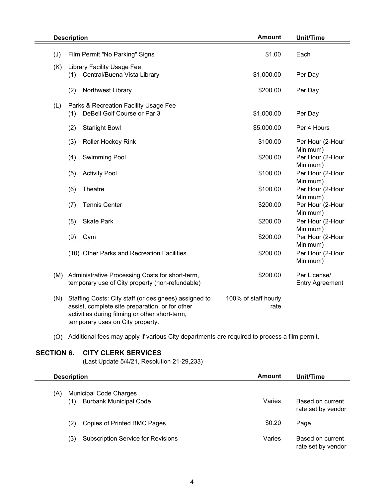|     | <b>Description</b>                                                                                                                                                                             | <b>Unit/Time</b>             |                                        |
|-----|------------------------------------------------------------------------------------------------------------------------------------------------------------------------------------------------|------------------------------|----------------------------------------|
| (J) | Film Permit "No Parking" Signs                                                                                                                                                                 | \$1.00                       | Each                                   |
| (K) | <b>Library Facility Usage Fee</b><br>Central/Buena Vista Library<br>(1)                                                                                                                        | \$1,000.00                   | Per Day                                |
|     | (2)<br>Northwest Library                                                                                                                                                                       | \$200.00                     | Per Day                                |
| (L) | Parks & Recreation Facility Usage Fee<br>DeBell Golf Course or Par 3<br>(1)                                                                                                                    | \$1,000.00                   | Per Day                                |
|     | (2)<br><b>Starlight Bowl</b>                                                                                                                                                                   | \$5,000.00                   | Per 4 Hours                            |
|     | (3)<br>Roller Hockey Rink                                                                                                                                                                      | \$100.00                     | Per Hour (2-Hour<br>Minimum)           |
|     | (4)<br>Swimming Pool                                                                                                                                                                           | \$200.00                     | Per Hour (2-Hour<br>Minimum)           |
|     | (5)<br><b>Activity Pool</b>                                                                                                                                                                    | \$100.00                     | Per Hour (2-Hour<br>Minimum)           |
|     | (6)<br>Theatre                                                                                                                                                                                 | \$100.00                     | Per Hour (2-Hour<br>Minimum)           |
|     | (7)<br><b>Tennis Center</b>                                                                                                                                                                    | \$200.00                     | Per Hour (2-Hour<br>Minimum)           |
|     | (8)<br><b>Skate Park</b>                                                                                                                                                                       | \$200.00                     | Per Hour (2-Hour<br>Minimum)           |
|     | (9)<br>Gym                                                                                                                                                                                     | \$200.00                     | Per Hour (2-Hour<br>Minimum)           |
|     | (10) Other Parks and Recreation Facilities                                                                                                                                                     | \$200.00                     | Per Hour (2-Hour<br>Minimum)           |
| (M) | Administrative Processing Costs for short-term,<br>temporary use of City property (non-refundable)                                                                                             | \$200.00                     | Per License/<br><b>Entry Agreement</b> |
| (N) | Staffing Costs: City staff (or designees) assigned to<br>assist, complete site preparation, or for other<br>activities during filming or other short-term,<br>temporary uses on City property. | 100% of staff hourly<br>rate |                                        |

(O) Additional fees may apply if various City departments are required to process a film permit.

#### **SECTION 6. CITY CLERK SERVICES**

(Last Update 5/4/21, Resolution 21-29,233)

| <b>Description</b>                                                           | Amount | Unit/Time                              |  |
|------------------------------------------------------------------------------|--------|----------------------------------------|--|
| <b>Municipal Code Charges</b><br>(A)<br><b>Burbank Municipal Code</b><br>(1) | Varies | Based on current<br>rate set by vendor |  |
| Copies of Printed BMC Pages<br>(2)                                           | \$0.20 | Page                                   |  |
| <b>Subscription Service for Revisions</b><br>(3)                             | Varies | Based on current<br>rate set by vendor |  |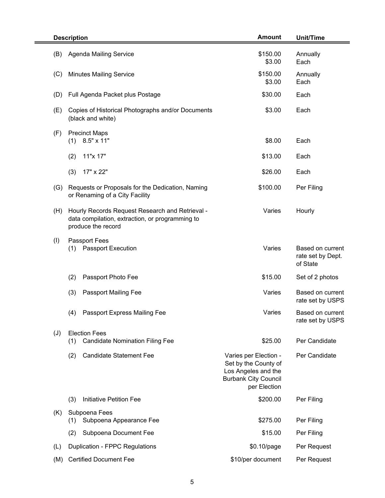| <b>Description</b>                                       |                                                                                                                                    | <b>Amount</b>                                                                                                       | <b>Unit/Time</b>                                  |  |
|----------------------------------------------------------|------------------------------------------------------------------------------------------------------------------------------------|---------------------------------------------------------------------------------------------------------------------|---------------------------------------------------|--|
| Agenda Mailing Service<br>(B)                            |                                                                                                                                    | \$150.00<br>\$3.00                                                                                                  | Annually<br>Each                                  |  |
| <b>Minutes Mailing Service</b><br>(C)                    |                                                                                                                                    | \$150.00<br>\$3.00                                                                                                  | Annually<br>Each                                  |  |
| (D)                                                      | Full Agenda Packet plus Postage                                                                                                    | \$30.00                                                                                                             | Each                                              |  |
| (E)<br>(black and white)                                 | Copies of Historical Photographs and/or Documents                                                                                  | \$3.00                                                                                                              | Each                                              |  |
| (F)<br><b>Precinct Maps</b><br>8.5" x 11"<br>(1)         |                                                                                                                                    | \$8.00                                                                                                              | Each                                              |  |
| 11"x 17"<br>(2)                                          |                                                                                                                                    | \$13.00                                                                                                             | Each                                              |  |
| (3)<br>17" x 22"                                         |                                                                                                                                    | \$26.00                                                                                                             | Each                                              |  |
| (G)<br>or Renaming of a City Facility                    | Requests or Proposals for the Dedication, Naming                                                                                   | \$100.00                                                                                                            | Per Filing                                        |  |
| (H)                                                      | Varies<br>Hourly Records Request Research and Retrieval -<br>data compilation, extraction, or programming to<br>produce the record |                                                                                                                     |                                                   |  |
| (1)<br>Passport Fees<br><b>Passport Execution</b><br>(1) |                                                                                                                                    | Varies                                                                                                              | Based on current<br>rate set by Dept.<br>of State |  |
| (2)<br>Passport Photo Fee                                |                                                                                                                                    | \$15.00                                                                                                             | Set of 2 photos                                   |  |
| (3)<br>Passport Mailing Fee                              |                                                                                                                                    | Varies                                                                                                              | Based on current<br>rate set by USPS              |  |
| (4)                                                      | Passport Express Mailing Fee                                                                                                       | Varies                                                                                                              | Based on current<br>rate set by USPS              |  |
| <b>Election Fees</b><br>(J)<br>(1)                       | <b>Candidate Nomination Filing Fee</b>                                                                                             | \$25.00                                                                                                             | Per Candidate                                     |  |
| (2)                                                      | <b>Candidate Statement Fee</b>                                                                                                     | Varies per Election -<br>Set by the County of<br>Los Angeles and the<br><b>Burbank City Council</b><br>per Election | Per Candidate                                     |  |
| <b>Initiative Petition Fee</b><br>(3)                    |                                                                                                                                    | \$200.00                                                                                                            | Per Filing                                        |  |
| Subpoena Fees<br>(K)<br>(1)                              | Subpoena Appearance Fee                                                                                                            | \$275.00                                                                                                            | Per Filing                                        |  |
| (2)                                                      | Subpoena Document Fee                                                                                                              | \$15.00                                                                                                             | Per Filing                                        |  |
| (L)<br>Duplication - FPPC Regulations                    |                                                                                                                                    | \$0.10/page                                                                                                         | Per Request                                       |  |
| <b>Certified Document Fee</b><br>(M)                     |                                                                                                                                    | \$10/per document                                                                                                   | Per Request                                       |  |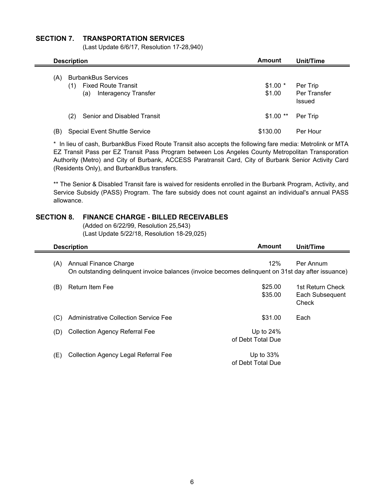#### **SECTION 7. TRANSPORTATION SERVICES**

(Last Update 6/6/17, Resolution 17-28,940)

|     | <b>Description</b>                                                                             | Amount             | Unit/Time                          |  |
|-----|------------------------------------------------------------------------------------------------|--------------------|------------------------------------|--|
| (A) | <b>BurbankBus Services</b><br><b>Fixed Route Transit</b><br>(1)<br>Interagency Transfer<br>(a) | $$1.00*$<br>\$1.00 | Per Trip<br>Per Transfer<br>Issued |  |
|     | Senior and Disabled Transit<br>(2)                                                             | $$1.00**$          | Per Trip                           |  |
| ΈB) | <b>Special Event Shuttle Service</b>                                                           | \$130.00           | Per Hour                           |  |

\* In lieu of cash, BurbankBus Fixed Route Transit also accepts the following fare media: Metrolink or MTA EZ Transit Pass per EZ Transit Pass Program between Los Angeles County Metropolitan Transporation Authority (Metro) and City of Burbank, ACCESS Paratransit Card, City of Burbank Senior Activity Card (Residents Only), and BurbankBus transfers.

\*\* The Senior & Disabled Transit fare is waived for residents enrolled in the Burbank Program, Activity, and Service Subsidy (PASS) Program. The fare subsidy does not count against an individual's annual PASS allowance.

#### **SECTION 8. FINANCE CHARGE - BILLED RECEIVABLES**

(Added on 6/22/99, Resolution 25,543) (Last Update 5/22/18, Resolution 18-29,025)

|     | <b>Description</b>                                                                                                          | Amount                            | Unit/Time                                    |
|-----|-----------------------------------------------------------------------------------------------------------------------------|-----------------------------------|----------------------------------------------|
| (A) | Annual Finance Charge<br>On outstanding delinquent invoice balances (invoice becomes delinquent on 31st day after issuance) | 12%                               | Per Annum                                    |
| (B) | <b>Return Item Fee</b>                                                                                                      | \$25.00<br>\$35.00                | 1st Return Check<br>Each Subsequent<br>Check |
| (C) | <b>Administrative Collection Service Fee</b>                                                                                | \$31.00                           | Each                                         |
| (D) | <b>Collection Agency Referral Fee</b>                                                                                       | Up to 24%<br>of Debt Total Due    |                                              |
| (E) | Collection Agency Legal Referral Fee                                                                                        | Up to $33\%$<br>of Debt Total Due |                                              |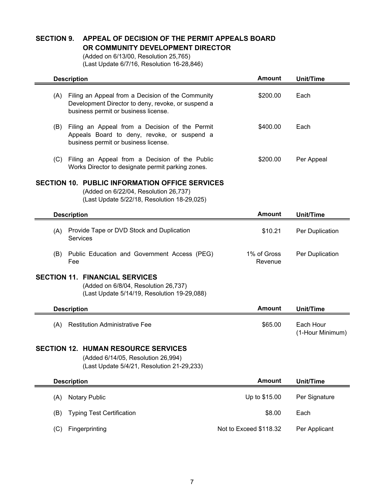#### **SECTION 9. APPEAL OF DECISION OF THE PERMIT APPEALS BOARD OR COMMUNITY DEVELOPMENT DIRECTOR**

(Added on 6/13/00, Resolution 25,765) (Last Update 6/7/16, Resolution 16-28,846)

|     | <b>Description</b>                                                                                                                              | <b>Amount</b>          | Unit/Time                     |
|-----|-------------------------------------------------------------------------------------------------------------------------------------------------|------------------------|-------------------------------|
| (A) | Filing an Appeal from a Decision of the Community<br>Development Director to deny, revoke, or suspend a<br>business permit or business license. | \$200.00               | Each                          |
| (B) | Filing an Appeal from a Decision of the Permit<br>Appeals Board to deny, revoke, or suspend a<br>business permit or business license.           | \$400.00               | Each                          |
| (C) | Filing an Appeal from a Decision of the Public<br>Works Director to designate permit parking zones.                                             | \$200.00               | Per Appeal                    |
|     | <b>SECTION 10. PUBLIC INFORMATION OFFICE SERVICES</b><br>(Added on 6/22/04, Resolution 26,737)<br>(Last Update 5/22/18, Resolution 18-29,025)   |                        |                               |
|     | <b>Description</b>                                                                                                                              | <b>Amount</b>          | Unit/Time                     |
| (A) | Provide Tape or DVD Stock and Duplication<br>Services                                                                                           | \$10.21                | Per Duplication               |
| (B) | Public Education and Government Access (PEG)<br>Fee                                                                                             | 1% of Gross<br>Revenue | Per Duplication               |
|     | <b>SECTION 11. FINANCIAL SERVICES</b><br>(Added on 6/8/04, Resolution 26,737)<br>(Last Update 5/14/19, Resolution 19-29,088)                    |                        |                               |
|     | <b>Description</b>                                                                                                                              | <b>Amount</b>          | <b>Unit/Time</b>              |
| (A) | <b>Restitution Administrative Fee</b>                                                                                                           | \$65.00                | Each Hour<br>(1-Hour Minimum) |
|     | <b>SECTION 12. HUMAN RESOURCE SERVICES</b><br>(Added 6/14/05, Resolution 26,994)<br>(Last Update 5/4/21, Resolution 21-29,233)                  |                        |                               |
|     | <b>Description</b>                                                                                                                              | <b>Amount</b>          | <b>Unit/Time</b>              |
| (A) | <b>Notary Public</b>                                                                                                                            | Up to \$15.00          | Per Signature                 |
| (B) | <b>Typing Test Certification</b>                                                                                                                | \$8.00                 | Each                          |
| (C) | Fingerprinting                                                                                                                                  | Not to Exceed \$118.32 | Per Applicant                 |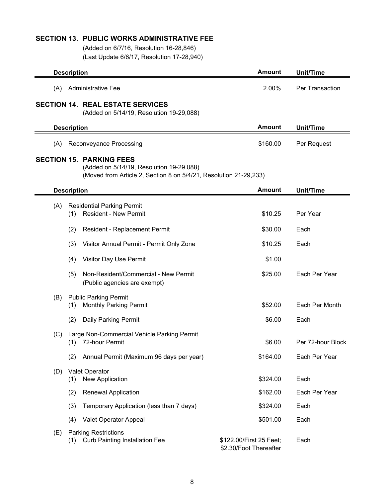#### **SECTION 13. PUBLIC WORKS ADMINISTRATIVE FEE**

(Added on 6/7/16, Resolution 16-28,846) (Last Update 6/6/17, Resolution 17-28,940)

|                    | <b>Description</b> |                    |                                                                                                                                      |                                                   | <b>Unit/Time</b>  |
|--------------------|--------------------|--------------------|--------------------------------------------------------------------------------------------------------------------------------------|---------------------------------------------------|-------------------|
|                    | (A)                |                    | <b>Administrative Fee</b>                                                                                                            | 2.00%                                             | Per Transaction   |
|                    |                    |                    | <b>SECTION 14. REAL ESTATE SERVICES</b><br>(Added on 5/14/19, Resolution 19-29,088)                                                  |                                                   |                   |
|                    |                    | <b>Description</b> |                                                                                                                                      | <b>Amount</b>                                     | <b>Unit/Time</b>  |
|                    | (A)                |                    | <b>Reconveyance Processing</b>                                                                                                       | \$160.00                                          | Per Request       |
| <b>SECTION 15.</b> |                    |                    | <b>PARKING FEES</b><br>(Added on 5/14/19, Resolution 19-29,088)<br>(Moved from Article 2, Section 8 on 5/4/21, Resolution 21-29,233) |                                                   |                   |
|                    |                    | <b>Description</b> |                                                                                                                                      | <b>Amount</b>                                     | Unit/Time         |
|                    | (A)                | (1)                | <b>Residential Parking Permit</b><br><b>Resident - New Permit</b>                                                                    | \$10.25                                           | Per Year          |
|                    |                    | (2)                | Resident - Replacement Permit                                                                                                        | \$30.00                                           | Each              |
|                    |                    | (3)                | Visitor Annual Permit - Permit Only Zone                                                                                             | \$10.25                                           | Each              |
|                    |                    | (4)                | Visitor Day Use Permit                                                                                                               | \$1.00                                            |                   |
|                    |                    | (5)                | Non-Resident/Commercial - New Permit<br>(Public agencies are exempt)                                                                 | \$25.00                                           | Each Per Year     |
|                    | (B)                | (1)                | <b>Public Parking Permit</b><br><b>Monthly Parking Permit</b>                                                                        | \$52.00                                           | Each Per Month    |
|                    |                    | (2)                | <b>Daily Parking Permit</b>                                                                                                          | \$6.00                                            | Each              |
|                    | (C)                | (1)                | Large Non-Commercial Vehicle Parking Permit<br>72-hour Permit                                                                        | \$6.00                                            | Per 72-hour Block |
|                    |                    | (2)                | Annual Permit (Maximum 96 days per year)                                                                                             | \$164.00                                          | Each Per Year     |
|                    | (D)                | (1)                | Valet Operator<br>New Application                                                                                                    | \$324.00                                          | Each              |
|                    |                    | (2)                | <b>Renewal Application</b>                                                                                                           | \$162.00                                          | Each Per Year     |
|                    |                    | (3)                | Temporary Application (less than 7 days)                                                                                             | \$324.00                                          | Each              |
|                    |                    | (4)                | Valet Operator Appeal                                                                                                                | \$501.00                                          | Each              |
|                    | (E)                | (1)                | <b>Parking Restrictions</b><br><b>Curb Painting Installation Fee</b>                                                                 | \$122.00/First 25 Feet;<br>\$2.30/Foot Thereafter | Each              |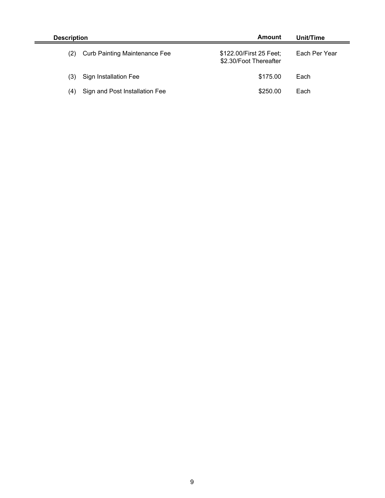| Amount<br><b>Description</b> |                                      | Unit/Time                                         |               |
|------------------------------|--------------------------------------|---------------------------------------------------|---------------|
| (2)                          | <b>Curb Painting Maintenance Fee</b> | \$122.00/First 25 Feet;<br>\$2.30/Foot Thereafter | Each Per Year |
| (3)                          | Sign Installation Fee                | \$175.00                                          | Each          |
| (4)                          | Sign and Post Installation Fee       | \$250.00                                          | Each          |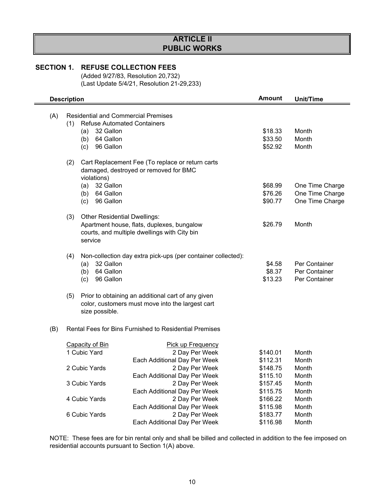## **ARTICLE II PUBLIC WORKS**

#### **SECTION 1. REFUSE COLLECTION FEES**

(Added 9/27/83, Resolution 20,732) (Last Update 5/4/21, Resolution 21-29,233)

|     | <b>Description</b>                                                                                              |                                                                                                                          |                                                              | <b>Amount</b> | <b>Unit/Time</b> |
|-----|-----------------------------------------------------------------------------------------------------------------|--------------------------------------------------------------------------------------------------------------------------|--------------------------------------------------------------|---------------|------------------|
| (A) | (1)<br>(a)                                                                                                      | <b>Residential and Commercial Premises</b><br><b>Refuse Automated Containers</b><br>32 Gallon                            | \$18.33                                                      | Month         |                  |
|     | (b)                                                                                                             | 64 Gallon                                                                                                                |                                                              | \$33.50       | Month            |
|     | (c)                                                                                                             | 96 Gallon                                                                                                                |                                                              | \$52.92       | Month            |
|     |                                                                                                                 |                                                                                                                          |                                                              |               |                  |
|     | (2)<br>Cart Replacement Fee (To replace or return carts<br>damaged, destroyed or removed for BMC<br>violations) |                                                                                                                          |                                                              |               |                  |
|     | (a)                                                                                                             | 32 Gallon                                                                                                                |                                                              | \$68.99       | One Time Charge  |
|     |                                                                                                                 | $(b)$ 64 Gallon                                                                                                          |                                                              | \$76.26       | One Time Charge  |
|     | (c)                                                                                                             | 96 Gallon                                                                                                                |                                                              | \$90.77       | One Time Charge  |
|     |                                                                                                                 |                                                                                                                          |                                                              |               |                  |
|     | (3)                                                                                                             | <b>Other Residential Dwellings:</b>                                                                                      |                                                              | \$26.79       | Month            |
|     | Apartment house, flats, duplexes, bungalow<br>courts, and multiple dwellings with City bin<br>service           |                                                                                                                          |                                                              |               |                  |
|     | (4)                                                                                                             |                                                                                                                          | Non-collection day extra pick-ups (per container collected): |               |                  |
|     | (a)                                                                                                             | 32 Gallon                                                                                                                |                                                              | \$4.58        | Per Container    |
|     | (b)                                                                                                             | 64 Gallon                                                                                                                |                                                              | \$8.37        | Per Container    |
|     | (c)                                                                                                             | 96 Gallon                                                                                                                |                                                              | \$13.23       | Per Container    |
|     |                                                                                                                 |                                                                                                                          |                                                              |               |                  |
|     | (5)                                                                                                             | Prior to obtaining an additional cart of any given<br>color, customers must move into the largest cart<br>size possible. |                                                              |               |                  |
| (B) |                                                                                                                 |                                                                                                                          | Rental Fees for Bins Furnished to Residential Premises       |               |                  |
|     | <b>Capacity of Bin</b>                                                                                          |                                                                                                                          | Pick up Frequency                                            |               |                  |
|     | 1 Cubic Yard                                                                                                    |                                                                                                                          | 2 Day Per Week                                               | \$140.01      | Month            |
|     |                                                                                                                 |                                                                                                                          | Each Additional Day Per Week                                 | \$112.31      | Month            |
|     | 2 Cubic Yards                                                                                                   |                                                                                                                          | 2 Day Per Week                                               | \$148.75      | Month            |
|     |                                                                                                                 |                                                                                                                          | Each Additional Day Per Week                                 | \$115.10      | Month            |
|     | 3 Cubic Yards                                                                                                   |                                                                                                                          | 2 Day Per Week                                               | \$157.45      | Month            |
|     |                                                                                                                 |                                                                                                                          | Each Additional Day Per Week                                 | \$115.75      | Month            |
|     | 4 Cubic Yards                                                                                                   |                                                                                                                          | 2 Day Per Week                                               | \$166.22      | Month            |
|     |                                                                                                                 |                                                                                                                          | Each Additional Day Per Week                                 | \$115.98      | Month            |
|     | 6 Cubic Yards                                                                                                   |                                                                                                                          | 2 Day Per Week                                               | \$183.77      | Month            |
|     |                                                                                                                 |                                                                                                                          | Each Additional Day Per Week                                 | \$116.98      | Month            |

NOTE: These fees are for bin rental only and shall be billed and collected in addition to the fee imposed on residential accounts pursuant to Section 1(A) above.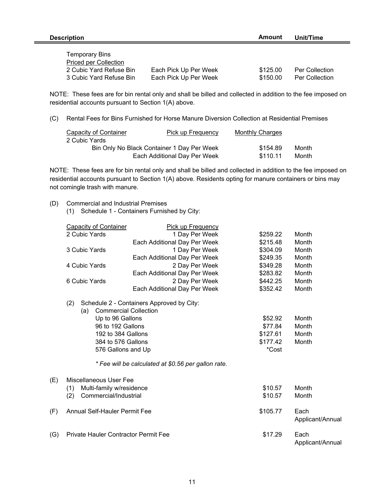| <b>Description</b>                                                                                          | Amount                                         | Unit/Time            |                                  |
|-------------------------------------------------------------------------------------------------------------|------------------------------------------------|----------------------|----------------------------------|
| <b>Temporary Bins</b><br><b>Priced per Collection</b><br>2 Cubic Yard Refuse Bin<br>3 Cubic Yard Refuse Bin | Each Pick Up Per Week<br>Each Pick Up Per Week | \$125.00<br>\$150.00 | Per Collection<br>Per Collection |

NOTE: These fees are for bin rental only and shall be billed and collected in addition to the fee imposed on residential accounts pursuant to Section 1(A) above.

(C) Rental Fees for Bins Furnished for Horse Manure Diversion Collection at Residential Premises

| <b>Capacity of Container</b> | Pick up Frequency                          | <b>Monthly Charges</b> |       |
|------------------------------|--------------------------------------------|------------------------|-------|
| 2 Cubic Yards                |                                            |                        |       |
|                              | Bin Only No Black Container 1 Day Per Week | \$154.89               | Month |
|                              | Each Additional Day Per Week               | \$110.11               | Month |

NOTE: These fees are for bin rental only and shall be billed and collected in addition to the fee imposed on residential accounts pursuant to Section 1(A) above. Residents opting for manure containers or bins may not comingle trash with manure.

- (D) Commercial and Industrial Premises
	- (1) Schedule 1 Containers Furnished by City:

|     | <b>Capacity of Container</b>                | <b>Pick up Frequency</b>                            |          |                          |
|-----|---------------------------------------------|-----------------------------------------------------|----------|--------------------------|
|     | 2 Cubic Yards                               | 1 Day Per Week                                      | \$259.22 | Month                    |
|     |                                             | Each Additional Day Per Week                        | \$215.48 | Month                    |
|     | 3 Cubic Yards                               | 1 Day Per Week                                      | \$304.09 | Month                    |
|     |                                             | Each Additional Day Per Week                        | \$249.35 | Month                    |
|     | 4 Cubic Yards                               | 2 Day Per Week                                      | \$349.28 | Month                    |
|     |                                             | Each Additional Day Per Week                        | \$283.82 | Month                    |
|     | 6 Cubic Yards                               | 2 Day Per Week                                      | \$442.25 | Month                    |
|     |                                             | Each Additional Day Per Week                        | \$352.42 | Month                    |
|     | (2)<br><b>Commercial Collection</b><br>(a)  | Schedule 2 - Containers Approved by City:           |          |                          |
|     | Up to 96 Gallons                            |                                                     | \$52.92  | Month                    |
|     | 96 to 192 Gallons                           |                                                     | \$77.84  | Month                    |
|     | 192 to 384 Gallons                          |                                                     | \$127.61 | Month                    |
|     | 384 to 576 Gallons                          |                                                     | \$177.42 | Month                    |
|     | 576 Gallons and Up                          |                                                     | *Cost    |                          |
|     |                                             | * Fee will be calculated at \$0.56 per gallon rate. |          |                          |
| (E) | Miscellaneous User Fee                      |                                                     |          |                          |
|     | Multi-family w/residence<br>(1)             |                                                     | \$10.57  | Month                    |
|     | (2)<br>Commercial/Industrial                |                                                     | \$10.57  | Month                    |
| (F) | <b>Annual Self-Hauler Permit Fee</b>        |                                                     | \$105.77 | Each<br>Applicant/Annual |
| (G) | <b>Private Hauler Contractor Permit Fee</b> |                                                     | \$17.29  | Each<br>Applicant/Annual |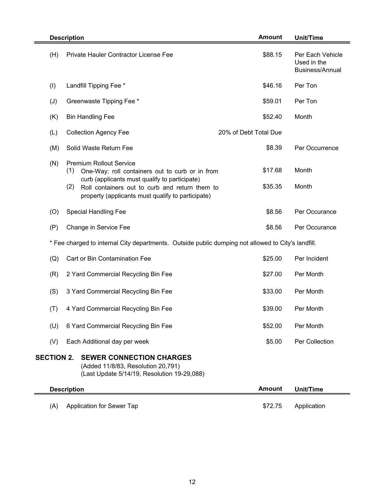|                   | <b>Description</b>                                                                                                                                                                                                                                      | <b>Amount</b>         | <b>Unit/Time</b>                                          |
|-------------------|---------------------------------------------------------------------------------------------------------------------------------------------------------------------------------------------------------------------------------------------------------|-----------------------|-----------------------------------------------------------|
| (H)               | Private Hauler Contractor License Fee                                                                                                                                                                                                                   | \$88.15               | Per Each Vehicle<br>Used in the<br><b>Business/Annual</b> |
| (1)               | Landfill Tipping Fee *                                                                                                                                                                                                                                  | \$46.16               | Per Ton                                                   |
| (J)               | Greenwaste Tipping Fee *                                                                                                                                                                                                                                | \$59.01               | Per Ton                                                   |
| (K)               | <b>Bin Handling Fee</b>                                                                                                                                                                                                                                 | \$52.40               | Month                                                     |
| (L)               | <b>Collection Agency Fee</b>                                                                                                                                                                                                                            | 20% of Debt Total Due |                                                           |
| (M)               | Solid Waste Return Fee                                                                                                                                                                                                                                  | \$8.39                | Per Occurrence                                            |
| (N)               | <b>Premium Rollout Service</b><br>(1)<br>One-Way: roll containers out to curb or in from<br>curb (applicants must qualify to participate)<br>(2)<br>Roll containers out to curb and return them to<br>property (applicants must qualify to participate) | \$17.68<br>\$35.35    | Month<br>Month                                            |
| (O)               | <b>Special Handling Fee</b>                                                                                                                                                                                                                             | \$8.56                | Per Occurance                                             |
| (P)               | Change in Service Fee                                                                                                                                                                                                                                   | \$8.56                | Per Occurance                                             |
|                   | * Fee charged to internal City departments. Outside public dumping not allowed to City's landfill.                                                                                                                                                      |                       |                                                           |
| (Q)               | Cart or Bin Contamination Fee                                                                                                                                                                                                                           | \$25.00               | Per Incident                                              |
| (R)               | 2 Yard Commercial Recycling Bin Fee                                                                                                                                                                                                                     | \$27.00               | Per Month                                                 |
| (S)               | 3 Yard Commercial Recycling Bin Fee                                                                                                                                                                                                                     | \$33.00               | Per Month                                                 |
| (T)               | 4 Yard Commercial Recycling Bin Fee                                                                                                                                                                                                                     | \$39.00               | Per Month                                                 |
| (U)               | 6 Yard Commercial Recycling Bin Fee                                                                                                                                                                                                                     | \$52.00               | Per Month                                                 |
| (V)               | Each Additional day per week                                                                                                                                                                                                                            | \$5.00                | Per Collection                                            |
| <b>SECTION 2.</b> | <b>SEWER CONNECTION CHARGES</b><br>(Added 11/8/83, Resolution 20,791)<br>(Last Update 5/14/19, Resolution 19-29,088)                                                                                                                                    |                       |                                                           |
|                   | <b>Description</b>                                                                                                                                                                                                                                      | <b>Amount</b>         | <b>Unit/Time</b>                                          |
| (A)               | Application for Sewer Tap                                                                                                                                                                                                                               | \$72.75               | Application                                               |

Ė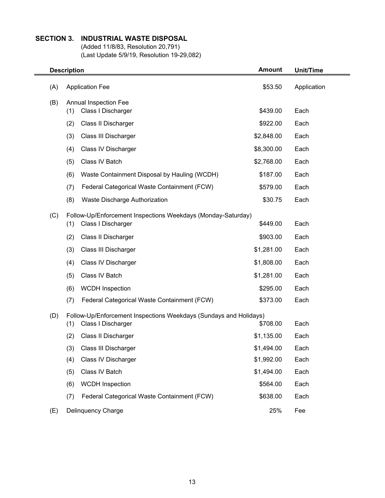#### **SECTION 3. INDUSTRIAL WASTE DISPOSAL**

(Added 11/8/83, Resolution 20,791) (Last Update 5/9/19, Resolution 19-29,082)

|     | <b>Description</b>                                                | <b>Amount</b> | Unit/Time   |
|-----|-------------------------------------------------------------------|---------------|-------------|
| (A) | <b>Application Fee</b>                                            | \$53.50       | Application |
| (B) | Annual Inspection Fee<br>(1)<br>Class I Discharger                | \$439.00      | Each        |
|     | (2)<br>Class II Discharger                                        | \$922.00      | Each        |
|     | (3)<br>Class III Discharger                                       | \$2,848.00    | Each        |
|     | Class IV Discharger<br>(4)                                        | \$8,300.00    | Each        |
|     | Class IV Batch<br>(5)                                             | \$2,768.00    | Each        |
|     | (6)<br>Waste Containment Disposal by Hauling (WCDH)               | \$187.00      | Each        |
|     | Federal Categorical Waste Containment (FCW)<br>(7)                | \$579.00      | Each        |
|     | (8)<br>Waste Discharge Authorization                              | \$30.75       | Each        |
| (C) | Follow-Up/Enforcement Inspections Weekdays (Monday-Saturday)      |               |             |
|     | Class I Discharger<br>(1)                                         | \$449.00      | Each        |
|     | (2)<br>Class II Discharger                                        | \$903.00      | Each        |
|     | Class III Discharger<br>(3)                                       | \$1,281.00    | Each        |
|     | (4)<br>Class IV Discharger                                        | \$1,808.00    | Each        |
|     | Class IV Batch<br>(5)                                             | \$1,281.00    | Each        |
|     | (6)<br><b>WCDH</b> Inspection                                     | \$295.00      | Each        |
|     | Federal Categorical Waste Containment (FCW)<br>(7)                | \$373.00      | Each        |
| (D) | Follow-Up/Enforcement Inspections Weekdays (Sundays and Holidays) |               |             |
|     | Class I Discharger<br>(1)                                         | \$708.00      | Each        |
|     | (2)<br>Class II Discharger                                        | \$1,135.00    | Each        |
|     | Class III Discharger<br>(3)                                       | \$1,494.00    | Each        |
|     | (4)<br>Class IV Discharger                                        | \$1,992.00    | Each        |
|     | Class IV Batch<br>(5)                                             | \$1,494.00    | Each        |
|     | (6)<br><b>WCDH</b> Inspection                                     | \$564.00      | Each        |
|     | Federal Categorical Waste Containment (FCW)<br>(7)                | \$638.00      | Each        |
| (E) | Delinquency Charge                                                | 25%           | Fee         |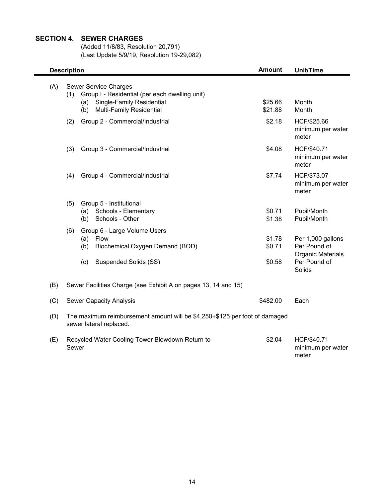#### **SECTION 4. SEWER CHARGES**

(Added 11/8/83, Resolution 20,791) (Last Update 5/9/19, Resolution 19-29,082)

|     | Amount<br><b>Description</b>                                                                          | <b>Unit/Time</b>   |                                           |
|-----|-------------------------------------------------------------------------------------------------------|--------------------|-------------------------------------------|
| (A) | <b>Sewer Service Charges</b><br>Group I - Residential (per each dwelling unit)<br>(1)                 |                    |                                           |
|     | Single-Family Residential<br>(a)<br>Multi-Family Residential<br>(b)                                   | \$25.66<br>\$21.88 | Month<br>Month                            |
|     | (2)<br>Group 2 - Commercial/Industrial                                                                | \$2.18             | HCF/\$25.66<br>minimum per water<br>meter |
|     | (3)<br>Group 3 - Commercial/Industrial                                                                | \$4.08             | HCF/\$40.71<br>minimum per water<br>meter |
|     | (4)<br>Group 4 - Commercial/Industrial                                                                | \$7.74             | HCF/\$73.07<br>minimum per water<br>meter |
|     | Group 5 - Institutional<br>(5)                                                                        |                    |                                           |
|     | (a) Schools - Elementary                                                                              | \$0.71             | Pupil/Month                               |
|     | Schools - Other<br>(b)                                                                                | \$1.38             | Pupil/Month                               |
|     | Group 6 - Large Volume Users<br>(6)                                                                   |                    |                                           |
|     | Flow<br>(a)<br>(b)<br>Biochemical Oxygen Demand (BOD)                                                 | \$1.78<br>\$0.71   | Per 1,000 gallons<br>Per Pound of         |
|     |                                                                                                       |                    | <b>Organic Materials</b>                  |
|     | (c)<br>Suspended Solids (SS)                                                                          | \$0.58             | Per Pound of<br>Solids                    |
| (B) | Sewer Facilities Charge (see Exhibit A on pages 13, 14 and 15)                                        |                    |                                           |
| (C) | <b>Sewer Capacity Analysis</b>                                                                        | \$482.00           | Each                                      |
| (D) | The maximum reimbursement amount will be \$4,250+\$125 per foot of damaged<br>sewer lateral replaced. |                    |                                           |
| (E) | Recycled Water Cooling Tower Blowdown Return to<br>Sewer                                              | \$2.04             | HCF/\$40.71<br>minimum per water<br>meter |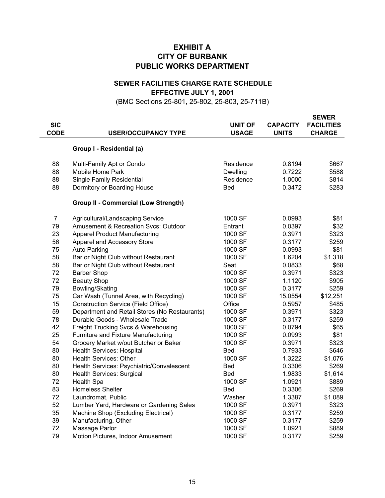#### **EXHIBIT A CITY OF BURBANK PUBLIC WORKS DEPARTMENT**

#### **EFFECTIVE JULY 1, 2001 SEWER FACILITIES CHARGE RATE SCHEDULE**

(BMC Sections 25-801, 25-802, 25-803, 25-711B)

| <b>SIC</b><br><b>CODE</b> | <b>USER/OCCUPANCY TYPE</b>                    | <b>UNIT OF</b><br><b>USAGE</b> | <b>CAPACITY</b><br><b>UNITS</b> | <b>SEWER</b><br><b>FACILITIES</b><br><b>CHARGE</b> |
|---------------------------|-----------------------------------------------|--------------------------------|---------------------------------|----------------------------------------------------|
|                           | Group I - Residential (a)                     |                                |                                 |                                                    |
| 88                        | Multi-Family Apt or Condo                     | Residence                      | 0.8194                          | \$667                                              |
| 88                        | Mobile Home Park                              | <b>Dwelling</b>                | 0.7222                          | \$588                                              |
| 88                        | <b>Single Family Residential</b>              | Residence                      | 1.0000                          | \$814                                              |
| 88                        | Dormitory or Boarding House                   | Bed                            | 0.3472                          | \$283                                              |
|                           | <b>Group II - Commercial (Low Strength)</b>   |                                |                                 |                                                    |
| $\overline{7}$            | Agricultural/Landscaping Service              | 1000 SF                        | 0.0993                          | \$81                                               |
| 79                        | Amusement & Recreation Svcs: Outdoor          | Entrant                        | 0.0397                          | \$32                                               |
| 23                        | <b>Apparel Product Manufacturing</b>          | 1000 SF                        | 0.3971                          | \$323                                              |
| 56                        | Apparel and Accessory Store                   | 1000 SF                        | 0.3177                          | \$259                                              |
| 75                        | <b>Auto Parking</b>                           | 1000 SF                        | 0.0993                          | \$81                                               |
| 58                        | Bar or Night Club without Restaurant          | 1000 SF                        | 1.6204                          | \$1,318                                            |
| 58                        | Bar or Night Club without Restaurant          | Seat                           | 0.0833                          | \$68                                               |
| 72                        | <b>Barber Shop</b>                            | 1000 SF                        | 0.3971                          | \$323                                              |
| 72                        | <b>Beauty Shop</b>                            | 1000 SF                        | 1.1120                          | \$905                                              |
| 79                        | Bowling/Skating                               | 1000 SF                        | 0.3177                          | \$259                                              |
| 75                        | Car Wash (Tunnel Area, with Recycling)        | 1000 SF                        | 15.0554                         | \$12,251                                           |
| 15                        | <b>Construction Service (Field Office)</b>    | Office                         | 0.5957                          | \$485                                              |
| 59                        | Department and Retail Stores (No Restaurants) | 1000 SF                        | 0.3971                          | \$323                                              |
| 78                        | Durable Goods - Wholesale Trade               | 1000 SF                        | 0.3177                          | \$259                                              |
| 42                        | Freight Trucking Svcs & Warehousing           | 1000 SF                        | 0.0794                          | \$65                                               |
| 25                        | Furniture and Fixture Manufacturing           | 1000 SF                        | 0.0993                          | \$81                                               |
| 54                        | Grocery Market w/out Butcher or Baker         | 1000 SF                        | 0.3971                          | \$323                                              |
| 80                        | <b>Health Services: Hospital</b>              | Bed                            | 0.7933                          | \$646                                              |
| 80                        | <b>Health Services: Other</b>                 | 1000 SF                        | 1.3222                          | \$1,076                                            |
| 80                        | Health Services: Psychiatric/Convalescent     | Bed                            | 0.3306                          | \$269                                              |
| 80                        | Health Services: Surgical                     | Bed                            | 1.9833                          | \$1,614                                            |
| 72                        | <b>Health Spa</b>                             | 1000 SF                        | 1.0921                          | \$889                                              |
| 83                        | <b>Homeless Shelter</b>                       | <b>Bed</b>                     | 0.3306                          | \$269                                              |
| 72                        | Laundromat, Public                            | Washer                         | 1.3387                          | \$1,089                                            |
| 52                        | Lumber Yard, Hardware or Gardening Sales      | 1000 SF                        | 0.3971                          | \$323                                              |
| 35                        | Machine Shop (Excluding Electrical)           | 1000 SF                        | 0.3177                          | \$259                                              |
| 39                        | Manufacturing, Other                          | 1000 SF                        | 0.3177                          | \$259                                              |
| 72                        | Massage Parlor                                | 1000 SF                        | 1.0921                          | \$889                                              |
| 79                        | Motion Pictures, Indoor Amusement             | 1000 SF                        | 0.3177                          | \$259                                              |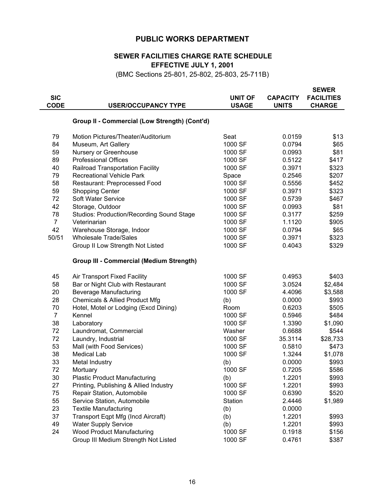#### **PUBLIC WORKS DEPARTMENT**

#### **EFFECTIVE JULY 1, 2001 SEWER FACILITIES CHARGE RATE SCHEDULE**

(BMC Sections 25-801, 25-802, 25-803, 25-711B)

| <b>SIC</b><br><b>CODE</b> | <b>USER/OCCUPANCY TYPE</b>                       | <b>UNIT OF</b><br><b>USAGE</b> | <b>CAPACITY</b><br><b>UNITS</b> | <b>SEWER</b><br><b>FACILITIES</b><br><b>CHARGE</b> |
|---------------------------|--------------------------------------------------|--------------------------------|---------------------------------|----------------------------------------------------|
|                           | Group II - Commercial (Low Strength) (Cont'd)    |                                |                                 |                                                    |
| 79                        | Motion Pictures/Theater/Auditorium               | Seat                           | 0.0159                          | \$13                                               |
| 84                        | Museum, Art Gallery                              | 1000 SF                        | 0.0794                          | \$65                                               |
| 59                        | Nursery or Greenhouse                            | 1000 SF                        | 0.0993                          | \$81                                               |
| 89                        | <b>Professional Offices</b>                      | 1000 SF                        | 0.5122                          | \$417                                              |
| 40                        | Railroad Transportation Facility                 | 1000 SF                        | 0.3971                          | \$323                                              |
| 79                        | <b>Recreational Vehicle Park</b>                 | Space                          | 0.2546                          | \$207                                              |
| 58                        | Restaurant: Preprocessed Food                    | 1000 SF                        | 0.5556                          | \$452                                              |
| 59                        | <b>Shopping Center</b>                           | 1000 SF                        | 0.3971                          | \$323                                              |
| 72                        | Soft Water Service                               | 1000 SF                        | 0.5739                          | \$467                                              |
| 42                        | Storage, Outdoor                                 | 1000 SF                        | 0.0993                          | \$81                                               |
| 78                        | <b>Studios: Production/Recording Sound Stage</b> | 1000 SF                        | 0.3177                          | \$259                                              |
| $\overline{7}$            | Veterinarian                                     | 1000 SF                        | 1.1120                          | \$905                                              |
| 42                        | Warehouse Storage, Indoor                        | 1000 SF                        | 0.0794                          | \$65                                               |
| 50/51                     | <b>Wholesale Trade/Sales</b>                     | 1000 SF                        | 0.3971                          | \$323                                              |
|                           | Group II Low Strength Not Listed                 | 1000 SF                        | 0.4043                          | \$329                                              |
|                           | <b>Group III - Commercial (Medium Strength)</b>  |                                |                                 |                                                    |
| 45                        | Air Transport Fixed Facility                     | 1000 SF                        | 0.4953                          | \$403                                              |
| 58                        | Bar or Night Club with Restaurant                | 1000 SF                        | 3.0524                          | \$2,484                                            |
| 20                        | <b>Beverage Manufacturing</b>                    | 1000 SF                        | 4.4096                          | \$3,588                                            |
| 28                        | <b>Chemicals &amp; Allied Product Mfg</b>        | (b)                            | 0.0000                          | \$993                                              |
| 70                        | Hotel, Motel or Lodging (Excd Dining)            | Room                           | 0.6203                          | \$505                                              |
| $\overline{7}$            | Kennel                                           | 1000 SF                        | 0.5946                          | \$484                                              |
| 38                        | Laboratory                                       | 1000 SF                        | 1.3390                          | \$1,090                                            |
| 72                        | Laundromat, Commercial                           | Washer                         | 0.6688                          | \$544                                              |
| 72                        | Laundry, Industrial                              | 1000 SF                        | 35.3114                         | \$28,733                                           |
| 53                        | Mall (with Food Services)                        | 1000 SF                        | 0.5810                          | \$473                                              |
| 38                        | <b>Medical Lab</b>                               | 1000 SF                        | 1.3244                          | \$1,078                                            |
| 33                        | Metal Industry                                   | (b)                            | 0.0000                          | \$993                                              |
| 72                        | Mortuary                                         | 1000 SF                        | 0.7205                          | \$586                                              |
| 30                        | <b>Plastic Product Manufacturing</b>             | (b)                            | 1.2201                          | \$993                                              |
| 27                        | Printing, Publishing & Allied Industry           | 1000 SF                        | 1.2201                          | \$993                                              |
| 75                        | Repair Station, Automobile                       | 1000 SF                        | 0.6390                          | \$520                                              |
| 55                        | Service Station, Automobile                      | Station                        | 2.4446                          | \$1,989                                            |
| 23                        | <b>Textile Manufacturing</b>                     | (b)                            | 0.0000                          |                                                    |
| 37                        | Transport Eqpt Mfg (Incd Aircraft)               | (b)                            | 1.2201                          | \$993                                              |
| 49                        | <b>Water Supply Service</b>                      | (b)                            | 1.2201                          | \$993                                              |
| 24                        | <b>Wood Product Manufacturing</b>                | 1000 SF                        | 0.1918                          | \$156                                              |
|                           | Group III Medium Strength Not Listed             | 1000 SF                        | 0.4761                          | \$387                                              |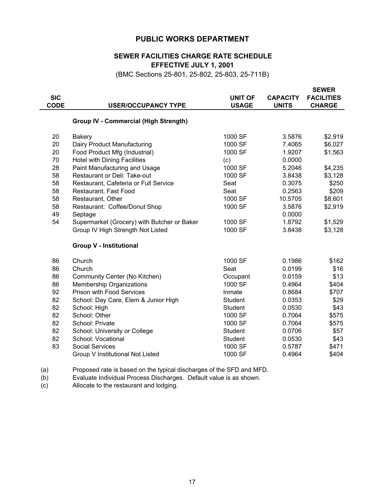#### **PUBLIC WORKS DEPARTMENT**

#### **EFFECTIVE JULY 1, 2001 SEWER FACILITIES CHARGE RATE SCHEDULE**

(BMC Sections 25-801, 25-802, 25-803, 25-711B)

|                                       |                                                                                             |                 | <b>SEWER</b>      |
|---------------------------------------|---------------------------------------------------------------------------------------------|-----------------|-------------------|
|                                       | <b>UNIT OF</b>                                                                              | <b>CAPACITY</b> | <b>FACILITIES</b> |
| <b>USER/OCCUPANCY TYPE</b>            | <b>USAGE</b>                                                                                | <b>UNITS</b>    | <b>CHARGE</b>     |
|                                       |                                                                                             |                 |                   |
|                                       |                                                                                             |                 |                   |
| <b>Bakery</b>                         | 1000 SF                                                                                     | 3.5876          | \$2,919           |
| Dairy Product Manufacturing           | 1000 SF                                                                                     | 7.4065          | \$6,027           |
| Food Product Mfg (Industrial)         | 1000 SF                                                                                     | 1.9207          | \$1,563           |
| <b>Hotel with Dining Facilities</b>   | (c)                                                                                         | 0.0000          |                   |
| Paint Manufacturing and Usage         | 1000 SF                                                                                     | 5.2046          | \$4,235           |
| <b>Restaurant or Deli: Take-out</b>   | 1000 SF                                                                                     | 3.8438          | \$3,128           |
| Restaurant, Cafeteria or Full Service | Seat                                                                                        | 0.3075          | \$250             |
| Restaurant, Fast Food                 | Seat                                                                                        | 0.2563          | \$209             |
| Restaurant, Other                     | 1000 SF                                                                                     | 10.5705         | \$8,601           |
| Restaurant: Coffee/Donut Shop         | 1000 SF                                                                                     | 3.5876          | \$2,919           |
| Septage                               |                                                                                             | 0.0000          |                   |
|                                       | 1000 SF                                                                                     | 1.8792          | \$1,529           |
| Group IV High Strength Not Listed     | 1000 SF                                                                                     | 3.8438          | \$3,128           |
| <b>Group V - Institutional</b>        |                                                                                             |                 |                   |
| Church                                | 1000 SF                                                                                     | 0.1986          | \$162             |
| Church                                | Seat                                                                                        | 0.0199          | \$16              |
| Community Center (No Kitchen)         | Occupant                                                                                    | 0.0159          | \$13              |
| <b>Membership Organizations</b>       | 1000 SF                                                                                     | 0.4964          | \$404             |
| <b>Prison with Food Services</b>      | Inmate                                                                                      | 0.8684          | \$707             |
| School: Day Care, Elem & Junior High  | <b>Student</b>                                                                              | 0.0353          | \$29              |
| School: High                          | <b>Student</b>                                                                              | 0.0530          | \$43              |
| School: Other                         | 1000 SF                                                                                     | 0.7064          | \$575             |
| School: Private                       | 1000 SF                                                                                     | 0.7064          | \$575             |
| School: University or College         | Student                                                                                     | 0.0706          | \$57              |
| School: Vocational                    | Student                                                                                     | 0.0530          | \$43              |
| <b>Social Services</b>                | 1000 SF                                                                                     | 0.5787          | \$471             |
| Group V Institutional Not Listed      | 1000 SF                                                                                     | 0.4964          | \$404             |
|                                       | <b>Group IV - Commercial (High Strength)</b><br>Supermarket (Grocery) with Butcher or Baker |                 |                   |

(a) Proposed rate is based on the typical discharges of the SFD and MFD.

(b) Evaluate Individual Process Discharges. Default value is as shown.

(c) Allocate to the restaurant and lodging.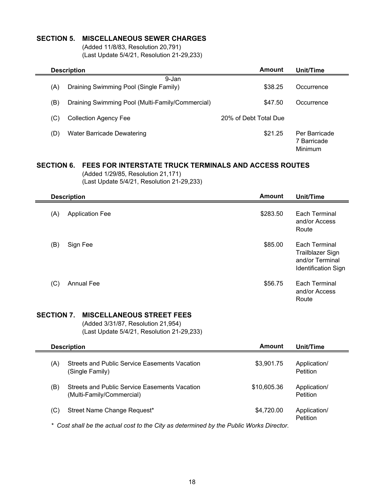#### **SECTION 5. MISCELLANEOUS SEWER CHARGES**

(Added 11/8/83, Resolution 20,791) (Last Update 5/4/21, Resolution 21-29,233)

|     | Amount<br><b>Description</b>                     |                       |                                         |  |
|-----|--------------------------------------------------|-----------------------|-----------------------------------------|--|
| (A) | 9-Jan<br>Draining Swimming Pool (Single Family)  | \$38.25               | Occurrence                              |  |
| (B) | Draining Swimming Pool (Multi-Family/Commercial) | \$47.50               | Occurrence                              |  |
| (C) | <b>Collection Agency Fee</b>                     | 20% of Debt Total Due |                                         |  |
| D)  | <b>Water Barricade Dewatering</b>                | \$21.25               | Per Barricade<br>7 Barricade<br>Minimum |  |

#### **SECTION 6. FEES FOR INTERSTATE TRUCK TERMINALS AND ACCESS ROUTES**

(Added 1/29/85, Resolution 21,171)

|     | (Last Update 5/4/21, Resolution 21-29,233) |               |                                                                                    |
|-----|--------------------------------------------|---------------|------------------------------------------------------------------------------------|
|     | <b>Description</b>                         | <b>Amount</b> | Unit/Time                                                                          |
| (A) | <b>Application Fee</b>                     | \$283.50      | Each Terminal<br>and/or Access<br>Route                                            |
| (B) | Sign Fee                                   | \$85.00       | Each Terminal<br>Trailblazer Sign<br>and/or Terminal<br><b>Identification Sign</b> |
| (C) | <b>Annual Fee</b>                          | \$56.75       | Each Terminal<br>and/or Access<br>Route                                            |

#### **SECTION 7. MISCELLANEOUS STREET FEES**

(Added 3/31/87, Resolution 21,954) (Last Update 5/4/21, Resolution 21-29,233)

| Amount<br><b>Description</b> |                                                                                       |             | Unit/Time                       |  |
|------------------------------|---------------------------------------------------------------------------------------|-------------|---------------------------------|--|
| (A)                          | Streets and Public Service Easements Vacation<br>(Single Family).                     | \$3,901.75  | Application/<br><b>Petition</b> |  |
| (B)                          | Streets and Public Service Easements Vacation<br>(Multi-Family/Commercial)            | \$10,605.36 | Application/<br><b>Petition</b> |  |
| (C)                          | Street Name Change Request*                                                           | \$4,720.00  | Application/<br>Petition        |  |
| *                            | Cost shall be the actual cost to the City as determined by the Public Works Director. |             |                                 |  |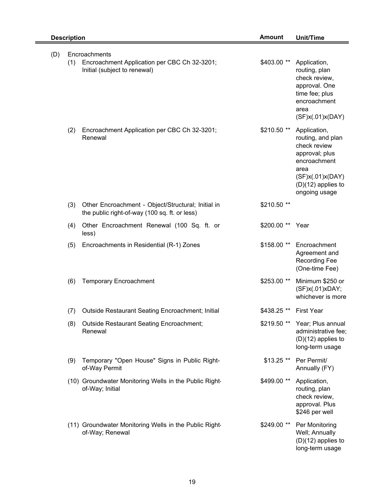|     | <b>Description</b> |                                                                                                     |              | <b>Unit/Time</b>                                                                                                                                         |
|-----|--------------------|-----------------------------------------------------------------------------------------------------|--------------|----------------------------------------------------------------------------------------------------------------------------------------------------------|
| (D) | (1)                | Encroachments<br>Encroachment Application per CBC Ch 32-3201;<br>Initial (subject to renewal)       | \$403.00 **  | Application,<br>routing, plan<br>check review,<br>approval. One<br>time fee; plus<br>encroachment<br>area<br>(SF)x(.01)x(DAY)                            |
|     | (2)                | Encroachment Application per CBC Ch 32-3201;<br>Renewal                                             | $$210.50$ ** | Application,<br>routing, and plan<br>check review<br>approval; plus<br>encroachment<br>area<br>(SF)x(.01)x(DAY)<br>$(D)(12)$ applies to<br>ongoing usage |
|     | (3)                | Other Encroachment - Object/Structural; Initial in<br>the public right-of-way (100 sq. ft. or less) | \$210.50 **  |                                                                                                                                                          |
|     | (4)                | Other Encroachment Renewal (100 Sq. ft. or<br>less)                                                 | \$200.00 **  | Year                                                                                                                                                     |
|     | (5)                | Encroachments in Residential (R-1) Zones                                                            | \$158.00 **  | Encroachment<br>Agreement and<br><b>Recording Fee</b><br>(One-time Fee)                                                                                  |
|     | (6)                | <b>Temporary Encroachment</b>                                                                       | \$253.00 **  | Minimum \$250 or<br>(SF)x(.01)xDAY;<br>whichever is more                                                                                                 |
|     | (7)                | Outside Restaurant Seating Encroachment; Initial                                                    | \$438.25 **  | <b>First Year</b>                                                                                                                                        |
|     | (8)                | <b>Outside Restaurant Seating Encroachment;</b><br>Renewal                                          | \$219.50 **  | Year; Plus annual<br>administrative fee;<br>$(D)(12)$ applies to<br>long-term usage                                                                      |
|     | (9)                | Temporary "Open House" Signs in Public Right-<br>of-Way Permit                                      | $$13.25$ **  | Per Permit/<br>Annually (FY)                                                                                                                             |
|     |                    | (10) Groundwater Monitoring Wells in the Public Right-<br>of-Way; Initial                           | \$499.00 **  | Application,<br>routing, plan<br>check review,<br>approval. Plus<br>\$246 per well                                                                       |
|     |                    | (11) Groundwater Monitoring Wells in the Public Right-<br>of-Way; Renewal                           | \$249.00 **  | Per Monitoring<br>Well; Annually<br>$(D)(12)$ applies to<br>long-term usage                                                                              |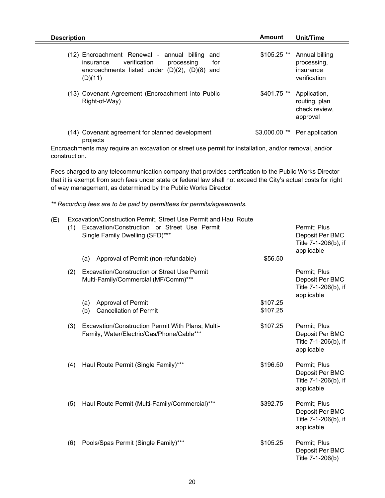| <b>Description</b>                                                                                                                                                   | Amount         | Unit/Time                                                  |
|----------------------------------------------------------------------------------------------------------------------------------------------------------------------|----------------|------------------------------------------------------------|
| (12) Encroachment Renewal - annual billing<br>and<br>verification<br>for<br>processing<br>insurance<br>encroachments listed under $(D)(2)$ , $(D)(8)$ and<br>(D)(11) | $$105.25$ **   | Annual billing<br>processing,<br>insurance<br>verification |
| (13) Covenant Agreement (Encroachment into Public<br>Right-of-Way)                                                                                                   | $$401.75$ **   | Application,<br>routing, plan<br>check review.<br>approval |
| (14) Covenant agreement for planned development<br>projects                                                                                                          | $$3,000.00$ ** | Per application                                            |

Encroachments may require an excavation or street use permit for installation, and/or removal, and/or construction.

Fees charged to any telecommunication company that provides certification to the Public Works Director that it is exempt from such fees under state or federal law shall not exceed the City's actual costs for right of way management, as determined by the Public Works Director.

*\*\* Recording fees are to be paid by permittees for permits/agreements.*

| (E) |     | Excavation/Construction Permit, Street Use Permit and Haul Route                               |                      |                                                                       |
|-----|-----|------------------------------------------------------------------------------------------------|----------------------|-----------------------------------------------------------------------|
|     | (1) | Excavation/Construction or Street Use Permit<br>Single Family Dwelling (SFD)***                |                      | Permit; Plus<br>Deposit Per BMC<br>Title 7-1-206(b), if<br>applicable |
|     |     | Approval of Permit (non-refundable)<br>(a)                                                     | \$56.50              |                                                                       |
|     | (2) | Excavation/Construction or Street Use Permit<br>Multi-Family/Commercial (MF/Comm)***           |                      | Permit; Plus<br>Deposit Per BMC<br>Title 7-1-206(b), if<br>applicable |
|     |     | Approval of Permit<br>(a)<br><b>Cancellation of Permit</b><br>(b)                              | \$107.25<br>\$107.25 |                                                                       |
|     | (3) | Excavation/Construction Permit With Plans; Multi-<br>Family, Water/Electric/Gas/Phone/Cable*** | \$107.25             | Permit; Plus<br>Deposit Per BMC<br>Title 7-1-206(b), if<br>applicable |
|     | (4) | Haul Route Permit (Single Family)***                                                           | \$196.50             | Permit; Plus<br>Deposit Per BMC<br>Title 7-1-206(b), if<br>applicable |
|     | (5) | Haul Route Permit (Multi-Family/Commercial)***                                                 | \$392.75             | Permit; Plus<br>Deposit Per BMC<br>Title 7-1-206(b), if<br>applicable |
|     | (6) | Pools/Spas Permit (Single Family)***                                                           | \$105.25             | Permit; Plus<br>Deposit Per BMC<br>Title 7-1-206(b)                   |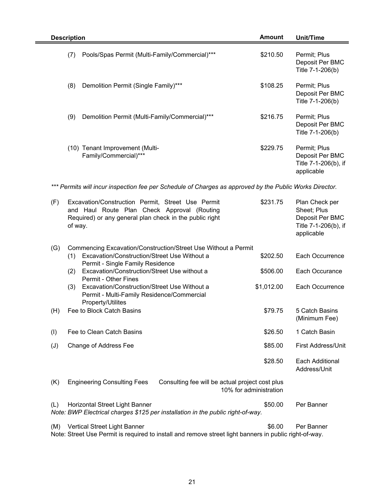| <b>Description</b>                                                                                      | <b>Amount</b> | Unit/Time                                                             |  |
|---------------------------------------------------------------------------------------------------------|---------------|-----------------------------------------------------------------------|--|
| Pools/Spas Permit (Multi-Family/Commercial)***<br>(7)                                                   | \$210.50      | Permit; Plus<br>Deposit Per BMC<br>Title 7-1-206(b)                   |  |
| (8)<br>Demolition Permit (Single Family)***                                                             | \$108.25      | Permit; Plus<br>Deposit Per BMC<br>Title 7-1-206(b)                   |  |
| (9)<br>Demolition Permit (Multi-Family/Commercial)***                                                   | \$216.75      | Permit; Plus<br>Deposit Per BMC<br>Title 7-1-206(b)                   |  |
| (10) Tenant Improvement (Multi-<br>Family/Commercial)***                                                | \$229.75      | Permit; Plus<br>Deposit Per BMC<br>Title 7-1-206(b), if<br>applicable |  |
| *** Permits will incur inspection fee per Schedule of Charges as approved by the Public Works Director. |               |                                                                       |  |
| (F)<br>Excavation/Construction Permit, Street Use Permit                                                | \$231.75      | Plan Check per                                                        |  |

|                | and Haul Route Plan Check Approval (Routing<br>Required) or any general plan check in the public right<br>of way.                      |                                                                           | Sheet; Plus<br>Deposit Per BMC<br>Title 7-1-206(b), if<br>applicable |
|----------------|----------------------------------------------------------------------------------------------------------------------------------------|---------------------------------------------------------------------------|----------------------------------------------------------------------|
| (G)            | Commencing Excavation/Construction/Street Use Without a Permit                                                                         |                                                                           |                                                                      |
|                | Excavation/Construction/Street Use Without a<br>(1)<br>Permit - Single Family Residence                                                | \$202.50                                                                  | Each Occurrence                                                      |
|                | Excavation/Construction/Street Use without a<br>(2)<br>Permit - Other Fines                                                            | \$506.00                                                                  | Each Occurance                                                       |
|                | Excavation/Construction/Street Use Without a<br>(3)<br>Permit - Multi-Family Residence/Commercial<br>Property/Utilites                 | \$1,012.00                                                                | Each Occurrence                                                      |
| (H)            | Fee to Block Catch Basins                                                                                                              | \$79.75                                                                   | 5 Catch Basins<br>(Minimum Fee)                                      |
| (1)            | Fee to Clean Catch Basins                                                                                                              | \$26.50                                                                   | 1 Catch Basin                                                        |
| $(\mathsf{U})$ | Change of Address Fee                                                                                                                  | \$85.00                                                                   | <b>First Address/Unit</b>                                            |
|                |                                                                                                                                        | \$28.50                                                                   | Each Additional<br>Address/Unit                                      |
| (K)            | <b>Engineering Consulting Fees</b>                                                                                                     | Consulting fee will be actual project cost plus<br>10% for administration |                                                                      |
| (L)            | Horizontal Street Light Banner<br>Note: BWP Electrical charges \$125 per installation in the public right-of-way.                      | \$50.00                                                                   | Per Banner                                                           |
| (M)            | Vertical Street Light Banner<br>Note: Street Use Permit is required to install and remove street light banners in public right-of-way. | \$6.00                                                                    | Per Banner                                                           |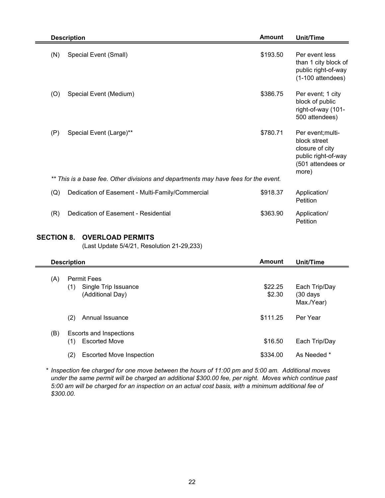| <b>Description</b>                                                                  | <b>Amount</b> | Unit/Time                                                                                                 |
|-------------------------------------------------------------------------------------|---------------|-----------------------------------------------------------------------------------------------------------|
| Special Event (Small)<br>(N)                                                        | \$193.50      | Per event less<br>than 1 city block of<br>public right-of-way<br>$(1-100$ attendees)                      |
| Special Event (Medium)<br>(O)                                                       | \$386.75      | Per event; 1 city<br>block of public<br>right-of-way (101-<br>500 attendees)                              |
| (P)<br>Special Event (Large)**                                                      | \$780.71      | Per event; multi-<br>block street<br>closure of city<br>public right-of-way<br>(501 attendees or<br>more) |
| ** This is a base fee. Other divisions and departments may have fees for the event. |               |                                                                                                           |
| (Q)<br>Dedication of Easement - Multi-Family/Commercial                             | \$918.37      | Application/<br>Petition                                                                                  |
| Dedication of Easement - Residential<br>(R)                                         | \$363.90      | Application/<br>Petition                                                                                  |

#### **SECTION 8. OVERLOAD PERMITS**

(Last Update 5/4/21, Resolution 21-29,233)

|     | <b>Description</b>                                                    | <b>Amount</b>     | Unit/Time                                          |
|-----|-----------------------------------------------------------------------|-------------------|----------------------------------------------------|
| (A) | <b>Permit Fees</b><br>Single Trip Issuance<br>(1)<br>(Additional Day) | \$22.25<br>\$2.30 | Each Trip/Day<br>$(30 \text{ days})$<br>Max./Year) |
|     | (2)<br>Annual Issuance                                                | \$111.25          | Per Year                                           |
| (B) | Escorts and Inspections<br><b>Escorted Move</b><br>(1)                | \$16.50           | Each Trip/Day                                      |
|     | (2)<br><b>Escorted Move Inspection</b>                                | \$334.00          | As Needed *                                        |

\* *Inspection fee charged for one move between the hours of 11:00 pm and 5:00 am. Additional moves under the same permit will be charged an additional \$300.00 fee, per night. Moves which continue past 5:00 am will be charged for an inspection on an actual cost basis, with a minimum additional fee of \$300.00.*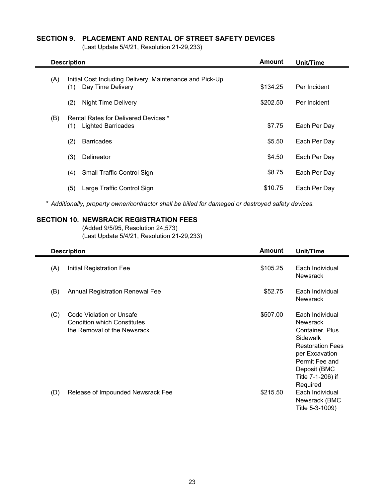#### **SECTION 9. PLACEMENT AND RENTAL OF STREET SAFETY DEVICES**

(Last Update 5/4/21, Resolution 21-29,233)

 $\blacksquare$ 

| <b>Description</b>                                              | <b>Amount</b> | Unit/Time    |  |
|-----------------------------------------------------------------|---------------|--------------|--|
| Initial Cost Including Delivery, Maintenance and Pick-Up<br>(A) |               |              |  |
| Day Time Delivery<br>(1)                                        | \$134.25      | Per Incident |  |
| (2)<br><b>Night Time Delivery</b>                               | \$202.50      | Per Incident |  |
| Rental Rates for Delivered Devices *<br>(B)                     |               |              |  |
| <b>Lighted Barricades</b><br>(1)                                | \$7.75        | Each Per Day |  |
| (2)<br><b>Barricades</b>                                        | \$5.50        | Each Per Day |  |
| (3)<br>Delineator                                               | \$4.50        | Each Per Day |  |
| (4)<br><b>Small Traffic Control Sign</b>                        | \$8.75        | Each Per Day |  |
| Large Traffic Control Sign<br>(5)                               | \$10.75       | Each Per Day |  |

\* *Additionally, property owner/contractor shall be billed for damaged or destroyed safety devices.*

#### **SECTION 10. NEWSRACK REGISTRATION FEES**

(Added 9/5/95, Resolution 24,573) (Last Update 5/4/21, Resolution 21-29,233)

|     | <b>Description</b>                                                                            | <b>Amount</b> | Unit/Time                                                                                                                                                                         |
|-----|-----------------------------------------------------------------------------------------------|---------------|-----------------------------------------------------------------------------------------------------------------------------------------------------------------------------------|
| (A) | Initial Registration Fee                                                                      | \$105.25      | Each Individual<br><b>Newsrack</b>                                                                                                                                                |
| (B) | <b>Annual Registration Renewal Fee</b>                                                        | \$52.75       | Each Individual<br><b>Newsrack</b>                                                                                                                                                |
| (C) | Code Violation or Unsafe<br><b>Condition which Constitutes</b><br>the Removal of the Newsrack | \$507.00      | Each Individual<br><b>Newsrack</b><br>Container, Plus<br>Sidewalk<br><b>Restoration Fees</b><br>per Excavation<br>Permit Fee and<br>Deposit (BMC<br>Title 7-1-206) if<br>Required |
| (D) | Release of Impounded Newsrack Fee                                                             | \$215.50      | Each Individual<br>Newsrack (BMC<br>Title 5-3-1009)                                                                                                                               |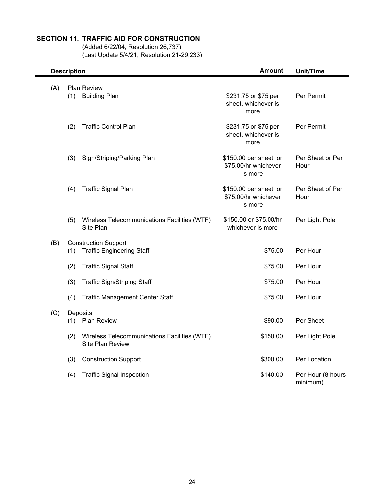#### **SECTION 11. TRAFFIC AID FOR CONSTRUCTION**

(Added 6/22/04, Resolution 26,737)  $(Last Update 5/4/21, Resolution 21-29,233)$ 

|     | <b>Description</b> |                                                                         | <b>Amount</b>                                            | <b>Unit/Time</b>              |  |
|-----|--------------------|-------------------------------------------------------------------------|----------------------------------------------------------|-------------------------------|--|
| (A) | (1)                | Plan Review<br><b>Building Plan</b>                                     | \$231.75 or \$75 per<br>sheet, whichever is<br>more      | Per Permit                    |  |
|     | (2)                | <b>Traffic Control Plan</b>                                             | \$231.75 or \$75 per<br>sheet, whichever is<br>more      | Per Permit                    |  |
|     | (3)                | Sign/Striping/Parking Plan                                              | \$150.00 per sheet or<br>\$75.00/hr whichever<br>is more | Per Sheet or Per<br>Hour      |  |
|     | (4)                | <b>Traffic Signal Plan</b>                                              | \$150.00 per sheet or<br>\$75.00/hr whichever<br>is more | Per Sheet of Per<br>Hour      |  |
|     | (5)                | Wireless Telecommunications Facilities (WTF)<br>Site Plan               | \$150.00 or \$75.00/hr<br>whichever is more              | Per Light Pole                |  |
| (B) | (1)                | <b>Construction Support</b><br><b>Traffic Engineering Staff</b>         | \$75.00                                                  | Per Hour                      |  |
|     | (2)                | <b>Traffic Signal Staff</b>                                             | \$75.00                                                  | Per Hour                      |  |
|     | (3)                | <b>Traffic Sign/Striping Staff</b>                                      | \$75.00                                                  | Per Hour                      |  |
|     | (4)                | <b>Traffic Management Center Staff</b>                                  | \$75.00                                                  | Per Hour                      |  |
| (C) | (1)                | Deposits<br><b>Plan Review</b>                                          | \$90.00                                                  | Per Sheet                     |  |
|     | (2)                | Wireless Telecommunications Facilities (WTF)<br><b>Site Plan Review</b> | \$150.00                                                 | Per Light Pole                |  |
|     | (3)                | <b>Construction Support</b>                                             | \$300.00                                                 | Per Location                  |  |
|     | (4)                | <b>Traffic Signal Inspection</b>                                        | \$140.00                                                 | Per Hour (8 hours<br>minimum) |  |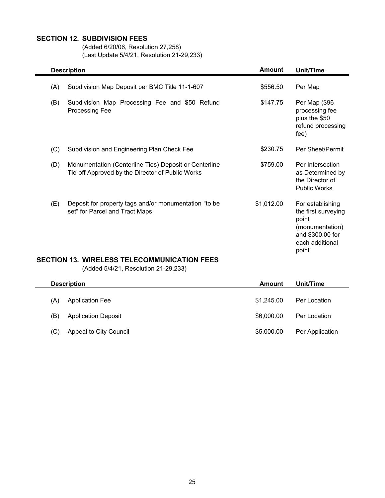#### **SECTION 12. SUBDIVISION FEES**

(Added 6/20/06, Resolution 27,258) (Last Update 5/4/21, Resolution 21-29,233)

|     | <b>Description</b>                                                                                        | <b>Amount</b> | <b>Unit/Time</b>                                                                                                    |
|-----|-----------------------------------------------------------------------------------------------------------|---------------|---------------------------------------------------------------------------------------------------------------------|
| (A) | Subdivision Map Deposit per BMC Title 11-1-607                                                            | \$556.50      | Per Map                                                                                                             |
| (B) | Subdivision Map Processing Fee and \$50 Refund<br>Processing Fee                                          | \$147.75      | Per Map (\$96<br>processing fee<br>plus the \$50<br>refund processing<br>fee)                                       |
| (C) | Subdivision and Engineering Plan Check Fee                                                                | \$230.75      | Per Sheet/Permit                                                                                                    |
| (D) | Monumentation (Centerline Ties) Deposit or Centerline<br>Tie-off Approved by the Director of Public Works | \$759.00      | Per Intersection<br>as Determined by<br>the Director of<br><b>Public Works</b>                                      |
| (E) | Deposit for property tags and/or monumentation "to be<br>set" for Parcel and Tract Maps                   | \$1,012.00    | For establishing<br>the first surveying<br>point<br>(monumentation)<br>and \$300.00 for<br>each additional<br>point |

#### **SECTION 13. WIRELESS TELECOMMUNICATION FEES**

(Added 5/4/21, Resolution 21-29,233)

|     | <b>Description</b>         |            | Unit/Time       |
|-----|----------------------------|------------|-----------------|
| (A) | <b>Application Fee</b>     | \$1,245.00 | Per Location    |
| (B) | <b>Application Deposit</b> | \$6,000,00 | Per Location    |
| (C) | Appeal to City Council     | \$5,000.00 | Per Application |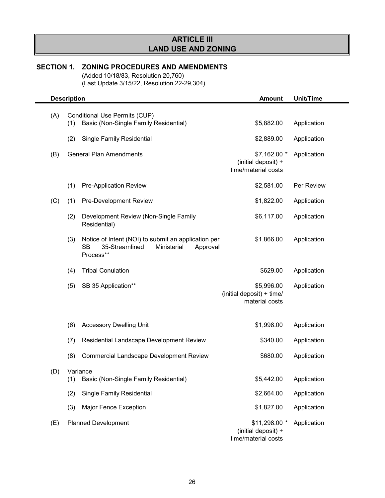## **ARTICLE III LAND USE AND ZONING**

## **SECTION 1. ZONING PROCEDURES AND AMENDMENTS**

(Added 10/18/83, Resolution 20,760) (Last Update 3/15/22, Resolution 22-29,304)

|     | <b>Description</b> |                                                                                                                     | <b>Amount</b>                                               | Unit/Time         |
|-----|--------------------|---------------------------------------------------------------------------------------------------------------------|-------------------------------------------------------------|-------------------|
| (A) | (1)                | Conditional Use Permits (CUP)<br>Basic (Non-Single Family Residential)                                              | \$5,882.00                                                  | Application       |
|     | (2)                | <b>Single Family Residential</b>                                                                                    | \$2,889.00                                                  | Application       |
| (B) |                    | <b>General Plan Amendments</b>                                                                                      | \$7,162.00 *<br>(initial deposit) +<br>time/material costs  | Application       |
|     | (1)                | <b>Pre-Application Review</b>                                                                                       | \$2,581.00                                                  | <b>Per Review</b> |
| (C) | (1)                | Pre-Development Review                                                                                              | \$1,822.00                                                  | Application       |
|     | (2)                | Development Review (Non-Single Family<br>Residential)                                                               | \$6,117.00                                                  | Application       |
|     | (3)                | Notice of Intent (NOI) to submit an application per<br>35-Streamlined<br>SB<br>Ministerial<br>Approval<br>Process** | \$1,866.00                                                  | Application       |
|     | (4)                | <b>Tribal Conulation</b>                                                                                            | \$629.00                                                    | Application       |
|     | (5)                | SB 35 Application**                                                                                                 | \$5,996.00<br>(initial deposit) + time/<br>material costs   | Application       |
|     | (6)                | <b>Accessory Dwelling Unit</b>                                                                                      | \$1,998.00                                                  | Application       |
|     | (7)                | Residential Landscape Development Review                                                                            | \$340.00                                                    | Application       |
|     | (8)                | <b>Commercial Landscape Development Review</b>                                                                      | \$680.00                                                    | Application       |
| (D) | (1)                | Variance<br>Basic (Non-Single Family Residential)                                                                   | \$5,442.00                                                  | Application       |
|     | (2)                | Single Family Residential                                                                                           | \$2,664.00                                                  | Application       |
|     | (3)                | Major Fence Exception                                                                                               | \$1,827.00                                                  | Application       |
| (E) |                    | <b>Planned Development</b>                                                                                          | \$11,298.00 *<br>(initial deposit) +<br>time/material costs | Application       |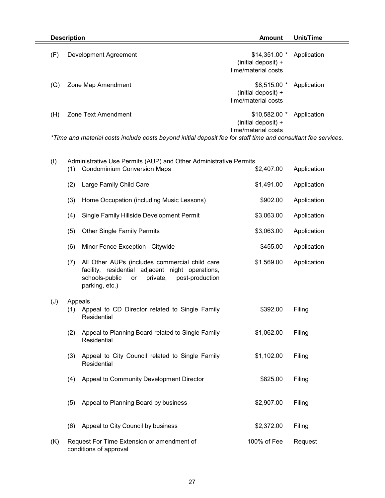| <b>Description</b>                                                                                            |                       | Amount                                                       | Unit/Time   |
|---------------------------------------------------------------------------------------------------------------|-----------------------|--------------------------------------------------------------|-------------|
| (F)                                                                                                           | Development Agreement | $$14,351.00$ *<br>(initial deposit) +<br>time/material costs | Application |
| (G)                                                                                                           | Zone Map Amendment    | $$8,515.00$ *<br>(initial deposit) +<br>time/material costs  | Application |
| (H)                                                                                                           | Zone Text Amendment   | $$10,582.00$ *<br>(initial deposit) +<br>time/material costs | Application |
| *Time and material costs include costs heyond initial denosit fee for staff time and consultant fee services. |                       |                                                              |             |

*\*Time and material costs include costs beyond initial deposit fee for staff time and consultant fee services.* 

| (1)            | (1) | Administrative Use Permits (AUP) and Other Administrative Permits<br><b>Condominium Conversion Maps</b>                                                                     | \$2,407.00  | Application |
|----------------|-----|-----------------------------------------------------------------------------------------------------------------------------------------------------------------------------|-------------|-------------|
|                | (2) | Large Family Child Care                                                                                                                                                     | \$1,491.00  | Application |
|                | (3) | Home Occupation (including Music Lessons)                                                                                                                                   | \$902.00    | Application |
|                | (4) | Single Family Hillside Development Permit                                                                                                                                   | \$3,063.00  | Application |
|                | (5) | <b>Other Single Family Permits</b>                                                                                                                                          | \$3,063.00  | Application |
|                | (6) | Minor Fence Exception - Citywide                                                                                                                                            | \$455.00    | Application |
|                | (7) | All Other AUPs (includes commercial child care<br>facility, residential adjacent night operations,<br>schools-public<br>private,<br>post-production<br>or<br>parking, etc.) | \$1,569.00  | Application |
| $(\mathsf{U})$ | (1) | Appeals<br>Appeal to CD Director related to Single Family<br>Residential                                                                                                    | \$392.00    | Filing      |
|                | (2) | Appeal to Planning Board related to Single Family<br>Residential                                                                                                            | \$1,062.00  | Filing      |
|                | (3) | Appeal to City Council related to Single Family<br>Residential                                                                                                              | \$1,102.00  | Filing      |
|                | (4) | Appeal to Community Development Director                                                                                                                                    | \$825.00    | Filing      |
|                | (5) | Appeal to Planning Board by business                                                                                                                                        | \$2,907.00  | Filing      |
|                | (6) | Appeal to City Council by business                                                                                                                                          | \$2,372.00  | Filing      |
| (K)            |     | Request For Time Extension or amendment of<br>conditions of approval                                                                                                        | 100% of Fee | Request     |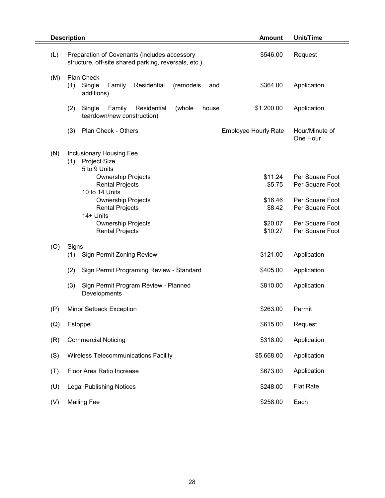|     | <b>Description</b><br><b>Amount</b>                                                                              | Unit/Time                  |
|-----|------------------------------------------------------------------------------------------------------------------|----------------------------|
| (L) | \$546.00<br>Preparation of Covenants (includes accessory<br>structure, off-site shared parking, reversals, etc.) | Request                    |
| (M) | Plan Check<br>Single<br>(1)<br>Family<br>Residential<br>(remodels<br>\$364.00<br>and<br>additions)               | Application                |
|     | Residential<br>\$1,200.00<br>(2)<br>Single<br>Family<br>(whole<br>house<br>teardown/new construction)            | Application                |
|     | Plan Check - Others<br>(3)<br><b>Employee Hourly Rate</b>                                                        | Hour/Minute of<br>One Hour |
| (N) | Inclusionary Housing Fee<br><b>Project Size</b><br>(1)<br>5 to 9 Units<br>\$11.24<br><b>Ownership Projects</b>   | Per Square Foot            |
|     | <b>Rental Projects</b><br>\$5.75<br>10 to 14 Units                                                               | Per Square Foot            |
|     | <b>Ownership Projects</b><br>\$16.46                                                                             | Per Square Foot            |
|     | <b>Rental Projects</b><br>\$8.42<br>14+ Units                                                                    | Per Square Foot            |
|     | \$20.07<br><b>Ownership Projects</b>                                                                             | Per Square Foot            |
|     | <b>Rental Projects</b><br>\$10.27                                                                                | Per Square Foot            |
| (O) | Signs                                                                                                            |                            |
|     | \$121.00<br>(1)<br>Sign Permit Zoning Review                                                                     | Application                |
|     | \$405.00<br>(2)<br>Sign Permit Programing Review - Standard                                                      | Application                |
|     | \$810.00<br>(3)<br>Sign Permit Program Review - Planned<br>Developments                                          | Application                |
| (P) | \$263.00<br>Minor Setback Exception                                                                              | Permit                     |
| (Q) | \$615.00<br>Estoppel                                                                                             | Request                    |
| (R) | \$318.00<br><b>Commercial Noticing</b>                                                                           | Application                |
| (S) | \$5,668.00<br>Wireless Telecommunications Facility                                                               | Application                |
| (T) | Floor Area Ratio Increase<br>\$673.00                                                                            | Application                |
| (U) | \$248.00<br><b>Legal Publishing Notices</b>                                                                      | <b>Flat Rate</b>           |
| (V) | <b>Mailing Fee</b><br>\$258.00                                                                                   | Each                       |

Ė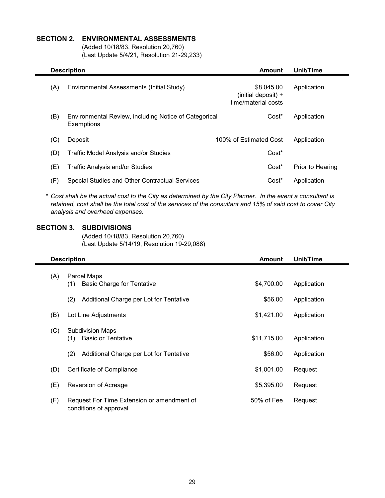#### **SECTION 2. ENVIRONMENTAL ASSESSMENTS**

(Added 10/18/83, Resolution 20,760) (Last Update 5/4/21, Resolution 21-29,233)

| <b>Description</b> |                                                                     | Amount                                                   | Unit/Time        |
|--------------------|---------------------------------------------------------------------|----------------------------------------------------------|------------------|
| (A)                | Environmental Assessments (Initial Study)                           | \$8,045.00<br>(initial deposit) +<br>time/material costs | Application      |
| (B)                | Environmental Review, including Notice of Categorical<br>Exemptions | Cost <sup>*</sup>                                        | Application      |
| (C)                | Deposit                                                             | 100% of Estimated Cost                                   | Application      |
| (D)                | Traffic Model Analysis and/or Studies                               | Cost*                                                    |                  |
| (E)                | Traffic Analysis and/or Studies                                     | Cost <sup>*</sup>                                        | Prior to Hearing |
| (F)                | Special Studies and Other Contractual Services                      | Cost <sup>*</sup>                                        | Application      |

\* *Cost shall be the actual cost to the City as determined by the City Planner. In the event a consultant is retained, cost shall be the total cost of the services of the consultant and 15% of said cost to cover City analysis and overhead expenses.*

#### **SECTION 3. SUBDIVISIONS**

(Added 10/18/83, Resolution 20,760) (Last Update 5/14/19, Resolution 19-29,088)

| <b>Description</b><br><b>Amount</b> |                                                                      |             | Unit/Time   |  |
|-------------------------------------|----------------------------------------------------------------------|-------------|-------------|--|
| (A)                                 | Parcel Maps                                                          |             |             |  |
|                                     | <b>Basic Charge for Tentative</b><br>(1)                             | \$4,700.00  | Application |  |
|                                     | Additional Charge per Lot for Tentative<br>(2)                       | \$56.00     | Application |  |
| (B)                                 | Lot Line Adjustments                                                 | \$1,421.00  | Application |  |
| (C)                                 | <b>Subdivision Maps</b>                                              |             |             |  |
|                                     | <b>Basic or Tentative</b><br>(1)                                     | \$11,715.00 | Application |  |
|                                     | (2)<br>Additional Charge per Lot for Tentative                       | \$56.00     | Application |  |
| (D)                                 | Certificate of Compliance                                            | \$1,001.00  | Request     |  |
| (E)                                 | Reversion of Acreage                                                 | \$5,395.00  | Request     |  |
| (F)                                 | Request For Time Extension or amendment of<br>conditions of approval | 50% of Fee  | Request     |  |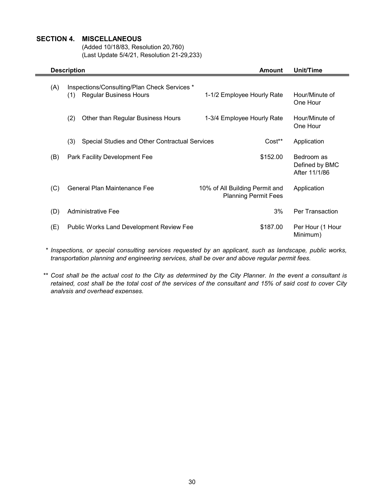#### **SECTION 4. MISCELLANEOUS**

(Added 10/18/83, Resolution 20,760) (Last Update 5/4/21, Resolution 21-29,233)

| <b>Description</b><br><b>Amount</b> |                                                                                      | Unit/Time                                                     |                                               |
|-------------------------------------|--------------------------------------------------------------------------------------|---------------------------------------------------------------|-----------------------------------------------|
| (A)                                 | Inspections/Consulting/Plan Check Services *<br><b>Regular Business Hours</b><br>(1) | 1-1/2 Employee Hourly Rate                                    | Hour/Minute of<br>One Hour                    |
|                                     | (2)<br>Other than Regular Business Hours                                             | 1-3/4 Employee Hourly Rate                                    | Hour/Minute of<br>One Hour                    |
|                                     | (3)<br>Special Studies and Other Contractual Services                                | Cost**                                                        | Application                                   |
| (B)                                 | Park Facility Development Fee                                                        | \$152.00                                                      | Bedroom as<br>Defined by BMC<br>After 11/1/86 |
| (C)                                 | General Plan Maintenance Fee                                                         | 10% of All Building Permit and<br><b>Planning Permit Fees</b> | Application                                   |
| (D)                                 | Administrative Fee                                                                   | 3%                                                            | <b>Per Transaction</b>                        |
| (E)                                 | <b>Public Works Land Development Review Fee</b>                                      | \$187.00                                                      | Per Hour (1 Hour<br>Minimum)                  |

\* *Inspections, or special consulting services requested by an applicant, such as landscape, public works, transportation planning and engineering services, shall be over and above regular permit fees.*

\*\* *Cost shall be the actual cost to the City as determined by the City Planner. In the event a consultant is retained, cost shall be the total cost of the services of the consultant and 15% of said cost to cover City analysis and overhead expenses.*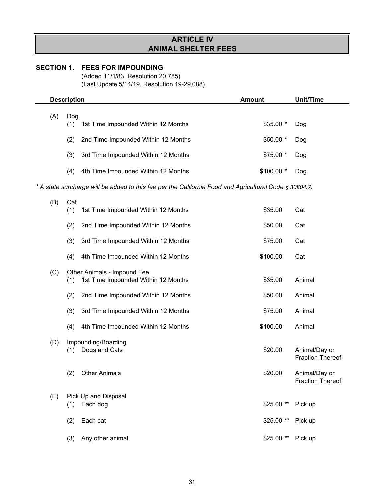# **ARTICLE IV ANIMAL SHELTER FEES**

## **SECTION 1. FEES FOR IMPOUNDING**

(Added 11/1/83, Resolution 20,785) (Last Update 5/14/19, Resolution 19-29,088)

|     | <b>Description</b> |                                                                                                        | <b>Amount</b> | <b>Unit/Time</b>                         |
|-----|--------------------|--------------------------------------------------------------------------------------------------------|---------------|------------------------------------------|
| (A) | Dog<br>(1)         | 1st Time Impounded Within 12 Months                                                                    | \$35.00 *     | Dog                                      |
|     | (2)                | 2nd Time Impounded Within 12 Months                                                                    | \$50.00 *     | Dog                                      |
|     | (3)                | 3rd Time Impounded Within 12 Months                                                                    | \$75.00 *     | Dog                                      |
|     | (4)                | 4th Time Impounded Within 12 Months                                                                    | \$100.00 *    | Dog                                      |
|     |                    | * A state surcharge will be added to this fee per the California Food and Agricultural Code § 30804.7. |               |                                          |
| (B) | Cat<br>(1)         | 1st Time Impounded Within 12 Months                                                                    | \$35.00       | Cat                                      |
|     | (2)                | 2nd Time Impounded Within 12 Months                                                                    | \$50.00       | Cat                                      |
|     | (3)                | 3rd Time Impounded Within 12 Months                                                                    | \$75.00       | Cat                                      |
|     | (4)                | 4th Time Impounded Within 12 Months                                                                    | \$100.00      | Cat                                      |
| (C) | (1)                | Other Animals - Impound Fee<br>1st Time Impounded Within 12 Months                                     | \$35.00       | Animal                                   |
|     | (2)                | 2nd Time Impounded Within 12 Months                                                                    | \$50.00       | Animal                                   |
|     | (3)                | 3rd Time Impounded Within 12 Months                                                                    | \$75.00       | Animal                                   |
|     | (4)                | 4th Time Impounded Within 12 Months                                                                    | \$100.00      | Animal                                   |
| (D) | (1)                | Impounding/Boarding<br>Dogs and Cats                                                                   | \$20.00       | Animal/Day or<br><b>Fraction Thereof</b> |
|     | (2)                | <b>Other Animals</b>                                                                                   | \$20.00       | Animal/Day or<br><b>Fraction Thereof</b> |
| (E) | (1)                | Pick Up and Disposal<br>Each dog                                                                       | \$25.00 **    | Pick up                                  |
|     | (2)                | Each cat                                                                                               | \$25.00 **    | Pick up                                  |
|     | (3)                | Any other animal                                                                                       | \$25.00 **    | Pick up                                  |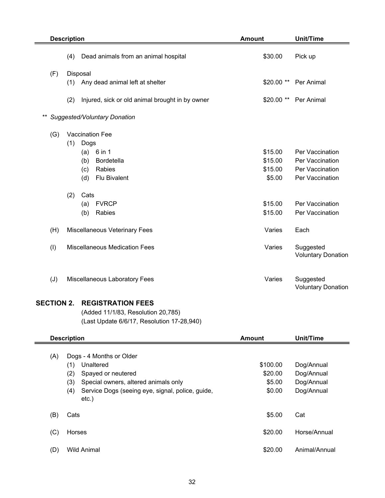|       | <b>Description</b>                          |          |                                                 | <b>Amount</b> | <b>Unit/Time</b>                       |  |
|-------|---------------------------------------------|----------|-------------------------------------------------|---------------|----------------------------------------|--|
|       | (4)<br>Dead animals from an animal hospital |          | \$30.00                                         | Pick up       |                                        |  |
| (F)   |                                             | Disposal |                                                 |               |                                        |  |
|       | (1)                                         |          | Any dead animal left at shelter                 | \$20.00 **    | Per Animal                             |  |
|       | (2)                                         |          | Injured, sick or old animal brought in by owner | $$20.00**$    | Per Animal                             |  |
| $***$ |                                             |          | Suggested/Voluntary Donation                    |               |                                        |  |
| (G)   |                                             |          | Vaccination Fee                                 |               |                                        |  |
|       | (1)                                         | Dogs     |                                                 |               |                                        |  |
|       |                                             | (a)      | 6 in 1                                          | \$15.00       | Per Vaccination                        |  |
|       |                                             | (b)      | Bordetella                                      | \$15.00       | Per Vaccination                        |  |
|       |                                             | (c)      | Rabies                                          | \$15.00       | Per Vaccination                        |  |
|       |                                             | (d)      | <b>Flu Bivalent</b>                             | \$5.00        | Per Vaccination                        |  |
|       | (2)<br>Cats                                 |          |                                                 |               |                                        |  |
|       |                                             | (a)      | <b>FVRCP</b>                                    | \$15.00       | Per Vaccination                        |  |
|       |                                             | (b)      | Rabies                                          | \$15.00       | Per Vaccination                        |  |
| (H)   |                                             |          | Miscellaneous Veterinary Fees                   | Varies        | Each                                   |  |
| (1)   |                                             |          | <b>Miscellaneous Medication Fees</b>            | Varies        | Suggested<br><b>Voluntary Donation</b> |  |
| (J)   |                                             |          | Miscellaneous Laboratory Fees                   | Varies        | Suggested<br><b>Voluntary Donation</b> |  |

## **SECTION 2. REGISTRATION FEES**

(Added 11/1/83, Resolution 20,785) (Last Update 6/6/17, Resolution 17-28,940)

|     | <b>Description</b>                                                                                                                                                                              | Amount                                  | Unit/Time                                            |
|-----|-------------------------------------------------------------------------------------------------------------------------------------------------------------------------------------------------|-----------------------------------------|------------------------------------------------------|
| (A) | Dogs - 4 Months or Older<br>Unaltered<br>(1)<br>(2)<br>Spayed or neutered<br>(3)<br>Special owners, altered animals only<br>Service Dogs (seeing eye, signal, police, guide,<br>(4)<br>$etc.$ ) | \$100.00<br>\$20.00<br>\$5.00<br>\$0.00 | Dog/Annual<br>Dog/Annual<br>Dog/Annual<br>Dog/Annual |
| (B) | Cats                                                                                                                                                                                            | \$5.00                                  | Cat                                                  |
| (C) | Horses                                                                                                                                                                                          | \$20.00                                 | Horse/Annual                                         |
| (D) | <b>Wild Animal</b>                                                                                                                                                                              | \$20.00                                 | Animal/Annual                                        |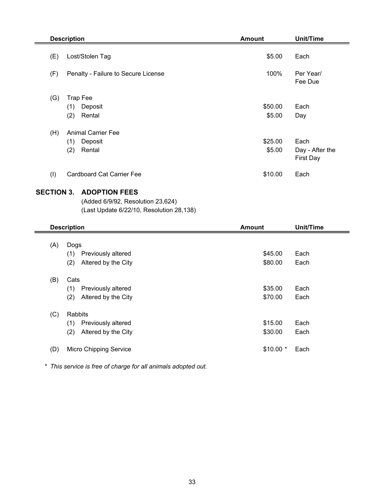|                   | <b>Description</b>                       | <b>Amount</b> | <b>Unit/Time</b>                    |  |
|-------------------|------------------------------------------|---------------|-------------------------------------|--|
| (E)               | Lost/Stolen Tag                          | \$5.00        | Each                                |  |
| (F)               | Penalty - Failure to Secure License      | 100%          | Per Year/<br>Fee Due                |  |
| (G)               | <b>Trap Fee</b>                          |               |                                     |  |
|                   | (1)<br>Deposit                           | \$50.00       | Each                                |  |
|                   | (2)<br>Rental                            | \$5.00        | Day                                 |  |
| (H)               | <b>Animal Carrier Fee</b>                |               |                                     |  |
|                   | (1)<br>Deposit                           | \$25.00       | Each                                |  |
|                   | Rental<br>(2)                            | \$5.00        | Day - After the<br><b>First Day</b> |  |
| (1)               | <b>Cardboard Cat Carrier Fee</b>         | \$10.00       | Each                                |  |
| <b>SECTION 3.</b> | <b>ADOPTION FEES</b>                     |               |                                     |  |
|                   | (Added 6/9/92, Resolution 23,624)        |               |                                     |  |
|                   | (Last Update 6/22/10, Resolution 28,138) |               |                                     |  |
|                   | <b>Description</b>                       | <b>Amount</b> | <b>Unit/Time</b>                    |  |
|                   |                                          |               |                                     |  |
| (A)               | Dogs                                     |               |                                     |  |
|                   | (1) Previously altered                   | \$45.00       | Each                                |  |
|                   | Altered by the City<br>(2)               | \$80.00       | Each                                |  |
| (B)               | Cats                                     |               |                                     |  |
|                   | (1)<br>Previously altered                | \$35.00       | Each                                |  |
|                   | Altered by the City<br>(2)               | \$70.00       | Each                                |  |
| (C)               | Rabbits                                  |               |                                     |  |
|                   | (1)<br>Previously altered                | \$15.00       | Each                                |  |
|                   | Altered by the City<br>(2)               | \$30.00       | Each                                |  |
| (D)               | <b>Micro Chipping Service</b>            | \$10.00 *     | Each                                |  |
|                   |                                          |               |                                     |  |

*\* This service is free of charge for all animals adopted out.*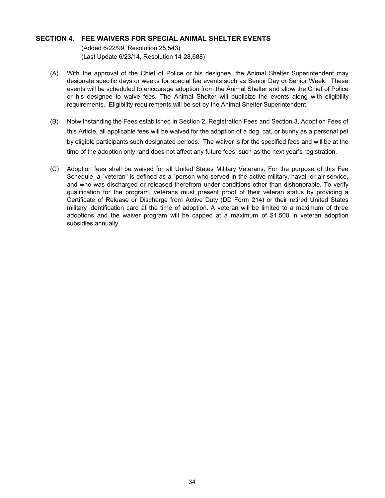#### **SECTION 4. FEE WAIVERS FOR SPECIAL ANIMAL SHELTER EVENTS**

(Added 6/22/99, Resolution 25,543) (Last Update 6/23/14, Resolution 14-28,688)

- (A) With the approval of the Chief of Police or his designee, the Animal Shelter Superintendent may designate specific days or weeks for special fee events such as Senior Day or Senior Week. These events will be scheduled to encourage adoption from the Animal Shelter and allow the Chief of Police or his designee to waive fees. The Animal Shelter will publicize the events along with eligibility requirements. Eligibility requirements will be set by the Animal Shelter Superintendent.
- (B) Notwithstanding the Fees established in Section 2, Registration Fees and Section 3, Adoption Fees of this Article, all applicable fees will be waived for the adoption of a dog, cat, or bunny as a personal pet by eligible participants such designated periods. The waiver is for the specified fees and will be at the time of the adoption only, and does not affect any future fees, such as the next year's registration.
- (C) Adoption fees shall be waived for all United States Military Veterans. For the purpose of this Fee Schedule, a "veteran" is defined as a "person who served in the active military, naval, or air service, and who was discharged or released therefrom under conditions other than dishonorable. To verify qualification for the program, veterans must present proof of their veteran status by providing a Certificate of Release or Discharge from Active Duty (DD Form 214) or their retired United States military identification card at the time of adoption. A veteran will be limited to a maximum of three adoptions and the waiver program will be capped at a maximum of \$1,500 in veteran adoption subsidies annually.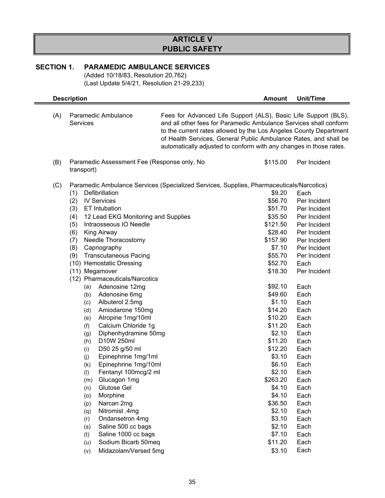## **ARTICLE V PUBLIC SAFETY**

## **SECTION 1. PARAMEDIC AMBULANCE SERVICES**

(Added 10/18/83, Resolution 20,762) (Last Update 5/4/21, Resolution 21-29,233)

|     | <b>Description</b>                                                                                                                                                                                                                                                                                                                                                                                                                                                                                                                                                                                                                                                                                                                                                                                                                                                                                                                                                                |                                                                                                                                                                                                                                                                                                                                                     | <b>Amount</b>                                                                                                                                                                                                                                                                                                                                                | <b>Unit/Time</b>                                                                                                                                                                                                                                                                                                                             |  |  |
|-----|-----------------------------------------------------------------------------------------------------------------------------------------------------------------------------------------------------------------------------------------------------------------------------------------------------------------------------------------------------------------------------------------------------------------------------------------------------------------------------------------------------------------------------------------------------------------------------------------------------------------------------------------------------------------------------------------------------------------------------------------------------------------------------------------------------------------------------------------------------------------------------------------------------------------------------------------------------------------------------------|-----------------------------------------------------------------------------------------------------------------------------------------------------------------------------------------------------------------------------------------------------------------------------------------------------------------------------------------------------|--------------------------------------------------------------------------------------------------------------------------------------------------------------------------------------------------------------------------------------------------------------------------------------------------------------------------------------------------------------|----------------------------------------------------------------------------------------------------------------------------------------------------------------------------------------------------------------------------------------------------------------------------------------------------------------------------------------------|--|--|
| (A) | Paramedic Ambulance<br><b>Services</b>                                                                                                                                                                                                                                                                                                                                                                                                                                                                                                                                                                                                                                                                                                                                                                                                                                                                                                                                            | Fees for Advanced Life Support (ALS), Basic Life Support (BLS),<br>and all other fees for Paramedic Ambulance Services shall conform<br>to the current rates allowed by the Los Angeles County Department<br>of Health Services, General Public Ambulance Rates, and shall be<br>automatically adjusted to conform with any changes in those rates. |                                                                                                                                                                                                                                                                                                                                                              |                                                                                                                                                                                                                                                                                                                                              |  |  |
| (B) | Paramedic Assessment Fee (Response only, No<br>\$115.00<br>Per Incident<br>transport)                                                                                                                                                                                                                                                                                                                                                                                                                                                                                                                                                                                                                                                                                                                                                                                                                                                                                             |                                                                                                                                                                                                                                                                                                                                                     |                                                                                                                                                                                                                                                                                                                                                              |                                                                                                                                                                                                                                                                                                                                              |  |  |
| (C) | Defibrillation<br>(1)<br><b>IV Services</b><br>(2)<br><b>ET Intubation</b><br>(3)<br>12 Lead EKG Monitoring and Supplies<br>(4)<br>Intraosseous IO Needle<br>(5)<br><b>King Airway</b><br>(6)<br>Needle Thoracostomy<br>(7)<br>(8)<br>Capnography<br><b>Transcutaneous Pacing</b><br>(9)<br>(10) Hemostatic Dressing<br>(11) Megamover<br>(12) Pharmaceuticals/Narcotics<br>Adenosine 12mg<br>(a)<br>Adenosine 6mg<br>(b)<br>Albuterol 2.5mg<br>(c)<br>Amiodarone 150mg<br>(d)<br>Atropine 1mg/10ml<br>(e)<br>Calcium Chloride 1g<br>(f)<br>Diphenhydramine 50mg<br>(g)<br>D10W 250ml<br>(h)<br>D50 25 g/50 ml<br>(i)<br>Epinephrine 1mg/1ml<br>(j)<br>Epinephrine 1mg/10ml<br>(k)<br>Fentanyl 100mcg/2 ml<br>(1)<br>Glucagon 1mg<br>(m)<br>Glutose Gel<br>(n)<br>Morphine<br>(o)<br>Narcan 2mg<br>(p)<br>Nitromist .4mg<br>(q)<br>Ondansetron 4mg<br>(r)<br>Saline 500 cc bags<br>(s)<br>Saline 1000 cc bags<br>(t)<br>Sodium Bicarb 50meq<br>(u)<br>Midazolam/Versed 5mg<br>(v) | Paramedic Ambulance Services (Specialized Services, Supplies, Pharmaceuticals/Narcotics)                                                                                                                                                                                                                                                            | \$9.20<br>\$56.70<br>\$51.70<br>\$35.50<br>\$121.50<br>\$28.40<br>\$157.90<br>\$7.10<br>\$55.70<br>\$52.70<br>\$18.30<br>\$92.10<br>\$49.60<br>\$1.10<br>\$14.20<br>\$10.20<br>\$11.20<br>\$2.10<br>\$11.20<br>\$12.20<br>\$3.10<br>\$6.10<br>\$2.10<br>\$263.20<br>\$4.10<br>\$4.10<br>\$36.50<br>\$2.10<br>\$3.10<br>\$2.10<br>\$7.10<br>\$11.20<br>\$3.10 | Each<br>Per Incident<br>Per Incident<br>Per Incident<br>Per Incident<br>Per Incident<br>Per Incident<br>Per Incident<br>Per Incident<br>Each<br>Per Incident<br>Each<br>Each<br>Each<br>Each<br>Each<br>Each<br>Each<br>Each<br>Each<br>Each<br>Each<br>Each<br>Each<br>Each<br>Each<br>Each<br>Each<br>Each<br>Each<br>Each<br>Each<br>Each |  |  |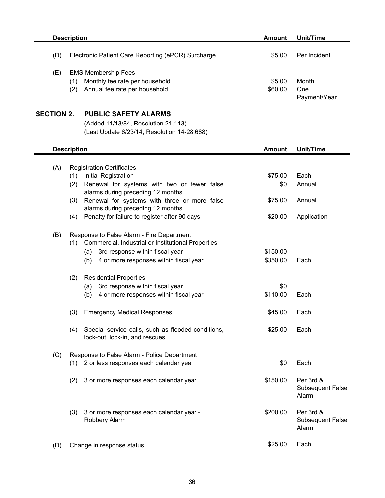|     | <b>Description</b>                                                                                          | Amount            | Unit/Time                    |
|-----|-------------------------------------------------------------------------------------------------------------|-------------------|------------------------------|
| (D) | Electronic Patient Care Reporting (ePCR) Surcharge                                                          | \$5.00            | Per Incident                 |
| (E  | <b>EMS Membership Fees</b><br>Monthly fee rate per household<br>้1)<br>Annual fee rate per household<br>(2) | \$5.00<br>\$60.00 | Month<br>One<br>Payment/Year |

## **SECTION 2. PUBLIC SAFETY ALARMS**

(Added 11/13/84, Resolution 21,113) (Last Update 6/23/14, Resolution 14-28,688)

|     | <b>Description</b>                                                                          | <b>Unit/Time</b><br><b>Amount</b> |                                               |
|-----|---------------------------------------------------------------------------------------------|-----------------------------------|-----------------------------------------------|
|     |                                                                                             |                                   |                                               |
| (A) | <b>Registration Certificates</b>                                                            |                                   |                                               |
|     | Initial Registration<br>(1)                                                                 | \$75.00                           | Each                                          |
|     | Renewal for systems with two or fewer false<br>(2)<br>alarms during preceding 12 months     | \$0                               | Annual                                        |
|     | Renewal for systems with three or more false<br>(3)<br>alarms during preceding 12 months    | \$75.00                           | Annual                                        |
|     | Penalty for failure to register after 90 days<br>(4)                                        | \$20.00                           | Application                                   |
| (B) | Response to False Alarm - Fire Department                                                   |                                   |                                               |
|     | Commercial, Industrial or Institutional Properties<br>(1)                                   |                                   |                                               |
|     | 3rd response within fiscal year<br>(a)                                                      | \$150.00                          |                                               |
|     | 4 or more responses within fiscal year<br>(b)                                               | \$350.00                          | Each                                          |
|     | <b>Residential Properties</b><br>(2)                                                        |                                   |                                               |
|     | 3rd response within fiscal year<br>(a)                                                      | \$0                               |                                               |
|     | 4 or more responses within fiscal year<br>(b)                                               | \$110.00                          | Each                                          |
|     | (3)<br><b>Emergency Medical Responses</b>                                                   | \$45.00                           | Each                                          |
|     | Special service calls, such as flooded conditions,<br>(4)<br>lock-out, lock-in, and rescues | \$25.00                           | Each                                          |
| (C) | Response to False Alarm - Police Department                                                 |                                   |                                               |
|     | (1) 2 or less responses each calendar year                                                  | \$0                               | Each                                          |
|     | (2)<br>3 or more responses each calendar year                                               | \$150.00                          | Per 3rd &<br><b>Subsequent False</b><br>Alarm |
|     | (3)<br>3 or more responses each calendar year -<br>Robbery Alarm                            | \$200.00                          | Per 3rd &<br><b>Subsequent False</b><br>Alarm |
| (D) | Change in response status                                                                   | \$25.00                           | Each                                          |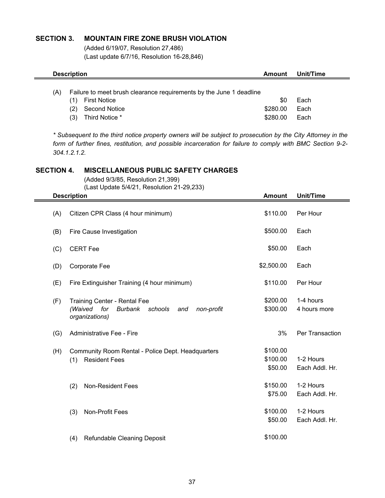### **SECTION 3. MOUNTAIN FIRE ZONE BRUSH VIOLATION**

(Added 6/19/07, Resolution 27,486) (Last update 6/7/16, Resolution 16-28,846)

| <b>Description</b> |                                                                                                                               | Amount                      | Unit/Time            |
|--------------------|-------------------------------------------------------------------------------------------------------------------------------|-----------------------------|----------------------|
| (A)<br>(2)<br>(3)  | Failure to meet brush clearance requirements by the June 1 deadline<br><b>First Notice</b><br>Second Notice<br>Third Notice * | \$0<br>\$280.00<br>\$280.00 | Each<br>Each<br>Each |

*\* Subsequent to the third notice property owners will be subject to prosecution by the City Attorney in the form of further fines, restitution, and possible incarceration for failure to comply with BMC Section 9-2- 304.1.2.1.2.*

#### **SECTION 4. MISCELLANEOUS PUBLIC SAFETY CHARGES**

(Added 9/3/85, Resolution 21,399)

(Last Update 5/4/21, Resolution 21-29,233)

|     | <b>Description</b>                                                                                                 | <b>Amount</b>                   | <b>Unit/Time</b>            |
|-----|--------------------------------------------------------------------------------------------------------------------|---------------------------------|-----------------------------|
| (A) | Citizen CPR Class (4 hour minimum)                                                                                 | \$110.00                        | Per Hour                    |
| (B) | Fire Cause Investigation                                                                                           | \$500.00                        | Each                        |
| (C) | <b>CERT Fee</b>                                                                                                    | \$50.00                         | Each                        |
| (D) | Corporate Fee                                                                                                      | \$2,500.00                      | Each                        |
| (E) | Fire Extinguisher Training (4 hour minimum)                                                                        | \$110.00                        | Per Hour                    |
| (F) | <b>Training Center - Rental Fee</b><br>(Waived<br>for<br>Burbank<br>schools<br>non-profit<br>and<br>organizations) | \$200.00<br>\$300.00            | 1-4 hours<br>4 hours more   |
| (G) | Administrative Fee - Fire                                                                                          | 3%                              | Per Transaction             |
| (H) | Community Room Rental - Police Dept. Headquarters<br><b>Resident Fees</b><br>(1)                                   | \$100.00<br>\$100.00<br>\$50.00 | 1-2 Hours<br>Each Addl. Hr. |
|     | <b>Non-Resident Fees</b><br>(2)                                                                                    | \$150.00<br>\$75.00             | 1-2 Hours<br>Each Addl. Hr. |
|     | Non-Profit Fees<br>(3)                                                                                             | \$100.00<br>\$50.00             | 1-2 Hours<br>Each Addl. Hr. |
|     | (4)<br>Refundable Cleaning Deposit                                                                                 | \$100.00                        |                             |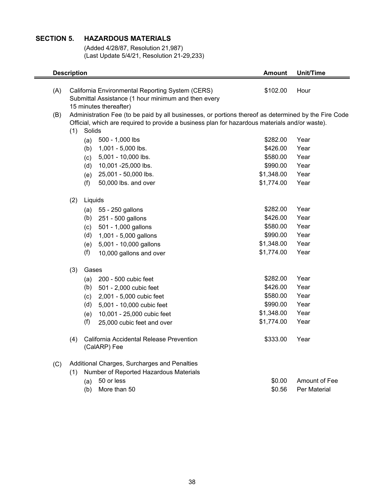# **SECTION 5. HAZARDOUS MATERIALS**

÷

(Added 4/28/87, Resolution 21,987) (Last Update 5/4/21, Resolution 21-29,233)

|     | <b>Description</b>                                                                                                                |         |                                                                                                      | <b>Amount</b> | <b>Unit/Time</b> |  |
|-----|-----------------------------------------------------------------------------------------------------------------------------------|---------|------------------------------------------------------------------------------------------------------|---------------|------------------|--|
| (A) | California Environmental Reporting System (CERS)<br>Submittal Assistance (1 hour minimum and then every<br>15 minutes thereafter) |         |                                                                                                      |               | Hour             |  |
| (B) |                                                                                                                                   |         | Administration Fee (to be paid by all businesses, or portions thereof as determined by the Fire Code |               |                  |  |
|     |                                                                                                                                   |         | Official, which are required to provide a business plan for hazardous materials and/or waste).       |               |                  |  |
|     | (1)                                                                                                                               | Solids  |                                                                                                      |               |                  |  |
|     |                                                                                                                                   | (a)     | 500 - 1,000 lbs                                                                                      | \$282.00      | Year             |  |
|     |                                                                                                                                   | (b)     | 1,001 - 5,000 lbs.                                                                                   | \$426.00      | Year             |  |
|     |                                                                                                                                   | (c)     | 5,001 - 10,000 lbs.                                                                                  | \$580.00      | Year             |  |
|     |                                                                                                                                   | (d)     | 10,001 -25,000 lbs.                                                                                  | \$990.00      | Year             |  |
|     |                                                                                                                                   | (e)     | 25,001 - 50,000 lbs.                                                                                 | \$1,348.00    | Year             |  |
|     |                                                                                                                                   | (f)     | 50,000 lbs. and over                                                                                 | \$1,774.00    | Year             |  |
|     | (2)                                                                                                                               | Liquids |                                                                                                      |               |                  |  |
|     |                                                                                                                                   | (a)     | 55 - 250 gallons                                                                                     | \$282.00      | Year             |  |
|     |                                                                                                                                   | (b)     | 251 - 500 gallons                                                                                    | \$426.00      | Year             |  |
|     |                                                                                                                                   | (c)     | 501 - 1,000 gallons                                                                                  | \$580.00      | Year             |  |
|     |                                                                                                                                   | (d)     | 1,001 - 5,000 gallons                                                                                | \$990.00      | Year             |  |
|     |                                                                                                                                   | (e)     | 5,001 - 10,000 gallons                                                                               | \$1,348.00    | Year             |  |
|     |                                                                                                                                   | (f)     | 10,000 gallons and over                                                                              | \$1,774.00    | Year             |  |
|     | (3)                                                                                                                               | Gases   |                                                                                                      |               |                  |  |
|     |                                                                                                                                   | (a)     | 200 - 500 cubic feet                                                                                 | \$282.00      | Year             |  |
|     |                                                                                                                                   |         | $(b)$ 501 - 2,000 cubic feet                                                                         | \$426.00      | Year             |  |
|     |                                                                                                                                   | (c)     | 2,001 - 5,000 cubic feet                                                                             | \$580.00      | Year             |  |
|     |                                                                                                                                   | (d)     | 5,001 - 10,000 cubic feet                                                                            | \$990.00      | Year             |  |
|     |                                                                                                                                   | (e)     | 10,001 - 25,000 cubic feet                                                                           | \$1,348.00    | Year             |  |
|     |                                                                                                                                   | (f)     | 25,000 cubic feet and over                                                                           | \$1,774.00    | Year             |  |
|     | (4)                                                                                                                               |         | California Accidental Release Prevention<br>(CalARP) Fee                                             | \$333.00      | Year             |  |
| (C) |                                                                                                                                   |         | Additional Charges, Surcharges and Penalties                                                         |               |                  |  |
|     | (1)                                                                                                                               |         | Number of Reported Hazardous Materials                                                               |               |                  |  |
|     |                                                                                                                                   | (a)     | 50 or less                                                                                           | \$0.00        | Amount of Fee    |  |
|     |                                                                                                                                   | (b)     | More than 50                                                                                         | \$0.56        | Per Material     |  |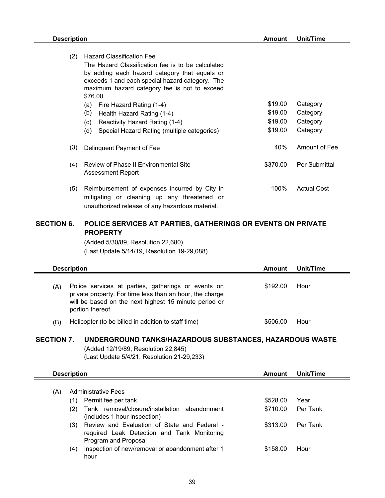$\blacksquare$ 

| (2) | <b>Hazard Classification Fee</b>                                                                                                                |          |                    |  |  |  |  |  |
|-----|-------------------------------------------------------------------------------------------------------------------------------------------------|----------|--------------------|--|--|--|--|--|
|     | The Hazard Classification fee is to be calculated                                                                                               |          |                    |  |  |  |  |  |
|     | by adding each hazard category that equals or                                                                                                   |          |                    |  |  |  |  |  |
|     | exceeds 1 and each special hazard category. The                                                                                                 |          |                    |  |  |  |  |  |
|     | maximum hazard category fee is not to exceed                                                                                                    |          |                    |  |  |  |  |  |
|     | \$76.00                                                                                                                                         |          |                    |  |  |  |  |  |
|     | Fire Hazard Rating (1-4)<br>(a)                                                                                                                 | \$19.00  | Category           |  |  |  |  |  |
|     | (b)<br>Health Hazard Rating (1-4)                                                                                                               | \$19.00  | Category           |  |  |  |  |  |
|     | Reactivity Hazard Rating (1-4)<br>(c)                                                                                                           | \$19.00  | Category           |  |  |  |  |  |
|     | (d)<br>Special Hazard Rating (multiple categories)                                                                                              | \$19.00  | Category           |  |  |  |  |  |
| (3) | Delinquent Payment of Fee                                                                                                                       | 40%      | Amount of Fee      |  |  |  |  |  |
| (4) | Review of Phase II Environmental Site<br>Assessment Report                                                                                      | \$370.00 | Per Submittal      |  |  |  |  |  |
| (5) | Reimbursement of expenses incurred by City in<br>mitigating or cleaning up any threatened or<br>unauthorized release of any hazardous material. | 100%     | <b>Actual Cost</b> |  |  |  |  |  |

#### **SECTION 6. POLICE SERVICES AT PARTIES, GATHERINGS OR EVENTS ON PRIVATE PROPERTY**

(Added 5/30/89, Resolution 22,680) (Last Update 5/14/19, Resolution 19-29,088)

| <b>Description</b> | Unit/Time                                                                                                                                                                                    |          |      |
|--------------------|----------------------------------------------------------------------------------------------------------------------------------------------------------------------------------------------|----------|------|
| (A)                | Police services at parties, gatherings or events on<br>private property. For time less than an hour, the charge<br>will be based on the next highest 15 minute period or<br>portion thereof. | \$192.00 | Hour |
| (B)                | Helicopter (to be billed in addition to staff time)                                                                                                                                          | \$506.00 | Hour |

## **SECTION 7. UNDERGROUND TANKS/HAZARDOUS SUBSTANCES, HAZARDOUS WASTE**

(Added 12/19/89, Resolution 22,845) (Last Update 5/4/21, Resolution 21-29,233)

|     | <b>Description</b> |                                                                                                                     |          | Unit/Time       |
|-----|--------------------|---------------------------------------------------------------------------------------------------------------------|----------|-----------------|
| (A) |                    | <b>Administrative Fees</b>                                                                                          |          |                 |
|     | (1)                | Permit fee per tank                                                                                                 | \$528.00 | Year            |
|     | (2)                | Tank removal/closure/installation abandonment<br>(includes 1 hour inspection)                                       | \$710.00 | Per Tank        |
|     | (3)                | Review and Evaluation of State and Federal -<br>required Leak Detection and Tank Monitoring<br>Program and Proposal | \$313.00 | <b>Per Tank</b> |
|     | (4)                | Inspection of new/removal or abandonment after 1<br>hour                                                            | \$158.00 | Hour            |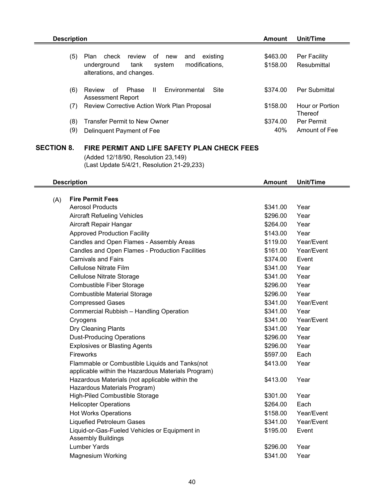| <b>Description</b> |                                                                                                                                         | Amount               | Unit/Time                         |
|--------------------|-----------------------------------------------------------------------------------------------------------------------------------------|----------------------|-----------------------------------|
| (5)                | check<br>review<br>of<br>existing<br>Plan<br>new<br>and<br>modifications,<br>system<br>tank<br>underground<br>alterations, and changes. | \$463.00<br>\$158.00 | Per Facility<br>Resubmittal       |
| (6)                | $\mathbf{H}$<br>Phase<br>Environmental<br>Site<br>of<br>Review<br>Assessment Report                                                     | \$374.00             | Per Submittal                     |
| (7)                | Review Corrective Action Work Plan Proposal                                                                                             | \$158.00             | Hour or Portion<br><b>Thereof</b> |
| (8)                | <b>Transfer Permit to New Owner</b>                                                                                                     | \$374.00             | Per Permit                        |
| (9)                | Delinquent Payment of Fee                                                                                                               | 40%                  | Amount of Fee                     |

## **SECTION 8. FIRE PERMIT AND LIFE SAFETY PLAN CHECK FEES**

(Added 12/18/90, Resolution 23,149) (Last Update 5/4/21, Resolution 21-29,233)

|     | <b>Description</b>                                                                                   | <b>Amount</b> | <b>Unit/Time</b> |
|-----|------------------------------------------------------------------------------------------------------|---------------|------------------|
| (A) | <b>Fire Permit Fees</b>                                                                              |               |                  |
|     | <b>Aerosol Products</b>                                                                              | \$341.00      | Year             |
|     | <b>Aircraft Refueling Vehicles</b>                                                                   | \$296.00      | Year             |
|     | Aircraft Repair Hangar                                                                               | \$264.00      | Year             |
|     | <b>Approved Production Facility</b>                                                                  | \$143.00      | Year             |
|     | Candles and Open Flames - Assembly Areas                                                             | \$119.00      | Year/Event       |
|     | Candles and Open Flames - Production Facilities                                                      | \$161.00      | Year/Event       |
|     | <b>Carnivals and Fairs</b>                                                                           | \$374.00      | Event            |
|     | Cellulose Nitrate Film                                                                               | \$341.00      | Year             |
|     | Cellulose Nitrate Storage                                                                            | \$341.00      | Year             |
|     | Combustible Fiber Storage                                                                            | \$296.00      | Year             |
|     | <b>Combustible Material Storage</b>                                                                  | \$296.00      | Year             |
|     | <b>Compressed Gases</b>                                                                              | \$341.00      | Year/Event       |
|     | Commercial Rubbish - Handling Operation                                                              | \$341.00      | Year             |
|     | Cryogens                                                                                             | \$341.00      | Year/Event       |
|     | Dry Cleaning Plants                                                                                  | \$341.00      | Year             |
|     | <b>Dust-Producing Operations</b>                                                                     | \$296.00      | Year             |
|     | <b>Explosives or Blasting Agents</b>                                                                 | \$296.00      | Year             |
|     | Fireworks                                                                                            | \$597.00      | Each             |
|     | Flammable or Combustible Liquids and Tanks(not<br>applicable within the Hazardous Materials Program) | \$413.00      | Year             |
|     | Hazardous Materials (not applicable within the<br>Hazardous Materials Program)                       | \$413.00      | Year             |
|     | <b>High-Piled Combustible Storage</b>                                                                | \$301.00      | Year             |
|     | <b>Helicopter Operations</b>                                                                         | \$264.00      | Each             |
|     | <b>Hot Works Operations</b>                                                                          | \$158.00      | Year/Event       |
|     | <b>Liquefied Petroleum Gases</b>                                                                     | \$341.00      | Year/Event       |
|     | Liquid-or-Gas-Fueled Vehicles or Equipment in                                                        | \$195.00      | Event            |
|     | <b>Assembly Buildings</b>                                                                            |               |                  |
|     | <b>Lumber Yards</b>                                                                                  | \$296.00      | Year             |
|     | <b>Magnesium Working</b>                                                                             | \$341.00      | Year             |
|     |                                                                                                      |               |                  |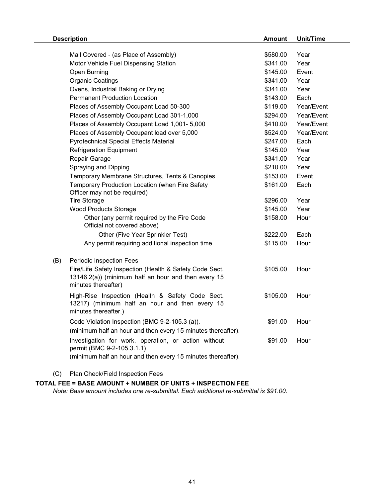|     | <b>Description</b>                                                                                                                                 | <b>Amount</b> | <b>Unit/Time</b> |  |
|-----|----------------------------------------------------------------------------------------------------------------------------------------------------|---------------|------------------|--|
|     |                                                                                                                                                    |               |                  |  |
|     | Mall Covered - (as Place of Assembly)                                                                                                              | \$580.00      | Year             |  |
|     | Motor Vehicle Fuel Dispensing Station                                                                                                              | \$341.00      | Year             |  |
|     | Open Burning                                                                                                                                       | \$145.00      | Event            |  |
|     | <b>Organic Coatings</b>                                                                                                                            | \$341.00      | Year             |  |
|     | Ovens, Industrial Baking or Drying                                                                                                                 | \$341.00      | Year             |  |
|     | <b>Permanent Production Location</b>                                                                                                               | \$143.00      | Each             |  |
|     | Places of Assembly Occupant Load 50-300                                                                                                            | \$119.00      | Year/Event       |  |
|     | Places of Assembly Occupant Load 301-1,000                                                                                                         | \$294.00      | Year/Event       |  |
|     | Places of Assembly Occupant Load 1,001-5,000                                                                                                       | \$410.00      | Year/Event       |  |
|     | Places of Assembly Occupant load over 5,000                                                                                                        | \$524.00      | Year/Event       |  |
|     | <b>Pyrotechnical Special Effects Material</b>                                                                                                      | \$247.00      | Each             |  |
|     | <b>Refrigeration Equipment</b>                                                                                                                     | \$145.00      | Year             |  |
|     | Repair Garage                                                                                                                                      | \$341.00      | Year             |  |
|     | Spraying and Dipping                                                                                                                               | \$210.00      | Year             |  |
|     | Temporary Membrane Structures, Tents & Canopies                                                                                                    | \$153.00      | Event            |  |
|     | Temporary Production Location (when Fire Safety                                                                                                    | \$161.00      | Each             |  |
|     | Officer may not be required)                                                                                                                       |               |                  |  |
|     | <b>Tire Storage</b>                                                                                                                                | \$296.00      | Year             |  |
|     | <b>Wood Products Storage</b>                                                                                                                       | \$145.00      | Year             |  |
|     | Other (any permit required by the Fire Code<br>Official not covered above)                                                                         | \$158.00      | Hour             |  |
|     | Other (Five Year Sprinkler Test)                                                                                                                   | \$222.00      | Each             |  |
|     | Any permit requiring additional inspection time                                                                                                    | \$115.00      | Hour             |  |
| (B) | Periodic Inspection Fees                                                                                                                           |               |                  |  |
|     | Fire/Life Safety Inspection (Health & Safety Code Sect.<br>13146.2(a)) (minimum half an hour and then every 15<br>minutes thereafter)              | \$105.00      | Hour             |  |
|     | High-Rise Inspection (Health & Safety Code Sect.<br>13217) (minimum half an hour and then every 15<br>minutes thereafter.)                         | \$105.00      | Hour             |  |
|     | Code Violation Inspection (BMC 9-2-105.3 (a)).<br>(minimum half an hour and then every 15 minutes thereafter).                                     | \$91.00       | Hour             |  |
|     | Investigation for work, operation, or action without<br>permit (BMC 9-2-105.3.1.1)<br>(minimum half an hour and then every 15 minutes thereafter). | \$91.00       | Hour             |  |
|     |                                                                                                                                                    |               |                  |  |

(C) Plan Check/Field Inspection Fees

#### **TOTAL FEE = BASE AMOUNT + NUMBER OF UNITS + INSPECTION FEE**

*Note: Base amount includes one re-submittal. Each additional re-submittal is \$91.00.*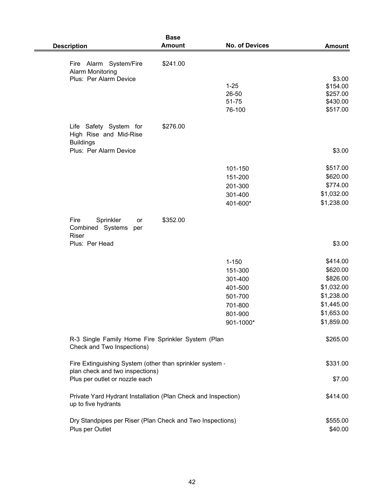| <b>Description</b>                                                                   | <b>Base</b><br><b>Amount</b> | <b>No. of Devices</b> | <b>Amount</b>        |
|--------------------------------------------------------------------------------------|------------------------------|-----------------------|----------------------|
|                                                                                      |                              |                       |                      |
| Fire Alarm System/Fire<br><b>Alarm Monitoring</b>                                    | \$241.00                     |                       |                      |
| Plus: Per Alarm Device                                                               |                              |                       | \$3.00               |
|                                                                                      |                              | $1 - 25$              | \$154.00             |
|                                                                                      |                              | 26-50<br>51-75        | \$257.00<br>\$430.00 |
|                                                                                      |                              | 76-100                | \$517.00             |
|                                                                                      |                              |                       |                      |
| Life Safety System for<br>High Rise and Mid-Rise<br><b>Buildings</b>                 | \$276.00                     |                       |                      |
| Plus: Per Alarm Device                                                               |                              |                       | \$3.00               |
|                                                                                      |                              | 101-150               | \$517.00             |
|                                                                                      |                              | 151-200               | \$620.00             |
|                                                                                      |                              | 201-300               | \$774.00             |
|                                                                                      |                              | 301-400               | \$1,032.00           |
|                                                                                      |                              | 401-600*              | \$1,238.00           |
| Fire<br>Sprinkler<br>or<br>Combined Systems<br>per<br>Riser                          | \$352.00                     |                       |                      |
| Plus: Per Head                                                                       |                              |                       | \$3.00               |
|                                                                                      |                              | $1 - 150$             | \$414.00             |
|                                                                                      |                              | 151-300               | \$620.00             |
|                                                                                      |                              | 301-400               | \$826.00             |
|                                                                                      |                              | 401-500               | \$1,032.00           |
|                                                                                      |                              | 501-700               | \$1,238.00           |
|                                                                                      |                              | 701-800               | \$1,445.00           |
|                                                                                      |                              | 801-900               | \$1,653.00           |
|                                                                                      |                              | 901-1000*             | \$1,859.00           |
| R-3 Single Family Home Fire Sprinkler System (Plan<br>Check and Two Inspections)     |                              |                       | \$265.00             |
| Fire Extinguishing System (other than sprinkler system -                             |                              |                       | \$331.00             |
| plan check and two inspections)<br>Plus per outlet or nozzle each                    |                              |                       | \$7.00               |
| Private Yard Hydrant Installation (Plan Check and Inspection)<br>up to five hydrants |                              |                       | \$414.00             |
| Dry Standpipes per Riser (Plan Check and Two Inspections)                            |                              |                       | \$555.00             |
| Plus per Outlet                                                                      |                              |                       | \$40.00              |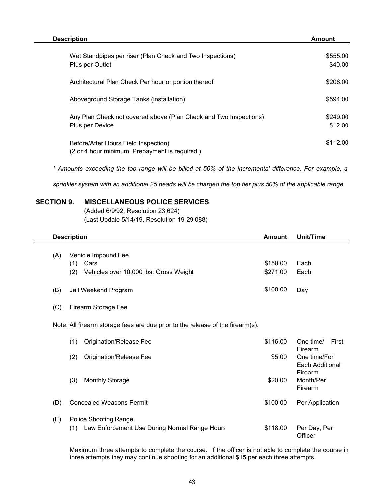| <b>Description</b>                                                                     | Amount              |
|----------------------------------------------------------------------------------------|---------------------|
| Wet Standpipes per riser (Plan Check and Two Inspections)<br>Plus per Outlet           | \$555.00<br>\$40.00 |
| Architectural Plan Check Per hour or portion thereof                                   | \$206.00            |
| Aboveground Storage Tanks (installation)                                               | \$594.00            |
| Any Plan Check not covered above (Plan Check and Two Inspections)<br>Plus per Device   | \$249.00<br>\$12.00 |
| Before/After Hours Field Inspection)<br>(2 or 4 hour minimum. Prepayment is required.) | \$112.00            |

*\* Amounts exceeding the top range will be billed at 50% of the incremental difference. For example, a*

*sprinkler system with an additional 25 heads will be charged the top tier plus 50% of the applicable range.* 

### **SECTION 9. MISCELLANEOUS POLICE SERVICES**

(Added 6/9/92, Resolution 23,624) (Last Update 5/14/19, Resolution 19-29,088)

| <b>Description</b>                                                                          | <b>Amount</b>        | Unit/Time                       |
|---------------------------------------------------------------------------------------------|----------------------|---------------------------------|
| Vehicle Impound Fee<br>(A)<br>Cars<br>(1)<br>(2)<br>Vehicles over 10,000 lbs. Gross Weight  | \$150.00<br>\$271.00 | Each<br>Each                    |
| (B)<br>Jail Weekend Program                                                                 | \$100.00             | Day                             |
| (C)<br>Firearm Storage Fee                                                                  |                      |                                 |
| Note: All firearm storage fees are due prior to the release of the firearm(s).              |                      |                                 |
| (1)<br>Origination/Release Fee                                                              | \$116.00             | One time/<br>First<br>Firearm   |
| (2)<br>Origination/Release Fee                                                              | \$5.00               | One time/For<br>Each Additional |
| <b>Monthly Storage</b><br>(3)                                                               | \$20.00              | Firearm<br>Month/Per<br>Firearm |
| (D)<br><b>Concealed Weapons Permit</b>                                                      | \$100.00             | Per Application                 |
| <b>Police Shooting Range</b><br>(E)<br>Law Enforcement Use During Normal Range Hours<br>(1) | \$118.00             | Per Day, Per<br>Officer         |

Maximum three attempts to complete the course. If the officer is not able to complete the course in three attempts they may continue shooting for an additional \$15 per each three attempts.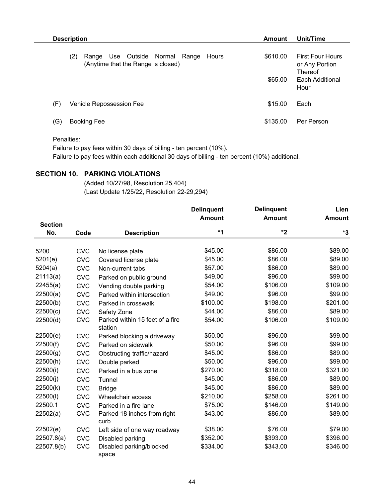|     | <b>Description</b><br>Amount                                                  |                     |                                                                                        |  |  |
|-----|-------------------------------------------------------------------------------|---------------------|----------------------------------------------------------------------------------------|--|--|
| (2) | Range Use Outside Normal Range<br>Hours<br>(Anytime that the Range is closed) | \$610.00<br>\$65.00 | <b>First Four Hours</b><br>or Any Portion<br><b>Thereof</b><br>Each Additional<br>Hour |  |  |
| (F) | Vehicle Repossession Fee                                                      | \$15.00             | Each                                                                                   |  |  |
| (G) | <b>Booking Fee</b>                                                            | \$135.00            | Per Person                                                                             |  |  |

## Penalties:

Failure to pay fees within 30 days of billing - ten percent (10%).

Failure to pay fees within each additional 30 days of billing - ten percent (10%) additional.

## **SECTION 10. PARKING VIOLATIONS**

(Added 10/27/98, Resolution 25,404) (Last Update 1/25/22, Resolution 22-29,294)

|                |            |                                 | <b>Delinquent</b> | <b>Delinquent</b> | Lien          |
|----------------|------------|---------------------------------|-------------------|-------------------|---------------|
|                |            |                                 | <b>Amount</b>     | <b>Amount</b>     | <b>Amount</b> |
| <b>Section</b> |            |                                 |                   |                   |               |
| No.            | Code       | <b>Description</b>              | *1                | $*2$              | *3            |
|                |            |                                 |                   |                   |               |
| 5200           | <b>CVC</b> | No license plate                | \$45.00           | \$86.00           | \$89.00       |
| 5201(e)        | <b>CVC</b> | Covered license plate           | \$45.00           | \$86.00           | \$89.00       |
| 5204(a)        | <b>CVC</b> | Non-current tabs                | \$57.00           | \$86.00           | \$89.00       |
| 21113(a)       | <b>CVC</b> | Parked on public ground         | \$49.00           | \$96.00           | \$99.00       |
| 22455(a)       | <b>CVC</b> | Vending double parking          | \$54.00           | \$106.00          | \$109.00      |
| 22500(a)       | <b>CVC</b> | Parked within intersection      | \$49.00           | \$96.00           | \$99.00       |
| 22500(b)       | <b>CVC</b> | Parked in crosswalk             | \$100.00          | \$198.00          | \$201.00      |
| 22500(c)       | <b>CVC</b> | Safety Zone                     | \$44.00           | \$86.00           | \$89.00       |
| 22500(d)       | <b>CVC</b> | Parked within 15 feet of a fire | \$54.00           | \$106.00          | \$109.00      |
|                |            | station                         |                   |                   |               |
| 22500(e)       | <b>CVC</b> | Parked blocking a driveway      | \$50.00           | \$96.00           | \$99.00       |
| 22500(f)       | <b>CVC</b> | Parked on sidewalk              | \$50.00           | \$96.00           | \$99.00       |
| 22500(g)       | <b>CVC</b> | Obstructing traffic/hazard      | \$45.00           | \$86.00           | \$89.00       |
| 22500(h)       | <b>CVC</b> | Double parked                   | \$50.00           | \$96.00           | \$99.00       |
| 22500(i)       | <b>CVC</b> | Parked in a bus zone            | \$270.00          | \$318.00          | \$321.00      |
| 22500(j)       | <b>CVC</b> | Tunnel                          | \$45.00           | \$86.00           | \$89.00       |
| 22500(k)       | <b>CVC</b> | <b>Bridge</b>                   | \$45.00           | \$86.00           | \$89.00       |
| 22500(l)       | <b>CVC</b> | Wheelchair access               | \$210.00          | \$258.00          | \$261.00      |
| 22500.1        | <b>CVC</b> | Parked in a fire lane           | \$75.00           | \$146.00          | \$149.00      |
| 22502(a)       | <b>CVC</b> | Parked 18 inches from right     | \$43.00           | \$86.00           | \$89.00       |
|                |            | curb                            |                   |                   |               |
| 22502(e)       | <b>CVC</b> | Left side of one way roadway    | \$38.00           | \$76.00           | \$79.00       |
| 22507.8(a)     | <b>CVC</b> | Disabled parking                | \$352.00          | \$393.00          | \$396.00      |
| 22507.8(b)     | <b>CVC</b> | Disabled parking/blocked        | \$334.00          | \$343.00          | \$346.00      |
|                |            | space                           |                   |                   |               |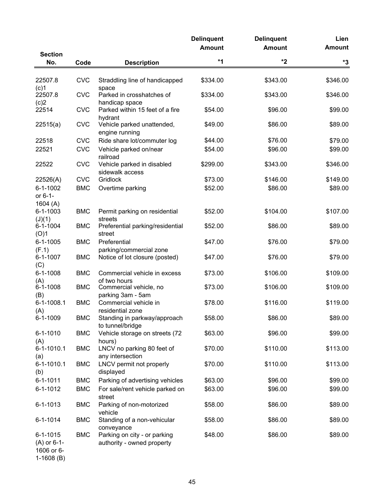|                                               |            |                                                            | <b>Delinquent</b><br><b>Amount</b> | <b>Delinquent</b><br><b>Amount</b> | Lien<br><b>Amount</b> |
|-----------------------------------------------|------------|------------------------------------------------------------|------------------------------------|------------------------------------|-----------------------|
| <b>Section</b>                                |            |                                                            |                                    |                                    |                       |
| No.                                           | Code       | <b>Description</b>                                         | $*1$                               | $*2$                               | *3                    |
| 22507.8<br>(c)1                               | <b>CVC</b> | Straddling line of handicapped<br>space                    | \$334.00                           | \$343.00                           | \$346.00              |
| 22507.8<br>(c)2                               | <b>CVC</b> | Parked in crosshatches of<br>handicap space                | \$334.00                           | \$343.00                           | \$346.00              |
| 22514                                         | <b>CVC</b> | Parked within 15 feet of a fire<br>hydrant                 | \$54.00                            | \$96.00                            | \$99.00               |
| 22515(a)                                      | <b>CVC</b> | Vehicle parked unattended,<br>engine running               | \$49.00                            | \$86.00                            | \$89.00               |
| 22518                                         | <b>CVC</b> | Ride share lot/commuter log                                | \$44.00                            | \$76.00                            | \$79.00               |
| 22521                                         | <b>CVC</b> | Vehicle parked on/near<br>railroad                         | \$54.00                            | \$96.00                            | \$99.00               |
| 22522                                         | <b>CVC</b> | Vehicle parked in disabled<br>sidewalk access              | \$299.00                           | \$343.00                           | \$346.00              |
| 22526(A)                                      | <b>CVC</b> | Gridlock                                                   | \$73.00                            | \$146.00                           | \$149.00              |
| $6 - 1 - 1002$<br>or 6-1-<br>1604 $(A)$       | <b>BMC</b> | Overtime parking                                           | \$52.00                            | \$86.00                            | \$89.00               |
| $6 - 1 - 1003$<br>(J)(1)                      | <b>BMC</b> | Permit parking on residential<br>streets                   | \$52.00                            | \$104.00                           | \$107.00              |
| $6 - 1 - 1004$<br>(O)1                        | <b>BMC</b> | Preferential parking/residential<br>street                 | \$52.00                            | \$86.00                            | \$89.00               |
| $6 - 1 - 1005$<br>(F.1)                       | <b>BMC</b> | Preferential<br>parking/commercial zone                    | \$47.00                            | \$76.00                            | \$79.00               |
| 6-1-1007<br>(C)                               | <b>BMC</b> | Notice of lot closure (posted)                             | \$47.00                            | \$76.00                            | \$79.00               |
| $6 - 1 - 1008$<br>(A)                         | <b>BMC</b> | Commercial vehicle in excess<br>of two hours               | \$73.00                            | \$106.00                           | \$109.00              |
| $6 - 1 - 1008$<br>(B)                         | <b>BMC</b> | Commercial vehicle, no<br>parking 3am - 5am                | \$73.00                            | \$106.00                           | \$109.00              |
| 6-1-1008.1<br>(A)                             | <b>BMC</b> | Commercial vehicle in<br>residential zone                  | \$78.00                            | \$116.00                           | \$119.00              |
| 6-1-1009                                      | <b>BMC</b> | Standing in parkway/approach<br>to tunnel/bridge           | \$58.00                            | \$86.00                            | \$89.00               |
| $6 - 1 - 1010$<br>(A)                         | <b>BMC</b> | Vehicle storage on streets (72<br>hours)                   | \$63.00                            | \$96.00                            | \$99.00               |
| 6-1-1010.1<br>(a)                             | <b>BMC</b> | LNCV no parking 80 feet of<br>any intersection             | \$70.00                            | \$110.00                           | \$113.00              |
| 6-1-1010.1<br>(b)                             | <b>BMC</b> | LNCV permit not properly<br>displayed                      | \$70.00                            | \$110.00                           | \$113.00              |
| $6 - 1 - 1011$                                | <b>BMC</b> | Parking of advertising vehicles                            | \$63.00                            | \$96.00                            | \$99.00               |
| $6 - 1 - 1012$                                | <b>BMC</b> | For sale/rent vehicle parked on<br>street                  | \$63.00                            | \$96.00                            | \$99.00               |
| 6-1-1013                                      | <b>BMC</b> | Parking of non-motorized<br>vehicle                        | \$58.00                            | \$86.00                            | \$89.00               |
| $6 - 1 - 1014$                                | <b>BMC</b> | Standing of a non-vehicular<br>conveyance                  | \$58.00                            | \$86.00                            | \$89.00               |
| $6 - 1 - 1015$<br>$(A)$ or 6-1-<br>1606 or 6- | <b>BMC</b> | Parking on city - or parking<br>authority - owned property | \$48.00                            | \$86.00                            | \$89.00               |

1-1608 (B)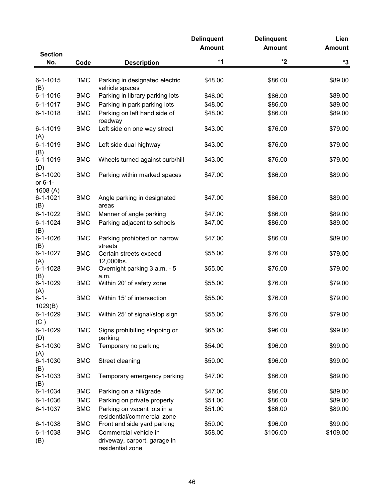|                 |            |                                                  | <b>Delinquent</b> | <b>Delinquent</b> | Lien          |
|-----------------|------------|--------------------------------------------------|-------------------|-------------------|---------------|
|                 |            |                                                  | <b>Amount</b>     | <b>Amount</b>     | <b>Amount</b> |
| <b>Section</b>  |            |                                                  |                   |                   |               |
| No.             | Code       | <b>Description</b>                               | $*1$              | $*2$              | *3            |
| $6 - 1 - 1015$  | <b>BMC</b> |                                                  |                   |                   | \$89.00       |
| (B)             |            | Parking in designated electric<br>vehicle spaces | \$48.00           | \$86.00           |               |
| 6-1-1016        | <b>BMC</b> | Parking in library parking lots                  | \$48.00           | \$86.00           | \$89.00       |
| $6 - 1 - 1017$  | <b>BMC</b> | Parking in park parking lots                     | \$48.00           | \$86.00           | \$89.00       |
| $6 - 1 - 1018$  | <b>BMC</b> | Parking on left hand side of                     | \$48.00           | \$86.00           | \$89.00       |
|                 |            | roadway                                          |                   |                   |               |
| $6 - 1 - 1019$  | <b>BMC</b> | Left side on one way street                      | \$43.00           | \$76.00           | \$79.00       |
| (A)             |            |                                                  |                   |                   |               |
| 6-1-1019        | <b>BMC</b> | Left side dual highway                           | \$43.00           | \$76.00           | \$79.00       |
| (B)             |            |                                                  |                   |                   |               |
| 6-1-1019        | <b>BMC</b> | Wheels turned against curb/hill                  | \$43.00           | \$76.00           | \$79.00       |
| (D)<br>6-1-1020 | <b>BMC</b> | Parking within marked spaces                     | \$47.00           | \$86.00           | \$89.00       |
| or 6-1-         |            |                                                  |                   |                   |               |
| 1608(A)         |            |                                                  |                   |                   |               |
| 6-1-1021        | <b>BMC</b> | Angle parking in designated                      | \$47.00           | \$86.00           | \$89.00       |
| (B)             |            | areas                                            |                   |                   |               |
| 6-1-1022        | <b>BMC</b> | Manner of angle parking                          | \$47.00           | \$86.00           | \$89.00       |
| $6 - 1 - 1024$  | <b>BMC</b> | Parking adjacent to schools                      | \$47.00           | \$86.00           | \$89.00       |
| (B)             |            |                                                  |                   |                   |               |
| $6 - 1 - 1026$  | <b>BMC</b> | Parking prohibited on narrow                     | \$47.00           | \$86.00           | \$89.00       |
| (B)             |            | streets                                          |                   |                   |               |
| $6 - 1 - 1027$  | <b>BMC</b> | Certain streets exceed                           | \$55.00           | \$76.00           | \$79.00       |
| (A)             |            | 12,000lbs.                                       |                   |                   |               |
| $6 - 1 - 1028$  | <b>BMC</b> | Overnight parking 3 a.m. - 5                     | \$55.00           | \$76.00           | \$79.00       |
| (B)<br>6-1-1029 | <b>BMC</b> | a.m.<br>Within 20' of safety zone                | \$55.00           | \$76.00           | \$79.00       |
| (A)             |            |                                                  |                   |                   |               |
| $6 - 1 -$       | <b>BMC</b> | Within 15' of intersection                       | \$55.00           | \$76.00           | \$79.00       |
| 1029(B)         |            |                                                  |                   |                   |               |
| 6-1-1029        | <b>BMC</b> | Within 25' of signal/stop sign                   | \$55.00           | \$76.00           | \$79.00       |
| (C)             |            |                                                  |                   |                   |               |
| 6-1-1029        | <b>BMC</b> | Signs prohibiting stopping or                    | \$65.00           | \$96.00           | \$99.00       |
| (D)             |            | parking                                          |                   |                   |               |
| 6-1-1030        | <b>BMC</b> | Temporary no parking                             | \$54.00           | \$96.00           | \$99.00       |
| (A)<br>6-1-1030 |            |                                                  | \$50.00           | \$96.00           |               |
| (B)             | <b>BMC</b> | Street cleaning                                  |                   |                   | \$99.00       |
| 6-1-1033        | <b>BMC</b> | Temporary emergency parking                      | \$47.00           | \$86.00           | \$89.00       |
| (B)             |            |                                                  |                   |                   |               |
| 6-1-1034        | <b>BMC</b> | Parking on a hill/grade                          | \$47.00           | \$86.00           | \$89.00       |
| 6-1-1036        | <b>BMC</b> | Parking on private property                      | \$51.00           | \$86.00           | \$89.00       |
| 6-1-1037        | <b>BMC</b> | Parking on vacant lots in a                      | \$51.00           | \$86.00           | \$89.00       |
|                 |            | residential/commercial zone                      |                   |                   |               |
| 6-1-1038        | <b>BMC</b> | Front and side yard parking                      | \$50.00           | \$96.00           | \$99.00       |
| 6-1-1038        | <b>BMC</b> | Commercial vehicle in                            | \$58.00           | \$106.00          | \$109.00      |
| (B)             |            | driveway, carport, garage in                     |                   |                   |               |
|                 |            | residential zone                                 |                   |                   |               |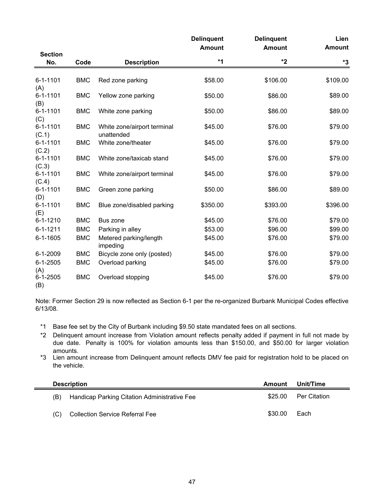|                         |            |                                           | <b>Delinquent</b><br><b>Amount</b> | <b>Delinquent</b><br><b>Amount</b> | Lien<br><b>Amount</b> |
|-------------------------|------------|-------------------------------------------|------------------------------------|------------------------------------|-----------------------|
| <b>Section</b><br>No.   | Code       | <b>Description</b>                        | *1                                 | *2                                 | *3                    |
| $6 - 1 - 1101$          | <b>BMC</b> | Red zone parking                          | \$58.00                            | \$106.00                           | \$109.00              |
| (A)                     |            |                                           |                                    |                                    |                       |
| $6 - 1 - 1101$<br>(B)   | <b>BMC</b> | Yellow zone parking                       | \$50.00                            | \$86.00                            | \$89.00               |
| $6 - 1 - 1101$          | <b>BMC</b> | White zone parking                        | \$50.00                            | \$86.00                            | \$89.00               |
| (C)                     |            |                                           |                                    |                                    |                       |
| $6 - 1 - 1101$<br>(C.1) | <b>BMC</b> | White zone/airport terminal<br>unattended | \$45.00                            | \$76.00                            | \$79.00               |
| $6 - 1 - 1101$          | <b>BMC</b> | White zone/theater                        | \$45.00                            | \$76.00                            | \$79.00               |
| (C.2)                   |            |                                           |                                    |                                    |                       |
| $6 - 1 - 1101$<br>(C.3) | <b>BMC</b> | White zone/taxicab stand                  | \$45.00                            | \$76.00                            | \$79.00               |
| $6 - 1 - 1101$          | <b>BMC</b> | White zone/airport terminal               | \$45.00                            | \$76.00                            | \$79.00               |
| (C.4)                   |            |                                           |                                    |                                    |                       |
| $6 - 1 - 1101$<br>(D)   | <b>BMC</b> | Green zone parking                        | \$50.00                            | \$86.00                            | \$89.00               |
| $6 - 1 - 1101$          | <b>BMC</b> | Blue zone/disabled parking                | \$350.00                           | \$393.00                           | \$396.00              |
| (E)                     |            |                                           |                                    |                                    |                       |
| $6 - 1 - 1210$          | <b>BMC</b> | Bus zone                                  | \$45.00                            | \$76.00                            | \$79.00               |
| $6 - 1 - 1211$          | <b>BMC</b> | Parking in alley                          | \$53.00                            | \$96.00                            | \$99.00               |
| $6 - 1 - 1605$          | <b>BMC</b> | Metered parking/length<br>impeding        | \$45.00                            | \$76.00                            | \$79.00               |
| 6-1-2009                | <b>BMC</b> | Bicycle zone only (posted)                | \$45.00                            | \$76.00                            | \$79.00               |
| $6 - 1 - 2505$          | <b>BMC</b> | Overload parking                          | \$45.00                            | \$76.00                            | \$79.00               |
| (A)                     |            |                                           |                                    |                                    |                       |
| $6 - 1 - 2505$<br>(B)   | <b>BMC</b> | Overload stopping                         | \$45.00                            | \$76.00                            | \$79.00               |

Note: Former Section 29 is now reflected as Section 6-1 per the re-organized Burbank Municipal Codes effective 6/13/08.

- \*1 Base fee set by the City of Burbank including \$9.50 state mandated fees on all sections.
- \*2 Delinquent amount increase from Violation amount reflects penalty added if payment in full not made by due date. Penalty is 100% for violation amounts less than \$150.00, and \$50.00 for larger violation amounts.
- \*3 Lien amount increase from Delinquent amount reflects DMV fee paid for registration hold to be placed on the vehicle.

| <b>Description</b> |                                              |         | <b>Amount</b> Unit/Time |
|--------------------|----------------------------------------------|---------|-------------------------|
| (B)                | Handicap Parking Citation Administrative Fee | \$25.00 | Per Citation            |
| (C)                | Collection Service Referral Fee              | \$30.00 | Each                    |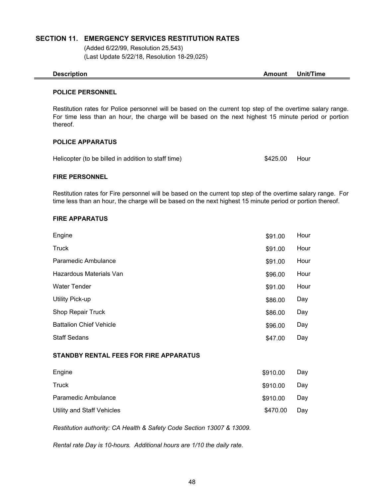#### **SECTION 11. EMERGENCY SERVICES RESTITUTION RATES**

(Added 6/22/99, Resolution 25,543) (Last Update 5/22/18, Resolution 18-29,025)

**Description Amount Unit/Time**

#### **POLICE PERSONNEL**

Restitution rates for Police personnel will be based on the current top step of the overtime salary range. For time less than an hour, the charge will be based on the next highest 15 minute period or portion thereof.

#### **POLICE APPARATUS**

Helicopter (to be billed in addition to staff time)

\$425.00 Hour

#### **FIRE PERSONNEL**

Restitution rates for Fire personnel will be based on the current top step of the overtime salary range. For time less than an hour, the charge will be based on the next highest 15 minute period or portion thereof.

#### **FIRE APPARATUS**

| Engine                         | \$91.00 | Hour |
|--------------------------------|---------|------|
| Truck                          | \$91.00 | Hour |
| Paramedic Ambulance            | \$91.00 | Hour |
| Hazardous Materials Van        | \$96.00 | Hour |
| <b>Water Tender</b>            | \$91.00 | Hour |
| Utility Pick-up                | \$86.00 | Day  |
| Shop Repair Truck              | \$86.00 | Day  |
| <b>Battalion Chief Vehicle</b> | \$96.00 | Day  |
| <b>Staff Sedans</b>            | \$47.00 | Day  |

#### **STANDBY RENTAL FEES FOR FIRE APPARATUS**

| Engine                     | \$910.00 | Day |
|----------------------------|----------|-----|
| Truck                      | \$910.00 | Day |
| Paramedic Ambulance        | \$910.00 | Day |
| Utility and Staff Vehicles | \$470.00 | Dav |

*Restitution authority: CA Health & Safety Code Section 13007 & 13009.*

*Rental rate Day is 10-hours. Additional hours are 1/10 the daily rate.*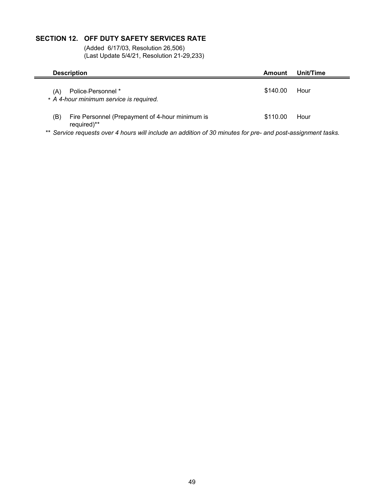## **SECTION 12. OFF DUTY SAFETY SERVICES RATE**

(Added 6/17/03, Resolution 26,506) (Last Update 5/4/21, Resolution 21-29,233)

|     | <b>Description</b>                                             | Amount   | Unit/Time |
|-----|----------------------------------------------------------------|----------|-----------|
| (A) | Police-Personnel *<br>* A 4-hour minimum service is required.  | \$140.00 | Hour      |
| (B) | Fire Personnel (Prepayment of 4-hour minimum is<br>required)** | \$110.00 | Hour      |

\*\* *Service requests over 4 hours will include an addition of 30 minutes for pre- and post-assignment tasks.*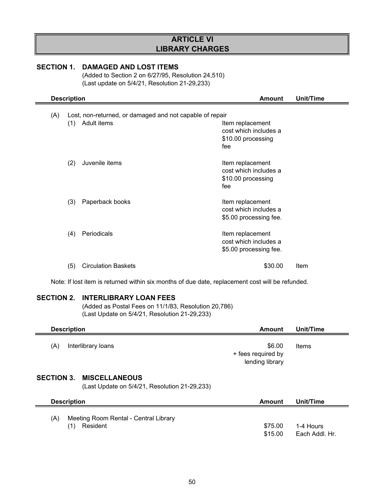## **ARTICLE VI LIBRARY CHARGES**

#### **SECTION 1. DAMAGED AND LOST ITEMS**

(Added to Section 2 on 6/27/95, Resolution 24,510) (Last update on 5/4/21, Resolution 21-29,233)

| <b>Description</b>                                              | <b>Amount</b>                                                          | Unit/Time |
|-----------------------------------------------------------------|------------------------------------------------------------------------|-----------|
| Lost, non-returned, or damaged and not capable of repair<br>(A) |                                                                        |           |
| Adult items<br>(1)                                              | Item replacement<br>cost which includes a<br>\$10.00 processing<br>fee |           |
| (2)<br>Juvenile items                                           | Item replacement<br>cost which includes a<br>\$10.00 processing<br>fee |           |
| (3)<br>Paperback books                                          | Item replacement<br>cost which includes a<br>\$5.00 processing fee.    |           |
| Periodicals<br>(4)                                              | Item replacement<br>cost which includes a<br>\$5.00 processing fee.    |           |
| <b>Circulation Baskets</b><br>(5)                               | \$30.00                                                                | Item      |

Note: If lost item is returned within six months of due date, replacement cost will be refunded.

### **SECTION 2. INTERLIBRARY LOAN FEES**

(Added as Postal Fees on 11/1/83, Resolution 20,786) (Last Update on 5/4/21, Resolution 21-29,233)

| <b>Description</b>                                                               | Amount                                          | Unit/Time |
|----------------------------------------------------------------------------------|-------------------------------------------------|-----------|
| (A)<br>Interlibrary loans                                                        | \$6.00<br>+ fees required by<br>lending library | Items     |
| <b>SECTION 3. MISCELLANEOUS</b><br>(Last Update on 5/4/21, Resolution 21-29,233) |                                                 |           |
| <b>Description</b>                                                               | Amount                                          | Unit/Time |
| Meeting Room Rental - Central Library<br>/Δ۱                                     |                                                 |           |

(A) Meeting Room Rental - Central Library (1) Resident \$75.00 1-4 Hours \$15.00 Each Addl. Hr.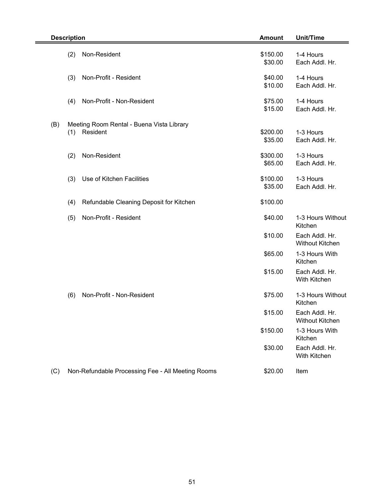|     | <b>Description</b>                                           | <b>Amount</b>       | <b>Unit/Time</b>                         |
|-----|--------------------------------------------------------------|---------------------|------------------------------------------|
|     | Non-Resident<br>(2)                                          | \$150.00<br>\$30.00 | 1-4 Hours<br>Each Addl. Hr.              |
|     | (3)<br>Non-Profit - Resident                                 | \$40.00<br>\$10.00  | 1-4 Hours<br>Each Addl. Hr.              |
|     | Non-Profit - Non-Resident<br>(4)                             | \$75.00<br>\$15.00  | 1-4 Hours<br>Each Addl. Hr.              |
| (B) | Meeting Room Rental - Buena Vista Library<br>Resident<br>(1) | \$200.00<br>\$35.00 | 1-3 Hours<br>Each Addl. Hr.              |
|     | Non-Resident<br>(2)                                          | \$300.00<br>\$65.00 | 1-3 Hours<br>Each Addl. Hr.              |
|     | Use of Kitchen Facilities<br>(3)                             | \$100.00<br>\$35.00 | 1-3 Hours<br>Each Addl. Hr.              |
|     | Refundable Cleaning Deposit for Kitchen<br>(4)               | \$100.00            |                                          |
|     | Non-Profit - Resident<br>(5)                                 | \$40.00             | 1-3 Hours Without<br>Kitchen             |
|     |                                                              | \$10.00             | Each Addl. Hr.<br><b>Without Kitchen</b> |
|     |                                                              | \$65.00             | 1-3 Hours With<br>Kitchen                |
|     |                                                              | \$15.00             | Each Addl. Hr.<br>With Kitchen           |
|     | Non-Profit - Non-Resident<br>(6)                             | \$75.00             | 1-3 Hours Without<br>Kitchen             |
|     |                                                              | \$15.00             | Each Addl. Hr.<br><b>Without Kitchen</b> |
|     |                                                              | \$150.00            | 1-3 Hours With<br>Kitchen                |
|     |                                                              | \$30.00             | Each Addl. Hr.<br>With Kitchen           |
| (C) | Non-Refundable Processing Fee - All Meeting Rooms            | \$20.00             | Item                                     |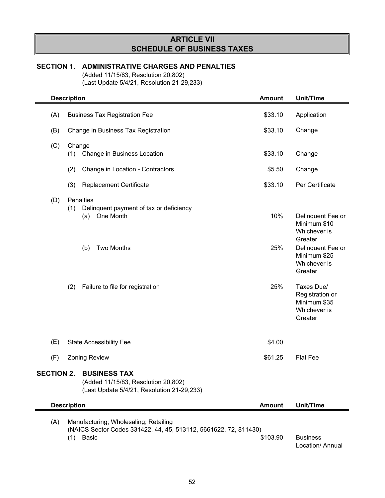## **ARTICLE VII SCHEDULE OF BUSINESS TAXES**

## **SECTION 1. ADMINISTRATIVE CHARGES AND PENALTIES**

(Added 11/15/83, Resolution 20,802) (Last Update 5/4/21, Resolution 21-29,233)

|                    | <b>Description</b> |                                                                                                                                          | <b>Amount</b>     | Unit/Time                                                                                                                                                                                                |
|--------------------|--------------------|------------------------------------------------------------------------------------------------------------------------------------------|-------------------|----------------------------------------------------------------------------------------------------------------------------------------------------------------------------------------------------------|
| (A)                |                    | <b>Business Tax Registration Fee</b>                                                                                                     | \$33.10           | Application                                                                                                                                                                                              |
| (B)                |                    | Change in Business Tax Registration                                                                                                      | \$33.10           | Change                                                                                                                                                                                                   |
| (C)                | Change<br>(1)      | Change in Business Location                                                                                                              | \$33.10           | Change                                                                                                                                                                                                   |
|                    | (2)                | Change in Location - Contractors                                                                                                         | \$5.50            | Change                                                                                                                                                                                                   |
|                    | (3)                | Replacement Certificate                                                                                                                  | \$33.10           | Per Certificate                                                                                                                                                                                          |
| (D)                | (1)<br>(2)         | Penalties<br>Delinquent payment of tax or deficiency<br>One Month<br>(a)<br><b>Two Months</b><br>(b)<br>Failure to file for registration | 10%<br>25%<br>25% | Delinquent Fee or<br>Minimum \$10<br>Whichever is<br>Greater<br>Delinquent Fee or<br>Minimum \$25<br>Whichever is<br>Greater<br>Taxes Due/<br>Registration or<br>Minimum \$35<br>Whichever is<br>Greater |
| (E)                |                    | <b>State Accessibility Fee</b>                                                                                                           | \$4.00            |                                                                                                                                                                                                          |
| (F)                |                    | <b>Zoning Review</b>                                                                                                                     | \$61.25           | <b>Flat Fee</b>                                                                                                                                                                                          |
| <b>SECTION 2.</b>  |                    | <b>BUSINESS TAX</b><br>(Added 11/15/83, Resolution 20,802)<br>(Last Update 5/4/21, Resolution 21-29,233)                                 |                   |                                                                                                                                                                                                          |
| <b>Description</b> |                    |                                                                                                                                          | <b>Amount</b>     | Unit/Time                                                                                                                                                                                                |
| (A)<br>(1)         |                    | Manufacturing; Wholesaling; Retailing<br>(NAICS Sector Codes 331422, 44, 45, 513112, 5661622, 72, 811430)<br><b>Basic</b>                | \$103.90          | <b>Business</b><br>Location/ Annual                                                                                                                                                                      |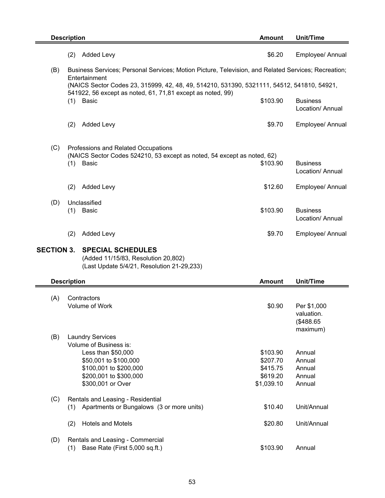|                   | <b>Description</b>                                                                                                                                                        | <b>Amount</b>                                              | <b>Unit/Time</b>                                   |
|-------------------|---------------------------------------------------------------------------------------------------------------------------------------------------------------------------|------------------------------------------------------------|----------------------------------------------------|
|                   | <b>Added Levy</b><br>(2)                                                                                                                                                  | \$6.20                                                     | Employee/ Annual                                   |
| (B)               | Business Services; Personal Services; Motion Picture, Television, and Related Services; Recreation;<br>Entertainment                                                      |                                                            |                                                    |
|                   | (NAICS Sector Codes 23, 315999, 42, 48, 49, 514210, 531390, 5321111, 54512, 541810, 54921,<br>541922, 56 except as noted, 61, 71,81 except as noted, 99)                  |                                                            |                                                    |
|                   | $(1)$ Basic                                                                                                                                                               | \$103.90                                                   | <b>Business</b><br>Location/ Annual                |
|                   | <b>Added Levy</b><br>(2)                                                                                                                                                  | \$9.70                                                     | Employee/ Annual                                   |
| (C)               | Professions and Related Occupations<br>(NAICS Sector Codes 524210, 53 except as noted, 54 except as noted, 62)<br>(1)<br>Basic                                            | \$103.90                                                   | Business<br>Location/ Annual                       |
|                   | <b>Added Levy</b><br>(2)                                                                                                                                                  | \$12.60                                                    | Employee/ Annual                                   |
| (D)               | Unclassified                                                                                                                                                              |                                                            |                                                    |
|                   | Basic<br>(1)                                                                                                                                                              | \$103.90                                                   | <b>Business</b><br>Location/ Annual                |
|                   | (2)<br><b>Added Levy</b>                                                                                                                                                  | \$9.70                                                     | Employee/ Annual                                   |
| <b>SECTION 3.</b> | <b>SPECIAL SCHEDULES</b><br>(Added 11/15/83, Resolution 20,802)<br>(Last Update 5/4/21, Resolution 21-29,233)                                                             |                                                            |                                                    |
|                   | <b>Description</b>                                                                                                                                                        | <b>Amount</b>                                              | Unit/Time                                          |
| (A)               | Contractors<br><b>Volume of Work</b>                                                                                                                                      | \$0.90                                                     | Per \$1,000<br>valuation.<br>(\$488.65<br>maximum) |
| (B)               | <b>Laundry Services</b><br>Volume of Business is:<br>Less than \$50,000<br>\$50,001 to \$100,000<br>\$100,001 to \$200,000<br>\$200,001 to \$300,000<br>\$300,001 or Over | \$103.90<br>\$207.70<br>\$415.75<br>\$619.20<br>\$1,039.10 | Annual<br>Annual<br>Annual<br>Annual<br>Annual     |
| (C)               | Rentals and Leasing - Residential<br>Apartments or Bungalows (3 or more units)<br>(1)                                                                                     | \$10.40                                                    | Unit/Annual                                        |
|                   | (2)<br><b>Hotels and Motels</b>                                                                                                                                           | \$20.80                                                    | Unit/Annual                                        |
| (D)               | Rentals and Leasing - Commercial<br>(1)<br>Base Rate (First 5,000 sq.ft.)                                                                                                 | \$103.90                                                   | Annual                                             |

53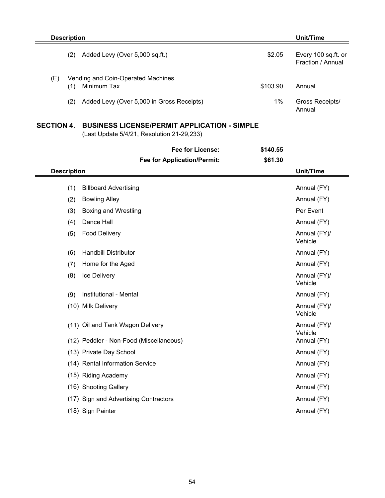|                   | <b>Description</b> |                                                                                                   |          | <b>Unit/Time</b>                         |
|-------------------|--------------------|---------------------------------------------------------------------------------------------------|----------|------------------------------------------|
|                   | (2)                | Added Levy (Over 5,000 sq.ft.)                                                                    | \$2.05   | Every 100 sq.ft. or<br>Fraction / Annual |
| (E)               | (1)                | Vending and Coin-Operated Machines<br>Minimum Tax                                                 | \$103.90 | Annual                                   |
|                   | (2)                | Added Levy (Over 5,000 in Gross Receipts)                                                         | 1%       | Gross Receipts/<br>Annual                |
| <b>SECTION 4.</b> |                    | <b>BUSINESS LICENSE/PERMIT APPLICATION - SIMPLE</b><br>(Last Update 5/4/21, Resolution 21-29,233) |          |                                          |
|                   |                    | Fee for License:                                                                                  | \$140.55 |                                          |
|                   |                    | <b>Fee for Application/Permit:</b>                                                                | \$61.30  |                                          |
|                   | <b>Description</b> |                                                                                                   |          | <b>Unit/Time</b>                         |
|                   | (1)                | <b>Billboard Advertising</b>                                                                      |          | Annual (FY)                              |
|                   | (2)                | <b>Bowling Alley</b>                                                                              |          | Annual (FY)                              |
|                   | (3)                | <b>Boxing and Wrestling</b>                                                                       |          | Per Event                                |
|                   | (4)                | Dance Hall                                                                                        |          | Annual (FY)                              |
|                   | (5)                | <b>Food Delivery</b>                                                                              |          | Annual (FY)/<br>Vehicle                  |
|                   | (6)                | <b>Handbill Distributor</b>                                                                       |          | Annual (FY)                              |
|                   | (7)                | Home for the Aged                                                                                 |          | Annual (FY)                              |
|                   | (8)                | Ice Delivery                                                                                      |          | Annual (FY)/<br>Vehicle                  |
|                   | (9)                | Institutional - Mental                                                                            |          | Annual (FY)                              |
|                   |                    | (10) Milk Delivery                                                                                |          | Annual (FY)/<br>Vehicle                  |
|                   |                    | (11) Oil and Tank Wagon Delivery                                                                  |          | Annual (FY)/<br>Vehicle                  |
|                   |                    | (12) Peddler - Non-Food (Miscellaneous)                                                           |          | Annual (FY)                              |
|                   |                    | (13) Private Day School                                                                           |          | Annual (FY)                              |
|                   |                    | (14) Rental Information Service                                                                   |          | Annual (FY)                              |
|                   |                    | (15) Riding Academy                                                                               |          | Annual (FY)                              |
|                   |                    | (16) Shooting Gallery                                                                             |          | Annual (FY)                              |
|                   |                    | (17) Sign and Advertising Contractors                                                             |          | Annual (FY)                              |
|                   |                    | (18) Sign Painter                                                                                 |          | Annual (FY)                              |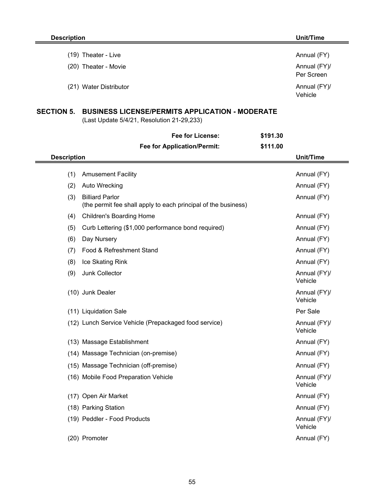| $(19)$ Theater - Live  | Annual (FY)                |
|------------------------|----------------------------|
| (20) Theater - Movie   | Annual (FY)/<br>Per Screen |
| (21) Water Distributor | Annual (FY)/<br>Vehicle    |

## **SECTION 5. BUSINESS LICENSE/PERMITS APPLICATION - MODERATE**

(Last Update 5/4/21, Resolution 21-29,233)

|                    | Fee for License:                                                                         | \$191.30 |                         |
|--------------------|------------------------------------------------------------------------------------------|----------|-------------------------|
|                    | <b>Fee for Application/Permit:</b>                                                       | \$111.00 |                         |
| <b>Description</b> |                                                                                          |          | Unit/Time               |
| (1)                | <b>Amusement Facility</b>                                                                |          | Annual (FY)             |
| (2)                | Auto Wrecking                                                                            |          | Annual (FY)             |
| (3)                | <b>Billiard Parlor</b><br>(the permit fee shall apply to each principal of the business) |          | Annual (FY)             |
| (4)                | <b>Children's Boarding Home</b>                                                          |          | Annual (FY)             |
| (5)                | Curb Lettering (\$1,000 performance bond required)                                       |          | Annual (FY)             |
| (6)                | Day Nursery                                                                              |          | Annual (FY)             |
| (7)                | Food & Refreshment Stand                                                                 |          | Annual (FY)             |
| (8)                | Ice Skating Rink                                                                         |          | Annual (FY)             |
| (9)                | Junk Collector                                                                           |          | Annual (FY)/<br>Vehicle |
|                    | (10) Junk Dealer                                                                         |          | Annual (FY)/<br>Vehicle |
|                    | (11) Liquidation Sale                                                                    |          | Per Sale                |
|                    | (12) Lunch Service Vehicle (Prepackaged food service)                                    |          | Annual (FY)/<br>Vehicle |
|                    | (13) Massage Establishment                                                               |          | Annual (FY)             |
|                    | (14) Massage Technician (on-premise)                                                     |          | Annual (FY)             |
|                    | (15) Massage Technician (off-premise)                                                    |          | Annual (FY)             |
|                    | (16) Mobile Food Preparation Vehicle                                                     |          | Annual (FY)/<br>Vehicle |
|                    | (17) Open Air Market                                                                     |          | Annual (FY)             |
|                    | (18) Parking Station                                                                     |          | Annual (FY)             |
|                    | (19) Peddler - Food Products                                                             |          | Annual (FY)/<br>Vehicle |
|                    | (20) Promoter                                                                            |          | Annual (FY)             |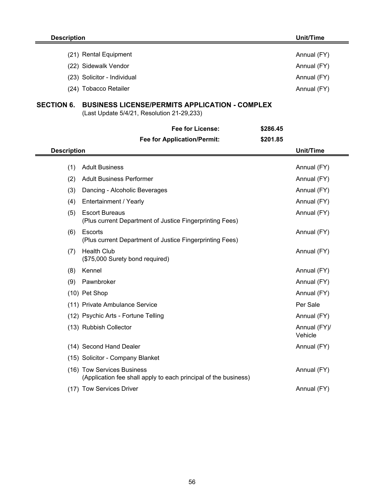| <b>Description</b>   |                                                                                                     |             | Unit/Time        |
|----------------------|-----------------------------------------------------------------------------------------------------|-------------|------------------|
|                      | (21) Rental Equipment                                                                               |             | Annual (FY)      |
| (22) Sidewalk Vendor |                                                                                                     | Annual (FY) |                  |
|                      | (23) Solicitor - Individual                                                                         |             | Annual (FY)      |
|                      | (24) Tobacco Retailer                                                                               |             | Annual (FY)      |
| <b>SECTION 6.</b>    | <b>BUSINESS LICENSE/PERMITS APPLICATION - COMPLEX</b><br>(Last Update 5/4/21, Resolution 21-29,233) |             |                  |
|                      | <b>Fee for License:</b>                                                                             | \$286.45    |                  |
|                      | <b>Fee for Application/Permit:</b>                                                                  | \$201.85    |                  |
| <b>Description</b>   |                                                                                                     |             | <b>Unit/Time</b> |
| (1)                  | <b>Adult Business</b>                                                                               |             | Annual (FY)      |
| (2)                  | <b>Adult Business Performer</b>                                                                     |             | Annual (FY)      |
| (3)                  | Dancing - Alcoholic Beverages                                                                       |             | Annual (FY)      |
| (4)                  | Entertainment / Yearly                                                                              |             | Annual (FY)      |
| (5)                  | <b>Escort Bureaus</b><br>(Plus current Department of Justice Fingerprinting Fees)                   |             | Annual (FY)      |
| (6)                  | Escorts<br>(Plus current Department of Justice Fingerprinting Fees)                                 |             | Annual (FY)      |
| (7)                  | <b>Health Club</b><br>(\$75,000 Surety bond required)                                               |             | Annual (FY)      |
| (8)                  | Kennel                                                                                              |             | Annual (FY)      |
| (9)                  | Pawnbroker                                                                                          |             | Annual (FY)      |

|  | $(10)$ Pet Shop                                                                               | Annual (FY)             |
|--|-----------------------------------------------------------------------------------------------|-------------------------|
|  | (11) Private Ambulance Service                                                                | Per Sale                |
|  | (12) Psychic Arts - Fortune Telling                                                           | Annual (FY)             |
|  | (13) Rubbish Collector                                                                        | Annual (FY)/<br>Vehicle |
|  | (14) Second Hand Dealer                                                                       | Annual (FY)             |
|  | (15) Solicitor - Company Blanket                                                              |                         |
|  | (16) Tow Services Business<br>(Application fee shall apply to each principal of the business) | Annual (FY)             |
|  |                                                                                               |                         |

(17) Tow Services Driver Annual (FY) Contract to the Annual (FY)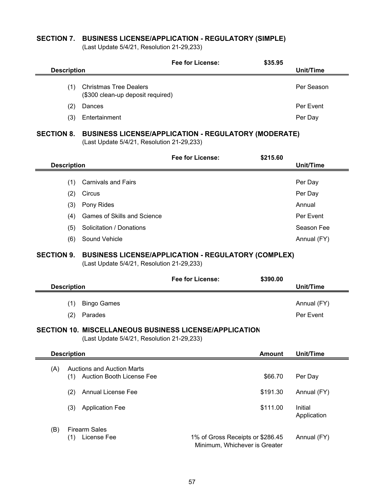## **SECTION 7. BUSINESS LICENSE/APPLICATION - REGULATORY (SIMPLE)**

(Last Update 5/4/21, Resolution 21-29,233)

|                                         |     |                                                                                                             | Fee for License:                                                               | \$35.95       |                        |
|-----------------------------------------|-----|-------------------------------------------------------------------------------------------------------------|--------------------------------------------------------------------------------|---------------|------------------------|
| <b>Description</b>                      |     |                                                                                                             |                                                                                |               | Unit/Time              |
|                                         | (1) | <b>Christmas Tree Dealers</b><br>(\$300 clean-up deposit required)                                          |                                                                                |               | Per Season             |
|                                         | (2) | Dances                                                                                                      |                                                                                |               | Per Event              |
|                                         | (3) | Entertainment                                                                                               |                                                                                |               | Per Day                |
| <b>SECTION 8.</b>                       |     | (Last Update 5/4/21, Resolution 21-29,233)                                                                  | <b>BUSINESS LICENSE/APPLICATION - REGULATORY (MODERATE)</b>                    |               |                        |
|                                         |     |                                                                                                             | <b>Fee for License:</b>                                                        | \$215.60      |                        |
| <b>Description</b>                      |     |                                                                                                             |                                                                                |               | <b>Unit/Time</b>       |
|                                         | (1) | <b>Carnivals and Fairs</b>                                                                                  |                                                                                |               | Per Day                |
|                                         | (2) | Circus                                                                                                      |                                                                                |               | Per Day                |
|                                         | (3) | Pony Rides                                                                                                  |                                                                                |               | Annual                 |
|                                         | (4) | <b>Games of Skills and Science</b>                                                                          |                                                                                |               | Per Event              |
|                                         | (5) | Solicitation / Donations                                                                                    |                                                                                |               | Season Fee             |
|                                         | (6) | Sound Vehicle                                                                                               |                                                                                |               | Annual (FY)            |
| <b>SECTION 9.</b><br><b>Description</b> |     | (Last Update 5/4/21, Resolution 21-29,233)                                                                  | <b>BUSINESS LICENSE/APPLICATION - REGULATORY (COMPLEX)</b><br>Fee for License: | \$390.00      | <b>Unit/Time</b>       |
|                                         |     |                                                                                                             |                                                                                |               |                        |
|                                         | (1) | <b>Bingo Games</b>                                                                                          |                                                                                |               | Annual (FY)            |
|                                         | (2) | Parades                                                                                                     |                                                                                |               | Per Event              |
|                                         |     | <b>SECTION 10. MISCELLANEOUS BUSINESS LICENSE/APPLICATION</b><br>(Last Update 5/4/21, Resolution 21-29,233) |                                                                                |               |                        |
| <b>Description</b>                      |     |                                                                                                             |                                                                                | <b>Amount</b> | Unit/Time              |
| (A)                                     | (1) | <b>Auctions and Auction Marts</b><br>Auction Booth License Fee                                              |                                                                                | \$66.70       | Per Day                |
|                                         | (2) | <b>Annual License Fee</b>                                                                                   |                                                                                | \$191.30      | Annual (FY)            |
|                                         | (3) | <b>Application Fee</b>                                                                                      |                                                                                | \$111.00      | Initial<br>Application |
| (B)                                     | (1) | <b>Firearm Sales</b><br>License Fee                                                                         | 1% of Gross Receipts or \$286.45<br>Minimum, Whichever is Greater              |               | Annual (FY)            |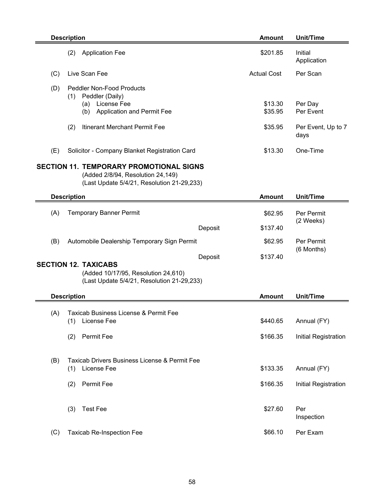|     | <b>Description</b>                                                                                                                | <b>Amount</b>        | <b>Unit/Time</b>                    |
|-----|-----------------------------------------------------------------------------------------------------------------------------------|----------------------|-------------------------------------|
|     | <b>Application Fee</b><br>(2)                                                                                                     | \$201.85             | Initial<br>Application              |
| (C) | Live Scan Fee                                                                                                                     | <b>Actual Cost</b>   | Per Scan                            |
| (D) | <b>Peddler Non-Food Products</b><br>Peddler (Daily)<br>(1)<br>License Fee<br>(a)<br>Application and Permit Fee<br>(b)             | \$13.30<br>\$35.95   | Per Day<br>Per Event                |
|     | Itinerant Merchant Permit Fee<br>(2)                                                                                              | \$35.95              | Per Event, Up to 7<br>days          |
| (E) | Solicitor - Company Blanket Registration Card                                                                                     | \$13.30              | One-Time                            |
|     | <b>SECTION 11. TEMPORARY PROMOTIONAL SIGNS</b><br>(Added 2/8/94, Resolution 24,149)<br>(Last Update 5/4/21, Resolution 21-29,233) |                      |                                     |
|     | <b>Description</b>                                                                                                                | <b>Amount</b>        | <b>Unit/Time</b>                    |
| (A) | <b>Temporary Banner Permit</b>                                                                                                    | \$62.95              | Per Permit                          |
|     | Deposit                                                                                                                           | \$137.40             | (2 Weeks)                           |
| (B) | Automobile Dealership Temporary Sign Permit                                                                                       | \$62.95              | Per Permit<br>(6 Months)            |
|     | Deposit<br><b>SECTION 12. TAXICABS</b>                                                                                            | \$137.40             |                                     |
|     | (Added 10/17/95, Resolution 24,610)<br>(Last Update 5/4/21, Resolution 21-29,233)                                                 |                      |                                     |
|     | <b>Description</b>                                                                                                                | <b>Amount</b>        | Unit/Time                           |
| (A) | Taxicab Business License & Permit Fee<br>License Fee<br>(1)                                                                       | \$440.65             | Annual (FY)                         |
|     | Permit Fee<br>(2)                                                                                                                 | \$166.35             | Initial Registration                |
| (B) | Taxicab Drivers Business License & Permit Fee<br>License Fee<br>(1)<br>Permit Fee<br>(2)                                          | \$133.35<br>\$166.35 | Annual (FY)<br>Initial Registration |
|     | <b>Test Fee</b><br>(3)                                                                                                            | \$27.60              | Per<br>Inspection                   |
| (C) | <b>Taxicab Re-Inspection Fee</b>                                                                                                  | \$66.10              | Per Exam                            |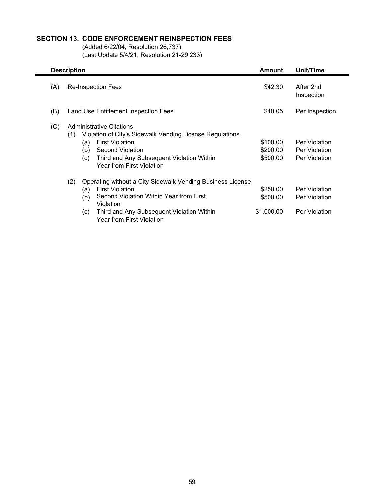## **SECTION 13. CODE ENFORCEMENT REINSPECTION FEES**

(Added 6/22/04, Resolution 26,737) (Last Update 5/4/21, Resolution 21-29,233)

|     | <b>Description</b>                                                                                                                                                                                                                                                                                                                                                                                                                                                                                                         | Amount  | Unit/Time                                              |
|-----|----------------------------------------------------------------------------------------------------------------------------------------------------------------------------------------------------------------------------------------------------------------------------------------------------------------------------------------------------------------------------------------------------------------------------------------------------------------------------------------------------------------------------|---------|--------------------------------------------------------|
| (A) | <b>Re-Inspection Fees</b>                                                                                                                                                                                                                                                                                                                                                                                                                                                                                                  | \$42.30 | After 2nd<br>Inspection                                |
| (B) | Land Use Entitlement Inspection Fees                                                                                                                                                                                                                                                                                                                                                                                                                                                                                       | \$40.05 | Per Inspection                                         |
| (C) | Administrative Citations<br>Violation of City's Sidewalk Vending License Regulations<br>(1)<br><b>First Violation</b><br>(a)<br>Second Violation<br>(b)<br>Third and Any Subsequent Violation Within<br>(c)<br><b>Year from First Violation</b><br>(2)<br>Operating without a City Sidewalk Vending Business License<br><b>First Violation</b><br>(a)<br>Second Violation Within Year from First<br>(b)<br>Violation<br>\$1,000.00<br>Third and Any Subsequent Violation Within<br>(c)<br><b>Year from First Violation</b> |         | Per Violation<br>Per Violation<br>Per Violation        |
|     |                                                                                                                                                                                                                                                                                                                                                                                                                                                                                                                            |         | Per Violation<br><b>Per Violation</b><br>Per Violation |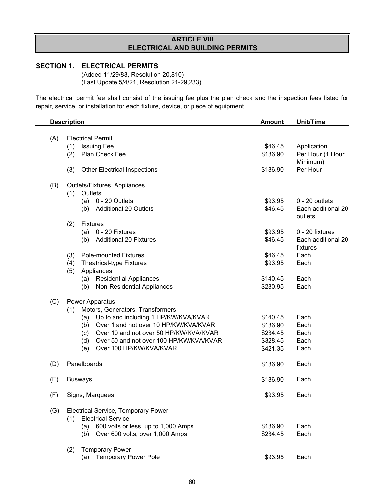## **ARTICLE VIII ELECTRICAL AND BUILDING PERMITS**

## **SECTION 1. ELECTRICAL PERMITS**

(Added 11/29/83, Resolution 20,810) (Last Update 5/4/21, Resolution 21-29,233)

The electrical permit fee shall consist of the issuing fee plus the plan check and the inspection fees listed for repair, service, or installation for each fixture, device, or piece of equipment.

|     | <b>Description</b>                                                             | <b>Amount</b>      |                                |
|-----|--------------------------------------------------------------------------------|--------------------|--------------------------------|
| (A) | <b>Electrical Permit</b>                                                       |                    |                                |
|     | (1)<br><b>Issuing Fee</b>                                                      | \$46.45            | Application                    |
|     | Plan Check Fee<br>(2)                                                          | \$186.90           | Per Hour (1 Hour<br>Minimum)   |
|     | <b>Other Electrical Inspections</b><br>(3)                                     | \$186.90           | Per Hour                       |
| (B) | Outlets/Fixtures, Appliances                                                   |                    |                                |
|     | Outlets<br>(1)<br>0 - 20 Outlets                                               |                    | $0 - 20$ outlets               |
|     | (a)<br><b>Additional 20 Outlets</b>                                            | \$93.95<br>\$46.45 | Each additional 20             |
|     | (b)                                                                            |                    | outlets                        |
|     | <b>Fixtures</b><br>(2)                                                         |                    |                                |
|     | 0 - 20 Fixtures<br>(a)                                                         | \$93.95            | 0 - 20 fixtures                |
|     | <b>Additional 20 Fixtures</b><br>(b)                                           | \$46.45            | Each additional 20<br>fixtures |
|     | <b>Pole-mounted Fixtures</b><br>(3)                                            | \$46.45            | Each                           |
|     | (4)<br>Theatrical-type Fixtures                                                | \$93.95            | Each                           |
|     | Appliances<br>(5)                                                              |                    |                                |
|     | <b>Residential Appliances</b><br>(a)                                           | \$140.45           | Each                           |
|     | <b>Non-Residential Appliances</b><br>(b)                                       | \$280.95           | Each                           |
| (C) | <b>Power Apparatus</b>                                                         |                    |                                |
|     | Motors, Generators, Transformers<br>(1)                                        |                    |                                |
|     | Up to and including 1 HP/KW/KVA/KVAR<br>(a)                                    | \$140.45           | Each                           |
|     | Over 1 and not over 10 HP/KW/KVA/KVAR<br>(b)                                   | \$186.90           | Each                           |
|     | Over 10 and not over 50 HP/KW/KVA/KVAR<br>(c)                                  | \$234.45           | Each                           |
|     | (d)<br>Over 50 and not over 100 HP/KW/KVA/KVAR                                 | \$328.45           | Each                           |
|     | Over 100 HP/KW/KVA/KVAR<br>(e)                                                 | \$421.35           | Each                           |
| (D) | Panelboards                                                                    | \$186.90           | Each                           |
| (E) | <b>Busways</b>                                                                 | \$186.90           | Each                           |
| (F) | Signs, Marquees                                                                | \$93.95            | Each                           |
|     |                                                                                |                    |                                |
| (G) | <b>Electrical Service, Temporary Power</b><br><b>Electrical Service</b><br>(1) |                    |                                |
|     | 600 volts or less, up to 1,000 Amps                                            | \$186.90           | Each                           |
|     | (a)                                                                            | \$234.45           | Each                           |
|     | Over 600 volts, over 1,000 Amps<br>(b)                                         |                    |                                |
|     | <b>Temporary Power</b><br>(2)                                                  |                    |                                |
|     | <b>Temporary Power Pole</b><br>(a)                                             | \$93.95            | Each                           |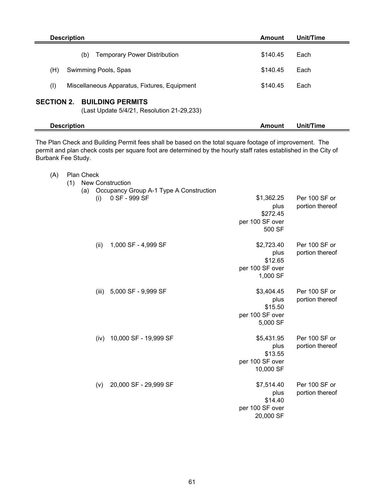| <b>Description</b>                                                                         | Amount   | Unit/Time |
|--------------------------------------------------------------------------------------------|----------|-----------|
| <b>Temporary Power Distribution</b><br>(b)                                                 | \$140.45 | Each      |
| (H)<br>Swimming Pools, Spas                                                                | \$140.45 | Each      |
| (1)<br>Miscellaneous Apparatus, Fixtures, Equipment                                        | \$140.45 | Each      |
| <b>SECTION 2.</b><br><b>BUILDING PERMITS</b><br>(Last Update 5/4/21, Resolution 21-29,233) |          |           |
| <b>Description</b>                                                                         | Amount   | Unit/Time |

The Plan Check and Building Permit fees shall be based on the total square footage of improvement. The permit and plan check costs per square foot are determined by the hourly staff rates established in the City of Burbank Fee Study.

| (A) | <b>Plan Check</b> |
|-----|-------------------|
|     |                   |

|  | (1) New Construction    |
|--|-------------------------|
|  | (a) Occupancy Group A-1 |

| (a) | (i)   | Occupancy Group A-1 Type A Construction<br>0 SF - 999 SF | \$1,362.25                   | Per 100 SF or                    |
|-----|-------|----------------------------------------------------------|------------------------------|----------------------------------|
|     |       |                                                          | plus<br>\$272.45             | portion thereof                  |
|     |       |                                                          | per 100 SF over<br>500 SF    |                                  |
|     |       |                                                          |                              |                                  |
|     | (ii)  | 1,000 SF - 4,999 SF                                      | \$2,723.40<br>plus           | Per 100 SF or<br>portion thereof |
|     |       |                                                          | \$12.65                      |                                  |
|     |       |                                                          | per 100 SF over              |                                  |
|     |       |                                                          | 1,000 SF                     |                                  |
|     | (iii) | 5,000 SF - 9,999 SF                                      | \$3,404.45                   | Per 100 SF or                    |
|     |       |                                                          | plus                         | portion thereof                  |
|     |       |                                                          | \$15.50<br>per 100 SF over   |                                  |
|     |       |                                                          | 5,000 SF                     |                                  |
|     | (iv)  | 10,000 SF - 19,999 SF                                    | \$5,431.95                   | Per 100 SF or                    |
|     |       |                                                          | plus                         | portion thereof                  |
|     |       |                                                          | \$13.55<br>per 100 SF over   |                                  |
|     |       |                                                          | 10,000 SF                    |                                  |
|     | (v)   | 20,000 SF - 29,999 SF                                    | \$7,514.40                   | Per 100 SF or                    |
|     |       |                                                          | plus                         | portion thereof                  |
|     |       |                                                          | \$14.40                      |                                  |
|     |       |                                                          | per 100 SF over<br>20,000 SF |                                  |
|     |       |                                                          |                              |                                  |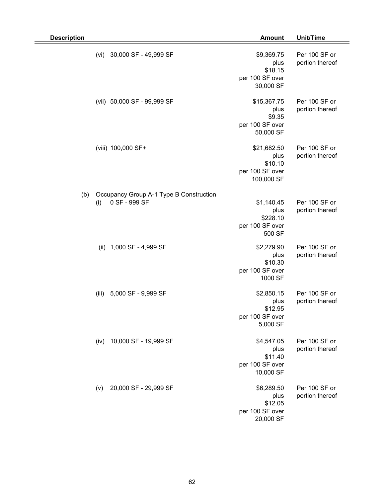| <b>Description</b> |                                                                 | <b>Amount</b>                                                   | Unit/Time                        |
|--------------------|-----------------------------------------------------------------|-----------------------------------------------------------------|----------------------------------|
|                    | (vi)<br>30,000 SF - 49,999 SF                                   | \$9,369.75<br>plus<br>\$18.15<br>per 100 SF over<br>30,000 SF   | Per 100 SF or<br>portion thereof |
|                    | (vii) 50,000 SF - 99,999 SF                                     | \$15,367.75<br>plus<br>\$9.35<br>per 100 SF over<br>50,000 SF   | Per 100 SF or<br>portion thereof |
|                    | (viii) 100,000 SF+                                              | \$21,682.50<br>plus<br>\$10.10<br>per 100 SF over<br>100,000 SF | Per 100 SF or<br>portion thereof |
| (b)                | Occupancy Group A-1 Type B Construction<br>0 SF - 999 SF<br>(i) | \$1,140.45<br>plus<br>\$228.10<br>per 100 SF over<br>500 SF     | Per 100 SF or<br>portion thereof |
|                    | 1,000 SF - 4,999 SF<br>(ii)                                     | \$2,279.90<br>plus<br>\$10.30<br>per 100 SF over<br>1000 SF     | Per 100 SF or<br>portion thereof |
|                    | 5,000 SF - 9,999 SF<br>(iii)                                    | \$2,850.15<br>plus<br>\$12.95<br>per 100 SF over<br>5,000 SF    | Per 100 SF or<br>portion thereof |
|                    | 10,000 SF - 19,999 SF<br>(iv)                                   | \$4,547.05<br>plus<br>\$11.40<br>per 100 SF over<br>10,000 SF   | Per 100 SF or<br>portion thereof |
|                    | 20,000 SF - 29,999 SF<br>(v)                                    | \$6,289.50<br>plus<br>\$12.05<br>per 100 SF over<br>20,000 SF   | Per 100 SF or<br>portion thereof |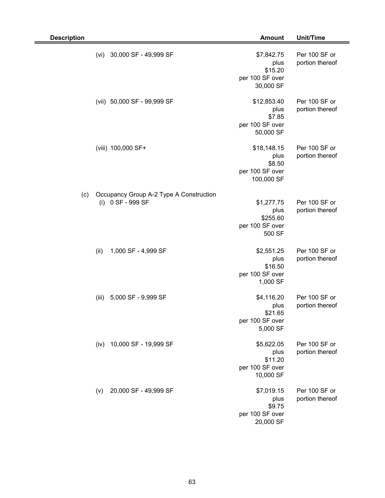| <b>Description</b>                                                     | <b>Amount</b>                                                  | Unit/Time                        |
|------------------------------------------------------------------------|----------------------------------------------------------------|----------------------------------|
| 30,000 SF - 49,999 SF<br>(vi)                                          | \$7,842.75<br>plus<br>\$15.20<br>per 100 SF over<br>30,000 SF  | Per 100 SF or<br>portion thereof |
| (vii) 50,000 SF - 99,999 SF                                            | \$12,853.40<br>plus<br>\$7.85<br>per 100 SF over<br>50,000 SF  | Per 100 SF or<br>portion thereof |
| (viii) 100,000 SF+                                                     | \$18,148.15<br>plus<br>\$8.50<br>per 100 SF over<br>100,000 SF | Per 100 SF or<br>portion thereof |
| Occupancy Group A-2 Type A Construction<br>(c)<br>0 SF - 999 SF<br>(i) | \$1,277.75<br>plus<br>\$255.60<br>per 100 SF over<br>500 SF    | Per 100 SF or<br>portion thereof |
| (ii)<br>1,000 SF - 4,999 SF                                            | \$2,551.25<br>plus<br>\$16.50<br>per 100 SF over<br>1,000 SF   | Per 100 SF or<br>portion thereof |
| 5,000 SF - 9,999 SF<br>(iii)                                           | \$4,116.20<br>plus<br>\$21.65<br>per 100 SF over<br>5,000 SF   | Per 100 SF or<br>portion thereof |
| 10,000 SF - 19,999 SF<br>(iv)                                          | \$5,622.05<br>plus<br>\$11.20<br>per 100 SF over<br>10,000 SF  | Per 100 SF or<br>portion thereof |
| 20,000 SF - 49,999 SF<br>(v)                                           | \$7,019.15<br>plus<br>\$9.75<br>per 100 SF over<br>20,000 SF   | Per 100 SF or<br>portion thereof |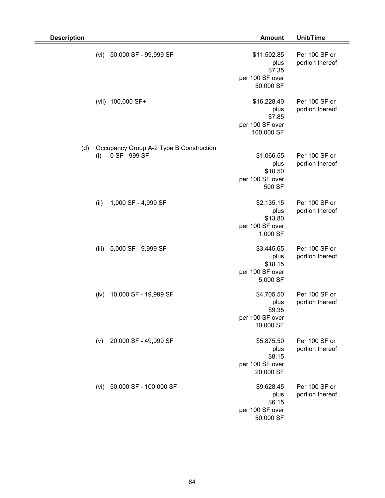| <b>Description</b> |                                                                 | <b>Amount</b>                                                  | Unit/Time                        |
|--------------------|-----------------------------------------------------------------|----------------------------------------------------------------|----------------------------------|
|                    | 50,000 SF - 99,999 SF<br>(vi)                                   | \$11,502.85<br>plus<br>\$7.35<br>per 100 SF over<br>50,000 SF  | Per 100 SF or<br>portion thereof |
|                    | 100,000 SF+<br>(vii)                                            | \$16,228.40<br>plus<br>\$7.85<br>per 100 SF over<br>100,000 SF | Per 100 SF or<br>portion thereof |
| (d)                | Occupancy Group A-2 Type B Construction<br>0 SF - 999 SF<br>(i) | \$1,066.55<br>plus<br>\$10.50<br>per 100 SF over<br>500 SF     | Per 100 SF or<br>portion thereof |
|                    | (ii)<br>1,000 SF - 4,999 SF                                     | \$2,135.15<br>plus<br>\$13.80<br>per 100 SF over<br>1,000 SF   | Per 100 SF or<br>portion thereof |
|                    | 5,000 SF - 9,999 SF<br>(iii)                                    | \$3,445.65<br>plus<br>\$18.15<br>per 100 SF over<br>5,000 SF   | Per 100 SF or<br>portion thereof |
|                    | 10,000 SF - 19,999 SF<br>(iv)                                   | \$4,705.50<br>plus<br>\$9.35<br>per 100 SF over<br>10,000 SF   | Per 100 SF or<br>portion thereof |
|                    | 20,000 SF - 49,999 SF<br>(v)                                    | \$5,875.50<br>plus<br>\$8.15<br>per 100 SF over<br>20,000 SF   | Per 100 SF or<br>portion thereof |
|                    | 50,000 SF - 100,000 SF<br>(vi)                                  | \$9,628.45<br>plus<br>\$6.15<br>per 100 SF over<br>50,000 SF   | Per 100 SF or<br>portion thereof |

Ξ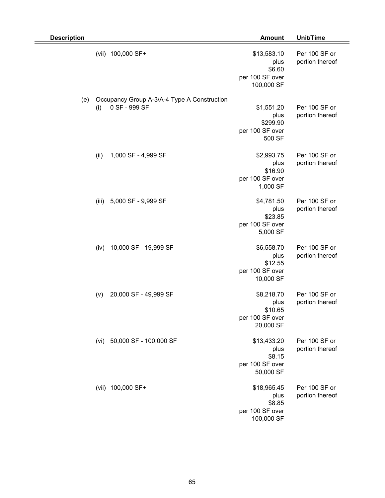| <b>Description</b> |       |                                                              | <b>Amount</b>                                                  | Unit/Time                        |
|--------------------|-------|--------------------------------------------------------------|----------------------------------------------------------------|----------------------------------|
|                    |       | (vii) 100,000 SF+                                            | \$13,583.10<br>plus<br>\$6.60<br>per 100 SF over<br>100,000 SF | Per 100 SF or<br>portion thereof |
| (e)                | (i)   | Occupancy Group A-3/A-4 Type A Construction<br>0 SF - 999 SF | \$1,551.20<br>plus<br>\$299.90<br>per 100 SF over<br>500 SF    | Per 100 SF or<br>portion thereof |
|                    | (ii)  | 1,000 SF - 4,999 SF                                          | \$2,993.75<br>plus<br>\$16.90<br>per 100 SF over<br>1,000 SF   | Per 100 SF or<br>portion thereof |
|                    | (iii) | 5,000 SF - 9,999 SF                                          | \$4,781.50<br>plus<br>\$23.85<br>per 100 SF over<br>5,000 SF   | Per 100 SF or<br>portion thereof |
|                    | (iv)  | 10,000 SF - 19,999 SF                                        | \$6,558.70<br>plus<br>\$12.55<br>per 100 SF over<br>10,000 SF  | Per 100 SF or<br>portion thereof |
|                    | (v)   | 20,000 SF - 49,999 SF                                        | \$8,218.70<br>plus<br>\$10.65<br>per 100 SF over<br>20,000 SF  | Per 100 SF or<br>portion thereof |
|                    |       | (vi) 50,000 SF - 100,000 SF                                  | \$13,433.20<br>plus<br>\$8.15<br>per 100 SF over<br>50,000 SF  | Per 100 SF or<br>portion thereof |
|                    |       | (vii) 100,000 SF+                                            | \$18,965.45<br>plus<br>\$8.85<br>per 100 SF over<br>100,000 SF | Per 100 SF or<br>portion thereof |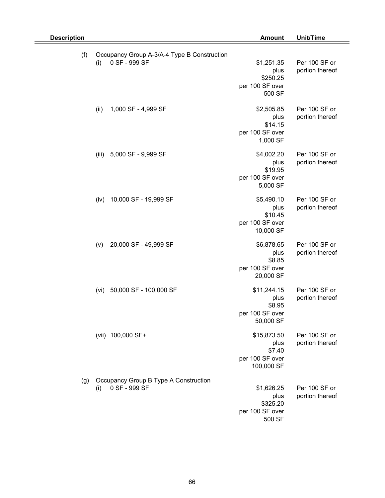| <b>Description</b> |                                                                     | <b>Amount</b>                                                  | Unit/Time                        |
|--------------------|---------------------------------------------------------------------|----------------------------------------------------------------|----------------------------------|
| (f)                | Occupancy Group A-3/A-4 Type B Construction<br>0 SF - 999 SF<br>(i) | \$1,251.35<br>plus<br>\$250.25<br>per 100 SF over<br>500 SF    | Per 100 SF or<br>portion thereof |
|                    | 1,000 SF - 4,999 SF<br>(ii)                                         | \$2,505.85<br>plus<br>\$14.15<br>per 100 SF over<br>1,000 SF   | Per 100 SF or<br>portion thereof |
|                    | 5,000 SF - 9,999 SF<br>(iii)                                        | \$4,002.20<br>plus<br>\$19.95<br>per 100 SF over<br>5,000 SF   | Per 100 SF or<br>portion thereof |
|                    | 10,000 SF - 19,999 SF<br>(iv)                                       | \$5,490.10<br>plus<br>\$10.45<br>per 100 SF over<br>10,000 SF  | Per 100 SF or<br>portion thereof |
|                    | 20,000 SF - 49,999 SF<br>(v)                                        | \$6,878.65<br>plus<br>\$8.85<br>per 100 SF over<br>20,000 SF   | Per 100 SF or<br>portion thereof |
|                    | 50,000 SF - 100,000 SF<br>(vi)                                      | \$11,244.15<br>plus<br>\$8.95<br>per 100 SF over<br>50,000 SF  | Per 100 SF or<br>portion thereof |
|                    | (vii) 100,000 SF+                                                   | \$15,873.50<br>plus<br>\$7.40<br>per 100 SF over<br>100,000 SF | Per 100 SF or<br>portion thereof |
| (g)                | Occupancy Group B Type A Construction<br>0 SF - 999 SF<br>(i)       | \$1,626.25<br>plus<br>\$325.20<br>per 100 SF over<br>500 SF    | Per 100 SF or<br>portion thereof |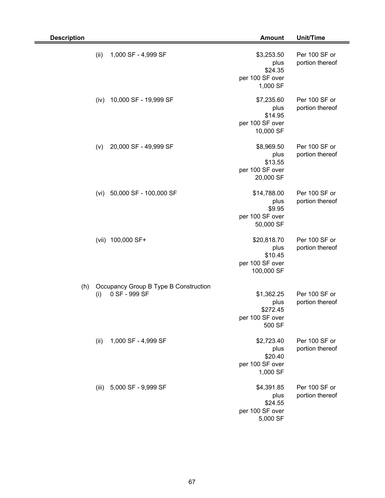| <b>Description</b> |                                                               | <b>Amount</b>                                                   | Unit/Time                        |
|--------------------|---------------------------------------------------------------|-----------------------------------------------------------------|----------------------------------|
|                    | 1,000 SF - 4,999 SF<br>(ii)                                   | \$3,253.50<br>plus<br>\$24.35<br>per 100 SF over<br>1,000 SF    | Per 100 SF or<br>portion thereof |
|                    | 10,000 SF - 19,999 SF<br>(iv)                                 | \$7,235.60<br>plus<br>\$14.95<br>per 100 SF over<br>10,000 SF   | Per 100 SF or<br>portion thereof |
|                    | 20,000 SF - 49,999 SF<br>(v)                                  | \$8,969.50<br>plus<br>\$13.55<br>per 100 SF over<br>20,000 SF   | Per 100 SF or<br>portion thereof |
|                    | 50,000 SF - 100,000 SF<br>(vi)                                | \$14,788.00<br>plus<br>\$9.95<br>per 100 SF over<br>50,000 SF   | Per 100 SF or<br>portion thereof |
|                    | (vii) 100,000 SF+                                             | \$20,818.70<br>plus<br>\$10.45<br>per 100 SF over<br>100,000 SF | Per 100 SF or<br>portion thereof |
| (h)                | Occupancy Group B Type B Construction<br>0 SF - 999 SF<br>(i) | \$1,362.25<br>plus<br>\$272.45<br>per 100 SF over<br>500 SF     | Per 100 SF or<br>portion thereof |
|                    | 1,000 SF - 4,999 SF<br>(ii)                                   | \$2,723.40<br>plus<br>\$20.40<br>per 100 SF over<br>1,000 SF    | Per 100 SF or<br>portion thereof |
|                    | 5,000 SF - 9,999 SF<br>(iii)                                  | \$4,391.85<br>plus<br>\$24.55<br>per 100 SF over<br>5,000 SF    | Per 100 SF or<br>portion thereof |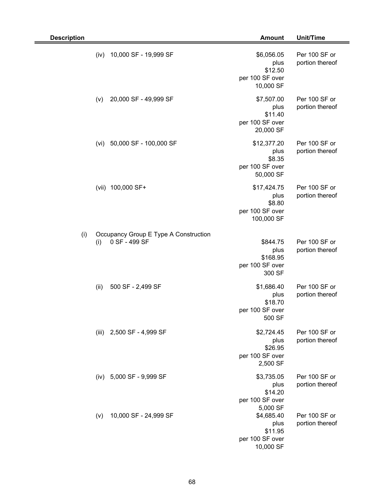| <b>Description</b> |      |                                                        | <b>Amount</b>                                                  | Unit/Time                        |
|--------------------|------|--------------------------------------------------------|----------------------------------------------------------------|----------------------------------|
|                    | (iv) | 10,000 SF - 19,999 SF                                  | \$6,056.05<br>plus<br>\$12.50<br>per 100 SF over<br>10,000 SF  | Per 100 SF or<br>portion thereof |
|                    | (v)  | 20,000 SF - 49,999 SF                                  | \$7,507.00<br>plus<br>\$11.40<br>per 100 SF over<br>20,000 SF  | Per 100 SF or<br>portion thereof |
|                    | (vi) | 50,000 SF - 100,000 SF                                 | \$12,377.20<br>plus<br>\$8.35<br>per 100 SF over<br>50,000 SF  | Per 100 SF or<br>portion thereof |
|                    |      | (vii) 100,000 SF+                                      | \$17,424.75<br>plus<br>\$8.80<br>per 100 SF over<br>100,000 SF | Per 100 SF or<br>portion thereof |
| (i)                | (i)  | Occupancy Group E Type A Construction<br>0 SF - 499 SF | \$844.75<br>plus<br>\$168.95<br>per 100 SF over<br>300 SF      | Per 100 SF or<br>portion thereof |
|                    | (ii) | 500 SF - 2,499 SF                                      | \$1,686.40<br>plus<br>\$18.70<br>per 100 SF over<br>500 SF     | Per 100 SF or<br>portion thereof |
|                    |      | (iii) 2,500 SF - 4,999 SF                              | \$2,724.45<br>plus<br>\$26.95<br>per 100 SF over<br>2,500 SF   | Per 100 SF or<br>portion thereof |
|                    | (iv) | 5,000 SF - 9,999 SF                                    | \$3,735.05<br>plus<br>\$14.20<br>per 100 SF over<br>5,000 SF   | Per 100 SF or<br>portion thereof |
|                    | (v)  | 10,000 SF - 24,999 SF                                  | \$4,685.40<br>plus<br>\$11.95<br>per 100 SF over<br>10,000 SF  | Per 100 SF or<br>portion thereof |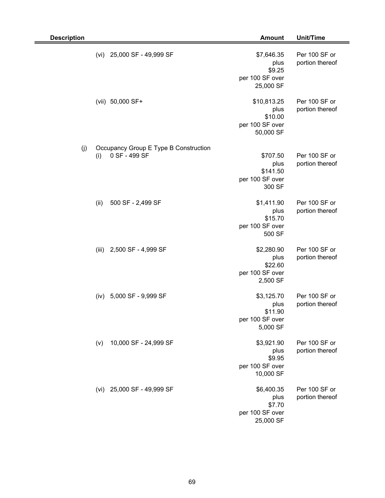| <b>Description</b> |                                                               | <b>Amount</b>                                                  | Unit/Time                        |
|--------------------|---------------------------------------------------------------|----------------------------------------------------------------|----------------------------------|
|                    | 25,000 SF - 49,999 SF<br>(vi)                                 | \$7,646.35<br>plus<br>\$9.25<br>per 100 SF over<br>25,000 SF   | Per 100 SF or<br>portion thereof |
|                    | (vii) 50,000 SF+                                              | \$10,813.25<br>plus<br>\$10.00<br>per 100 SF over<br>50,000 SF | Per 100 SF or<br>portion thereof |
| (j)                | Occupancy Group E Type B Construction<br>0 SF - 499 SF<br>(i) | \$707.50<br>plus<br>\$141.50<br>per 100 SF over<br>300 SF      | Per 100 SF or<br>portion thereof |
|                    | (ii)<br>500 SF - 2,499 SF                                     | \$1,411.90<br>plus<br>\$15.70<br>per 100 SF over<br>500 SF     | Per 100 SF or<br>portion thereof |
|                    | 2,500 SF - 4,999 SF<br>(iii)                                  | \$2,280.90<br>plus<br>\$22.60<br>per 100 SF over<br>2,500 SF   | Per 100 SF or<br>portion thereof |
|                    | 5,000 SF - 9,999 SF<br>(iv)                                   | \$3,125.70<br>plus<br>\$11.90<br>per 100 SF over<br>5,000 SF   | Per 100 SF or<br>portion thereof |
|                    | 10,000 SF - 24,999 SF<br>(v)                                  | \$3,921.90<br>plus<br>\$9.95<br>per 100 SF over<br>10,000 SF   | Per 100 SF or<br>portion thereof |
|                    | 25,000 SF - 49,999 SF<br>(vi)                                 | \$6,400.35<br>plus<br>\$7.70<br>per 100 SF over<br>25,000 SF   | Per 100 SF or<br>portion thereof |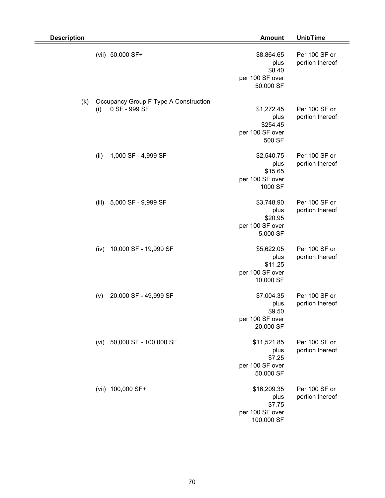| <b>Description</b> |       |                                                        | <b>Amount</b>                                                  | <b>Unit/Time</b>                 |
|--------------------|-------|--------------------------------------------------------|----------------------------------------------------------------|----------------------------------|
|                    |       | (vii) 50,000 SF+                                       | \$8,864.65<br>plus<br>\$8.40<br>per 100 SF over<br>50,000 SF   | Per 100 SF or<br>portion thereof |
| (k)                | (i)   | Occupancy Group F Type A Construction<br>0 SF - 999 SF | \$1,272.45                                                     | Per 100 SF or                    |
|                    |       |                                                        | plus<br>\$254.45<br>per 100 SF over<br>500 SF                  | portion thereof                  |
|                    | (ii)  | 1,000 SF - 4,999 SF                                    | \$2,540.75<br>plus<br>\$15.65<br>per 100 SF over<br>1000 SF    | Per 100 SF or<br>portion thereof |
|                    | (iii) | 5,000 SF - 9,999 SF                                    | \$3,748.90<br>plus<br>\$20.95<br>per 100 SF over<br>5,000 SF   | Per 100 SF or<br>portion thereof |
|                    | (iv)  | 10,000 SF - 19,999 SF                                  | \$5,622.05<br>plus<br>\$11.25<br>per 100 SF over<br>10,000 SF  | Per 100 SF or<br>portion thereof |
|                    | (v)   | 20,000 SF - 49,999 SF                                  | \$7,004.35<br>plus<br>\$9.50<br>per 100 SF over<br>20,000 SF   | Per 100 SF or<br>portion thereof |
|                    |       | (vi) 50,000 SF - 100,000 SF                            | \$11,521.85<br>plus<br>\$7.25<br>per 100 SF over<br>50,000 SF  | Per 100 SF or<br>portion thereof |
|                    | (vii) | 100,000 SF+                                            | \$16,209.35<br>plus<br>\$7.75<br>per 100 SF over<br>100,000 SF | Per 100 SF or<br>portion thereof |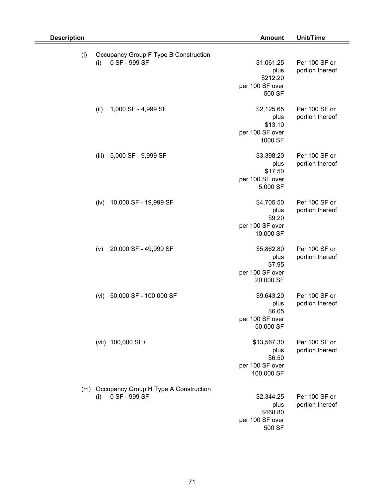| <b>Description</b> |                                                               | <b>Amount</b>                                                  | Unit/Time                        |
|--------------------|---------------------------------------------------------------|----------------------------------------------------------------|----------------------------------|
| (1)                | Occupancy Group F Type B Construction<br>0 SF - 999 SF<br>(i) | \$1,061.25<br>plus<br>\$212.20<br>per 100 SF over<br>500 SF    | Per 100 SF or<br>portion thereof |
|                    | (ii)<br>1,000 SF - 4,999 SF                                   | \$2,125.65<br>plus<br>\$13.10<br>per 100 SF over<br>1000 SF    | Per 100 SF or<br>portion thereof |
|                    | (iii)<br>5,000 SF - 9,999 SF                                  | \$3,398.20<br>plus<br>\$17.50<br>per 100 SF over<br>5,000 SF   | Per 100 SF or<br>portion thereof |
|                    | 10,000 SF - 19,999 SF<br>(iv)                                 | \$4,705.50<br>plus<br>\$9.20<br>per 100 SF over<br>10,000 SF   | Per 100 SF or<br>portion thereof |
|                    | 20,000 SF - 49,999 SF<br>(v)                                  | \$5,862.80<br>plus<br>\$7.95<br>per 100 SF over<br>20,000 SF   | Per 100 SF or<br>portion thereof |
|                    | 50,000 SF - 100,000 SF<br>(vi)                                | \$9,643.20<br>plus<br>\$6.05<br>per 100 SF over<br>50,000 SF   | Per 100 SF or<br>portion thereof |
|                    | (vii) 100,000 SF+                                             | \$13,567.30<br>plus<br>\$6.50<br>per 100 SF over<br>100,000 SF | Per 100 SF or<br>portion thereof |
| (m)                | Occupancy Group H Type A Construction<br>0 SF - 999 SF<br>(i) | \$2,344.25<br>plus<br>\$468.80<br>per 100 SF over<br>500 SF    | Per 100 SF or<br>portion thereof |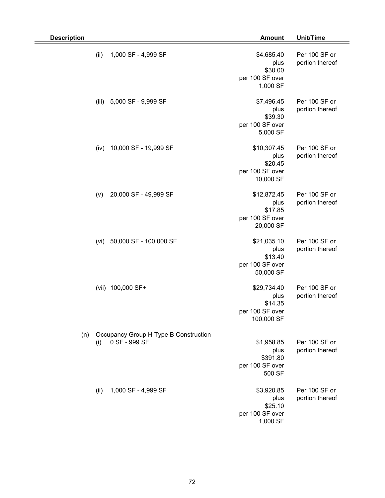| <b>Description</b> |       |                                                        | <b>Amount</b>                                                   | Unit/Time                        |
|--------------------|-------|--------------------------------------------------------|-----------------------------------------------------------------|----------------------------------|
|                    | (ii)  | 1,000 SF - 4,999 SF                                    | \$4,685.40<br>plus<br>\$30.00<br>per 100 SF over<br>1,000 SF    | Per 100 SF or<br>portion thereof |
|                    | (iii) | 5,000 SF - 9,999 SF                                    | \$7,496.45<br>plus<br>\$39.30<br>per 100 SF over<br>5,000 SF    | Per 100 SF or<br>portion thereof |
|                    | (iv)  | 10,000 SF - 19,999 SF                                  | \$10,307.45<br>plus<br>\$20.45<br>per 100 SF over<br>10,000 SF  | Per 100 SF or<br>portion thereof |
|                    | (v)   | 20,000 SF - 49,999 SF                                  | \$12,872.45<br>plus<br>\$17.85<br>per 100 SF over<br>20,000 SF  | Per 100 SF or<br>portion thereof |
|                    | (vi)  | 50,000 SF - 100,000 SF                                 | \$21,035.10<br>plus<br>\$13.40<br>per 100 SF over<br>50,000 SF  | Per 100 SF or<br>portion thereof |
|                    |       | (vii) 100,000 SF+                                      | \$29,734.40<br>plus<br>\$14.35<br>per 100 SF over<br>100,000 SF | Per 100 SF or<br>portion thereof |
| (n)                | (i)   | Occupancy Group H Type B Construction<br>0 SF - 999 SF | \$1,958.85<br>plus<br>\$391.80<br>per 100 SF over<br>500 SF     | Per 100 SF or<br>portion thereof |
|                    | (ii)  | 1,000 SF - 4,999 SF                                    | \$3,920.85<br>plus<br>\$25.10<br>per 100 SF over<br>1,000 SF    | Per 100 SF or<br>portion thereof |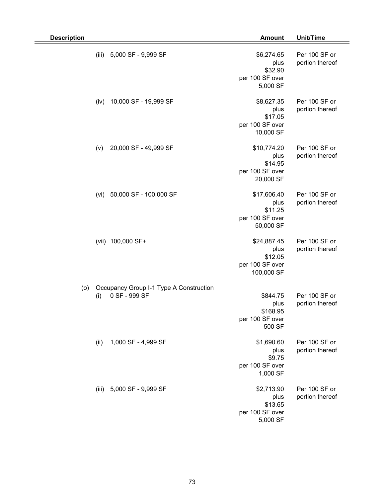| <b>Description</b> |                                                          | <b>Amount</b>                                                   | Unit/Time                        |
|--------------------|----------------------------------------------------------|-----------------------------------------------------------------|----------------------------------|
| (iii)              | 5,000 SF - 9,999 SF                                      | \$6,274.65<br>plus<br>\$32.90<br>per 100 SF over<br>5,000 SF    | Per 100 SF or<br>portion thereof |
| (iv)               | 10,000 SF - 19,999 SF                                    | \$8,627.35<br>plus<br>\$17.05<br>per 100 SF over<br>10,000 SF   | Per 100 SF or<br>portion thereof |
| (v)                | 20,000 SF - 49,999 SF                                    | \$10,774.20<br>plus<br>\$14.95<br>per 100 SF over<br>20,000 SF  | Per 100 SF or<br>portion thereof |
| (vi)               | 50,000 SF - 100,000 SF                                   | \$17,606.40<br>plus<br>\$11.25<br>per 100 SF over<br>50,000 SF  | Per 100 SF or<br>portion thereof |
| (vii)              | 100,000 SF+                                              | \$24,887.45<br>plus<br>\$12.05<br>per 100 SF over<br>100,000 SF | Per 100 SF or<br>portion thereof |
| (0)<br>(i)         | Occupancy Group I-1 Type A Construction<br>0 SF - 999 SF | \$844.75<br>plus<br>\$168.95<br>per 100 SF over<br>500 SF       | Per 100 SF or<br>portion thereof |
| (ii)               | 1,000 SF - 4,999 SF                                      | \$1,690.60<br>plus<br>\$9.75<br>per 100 SF over<br>1,000 SF     | Per 100 SF or<br>portion thereof |
|                    | (iii) 5,000 SF - 9,999 SF                                | \$2,713.90<br>plus<br>\$13.65<br>per 100 SF over<br>5,000 SF    | Per 100 SF or<br>portion thereof |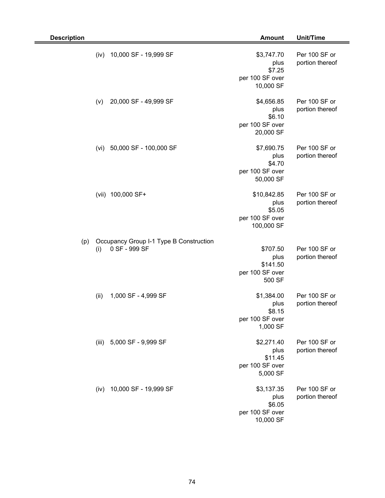| <b>Description</b> |      |                                                          | <b>Amount</b>                                                  | Unit/Time                        |
|--------------------|------|----------------------------------------------------------|----------------------------------------------------------------|----------------------------------|
|                    | (iv) | 10,000 SF - 19,999 SF                                    | \$3,747.70<br>plus<br>\$7.25<br>per 100 SF over<br>10,000 SF   | Per 100 SF or<br>portion thereof |
|                    | (v)  | 20,000 SF - 49,999 SF                                    | \$4,656.85<br>plus<br>\$6.10<br>per 100 SF over<br>20,000 SF   | Per 100 SF or<br>portion thereof |
|                    | (vi) | 50,000 SF - 100,000 SF                                   | \$7,690.75<br>plus<br>\$4.70<br>per 100 SF over<br>50,000 SF   | Per 100 SF or<br>portion thereof |
|                    |      | (vii) 100,000 SF+                                        | \$10,842.85<br>plus<br>\$5.05<br>per 100 SF over<br>100,000 SF | Per 100 SF or<br>portion thereof |
| (p)                | (i)  | Occupancy Group I-1 Type B Construction<br>0 SF - 999 SF | \$707.50<br>plus<br>\$141.50<br>per 100 SF over<br>500 SF      | Per 100 SF or<br>portion thereof |
|                    | (ii) | 1,000 SF - 4,999 SF                                      | \$1,384.00<br>plus<br>\$8.15<br>per 100 SF over<br>1,000 SF    | Per 100 SF or<br>portion thereof |
|                    |      | (iii) 5,000 SF - 9,999 SF                                | \$2,271.40<br>plus<br>\$11.45<br>per 100 SF over<br>5,000 SF   | Per 100 SF or<br>portion thereof |
|                    | (iv) | 10,000 SF - 19,999 SF                                    | \$3,137.35<br>plus<br>\$6.05<br>per 100 SF over<br>10,000 SF   | Per 100 SF or<br>portion thereof |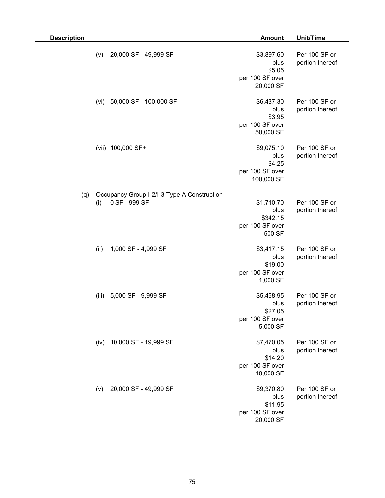| <b>Description</b> |       |                                                              | <b>Amount</b>                                                 | Unit/Time                        |
|--------------------|-------|--------------------------------------------------------------|---------------------------------------------------------------|----------------------------------|
|                    | (v)   | 20,000 SF - 49,999 SF                                        | \$3,897.60<br>plus<br>\$5.05<br>per 100 SF over<br>20,000 SF  | Per 100 SF or<br>portion thereof |
|                    | (vi)  | 50,000 SF - 100,000 SF                                       | \$6,437.30<br>plus<br>\$3.95<br>per 100 SF over<br>50,000 SF  | Per 100 SF or<br>portion thereof |
|                    | (vii) | 100,000 SF+                                                  | \$9,075.10<br>plus<br>\$4.25<br>per 100 SF over<br>100,000 SF | Per 100 SF or<br>portion thereof |
| (q)                | (i)   | Occupancy Group I-2/I-3 Type A Construction<br>0 SF - 999 SF | \$1,710.70<br>plus<br>\$342.15<br>per 100 SF over<br>500 SF   | Per 100 SF or<br>portion thereof |
|                    | (ii)  | 1,000 SF - 4,999 SF                                          | \$3,417.15<br>plus<br>\$19.00<br>per 100 SF over<br>1,000 SF  | Per 100 SF or<br>portion thereof |
|                    | (iii) | 5,000 SF - 9,999 SF                                          | \$5,468.95<br>plus<br>\$27.05<br>per 100 SF over<br>5,000 SF  | Per 100 SF or<br>portion thereof |
|                    | (iv)  | 10,000 SF - 19,999 SF                                        | \$7,470.05<br>plus<br>\$14.20<br>per 100 SF over<br>10,000 SF | Per 100 SF or<br>portion thereof |
|                    | (v)   | 20,000 SF - 49,999 SF                                        | \$9,370.80<br>plus<br>\$11.95<br>per 100 SF over<br>20,000 SF | Per 100 SF or<br>portion thereof |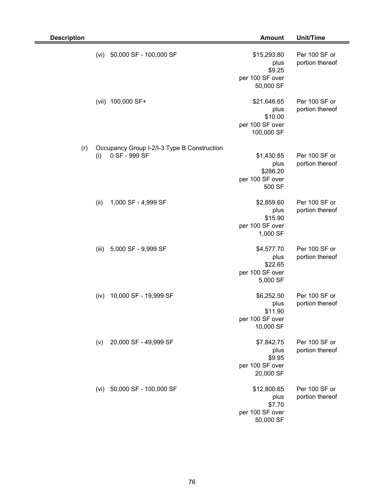| <b>Description</b> |       |                                                              | <b>Amount</b>                                                   | <b>Unit/Time</b>                 |
|--------------------|-------|--------------------------------------------------------------|-----------------------------------------------------------------|----------------------------------|
|                    | (vi)  | 50,000 SF - 100,000 SF                                       | \$15,293.80<br>plus<br>\$9.25<br>per 100 SF over<br>50,000 SF   | Per 100 SF or<br>portion thereof |
|                    | (vii) | 100,000 SF+                                                  | \$21,646.65<br>plus<br>\$10.00<br>per 100 SF over<br>100,000 SF | Per 100 SF or<br>portion thereof |
| (r)                | (i)   | Occupancy Group I-2/I-3 Type B Construction<br>0 SF - 999 SF | \$1,430.85<br>plus<br>\$286.20<br>per 100 SF over<br>500 SF     | Per 100 SF or<br>portion thereof |
|                    | (ii)  | 1,000 SF - 4,999 SF                                          | \$2,859.60<br>plus<br>\$15.90<br>per 100 SF over<br>1,000 SF    | Per 100 SF or<br>portion thereof |
|                    | (iii) | 5,000 SF - 9,999 SF                                          | \$4,577.70<br>plus<br>\$22.65<br>per 100 SF over<br>5,000 SF    | Per 100 SF or<br>portion thereof |
|                    | (iv)  | 10,000 SF - 19,999 SF                                        | \$6,252.50<br>plus<br>\$11.90<br>per 100 SF over<br>10,000 SF   | Per 100 SF or<br>portion thereof |
|                    | (v)   | 20,000 SF - 49,999 SF                                        | \$7,842.75<br>plus<br>\$9.95<br>per 100 SF over<br>20,000 SF    | Per 100 SF or<br>portion thereof |
|                    |       | (vi) 50,000 SF - 100,000 SF                                  | \$12,800.65<br>plus<br>\$7.70<br>per 100 SF over<br>50,000 SF   | Per 100 SF or<br>portion thereof |

-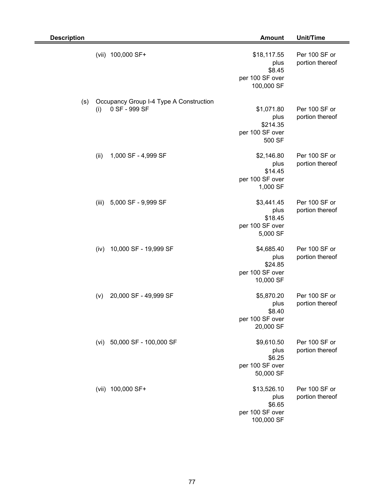| <b>Description</b> |       |                                                          | <b>Amount</b>                                                  | <b>Unit/Time</b>                 |
|--------------------|-------|----------------------------------------------------------|----------------------------------------------------------------|----------------------------------|
|                    |       | (vii) 100,000 SF+                                        | \$18,117.55<br>plus<br>\$8.45<br>per 100 SF over<br>100,000 SF | Per 100 SF or<br>portion thereof |
| (s)                | (i)   | Occupancy Group I-4 Type A Construction<br>0 SF - 999 SF | \$1,071.80<br>plus<br>\$214.35<br>per 100 SF over<br>500 SF    | Per 100 SF or<br>portion thereof |
|                    | (ii)  | 1,000 SF - 4,999 SF                                      | \$2,146.80<br>plus<br>\$14.45<br>per 100 SF over<br>1,000 SF   | Per 100 SF or<br>portion thereof |
|                    | (iii) | 5,000 SF - 9,999 SF                                      | \$3,441.45<br>plus<br>\$18.45<br>per 100 SF over<br>5,000 SF   | Per 100 SF or<br>portion thereof |
|                    | (iv)  | 10,000 SF - 19,999 SF                                    | \$4,685.40<br>plus<br>\$24.85<br>per 100 SF over<br>10,000 SF  | Per 100 SF or<br>portion thereof |
|                    | (v)   | 20,000 SF - 49,999 SF                                    | \$5,870.20<br>plus<br>\$8.40<br>per 100 SF over<br>20,000 SF   | Per 100 SF or<br>portion thereof |
|                    | (vi)  | 50,000 SF - 100,000 SF                                   | \$9,610.50<br>plus<br>\$6.25<br>per 100 SF over<br>50,000 SF   | Per 100 SF or<br>portion thereof |
|                    |       | (vii) 100,000 SF+                                        | \$13,526.10<br>plus<br>\$6.65<br>per 100 SF over<br>100,000 SF | Per 100 SF or<br>portion thereof |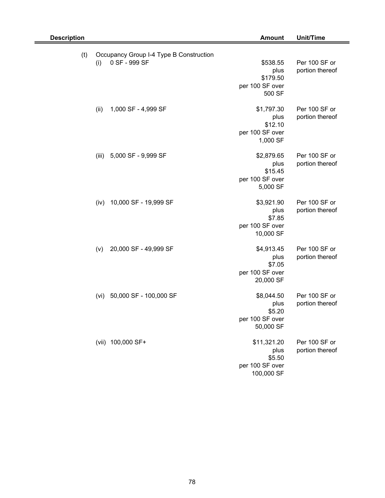| <b>Description</b> |                                                          | <b>Amount</b>                                                  | Unit/Time                        |
|--------------------|----------------------------------------------------------|----------------------------------------------------------------|----------------------------------|
| (t)<br>(i)         | Occupancy Group I-4 Type B Construction<br>0 SF - 999 SF | \$538.55<br>plus<br>\$179.50<br>per 100 SF over<br>500 SF      | Per 100 SF or<br>portion thereof |
| (ii)               | 1,000 SF - 4,999 SF                                      | \$1,797.30<br>plus<br>\$12.10<br>per 100 SF over<br>1,000 SF   | Per 100 SF or<br>portion thereof |
| (iii)              | 5,000 SF - 9,999 SF                                      | \$2,879.65<br>plus<br>\$15.45<br>per 100 SF over<br>5,000 SF   | Per 100 SF or<br>portion thereof |
| (iv)               | 10,000 SF - 19,999 SF                                    | \$3,921.90<br>plus<br>\$7.85<br>per 100 SF over<br>10,000 SF   | Per 100 SF or<br>portion thereof |
| (v)                | 20,000 SF - 49,999 SF                                    | \$4,913.45<br>plus<br>\$7.05<br>per 100 SF over<br>20,000 SF   | Per 100 SF or<br>portion thereof |
| (vi)               | 50,000 SF - 100,000 SF                                   | \$8,044.50<br>plus<br>\$5.20<br>per 100 SF over<br>50,000 SF   | Per 100 SF or<br>portion thereof |
|                    | (vii) 100,000 SF+                                        | \$11,321.20<br>plus<br>\$5.50<br>per 100 SF over<br>100,000 SF | Per 100 SF or<br>portion thereof |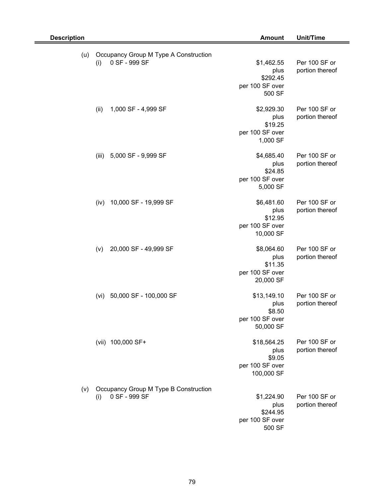| <b>Description</b> |                                                               | <b>Amount</b>                                                  | Unit/Time                        |
|--------------------|---------------------------------------------------------------|----------------------------------------------------------------|----------------------------------|
| (u)                | Occupancy Group M Type A Construction<br>0 SF - 999 SF<br>(i) | \$1,462.55<br>plus<br>\$292.45<br>per 100 SF over<br>500 SF    | Per 100 SF or<br>portion thereof |
|                    | (ii)<br>1,000 SF - 4,999 SF                                   | \$2,929.30<br>plus<br>\$19.25<br>per 100 SF over<br>1,000 SF   | Per 100 SF or<br>portion thereof |
|                    | 5,000 SF - 9,999 SF<br>(iii)                                  | \$4,685.40<br>plus<br>\$24.85<br>per 100 SF over<br>5,000 SF   | Per 100 SF or<br>portion thereof |
|                    | 10,000 SF - 19,999 SF<br>(iv)                                 | \$6,481.60<br>plus<br>\$12.95<br>per 100 SF over<br>10,000 SF  | Per 100 SF or<br>portion thereof |
|                    | 20,000 SF - 49,999 SF<br>(v)                                  | \$8,064.60<br>plus<br>\$11.35<br>per 100 SF over<br>20,000 SF  | Per 100 SF or<br>portion thereof |
|                    | 50,000 SF - 100,000 SF<br>(vi)                                | \$13,149.10<br>plus<br>\$8.50<br>per 100 SF over<br>50,000 SF  | Per 100 SF or<br>portion thereof |
|                    | (vii) 100,000 SF+                                             | \$18,564.25<br>plus<br>\$9.05<br>per 100 SF over<br>100,000 SF | Per 100 SF or<br>portion thereof |
| (v)                | Occupancy Group M Type B Construction<br>0 SF - 999 SF<br>(i) | \$1,224.90<br>plus<br>\$244.95<br>per 100 SF over<br>500 SF    | Per 100 SF or<br>portion thereof |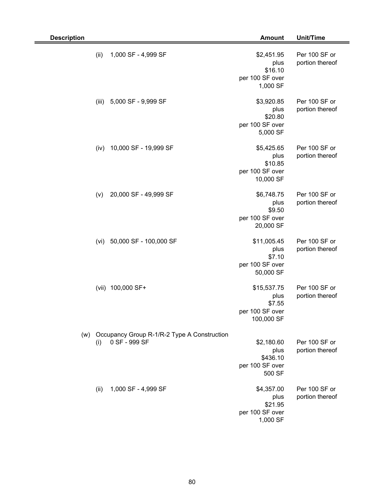| <b>Description</b> |       |                                                              | <b>Amount</b>                                                  | Unit/Time                        |
|--------------------|-------|--------------------------------------------------------------|----------------------------------------------------------------|----------------------------------|
|                    | (ii)  | 1,000 SF - 4,999 SF                                          | \$2,451.95<br>plus<br>\$16.10<br>per 100 SF over<br>1,000 SF   | Per 100 SF or<br>portion thereof |
|                    | (iii) | 5,000 SF - 9,999 SF                                          | \$3,920.85<br>plus<br>\$20.80<br>per 100 SF over<br>5,000 SF   | Per 100 SF or<br>portion thereof |
|                    | (iv)  | 10,000 SF - 19,999 SF                                        | \$5,425.65<br>plus<br>\$10.85<br>per 100 SF over<br>10,000 SF  | Per 100 SF or<br>portion thereof |
|                    | (v)   | 20,000 SF - 49,999 SF                                        | \$6,748.75<br>plus<br>\$9.50<br>per 100 SF over<br>20,000 SF   | Per 100 SF or<br>portion thereof |
|                    | (vi)  | 50,000 SF - 100,000 SF                                       | \$11,005.45<br>plus<br>\$7.10<br>per 100 SF over<br>50,000 SF  | Per 100 SF or<br>portion thereof |
|                    |       | (vii) 100,000 SF+                                            | \$15,537.75<br>plus<br>\$7.55<br>per 100 SF over<br>100,000 SF | Per 100 SF or<br>portion thereof |
| (w)                | (i)   | Occupancy Group R-1/R-2 Type A Construction<br>0 SF - 999 SF | \$2,180.60<br>plus<br>\$436.10<br>per 100 SF over<br>500 SF    | Per 100 SF or<br>portion thereof |
|                    | (ii)  | 1,000 SF - 4,999 SF                                          | \$4,357.00<br>plus<br>\$21.95<br>per 100 SF over<br>1,000 SF   | Per 100 SF or<br>portion thereof |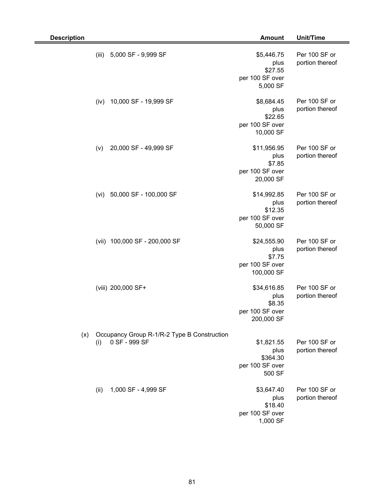| <b>Description</b> |       |                                                              | <b>Amount</b>                                                  | Unit/Time                        |
|--------------------|-------|--------------------------------------------------------------|----------------------------------------------------------------|----------------------------------|
|                    | (iii) | 5,000 SF - 9,999 SF                                          | \$5,446.75<br>plus<br>\$27.55<br>per 100 SF over<br>5,000 SF   | Per 100 SF or<br>portion thereof |
|                    | (iv)  | 10,000 SF - 19,999 SF                                        | \$8,684.45<br>plus<br>\$22.65<br>per 100 SF over<br>10,000 SF  | Per 100 SF or<br>portion thereof |
|                    | (v)   | 20,000 SF - 49,999 SF                                        | \$11,956.95<br>plus<br>\$7.85<br>per 100 SF over<br>20,000 SF  | Per 100 SF or<br>portion thereof |
|                    | (vi)  | 50,000 SF - 100,000 SF                                       | \$14,992.85<br>plus<br>\$12.35<br>per 100 SF over<br>50,000 SF | Per 100 SF or<br>portion thereof |
|                    |       | (vii) 100,000 SF - 200,000 SF                                | \$24,555.90<br>plus<br>\$7.75<br>per 100 SF over<br>100,000 SF | Per 100 SF or<br>portion thereof |
|                    |       | (viii) 200,000 SF+                                           | \$34,616.85<br>plus<br>\$8.35<br>per 100 SF over<br>200,000 SF | Per 100 SF or<br>portion thereof |
| (x)                | (i)   | Occupancy Group R-1/R-2 Type B Construction<br>0 SF - 999 SF | \$1,821.55<br>plus<br>\$364.30<br>per 100 SF over<br>500 SF    | Per 100 SF or<br>portion thereof |
|                    | (ii)  | 1,000 SF - 4,999 SF                                          | \$3,647.40<br>plus<br>\$18.40<br>per 100 SF over<br>1,000 SF   | Per 100 SF or<br>portion thereof |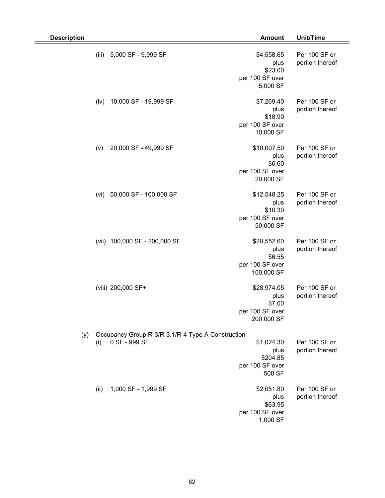| <b>Description</b> |       |                                                                    | <b>Amount</b>                                                  | Unit/Time                        |
|--------------------|-------|--------------------------------------------------------------------|----------------------------------------------------------------|----------------------------------|
|                    | (iii) | 5,000 SF - 9,999 SF                                                | \$4,558.65<br>plus<br>\$23.00<br>per 100 SF over<br>5,000 SF   | Per 100 SF or<br>portion thereof |
|                    | (iv)  | 10,000 SF - 19,999 SF                                              | \$7,269.40<br>plus<br>\$18.90<br>per 100 SF over<br>10,000 SF  | Per 100 SF or<br>portion thereof |
|                    | (v)   | 20,000 SF - 49,999 SF                                              | \$10,007.50<br>plus<br>\$6.60<br>per 100 SF over<br>20,000 SF  | Per 100 SF or<br>portion thereof |
|                    | (vi)  | 50,000 SF - 100,000 SF                                             | \$12,548.25<br>plus<br>\$10.30<br>per 100 SF over<br>50,000 SF | Per 100 SF or<br>portion thereof |
|                    |       | (vii) 100,000 SF - 200,000 SF                                      | \$20,552.60<br>plus<br>\$6.55<br>per 100 SF over<br>100,000 SF | Per 100 SF or<br>portion thereof |
|                    |       | (viii) 200,000 SF+                                                 | \$28,974.05<br>plus<br>\$7.00<br>per 100 SF over<br>200,000 SF | Per 100 SF or<br>portion thereof |
| (y)                | (i)   | Occupancy Group R-3/R-3.1/R-4 Type A Construction<br>0 SF - 999 SF | \$1,024.30<br>plus<br>\$204.85<br>per 100 SF over<br>500 SF    | Per 100 SF or<br>portion thereof |
|                    | (ii)  | 1,000 SF - 1,999 SF                                                | \$2,051.80<br>plus<br>\$63.95<br>per 100 SF over<br>1,000 SF   | Per 100 SF or<br>portion thereof |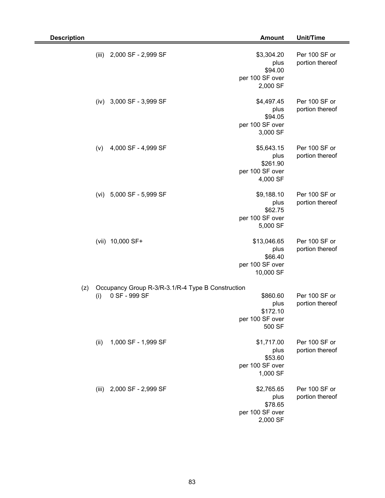| <b>Description</b>           | <b>Amount</b>                                                                                                  | Unit/Time                        |
|------------------------------|----------------------------------------------------------------------------------------------------------------|----------------------------------|
| (iii)<br>2,000 SF - 2,999 SF | \$3,304.20<br>plus<br>\$94.00<br>per 100 SF over<br>2,000 SF                                                   | Per 100 SF or<br>portion thereof |
| 3,000 SF - 3,999 SF<br>(iv)  | \$4,497.45<br>plus<br>\$94.05<br>per 100 SF over<br>3,000 SF                                                   | Per 100 SF or<br>portion thereof |
| 4,000 SF - 4,999 SF<br>(v)   | \$5,643.15<br>plus<br>\$261.90<br>per 100 SF over<br>4,000 SF                                                  | Per 100 SF or<br>portion thereof |
| 5,000 SF - 5,999 SF<br>(vi)  | \$9,188.10<br>plus<br>\$62.75<br>per 100 SF over<br>5,000 SF                                                   | Per 100 SF or<br>portion thereof |
| (vii) 10,000 SF+             | \$13,046.65<br>plus<br>\$66.40<br>per 100 SF over<br>10,000 SF                                                 | Per 100 SF or<br>portion thereof |
| (z)<br>0 SF - 999 SF<br>(i)  | Occupancy Group R-3/R-3.1/R-4 Type B Construction<br>\$860.60<br>plus<br>\$172.10<br>per 100 SF over<br>500 SF | Per 100 SF or<br>portion thereof |
| 1,000 SF - 1,999 SF<br>(ii)  | \$1,717.00<br>plus<br>\$53.60<br>per 100 SF over<br>1,000 SF                                                   | Per 100 SF or<br>portion thereof |
| (iii) 2,000 SF - 2,999 SF    | \$2,765.65<br>plus<br>\$78.65<br>per 100 SF over<br>2,000 SF                                                   | Per 100 SF or<br>portion thereof |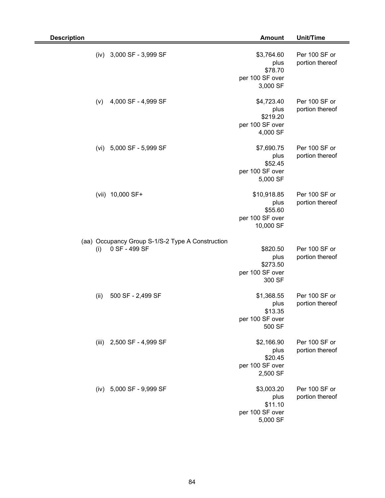| <b>Description</b>                                                       | <b>Amount</b>                                                  | Unit/Time                        |
|--------------------------------------------------------------------------|----------------------------------------------------------------|----------------------------------|
| 3,000 SF - 3,999 SF<br>(iv)                                              | \$3,764.60<br>plus<br>\$78.70<br>per 100 SF over<br>3,000 SF   | Per 100 SF or<br>portion thereof |
| 4,000 SF - 4,999 SF<br>(v)                                               | \$4,723.40<br>plus<br>\$219.20<br>per 100 SF over<br>4,000 SF  | Per 100 SF or<br>portion thereof |
| 5,000 SF - 5,999 SF<br>(vi)                                              | \$7,690.75<br>plus<br>\$52.45<br>per 100 SF over<br>5,000 SF   | Per 100 SF or<br>portion thereof |
| (vii) 10,000 SF+                                                         | \$10,918.85<br>plus<br>\$55.60<br>per 100 SF over<br>10,000 SF | Per 100 SF or<br>portion thereof |
| (aa) Occupancy Group S-1/S-2 Type A Construction<br>0 SF - 499 SF<br>(i) | \$820.50<br>plus<br>\$273.50<br>per 100 SF over<br>300 SF      | Per 100 SF or<br>portion thereof |
| (ii)<br>500 SF - 2,499 SF                                                | \$1,368.55<br>plus<br>\$13.35<br>per 100 SF over<br>500 SF     | Per 100 SF or<br>portion thereof |
| (iii) 2,500 SF - 4,999 SF                                                | \$2,166.90<br>plus<br>\$20.45<br>per 100 SF over<br>2,500 SF   | Per 100 SF or<br>portion thereof |
| (iv) 5,000 SF - 9,999 SF                                                 | \$3,003.20<br>plus<br>\$11.10<br>per 100 SF over<br>5,000 SF   | Per 100 SF or<br>portion thereof |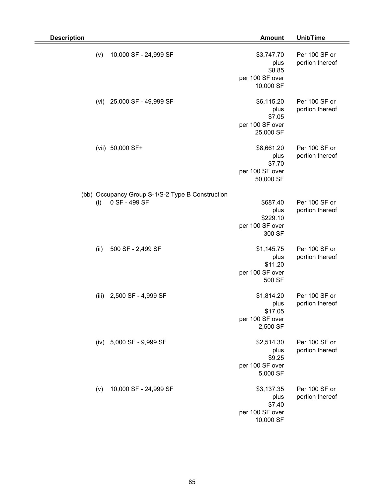| <b>Description</b> |                                                                   | <b>Amount</b>                                                | Unit/Time                        |
|--------------------|-------------------------------------------------------------------|--------------------------------------------------------------|----------------------------------|
| (v)                | 10,000 SF - 24,999 SF                                             | \$3,747.70<br>plus<br>\$8.85<br>per 100 SF over<br>10,000 SF | Per 100 SF or<br>portion thereof |
| (vi)               | 25,000 SF - 49,999 SF                                             | \$6,115.20<br>plus<br>\$7.05<br>per 100 SF over<br>25,000 SF | Per 100 SF or<br>portion thereof |
|                    | (vii) 50,000 SF+                                                  | \$8,661.20<br>plus<br>\$7.70<br>per 100 SF over<br>50,000 SF | Per 100 SF or<br>portion thereof |
| (i)                | (bb) Occupancy Group S-1/S-2 Type B Construction<br>0 SF - 499 SF | \$687.40<br>plus<br>\$229.10<br>per 100 SF over<br>300 SF    | Per 100 SF or<br>portion thereof |
| (ii)               | 500 SF - 2,499 SF                                                 | \$1,145.75<br>plus<br>\$11.20<br>per 100 SF over<br>500 SF   | Per 100 SF or<br>portion thereof |
|                    | (iii) 2,500 SF - 4,999 SF                                         | \$1,814.20<br>plus<br>\$17.05<br>per 100 SF over<br>2,500 SF | Per 100 SF or<br>portion thereof |
|                    | (iv) 5,000 SF - 9,999 SF                                          | \$2,514.30<br>plus<br>\$9.25<br>per 100 SF over<br>5,000 SF  | Per 100 SF or<br>portion thereof |
| (v)                | 10,000 SF - 24,999 SF                                             | \$3,137.35<br>plus<br>\$7.40<br>per 100 SF over<br>10,000 SF | Per 100 SF or<br>portion thereof |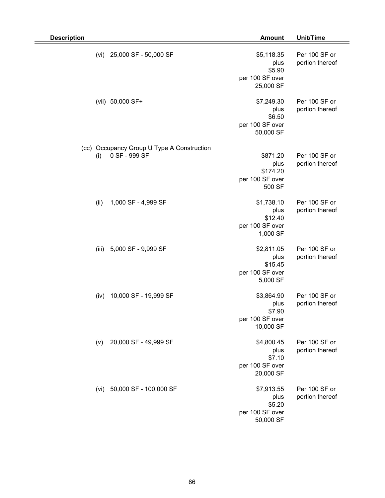| <b>Description</b>                                                 | <b>Amount</b>                                                | <b>Unit/Time</b>                 |
|--------------------------------------------------------------------|--------------------------------------------------------------|----------------------------------|
| 25,000 SF - 50,000 SF<br>(vi)                                      | \$5,118.35<br>plus<br>\$5.90<br>per 100 SF over<br>25,000 SF | Per 100 SF or<br>portion thereof |
| (vii) 50,000 SF+                                                   | \$7,249.30<br>plus<br>\$6.50<br>per 100 SF over<br>50,000 SF | Per 100 SF or<br>portion thereof |
| (cc) Occupancy Group U Type A Construction<br>0 SF - 999 SF<br>(i) | \$871.20<br>plus<br>\$174.20<br>per 100 SF over<br>500 SF    | Per 100 SF or<br>portion thereof |
| (ii)<br>1,000 SF - 4,999 SF                                        | \$1,738.10<br>plus<br>\$12.40<br>per 100 SF over<br>1,000 SF | Per 100 SF or<br>portion thereof |
| 5,000 SF - 9,999 SF<br>(iii)                                       | \$2,811.05<br>plus<br>\$15.45<br>per 100 SF over<br>5,000 SF | Per 100 SF or<br>portion thereof |
| 10,000 SF - 19,999 SF<br>(iv)                                      | \$3,864.90<br>plus<br>\$7.90<br>per 100 SF over<br>10,000 SF | Per 100 SF or<br>portion thereof |
| 20,000 SF - 49,999 SF<br>(v)                                       | \$4,800.45<br>plus<br>\$7.10<br>per 100 SF over<br>20,000 SF | Per 100 SF or<br>portion thereof |
| (vi) 50,000 SF - 100,000 SF                                        | \$7,913.55<br>plus<br>\$5.20<br>per 100 SF over<br>50,000 SF | Per 100 SF or<br>portion thereof |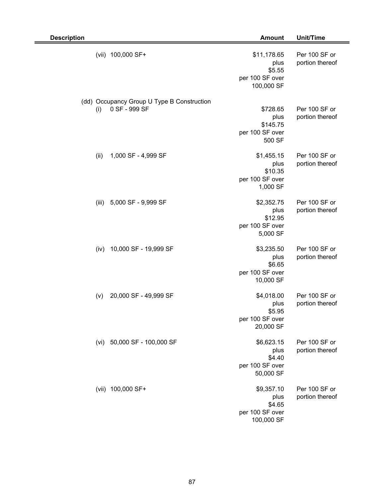| <b>Description</b>                                                 | <b>Amount</b>                                                  | <b>Unit/Time</b>                 |
|--------------------------------------------------------------------|----------------------------------------------------------------|----------------------------------|
| (vii) 100,000 SF+                                                  | \$11,178.65<br>plus<br>\$5.55<br>per 100 SF over<br>100,000 SF | Per 100 SF or<br>portion thereof |
| (dd) Occupancy Group U Type B Construction<br>0 SF - 999 SF<br>(i) | \$728.65<br>plus<br>\$145.75<br>per 100 SF over<br>500 SF      | Per 100 SF or<br>portion thereof |
| (ii)<br>1,000 SF - 4,999 SF                                        | \$1,455.15<br>plus<br>\$10.35<br>per 100 SF over<br>1,000 SF   | Per 100 SF or<br>portion thereof |
| 5,000 SF - 9,999 SF<br>(iii)                                       | \$2,352.75<br>plus<br>\$12.95<br>per 100 SF over<br>5,000 SF   | Per 100 SF or<br>portion thereof |
| 10,000 SF - 19,999 SF<br>(iv)                                      | \$3,235.50<br>plus<br>\$6.65<br>per 100 SF over<br>10,000 SF   | Per 100 SF or<br>portion thereof |
| 20,000 SF - 49,999 SF<br>(v)                                       | \$4,018.00<br>plus<br>\$5.95<br>per 100 SF over<br>20,000 SF   | Per 100 SF or<br>portion thereof |
| 50,000 SF - 100,000 SF<br>(vi)                                     | \$6,623.15<br>plus<br>\$4.40<br>per 100 SF over<br>50,000 SF   | Per 100 SF or<br>portion thereof |
| (vii) 100,000 SF+                                                  | \$9,357.10<br>plus<br>\$4.65<br>per 100 SF over<br>100,000 SF  | Per 100 SF or<br>portion thereof |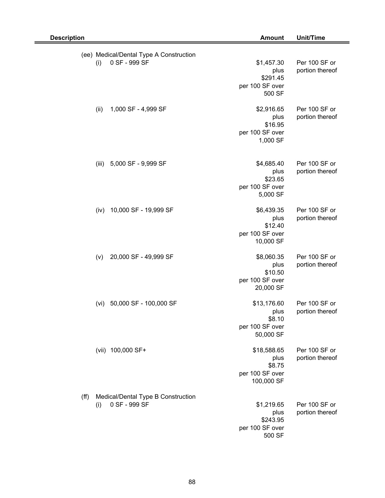|      |       | (ee) Medical/Dental Type A Construction             |                                                                |                                  |
|------|-------|-----------------------------------------------------|----------------------------------------------------------------|----------------------------------|
|      | (i)   | 0 SF - 999 SF                                       | \$1,457.30<br>plus<br>\$291.45<br>per 100 SF over<br>500 SF    | Per 100 SF or<br>portion thereof |
|      | (ii)  | 1,000 SF - 4,999 SF                                 | \$2,916.65<br>plus<br>\$16.95<br>per 100 SF over<br>1,000 SF   | Per 100 SF or<br>portion thereof |
|      | (iii) | 5,000 SF - 9,999 SF                                 | \$4,685.40<br>plus<br>\$23.65<br>per 100 SF over<br>5,000 SF   | Per 100 SF or<br>portion thereof |
|      | (iv)  | 10,000 SF - 19,999 SF                               | \$6,439.35<br>plus<br>\$12.40<br>per 100 SF over<br>10,000 SF  | Per 100 SF or<br>portion thereof |
|      | (v)   | 20,000 SF - 49,999 SF                               | \$8,060.35<br>plus<br>\$10.50<br>per 100 SF over<br>20,000 SF  | Per 100 SF or<br>portion thereof |
|      |       | (vi) 50,000 SF - 100,000 SF                         | \$13,176.60<br>plus<br>\$8.10<br>per 100 SF over<br>50,000 SF  | Per 100 SF or<br>portion thereof |
|      |       | (vii) 100,000 SF+                                   | \$18,588.65<br>plus<br>\$8.75<br>per 100 SF over<br>100,000 SF | Per 100 SF or<br>portion thereof |
| (ff) | (i)   | Medical/Dental Type B Construction<br>0 SF - 999 SF | \$1,219.65<br>plus<br>\$243.95<br>per 100 SF over<br>500 SF    | Per 100 SF or<br>portion thereof |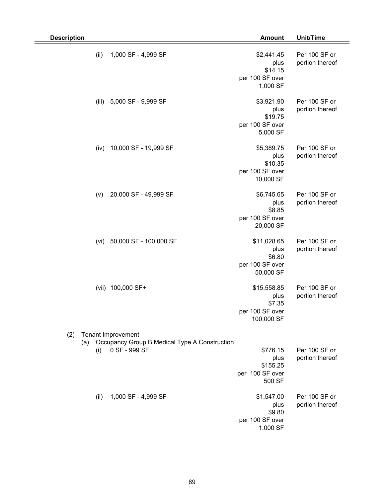| <b>Description</b> |                                                                                      | <b>Amount</b>                                                  | Unit/Time                        |
|--------------------|--------------------------------------------------------------------------------------|----------------------------------------------------------------|----------------------------------|
| (ii)               | 1,000 SF - 4,999 SF                                                                  | \$2,441.45<br>plus<br>\$14.15<br>per 100 SF over<br>1,000 SF   | Per 100 SF or<br>portion thereof |
| (iii)              | 5,000 SF - 9,999 SF                                                                  | \$3,921.90<br>plus<br>\$19.75<br>per 100 SF over<br>5,000 SF   | Per 100 SF or<br>portion thereof |
| (iv)               | 10,000 SF - 19,999 SF                                                                | \$5,389.75<br>plus<br>\$10.35<br>per 100 SF over<br>10,000 SF  | Per 100 SF or<br>portion thereof |
| (v)                | 20,000 SF - 49,999 SF                                                                | \$6,745.65<br>plus<br>\$8.85<br>per 100 SF over<br>20,000 SF   | Per 100 SF or<br>portion thereof |
| (vi)               | 50,000 SF - 100,000 SF                                                               | \$11,028.65<br>plus<br>\$6.80<br>per 100 SF over<br>50,000 SF  | Per 100 SF or<br>portion thereof |
|                    | (vii) 100,000 SF+                                                                    | \$15,558.85<br>plus<br>\$7.35<br>per 100 SF over<br>100,000 SF | Per 100 SF or<br>portion thereof |
| (2)<br>(a)<br>(i)  | Tenant Improvement<br>Occupancy Group B Medical Type A Construction<br>0 SF - 999 SF | \$776.15<br>plus<br>\$155.25<br>per 100 SF over<br>500 SF      | Per 100 SF or<br>portion thereof |
| (ii)               | 1,000 SF - 4,999 SF                                                                  | \$1,547.00<br>plus<br>\$9.80<br>per 100 SF over<br>1,000 SF    | Per 100 SF or<br>portion thereof |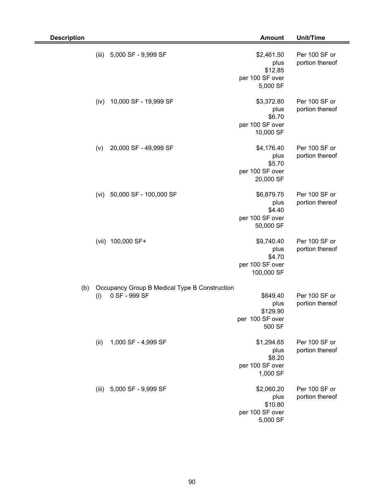| <b>Description</b>             | <b>Amount</b>                                                                                              | Unit/Time                        |
|--------------------------------|------------------------------------------------------------------------------------------------------------|----------------------------------|
| 5,000 SF - 9,999 SF<br>(iii)   | \$2,461.50<br>plus<br>\$12.85<br>per 100 SF over<br>5,000 SF                                               | Per 100 SF or<br>portion thereof |
| 10,000 SF - 19,999 SF<br>(iv)  | \$3,372.80<br>plus<br>\$6.70<br>per 100 SF over<br>10,000 SF                                               | Per 100 SF or<br>portion thereof |
| 20,000 SF - 49,999 SF<br>(v)   | \$4,176.40<br>plus<br>\$5.70<br>per 100 SF over<br>20,000 SF                                               | Per 100 SF or<br>portion thereof |
| 50,000 SF - 100,000 SF<br>(vi) | \$6,879.75<br>plus<br>\$4.40<br>per 100 SF over<br>50,000 SF                                               | Per 100 SF or<br>portion thereof |
| (vii) 100,000 SF+              | \$9,740.40<br>plus<br>\$4.70<br>per 100 SF over<br>100,000 SF                                              | Per 100 SF or<br>portion thereof |
| (b)<br>0 SF - 999 SF<br>(i)    | Occupancy Group B Medical Type B Construction<br>\$649.40<br>plus<br>\$129.90<br>per 100 SF over<br>500 SF | Per 100 SF or<br>portion thereof |
| 1,000 SF - 4,999 SF<br>(ii)    | \$1,294.65<br>plus<br>\$8.20<br>per 100 SF over<br>1,000 SF                                                | Per 100 SF or<br>portion thereof |
| (iii) 5,000 SF - 9,999 SF      | \$2,060.20<br>plus<br>\$10.80<br>per 100 SF over<br>5,000 SF                                               | Per 100 SF or<br>portion thereof |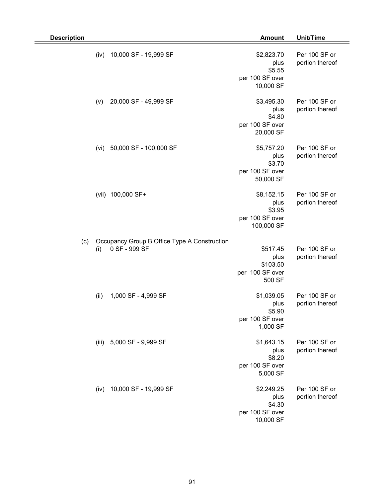| <b>Description</b> |       |                                                               | <b>Amount</b>                                                 | Unit/Time                        |
|--------------------|-------|---------------------------------------------------------------|---------------------------------------------------------------|----------------------------------|
|                    | (iv)  | 10,000 SF - 19,999 SF                                         | \$2,823.70<br>plus<br>\$5.55<br>per 100 SF over<br>10,000 SF  | Per 100 SF or<br>portion thereof |
|                    | (v)   | 20,000 SF - 49,999 SF                                         | \$3,495.30<br>plus<br>\$4.80<br>per 100 SF over<br>20,000 SF  | Per 100 SF or<br>portion thereof |
|                    | (vi)  | 50,000 SF - 100,000 SF                                        | \$5,757.20<br>plus<br>\$3.70<br>per 100 SF over<br>50,000 SF  | Per 100 SF or<br>portion thereof |
|                    | (vii) | 100,000 SF+                                                   | \$8,152.15<br>plus<br>\$3.95<br>per 100 SF over<br>100,000 SF | Per 100 SF or<br>portion thereof |
| (c)                | (i)   | Occupancy Group B Office Type A Construction<br>0 SF - 999 SF | \$517.45<br>plus<br>\$103.50<br>per 100 SF over<br>500 SF     | Per 100 SF or<br>portion thereof |
|                    | (ii)  | 1,000 SF - 4,999 SF                                           | \$1,039.05<br>plus<br>\$5.90<br>per 100 SF over<br>1,000 SF   | Per 100 SF or<br>portion thereof |
|                    |       | (iii) 5,000 SF - 9,999 SF                                     | \$1,643.15<br>plus<br>\$8.20<br>per 100 SF over<br>5,000 SF   | Per 100 SF or<br>portion thereof |
|                    | (iv)  | 10,000 SF - 19,999 SF                                         | \$2,249.25<br>plus<br>\$4.30<br>per 100 SF over<br>10,000 SF  | Per 100 SF or<br>portion thereof |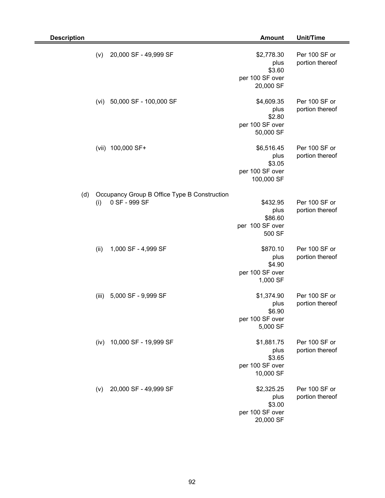| <b>Description</b> |       |                                                               | <b>Amount</b>                                                 | Unit/Time                        |
|--------------------|-------|---------------------------------------------------------------|---------------------------------------------------------------|----------------------------------|
|                    | (v)   | 20,000 SF - 49,999 SF                                         | \$2,778.30<br>plus<br>\$3.60<br>per 100 SF over<br>20,000 SF  | Per 100 SF or<br>portion thereof |
|                    | (vi)  | 50,000 SF - 100,000 SF                                        | \$4,609.35<br>plus<br>\$2.80<br>per 100 SF over<br>50,000 SF  | Per 100 SF or<br>portion thereof |
|                    | (vii) | 100,000 SF+                                                   | \$6,516.45<br>plus<br>\$3.05<br>per 100 SF over<br>100,000 SF | Per 100 SF or<br>portion thereof |
| (d)                | (i)   | Occupancy Group B Office Type B Construction<br>0 SF - 999 SF | \$432.95<br>plus<br>\$86.60<br>per 100 SF over<br>500 SF      | Per 100 SF or<br>portion thereof |
|                    | (ii)  | 1,000 SF - 4,999 SF                                           | \$870.10<br>plus<br>\$4.90<br>per 100 SF over<br>1,000 SF     | Per 100 SF or<br>portion thereof |
|                    | (iii) | 5,000 SF - 9,999 SF                                           | \$1,374.90<br>plus<br>\$6.90<br>per 100 SF over<br>5,000 SF   | Per 100 SF or<br>portion thereof |
|                    | (iv)  | 10,000 SF - 19,999 SF                                         | \$1,881.75<br>plus<br>\$3.65<br>per 100 SF over<br>10,000 SF  | Per 100 SF or<br>portion thereof |
|                    | (v)   | 20,000 SF - 49,999 SF                                         | \$2,325.25<br>plus<br>\$3.00<br>per 100 SF over<br>20,000 SF  | Per 100 SF or<br>portion thereof |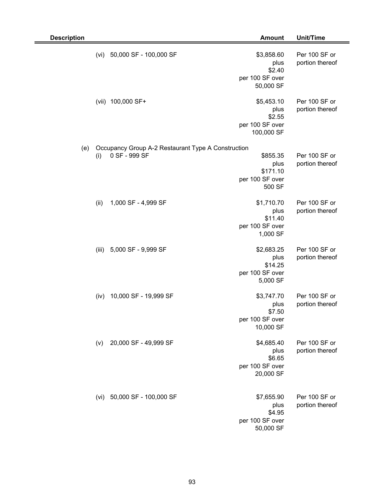| <b>Description</b> |       |                                                                     | <b>Amount</b>                                                 | Unit/Time                        |
|--------------------|-------|---------------------------------------------------------------------|---------------------------------------------------------------|----------------------------------|
|                    | (vi)  | 50,000 SF - 100,000 SF                                              | \$3,858.60<br>plus<br>\$2.40<br>per 100 SF over<br>50,000 SF  | Per 100 SF or<br>portion thereof |
|                    | (vii) | 100,000 SF+                                                         | \$5,453.10<br>plus<br>\$2.55<br>per 100 SF over<br>100,000 SF | Per 100 SF or<br>portion thereof |
| (e)                | (i)   | Occupancy Group A-2 Restaurant Type A Construction<br>0 SF - 999 SF | \$855.35<br>plus<br>\$171.10<br>per 100 SF over<br>500 SF     | Per 100 SF or<br>portion thereof |
|                    | (ii)  | 1,000 SF - 4,999 SF                                                 | \$1,710.70<br>plus<br>\$11.40<br>per 100 SF over<br>1,000 SF  | Per 100 SF or<br>portion thereof |
|                    | (iii) | 5,000 SF - 9,999 SF                                                 | \$2,683.25<br>plus<br>\$14.25<br>per 100 SF over<br>5,000 SF  | Per 100 SF or<br>portion thereof |
|                    | (iv)  | 10,000 SF - 19,999 SF                                               | \$3,747.70<br>plus<br>\$7.50<br>per 100 SF over<br>10,000 SF  | Per 100 SF or<br>portion thereof |
|                    | (v)   | 20,000 SF - 49,999 SF                                               | \$4,685.40<br>plus<br>\$6.65<br>per 100 SF over<br>20,000 SF  | Per 100 SF or<br>portion thereof |
|                    | (vi)  | 50,000 SF - 100,000 SF                                              | \$7,655.90<br>plus<br>\$4.95<br>per 100 SF over<br>50,000 SF  | Per 100 SF or<br>portion thereof |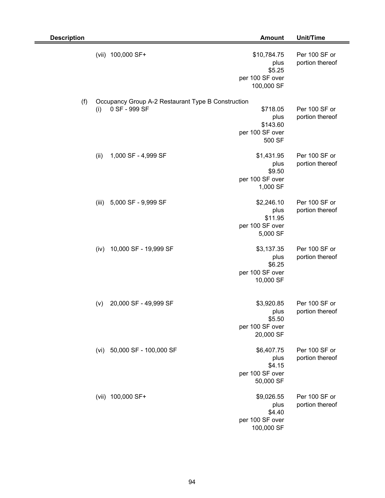| <b>Description</b> |       |                                                    | <b>Amount</b>                                                  | Unit/Time                        |
|--------------------|-------|----------------------------------------------------|----------------------------------------------------------------|----------------------------------|
|                    |       | (vii) 100,000 SF+                                  | \$10,784.75<br>plus<br>\$5.25<br>per 100 SF over<br>100,000 SF | Per 100 SF or<br>portion thereof |
| (f)                |       | Occupancy Group A-2 Restaurant Type B Construction |                                                                |                                  |
|                    | (i)   | 0 SF - 999 SF                                      | \$718.05<br>plus<br>\$143.60<br>per 100 SF over<br>500 SF      | Per 100 SF or<br>portion thereof |
|                    | (ii)  | 1,000 SF - 4,999 SF                                | \$1,431.95<br>plus<br>\$9.50<br>per 100 SF over<br>1,000 SF    | Per 100 SF or<br>portion thereof |
|                    | (iii) | 5,000 SF - 9,999 SF                                | \$2,246.10<br>plus<br>\$11.95<br>per 100 SF over<br>5,000 SF   | Per 100 SF or<br>portion thereof |
|                    | (iv)  | 10,000 SF - 19,999 SF                              | \$3,137.35<br>plus<br>\$6.25<br>per 100 SF over<br>10,000 SF   | Per 100 SF or<br>portion thereof |
|                    | (v)   | 20,000 SF - 49,999 SF                              | \$3,920.85<br>plus<br>\$5.50<br>per 100 SF over<br>20,000 SF   | Per 100 SF or<br>portion thereof |
|                    | (vi)  | 50,000 SF - 100,000 SF                             | \$6,407.75<br>plus<br>\$4.15<br>per 100 SF over<br>50,000 SF   | Per 100 SF or<br>portion thereof |
|                    |       | (vii) 100,000 SF+                                  | \$9,026.55<br>plus<br>\$4.40<br>per 100 SF over<br>100,000 SF  | Per 100 SF or<br>portion thereof |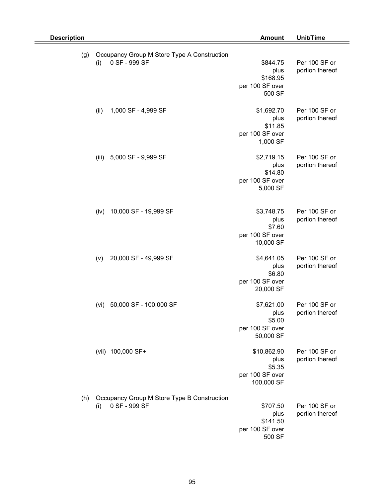| <b>Description</b> |                                                                     | <b>Amount</b>                                                  | Unit/Time                        |
|--------------------|---------------------------------------------------------------------|----------------------------------------------------------------|----------------------------------|
| (g)                | Occupancy Group M Store Type A Construction<br>0 SF - 999 SF<br>(i) | \$844.75<br>plus<br>\$168.95<br>per 100 SF over<br>500 SF      | Per 100 SF or<br>portion thereof |
|                    | (ii)<br>1,000 SF - 4,999 SF                                         | \$1,692.70<br>plus<br>\$11.85<br>per 100 SF over<br>1,000 SF   | Per 100 SF or<br>portion thereof |
|                    | 5,000 SF - 9,999 SF<br>(iii)                                        | \$2,719.15<br>plus<br>\$14.80<br>per 100 SF over<br>5,000 SF   | Per 100 SF or<br>portion thereof |
|                    | 10,000 SF - 19,999 SF<br>(iv)                                       | \$3,748.75<br>plus<br>\$7.60<br>per 100 SF over<br>10,000 SF   | Per 100 SF or<br>portion thereof |
|                    | 20,000 SF - 49,999 SF<br>(v)                                        | \$4,641.05<br>plus<br>\$6.80<br>per 100 SF over<br>20,000 SF   | Per 100 SF or<br>portion thereof |
|                    | 50,000 SF - 100,000 SF<br>(vi)                                      | \$7,621.00<br>plus<br>\$5.00<br>per 100 SF over<br>50,000 SF   | Per 100 SF or<br>portion thereof |
|                    | (vii) 100,000 SF+                                                   | \$10,862.90<br>plus<br>\$5.35<br>per 100 SF over<br>100,000 SF | Per 100 SF or<br>portion thereof |
| (h)                | Occupancy Group M Store Type B Construction<br>0 SF - 999 SF<br>(i) | \$707.50<br>plus<br>\$141.50<br>per 100 SF over<br>500 SF      | Per 100 SF or<br>portion thereof |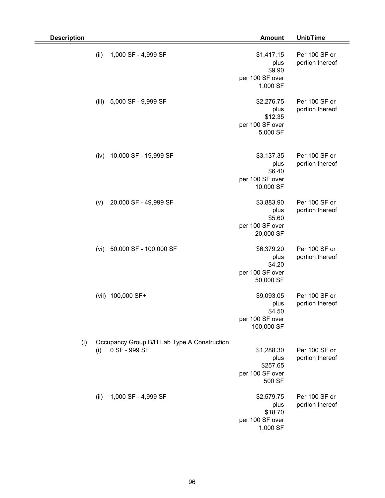| <b>Description</b> |       |                                                              | <b>Amount</b>                                                 | Unit/Time                        |
|--------------------|-------|--------------------------------------------------------------|---------------------------------------------------------------|----------------------------------|
|                    | (ii)  | 1,000 SF - 4,999 SF                                          | \$1,417.15<br>plus<br>\$9.90<br>per 100 SF over<br>1,000 SF   | Per 100 SF or<br>portion thereof |
|                    | (iii) | 5,000 SF - 9,999 SF                                          | \$2,276.75<br>plus<br>\$12.35<br>per 100 SF over<br>5,000 SF  | Per 100 SF or<br>portion thereof |
|                    | (iv)  | 10,000 SF - 19,999 SF                                        | \$3,137.35<br>plus<br>\$6.40<br>per 100 SF over<br>10,000 SF  | Per 100 SF or<br>portion thereof |
|                    | (v)   | 20,000 SF - 49,999 SF                                        | \$3,883.90<br>plus<br>\$5.60<br>per 100 SF over<br>20,000 SF  | Per 100 SF or<br>portion thereof |
|                    | (vi)  | 50,000 SF - 100,000 SF                                       | \$6,379.20<br>plus<br>\$4.20<br>per 100 SF over<br>50,000 SF  | Per 100 SF or<br>portion thereof |
|                    |       | (vii) 100,000 SF+                                            | \$9,093.05<br>plus<br>\$4.50<br>per 100 SF over<br>100,000 SF | Per 100 SF or<br>portion thereof |
| (i)                | (i)   | Occupancy Group B/H Lab Type A Construction<br>0 SF - 999 SF | \$1,288.30<br>plus<br>\$257.65<br>per 100 SF over<br>500 SF   | Per 100 SF or<br>portion thereof |
|                    | (ii)  | 1,000 SF - 4,999 SF                                          | \$2,579.75<br>plus<br>\$18.70<br>per 100 SF over<br>1,000 SF  | Per 100 SF or<br>portion thereof |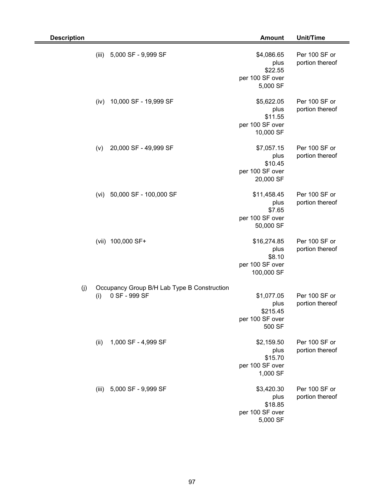| <b>Description</b>                                                         | <b>Amount</b>                                                  | Unit/Time                        |
|----------------------------------------------------------------------------|----------------------------------------------------------------|----------------------------------|
| (iii)<br>5,000 SF - 9,999 SF                                               | \$4,086.65<br>plus<br>\$22.55<br>per 100 SF over<br>5,000 SF   | Per 100 SF or<br>portion thereof |
| 10,000 SF - 19,999 SF<br>(iv)                                              | \$5,622.05<br>plus<br>\$11.55<br>per 100 SF over<br>10,000 SF  | Per 100 SF or<br>portion thereof |
| 20,000 SF - 49,999 SF<br>(v)                                               | \$7,057.15<br>plus<br>\$10.45<br>per 100 SF over<br>20,000 SF  | Per 100 SF or<br>portion thereof |
| 50,000 SF - 100,000 SF<br>(vi)                                             | \$11,458.45<br>plus<br>\$7.65<br>per 100 SF over<br>50,000 SF  | Per 100 SF or<br>portion thereof |
| 100,000 SF+<br>(vii)                                                       | \$16,274.85<br>plus<br>\$8.10<br>per 100 SF over<br>100,000 SF | Per 100 SF or<br>portion thereof |
| (j)<br>Occupancy Group B/H Lab Type B Construction<br>0 SF - 999 SF<br>(i) | \$1,077.05<br>plus<br>\$215.45<br>per 100 SF over<br>500 SF    | Per 100 SF or<br>portion thereof |
| 1,000 SF - 4,999 SF<br>(ii)                                                | \$2,159.50<br>plus<br>\$15.70<br>per 100 SF over<br>1,000 SF   | Per 100 SF or<br>portion thereof |
| (iii) 5,000 SF - 9,999 SF                                                  | \$3,420.30<br>plus<br>\$18.85<br>per 100 SF over<br>5,000 SF   | Per 100 SF or<br>portion thereof |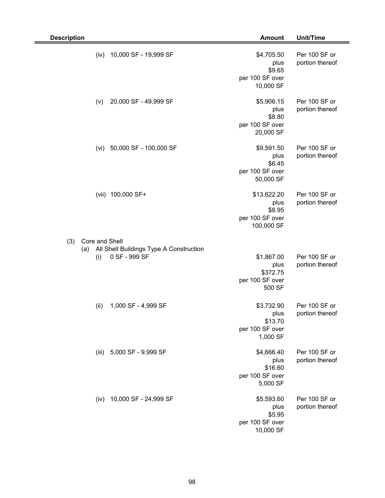| <b>Description</b>                                                     | <b>Amount</b>                                                  | Unit/Time                        |
|------------------------------------------------------------------------|----------------------------------------------------------------|----------------------------------|
| 10,000 SF - 19,999 SF<br>(iv)                                          | \$4,705.50<br>plus<br>\$9.65<br>per 100 SF over<br>10,000 SF   | Per 100 SF or<br>portion thereof |
| 20,000 SF - 49,999 SF<br>(v)                                           | \$5,906.15<br>plus<br>\$8.80<br>per 100 SF over<br>20,000 SF   | Per 100 SF or<br>portion thereof |
| 50,000 SF - 100,000 SF<br>(vi)                                         | \$9,591.50<br>plus<br>\$6.45<br>per 100 SF over<br>50,000 SF   | Per 100 SF or<br>portion thereof |
| (vii) 100,000 SF+                                                      | \$13,622.20<br>plus<br>\$8.95<br>per 100 SF over<br>100,000 SF | Per 100 SF or<br>portion thereof |
| (3)<br>Core and Shell                                                  |                                                                |                                  |
| All Shell Buildings Type A Construction<br>(a)<br>0 SF - 999 SF<br>(i) | \$1,867.00<br>plus<br>\$372.75<br>per 100 SF over<br>500 SF    | Per 100 SF or<br>portion thereof |
| (ii)<br>1,000 SF - 4,999 SF                                            | \$3,732.90<br>plus<br>\$13.70<br>per 100 SF over<br>1,000 SF   | Per 100 SF or<br>portion thereof |
| 5,000 SF - 9,999 SF<br>(iii)                                           | \$4,666.40<br>plus<br>\$16.60<br>per 100 SF over<br>5,000 SF   | Per 100 SF or<br>portion thereof |
| 10,000 SF - 24,999 SF<br>(iv)                                          | \$5,593.60<br>plus<br>\$5.95<br>per 100 SF over<br>10,000 SF   | Per 100 SF or<br>portion thereof |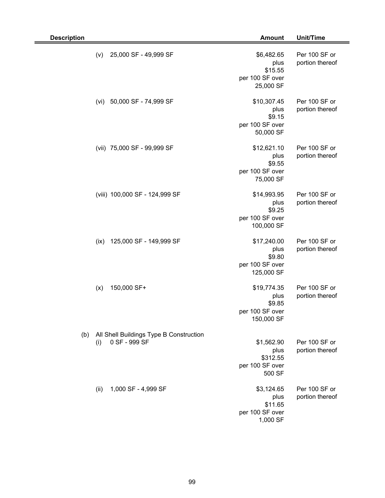| <b>Description</b> |      |                                                          | <b>Amount</b>                                                  | Unit/Time                        |
|--------------------|------|----------------------------------------------------------|----------------------------------------------------------------|----------------------------------|
|                    | (v)  | 25,000 SF - 49,999 SF                                    | \$6,482.65<br>plus<br>\$15.55<br>per 100 SF over<br>25,000 SF  | Per 100 SF or<br>portion thereof |
|                    | (vi) | 50,000 SF - 74,999 SF                                    | \$10,307.45<br>plus<br>\$9.15<br>per 100 SF over<br>50,000 SF  | Per 100 SF or<br>portion thereof |
|                    |      | (vii) 75,000 SF - 99,999 SF                              | \$12,621.10<br>plus<br>\$9.55<br>per 100 SF over<br>75,000 SF  | Per 100 SF or<br>portion thereof |
|                    |      | (viii) 100,000 SF - 124,999 SF                           | \$14,993.95<br>plus<br>\$9.25<br>per 100 SF over<br>100,000 SF | Per 100 SF or<br>portion thereof |
|                    | (ix) | 125,000 SF - 149,999 SF                                  | \$17,240.00<br>plus<br>\$9.80<br>per 100 SF over<br>125,000 SF | Per 100 SF or<br>portion thereof |
|                    | (x)  | 150,000 SF+                                              | \$19,774.35<br>plus<br>\$9.85<br>per 100 SF over<br>150,000 SF | Per 100 SF or<br>portion thereof |
| (b)                | (i)  | All Shell Buildings Type B Construction<br>0 SF - 999 SF | \$1,562.90<br>plus<br>\$312.55<br>per 100 SF over<br>500 SF    | Per 100 SF or<br>portion thereof |
|                    | (ii) | 1,000 SF - 4,999 SF                                      | \$3,124.65<br>plus<br>\$11.65<br>per 100 SF over<br>1,000 SF   | Per 100 SF or<br>portion thereof |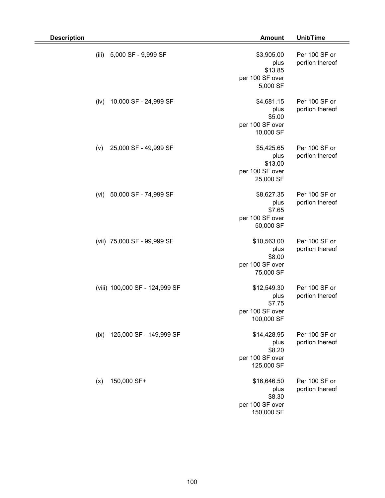| <b>Description</b> |                                | <b>Amount</b>                                                  | Unit/Time                        |
|--------------------|--------------------------------|----------------------------------------------------------------|----------------------------------|
| (iii)              | 5,000 SF - 9,999 SF            | \$3,905.00<br>plus<br>\$13.85<br>per 100 SF over<br>5,000 SF   | Per 100 SF or<br>portion thereof |
| (iv)               | 10,000 SF - 24,999 SF          | \$4,681.15<br>plus<br>\$5.00<br>per 100 SF over<br>10,000 SF   | Per 100 SF or<br>portion thereof |
| (v)                | 25,000 SF - 49,999 SF          | \$5,425.65<br>plus<br>\$13.00<br>per 100 SF over<br>25,000 SF  | Per 100 SF or<br>portion thereof |
| (vi)               | 50,000 SF - 74,999 SF          | \$8,627.35<br>plus<br>\$7.65<br>per 100 SF over<br>50,000 SF   | Per 100 SF or<br>portion thereof |
|                    | (vii) 75,000 SF - 99,999 SF    | \$10,563.00<br>plus<br>\$8.00<br>per 100 SF over<br>75,000 SF  | Per 100 SF or<br>portion thereof |
|                    | (viii) 100,000 SF - 124,999 SF | \$12,549.30<br>plus<br>\$7.75<br>per 100 SF over<br>100,000 SF | Per 100 SF or<br>portion thereof |
| (ix)               | 125,000 SF - 149,999 SF        | \$14,428.95<br>plus<br>\$8.20<br>per 100 SF over<br>125,000 SF | Per 100 SF or<br>portion thereof |
| (x)                | 150,000 SF+                    | \$16,646.50<br>plus<br>\$8.30<br>per 100 SF over<br>150,000 SF | Per 100 SF or<br>portion thereof |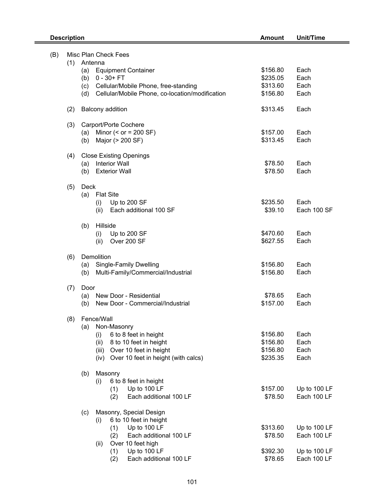| Misc Plan Check Fees<br>(B)<br>Antenna<br>(1)<br>\$156.80<br><b>Equipment Container</b><br>Each<br>(a)<br>$0 - 30 + FT$<br>\$235.05<br>(b)<br>Each<br>\$313.60<br>Cellular/Mobile Phone, free-standing<br>Each<br>(c)<br>Cellular/Mobile Phone, co-location/modification<br>\$156.80<br>Each<br>(d)<br><b>Balcony addition</b><br>Each<br>(2)<br>\$313.45<br>(3)<br>Carport/Porte Cochere<br>Minor $(<$ or = 200 SF)<br>\$157.00<br>Each<br>(a)<br>Major (> 200 SF)<br>\$313.45<br>Each<br>(b)<br><b>Close Existing Openings</b><br>(4)<br><b>Interior Wall</b><br>\$78.50<br>Each<br>(a)<br>\$78.50<br>Each<br><b>Exterior Wall</b><br>(b)<br>Deck<br>(5)<br><b>Flat Site</b><br>(a)<br>\$235.50<br>Each<br>Up to 200 SF<br>(i)<br>\$39.10<br>Each additional 100 SF<br>Each 100 SF<br>(ii)<br>Hillside<br>(b)<br>\$470.60<br>Each<br>Up to 200 SF<br>(i)<br>Over 200 SF<br>\$627.55<br>Each<br>(ii)<br>Demolition<br>(6)<br>\$156.80<br>Each<br><b>Single-Family Dwelling</b><br>(a)<br>Multi-Family/Commercial/Industrial<br>\$156.80<br>Each<br>(b)<br>(7)<br>Door<br>New Door - Residential<br>\$78.65<br>Each<br>(a)<br>\$157.00<br>New Door - Commercial/Industrial<br>Each<br>(b)<br>Fence/Wall<br>(8)<br>Non-Masonry<br>(a)<br>6 to 8 feet in height<br>\$156.80<br>Each<br>(i)<br>\$156.80<br>Each<br>(ii)<br>8 to 10 feet in height<br>\$156.80<br>Over 10 feet in height<br>Each<br>(iii)<br>\$235.35<br>Each<br>(iv) Over 10 feet in height (with calcs)<br>Masonry<br>(b)<br>6 to 8 feet in height<br>(i)<br>Up to 100 LF<br>\$157.00<br>Up to 100 LF<br>(1)<br>Each additional 100 LF<br>Each 100 LF<br>\$78.50<br>(2)<br>Masonry, Special Design<br>(c)<br>6 to 10 feet in height<br>(i)<br>Up to 100 LF<br>\$313.60<br>Up to 100 LF<br>(1)<br>Each additional 100 LF<br>\$78.50<br>Each 100 LF<br>(2)<br>Over 10 feet high<br>(ii)<br>Up to 100 LF<br>\$392.30<br>(1)<br>Up to 100 LF | <b>Description</b> |                               | <b>Amount</b> | Unit/Time   |
|--------------------------------------------------------------------------------------------------------------------------------------------------------------------------------------------------------------------------------------------------------------------------------------------------------------------------------------------------------------------------------------------------------------------------------------------------------------------------------------------------------------------------------------------------------------------------------------------------------------------------------------------------------------------------------------------------------------------------------------------------------------------------------------------------------------------------------------------------------------------------------------------------------------------------------------------------------------------------------------------------------------------------------------------------------------------------------------------------------------------------------------------------------------------------------------------------------------------------------------------------------------------------------------------------------------------------------------------------------------------------------------------------------------------------------------------------------------------------------------------------------------------------------------------------------------------------------------------------------------------------------------------------------------------------------------------------------------------------------------------------------------------------------------------------------------------------------------------------------------------------------------------------------|--------------------|-------------------------------|---------------|-------------|
|                                                                                                                                                                                                                                                                                                                                                                                                                                                                                                                                                                                                                                                                                                                                                                                                                                                                                                                                                                                                                                                                                                                                                                                                                                                                                                                                                                                                                                                                                                                                                                                                                                                                                                                                                                                                                                                                                                        |                    |                               |               |             |
|                                                                                                                                                                                                                                                                                                                                                                                                                                                                                                                                                                                                                                                                                                                                                                                                                                                                                                                                                                                                                                                                                                                                                                                                                                                                                                                                                                                                                                                                                                                                                                                                                                                                                                                                                                                                                                                                                                        |                    |                               |               |             |
|                                                                                                                                                                                                                                                                                                                                                                                                                                                                                                                                                                                                                                                                                                                                                                                                                                                                                                                                                                                                                                                                                                                                                                                                                                                                                                                                                                                                                                                                                                                                                                                                                                                                                                                                                                                                                                                                                                        |                    |                               |               |             |
|                                                                                                                                                                                                                                                                                                                                                                                                                                                                                                                                                                                                                                                                                                                                                                                                                                                                                                                                                                                                                                                                                                                                                                                                                                                                                                                                                                                                                                                                                                                                                                                                                                                                                                                                                                                                                                                                                                        |                    |                               |               |             |
|                                                                                                                                                                                                                                                                                                                                                                                                                                                                                                                                                                                                                                                                                                                                                                                                                                                                                                                                                                                                                                                                                                                                                                                                                                                                                                                                                                                                                                                                                                                                                                                                                                                                                                                                                                                                                                                                                                        |                    |                               |               |             |
|                                                                                                                                                                                                                                                                                                                                                                                                                                                                                                                                                                                                                                                                                                                                                                                                                                                                                                                                                                                                                                                                                                                                                                                                                                                                                                                                                                                                                                                                                                                                                                                                                                                                                                                                                                                                                                                                                                        |                    |                               |               |             |
|                                                                                                                                                                                                                                                                                                                                                                                                                                                                                                                                                                                                                                                                                                                                                                                                                                                                                                                                                                                                                                                                                                                                                                                                                                                                                                                                                                                                                                                                                                                                                                                                                                                                                                                                                                                                                                                                                                        |                    |                               |               |             |
|                                                                                                                                                                                                                                                                                                                                                                                                                                                                                                                                                                                                                                                                                                                                                                                                                                                                                                                                                                                                                                                                                                                                                                                                                                                                                                                                                                                                                                                                                                                                                                                                                                                                                                                                                                                                                                                                                                        |                    |                               |               |             |
|                                                                                                                                                                                                                                                                                                                                                                                                                                                                                                                                                                                                                                                                                                                                                                                                                                                                                                                                                                                                                                                                                                                                                                                                                                                                                                                                                                                                                                                                                                                                                                                                                                                                                                                                                                                                                                                                                                        |                    |                               |               |             |
|                                                                                                                                                                                                                                                                                                                                                                                                                                                                                                                                                                                                                                                                                                                                                                                                                                                                                                                                                                                                                                                                                                                                                                                                                                                                                                                                                                                                                                                                                                                                                                                                                                                                                                                                                                                                                                                                                                        |                    |                               |               |             |
|                                                                                                                                                                                                                                                                                                                                                                                                                                                                                                                                                                                                                                                                                                                                                                                                                                                                                                                                                                                                                                                                                                                                                                                                                                                                                                                                                                                                                                                                                                                                                                                                                                                                                                                                                                                                                                                                                                        |                    |                               |               |             |
|                                                                                                                                                                                                                                                                                                                                                                                                                                                                                                                                                                                                                                                                                                                                                                                                                                                                                                                                                                                                                                                                                                                                                                                                                                                                                                                                                                                                                                                                                                                                                                                                                                                                                                                                                                                                                                                                                                        |                    |                               |               |             |
|                                                                                                                                                                                                                                                                                                                                                                                                                                                                                                                                                                                                                                                                                                                                                                                                                                                                                                                                                                                                                                                                                                                                                                                                                                                                                                                                                                                                                                                                                                                                                                                                                                                                                                                                                                                                                                                                                                        |                    |                               |               |             |
|                                                                                                                                                                                                                                                                                                                                                                                                                                                                                                                                                                                                                                                                                                                                                                                                                                                                                                                                                                                                                                                                                                                                                                                                                                                                                                                                                                                                                                                                                                                                                                                                                                                                                                                                                                                                                                                                                                        |                    |                               |               |             |
|                                                                                                                                                                                                                                                                                                                                                                                                                                                                                                                                                                                                                                                                                                                                                                                                                                                                                                                                                                                                                                                                                                                                                                                                                                                                                                                                                                                                                                                                                                                                                                                                                                                                                                                                                                                                                                                                                                        |                    |                               |               |             |
|                                                                                                                                                                                                                                                                                                                                                                                                                                                                                                                                                                                                                                                                                                                                                                                                                                                                                                                                                                                                                                                                                                                                                                                                                                                                                                                                                                                                                                                                                                                                                                                                                                                                                                                                                                                                                                                                                                        |                    |                               |               |             |
|                                                                                                                                                                                                                                                                                                                                                                                                                                                                                                                                                                                                                                                                                                                                                                                                                                                                                                                                                                                                                                                                                                                                                                                                                                                                                                                                                                                                                                                                                                                                                                                                                                                                                                                                                                                                                                                                                                        |                    |                               |               |             |
|                                                                                                                                                                                                                                                                                                                                                                                                                                                                                                                                                                                                                                                                                                                                                                                                                                                                                                                                                                                                                                                                                                                                                                                                                                                                                                                                                                                                                                                                                                                                                                                                                                                                                                                                                                                                                                                                                                        |                    |                               |               |             |
|                                                                                                                                                                                                                                                                                                                                                                                                                                                                                                                                                                                                                                                                                                                                                                                                                                                                                                                                                                                                                                                                                                                                                                                                                                                                                                                                                                                                                                                                                                                                                                                                                                                                                                                                                                                                                                                                                                        |                    |                               |               |             |
|                                                                                                                                                                                                                                                                                                                                                                                                                                                                                                                                                                                                                                                                                                                                                                                                                                                                                                                                                                                                                                                                                                                                                                                                                                                                                                                                                                                                                                                                                                                                                                                                                                                                                                                                                                                                                                                                                                        |                    |                               |               |             |
|                                                                                                                                                                                                                                                                                                                                                                                                                                                                                                                                                                                                                                                                                                                                                                                                                                                                                                                                                                                                                                                                                                                                                                                                                                                                                                                                                                                                                                                                                                                                                                                                                                                                                                                                                                                                                                                                                                        |                    |                               |               |             |
|                                                                                                                                                                                                                                                                                                                                                                                                                                                                                                                                                                                                                                                                                                                                                                                                                                                                                                                                                                                                                                                                                                                                                                                                                                                                                                                                                                                                                                                                                                                                                                                                                                                                                                                                                                                                                                                                                                        |                    |                               |               |             |
|                                                                                                                                                                                                                                                                                                                                                                                                                                                                                                                                                                                                                                                                                                                                                                                                                                                                                                                                                                                                                                                                                                                                                                                                                                                                                                                                                                                                                                                                                                                                                                                                                                                                                                                                                                                                                                                                                                        |                    |                               |               |             |
|                                                                                                                                                                                                                                                                                                                                                                                                                                                                                                                                                                                                                                                                                                                                                                                                                                                                                                                                                                                                                                                                                                                                                                                                                                                                                                                                                                                                                                                                                                                                                                                                                                                                                                                                                                                                                                                                                                        |                    |                               |               |             |
|                                                                                                                                                                                                                                                                                                                                                                                                                                                                                                                                                                                                                                                                                                                                                                                                                                                                                                                                                                                                                                                                                                                                                                                                                                                                                                                                                                                                                                                                                                                                                                                                                                                                                                                                                                                                                                                                                                        |                    |                               |               |             |
|                                                                                                                                                                                                                                                                                                                                                                                                                                                                                                                                                                                                                                                                                                                                                                                                                                                                                                                                                                                                                                                                                                                                                                                                                                                                                                                                                                                                                                                                                                                                                                                                                                                                                                                                                                                                                                                                                                        |                    |                               |               |             |
|                                                                                                                                                                                                                                                                                                                                                                                                                                                                                                                                                                                                                                                                                                                                                                                                                                                                                                                                                                                                                                                                                                                                                                                                                                                                                                                                                                                                                                                                                                                                                                                                                                                                                                                                                                                                                                                                                                        |                    |                               |               |             |
|                                                                                                                                                                                                                                                                                                                                                                                                                                                                                                                                                                                                                                                                                                                                                                                                                                                                                                                                                                                                                                                                                                                                                                                                                                                                                                                                                                                                                                                                                                                                                                                                                                                                                                                                                                                                                                                                                                        |                    |                               |               |             |
|                                                                                                                                                                                                                                                                                                                                                                                                                                                                                                                                                                                                                                                                                                                                                                                                                                                                                                                                                                                                                                                                                                                                                                                                                                                                                                                                                                                                                                                                                                                                                                                                                                                                                                                                                                                                                                                                                                        |                    |                               |               |             |
|                                                                                                                                                                                                                                                                                                                                                                                                                                                                                                                                                                                                                                                                                                                                                                                                                                                                                                                                                                                                                                                                                                                                                                                                                                                                                                                                                                                                                                                                                                                                                                                                                                                                                                                                                                                                                                                                                                        |                    |                               |               |             |
|                                                                                                                                                                                                                                                                                                                                                                                                                                                                                                                                                                                                                                                                                                                                                                                                                                                                                                                                                                                                                                                                                                                                                                                                                                                                                                                                                                                                                                                                                                                                                                                                                                                                                                                                                                                                                                                                                                        |                    |                               |               |             |
|                                                                                                                                                                                                                                                                                                                                                                                                                                                                                                                                                                                                                                                                                                                                                                                                                                                                                                                                                                                                                                                                                                                                                                                                                                                                                                                                                                                                                                                                                                                                                                                                                                                                                                                                                                                                                                                                                                        |                    |                               |               |             |
|                                                                                                                                                                                                                                                                                                                                                                                                                                                                                                                                                                                                                                                                                                                                                                                                                                                                                                                                                                                                                                                                                                                                                                                                                                                                                                                                                                                                                                                                                                                                                                                                                                                                                                                                                                                                                                                                                                        |                    |                               |               |             |
|                                                                                                                                                                                                                                                                                                                                                                                                                                                                                                                                                                                                                                                                                                                                                                                                                                                                                                                                                                                                                                                                                                                                                                                                                                                                                                                                                                                                                                                                                                                                                                                                                                                                                                                                                                                                                                                                                                        |                    |                               |               |             |
|                                                                                                                                                                                                                                                                                                                                                                                                                                                                                                                                                                                                                                                                                                                                                                                                                                                                                                                                                                                                                                                                                                                                                                                                                                                                                                                                                                                                                                                                                                                                                                                                                                                                                                                                                                                                                                                                                                        |                    |                               |               |             |
|                                                                                                                                                                                                                                                                                                                                                                                                                                                                                                                                                                                                                                                                                                                                                                                                                                                                                                                                                                                                                                                                                                                                                                                                                                                                                                                                                                                                                                                                                                                                                                                                                                                                                                                                                                                                                                                                                                        |                    |                               |               |             |
|                                                                                                                                                                                                                                                                                                                                                                                                                                                                                                                                                                                                                                                                                                                                                                                                                                                                                                                                                                                                                                                                                                                                                                                                                                                                                                                                                                                                                                                                                                                                                                                                                                                                                                                                                                                                                                                                                                        |                    |                               |               |             |
|                                                                                                                                                                                                                                                                                                                                                                                                                                                                                                                                                                                                                                                                                                                                                                                                                                                                                                                                                                                                                                                                                                                                                                                                                                                                                                                                                                                                                                                                                                                                                                                                                                                                                                                                                                                                                                                                                                        |                    |                               |               |             |
|                                                                                                                                                                                                                                                                                                                                                                                                                                                                                                                                                                                                                                                                                                                                                                                                                                                                                                                                                                                                                                                                                                                                                                                                                                                                                                                                                                                                                                                                                                                                                                                                                                                                                                                                                                                                                                                                                                        |                    |                               |               |             |
|                                                                                                                                                                                                                                                                                                                                                                                                                                                                                                                                                                                                                                                                                                                                                                                                                                                                                                                                                                                                                                                                                                                                                                                                                                                                                                                                                                                                                                                                                                                                                                                                                                                                                                                                                                                                                                                                                                        |                    |                               |               |             |
|                                                                                                                                                                                                                                                                                                                                                                                                                                                                                                                                                                                                                                                                                                                                                                                                                                                                                                                                                                                                                                                                                                                                                                                                                                                                                                                                                                                                                                                                                                                                                                                                                                                                                                                                                                                                                                                                                                        |                    | Each additional 100 LF<br>(2) | \$78.65       | Each 100 LF |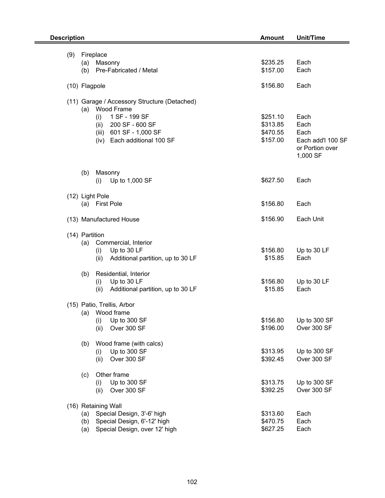| <b>Description</b> |     |                                                               | <b>Amount</b>        | <b>Unit/Time</b>  |  |
|--------------------|-----|---------------------------------------------------------------|----------------------|-------------------|--|
|                    |     |                                                               |                      |                   |  |
| (9)                |     | Fireplace                                                     |                      |                   |  |
|                    |     | (a) Masonry                                                   | \$235.25             | Each              |  |
|                    | (b) | Pre-Fabricated / Metal                                        | \$157.00             | Each              |  |
|                    |     | (10) Flagpole                                                 | \$156.80             | Each              |  |
|                    |     | (11) Garage / Accessory Structure (Detached)                  |                      |                   |  |
|                    |     | (a) Wood Frame                                                |                      |                   |  |
|                    |     | 1 SF - 199 SF<br>(i)                                          | \$251.10             | Each              |  |
|                    |     | 200 SF - 600 SF<br>(ii)                                       | \$313.85             | Each              |  |
|                    |     | 601 SF - 1,000 SF<br>(iii)                                    | \$470.55             | Each              |  |
|                    |     | Each additional 100 SF<br>(iv)                                | \$157.00             | Each add'l 100 SF |  |
|                    |     |                                                               |                      | or Portion over   |  |
|                    |     |                                                               |                      | 1,000 SF          |  |
|                    |     |                                                               |                      |                   |  |
|                    | (b) | Masonry<br>Up to 1,000 SF<br>(i)                              | \$627.50             | Each              |  |
|                    |     |                                                               |                      |                   |  |
|                    |     | (12) Light Pole                                               |                      |                   |  |
|                    |     | (a) First Pole                                                | \$156.80             | Each              |  |
|                    |     | (13) Manufactured House                                       | \$156.90             | Each Unit         |  |
|                    |     |                                                               |                      |                   |  |
|                    |     | (14) Partition                                                |                      |                   |  |
|                    | (a) | Commercial, Interior                                          |                      |                   |  |
|                    |     | Up to 30 LF<br>(i)                                            | \$156.80             | Up to 30 LF       |  |
|                    |     | Additional partition, up to 30 LF<br>(ii)                     | \$15.85              | Each              |  |
|                    | (b) | Residential, Interior                                         |                      |                   |  |
|                    |     | Up to 30 LF<br>(i)                                            | \$156.80             | Up to 30 LF       |  |
|                    |     | Additional partition, up to 30 LF<br>(ii)                     | \$15.85              | Each              |  |
|                    |     | (15) Patio, Trellis, Arbor                                    |                      |                   |  |
|                    | (a) | Wood frame                                                    |                      |                   |  |
|                    |     | Up to 300 SF<br>(i)                                           | \$156.80             | Up to 300 SF      |  |
|                    |     | Over 300 SF<br>(ii)                                           | \$196.00             | Over 300 SF       |  |
|                    | (b) | Wood frame (with calcs)                                       |                      |                   |  |
|                    |     | Up to 300 SF<br>(i)                                           | \$313.95             | Up to 300 SF      |  |
|                    |     | Over 300 SF<br>(ii)                                           | \$392.45             | Over 300 SF       |  |
|                    | (c) | Other frame                                                   |                      |                   |  |
|                    |     | Up to 300 SF<br>(i)                                           | \$313.75             | Up to 300 SF      |  |
|                    |     | Over 300 SF<br>(ii)                                           | \$392.25             | Over 300 SF       |  |
|                    |     |                                                               |                      |                   |  |
|                    |     | (16) Retaining Wall                                           |                      |                   |  |
|                    | (b) | (a) Special Design, 3'-6' high<br>Special Design, 6'-12' high | \$313.60<br>\$470.75 | Each<br>Each      |  |
|                    | (a) | Special Design, over 12' high                                 | \$627.25             | Each              |  |
|                    |     |                                                               |                      |                   |  |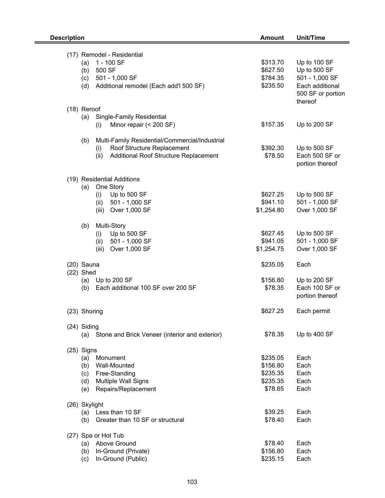| <b>Description</b> |                                                       | <b>Amount</b> | Unit/Time         |  |
|--------------------|-------------------------------------------------------|---------------|-------------------|--|
|                    |                                                       |               |                   |  |
|                    | (17) Remodel - Residential                            |               |                   |  |
|                    | 1 - 100 SF<br>(a)                                     | \$313.70      | Up to 100 SF      |  |
|                    | 500 SF<br>(b)                                         | \$627.50      | Up to 500 SF      |  |
|                    | 501 - 1,000 SF<br>(c)                                 | \$784.35      | 501 - 1,000 SF    |  |
|                    | Additional remodel (Each add'l 500 SF)<br>(d)         | \$235.50      | Each additional   |  |
|                    |                                                       |               | 500 SF or portion |  |
|                    |                                                       |               | thereof           |  |
|                    | (18) Reroof                                           |               |                   |  |
|                    | Single-Family Residential<br>(a)                      |               |                   |  |
|                    | Minor repair (< 200 SF)<br>(i)                        | \$157.35      | Up to 200 SF      |  |
|                    |                                                       |               |                   |  |
|                    | (b)<br>Multi-Family Residential/Commercial/Industrial |               |                   |  |
|                    | Roof Structure Replacement<br>(i)                     | \$392.30      | Up to 500 SF      |  |
|                    | Additional Roof Structure Replacement<br>(ii)         | \$78.50       | Each 500 SF or    |  |
|                    |                                                       |               | portion thereof   |  |
|                    |                                                       |               |                   |  |
|                    | (19) Residential Additions<br>One Story<br>(a)        |               |                   |  |
|                    | Up to 500 SF                                          | \$627.25      | Up to 500 SF      |  |
|                    | (i)                                                   | \$941.10      | 501 - 1,000 SF    |  |
|                    | 501 - 1,000 SF<br>(ii)                                |               | Over 1,000 SF     |  |
|                    | Over 1,000 SF<br>(iii)                                | \$1,254.80    |                   |  |
|                    | Multi-Story<br>(b)                                    |               |                   |  |
|                    | Up to 500 SF<br>(i)                                   | \$627.45      | Up to 500 SF      |  |
|                    | 501 - 1,000 SF<br>(ii)                                | \$941.05      | 501 - 1,000 SF    |  |
|                    | (iii)<br>Over 1,000 SF                                | \$1,254.75    | Over 1,000 SF     |  |
|                    |                                                       |               |                   |  |
|                    | $(20)$ Sauna                                          | \$235.05      | Each              |  |
|                    | $(22)$ Shed                                           |               |                   |  |
|                    | (a) Up to 200 SF                                      | \$156.80      | Up to 200 SF      |  |
|                    | Each additional 100 SF over 200 SF<br>(b)             | \$78.35       | Each 100 SF or    |  |
|                    |                                                       |               | portion thereof   |  |
|                    |                                                       |               |                   |  |
|                    | (23) Shoring                                          | \$627.25      | Each permit       |  |
|                    |                                                       |               |                   |  |
|                    | (24) Siding                                           |               |                   |  |
|                    | (a) Stone and Brick Veneer (interior and exterior)    | \$78.35       | Up to 400 SF      |  |
|                    | $(25)$ Signs                                          |               |                   |  |
|                    | Monument<br>(a)                                       | \$235.05      | Each              |  |
|                    | <b>Wall-Mounted</b><br>(b)                            | \$156.80      | Each              |  |
|                    | Free-Standing<br>(c)                                  | \$235.35      | Each              |  |
|                    | Multiple Wall Signs<br>(d)                            | \$235.35      | Each              |  |
|                    | Repairs/Replacement<br>(e)                            | \$78.65       | Each              |  |
|                    |                                                       |               |                   |  |
|                    | (26) Skylight                                         |               |                   |  |
|                    | (a) Less than 10 SF                                   | \$39.25       | Each              |  |
|                    | Greater than 10 SF or structural<br>(b)               | \$78.40       | Each              |  |
|                    |                                                       |               |                   |  |
|                    | (27) Spa or Hot Tub                                   |               |                   |  |
|                    | (a) Above Ground                                      | \$78.40       | Each              |  |
|                    | In-Ground (Private)<br>(b)                            | \$156.80      | Each              |  |
|                    | In-Ground (Public)<br>(c)                             | \$235.15      | Each              |  |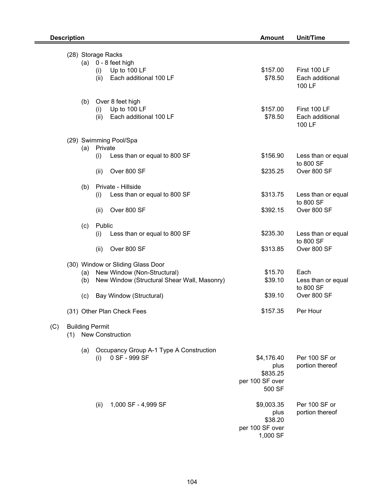(C)

|                               |                    | (28) Storage Racks                                                                                                  |                                                              |                                           |
|-------------------------------|--------------------|---------------------------------------------------------------------------------------------------------------------|--------------------------------------------------------------|-------------------------------------------|
|                               | (a)<br>(i)<br>(ii) | 0 - 8 feet high<br>Up to 100 LF<br>Each additional 100 LF                                                           | \$157.00<br>\$78.50                                          | First 100 LF<br>Each additional<br>100 LF |
|                               | (b)<br>(i)         | Over 8 feet high<br>Up to 100 LF<br>Each additional 100 LF<br>(ii)                                                  | \$157.00<br>\$78.50                                          | First 100 LF<br>Each additional<br>100 LF |
|                               |                    | (29) Swimming Pool/Spa                                                                                              |                                                              |                                           |
|                               | (a) Private<br>(i) | Less than or equal to 800 SF                                                                                        | \$156.90                                                     | Less than or equal                        |
|                               | (ii)               | Over 800 SF                                                                                                         | \$235.25                                                     | to 800 SF<br>Over 800 SF                  |
|                               | (b)<br>(i)         | Private - Hillside<br>Less than or equal to 800 SF                                                                  | \$313.75                                                     | Less than or equal                        |
|                               | (ii)               | Over 800 SF                                                                                                         | \$392.15                                                     | to 800 SF<br>Over 800 SF                  |
|                               | (c)                | Public                                                                                                              |                                                              |                                           |
|                               | (i)                | Less than or equal to 800 SF                                                                                        | \$235.30                                                     | Less than or equal<br>to 800 SF           |
|                               | (ii)               | Over 800 SF                                                                                                         | \$313.85                                                     | Over 800 SF                               |
|                               | (b)                | (30) Window or Sliding Glass Door<br>(a) New Window (Non-Structural)<br>New Window (Structural Shear Wall, Masonry) | \$15.70<br>\$39.10                                           | Each<br>Less than or equal<br>to 800 SF   |
|                               | (c)                | Bay Window (Structural)                                                                                             | \$39.10                                                      | Over 800 SF                               |
|                               |                    | (31) Other Plan Check Fees                                                                                          | \$157.35                                                     | Per Hour                                  |
| <b>Building Permit</b><br>(1) |                    | <b>New Construction</b>                                                                                             |                                                              |                                           |
|                               | (a)<br>(i)         | Occupancy Group A-1 Type A Construction<br>0 SF - 999 SF                                                            | \$4,176.40<br>plus<br>\$835.25<br>per 100 SF over<br>500 SF  | Per 100 SF or<br>portion thereof          |
|                               | (ii)               | 1,000 SF - 4,999 SF                                                                                                 | \$9,003.35<br>plus<br>\$38.20<br>per 100 SF over<br>1,000 SF | Per 100 SF or<br>portion thereof          |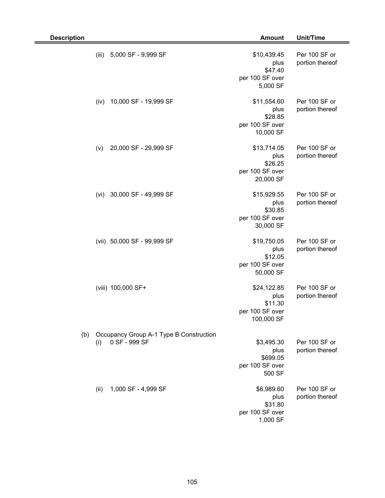| <b>Description</b> |       |                                                          | <b>Amount</b>                                                   | Unit/Time                        |
|--------------------|-------|----------------------------------------------------------|-----------------------------------------------------------------|----------------------------------|
|                    | (iii) | 5,000 SF - 9,999 SF                                      | \$10,439.45<br>plus<br>\$47.40<br>per 100 SF over<br>5,000 SF   | Per 100 SF or<br>portion thereof |
|                    | (iv)  | 10,000 SF - 19,999 SF                                    | \$11,554.60<br>plus<br>\$28.85<br>per 100 SF over<br>10,000 SF  | Per 100 SF or<br>portion thereof |
|                    | (v)   | 20,000 SF - 29,999 SF                                    | \$13,714.05<br>plus<br>\$26.25<br>per 100 SF over<br>20,000 SF  | Per 100 SF or<br>portion thereof |
|                    | (vi)  | 30,000 SF - 49,999 SF                                    | \$15,929.55<br>plus<br>\$30.85<br>per 100 SF over<br>30,000 SF  | Per 100 SF or<br>portion thereof |
|                    |       | (vii) 50,000 SF - 99,999 SF                              | \$19,750.05<br>plus<br>\$12.05<br>per 100 SF over<br>50,000 SF  | Per 100 SF or<br>portion thereof |
|                    |       | (viii) 100,000 SF+                                       | \$24,122.85<br>plus<br>\$11.30<br>per 100 SF over<br>100,000 SF | Per 100 SF or<br>portion thereof |
| (b)                | (i)   | Occupancy Group A-1 Type B Construction<br>0 SF - 999 SF | \$3,495.30<br>plus<br>\$699.05<br>per 100 SF over<br>500 SF     | Per 100 SF or<br>portion thereof |
|                    | (ii)  | 1,000 SF - 4,999 SF                                      | \$6,989.60<br>plus<br>\$31.80<br>per 100 SF over<br>1,000 SF    | Per 100 SF or<br>portion thereof |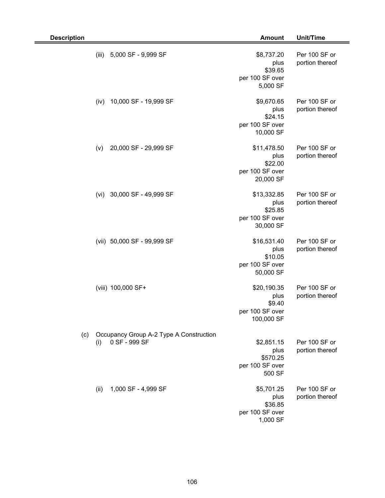| <b>Description</b> |       |                                                          | <b>Amount</b>                                                  | Unit/Time                        |
|--------------------|-------|----------------------------------------------------------|----------------------------------------------------------------|----------------------------------|
|                    | (iii) | 5,000 SF - 9,999 SF                                      | \$8,737.20<br>plus<br>\$39.65<br>per 100 SF over<br>5,000 SF   | Per 100 SF or<br>portion thereof |
|                    | (iv)  | 10,000 SF - 19,999 SF                                    | \$9,670.65<br>plus<br>\$24.15<br>per 100 SF over<br>10,000 SF  | Per 100 SF or<br>portion thereof |
|                    | (v)   | 20,000 SF - 29,999 SF                                    | \$11,478.50<br>plus<br>\$22.00<br>per 100 SF over<br>20,000 SF | Per 100 SF or<br>portion thereof |
|                    | (vi)  | 30,000 SF - 49,999 SF                                    | \$13,332.85<br>plus<br>\$25.85<br>per 100 SF over<br>30,000 SF | Per 100 SF or<br>portion thereof |
|                    |       | (vii) 50,000 SF - 99,999 SF                              | \$16,531.40<br>plus<br>\$10.05<br>per 100 SF over<br>50,000 SF | Per 100 SF or<br>portion thereof |
|                    |       | (viii) 100,000 SF+                                       | \$20,190.35<br>plus<br>\$9.40<br>per 100 SF over<br>100,000 SF | Per 100 SF or<br>portion thereof |
| (c)                | (i)   | Occupancy Group A-2 Type A Construction<br>0 SF - 999 SF | \$2,851.15<br>plus<br>\$570.25<br>per 100 SF over<br>500 SF    | Per 100 SF or<br>portion thereof |
|                    | (ii)  | 1,000 SF - 4,999 SF                                      | \$5,701.25<br>plus<br>\$36.85<br>per 100 SF over<br>1,000 SF   | Per 100 SF or<br>portion thereof |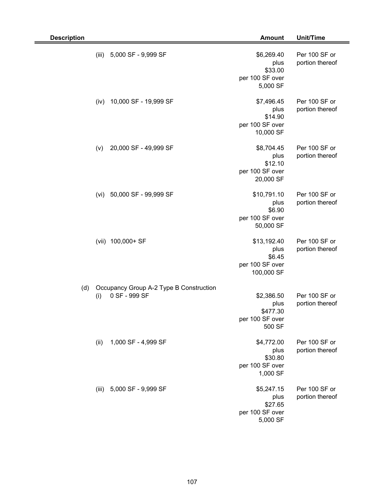| <b>Description</b> |                                                                 | <b>Amount</b>                                                  | Unit/Time                        |
|--------------------|-----------------------------------------------------------------|----------------------------------------------------------------|----------------------------------|
|                    | (iii)<br>5,000 SF - 9,999 SF                                    | \$6,269.40<br>plus<br>\$33.00<br>per 100 SF over<br>5,000 SF   | Per 100 SF or<br>portion thereof |
|                    | 10,000 SF - 19,999 SF<br>(iv)                                   | \$7,496.45<br>plus<br>\$14.90<br>per 100 SF over<br>10,000 SF  | Per 100 SF or<br>portion thereof |
|                    | 20,000 SF - 49,999 SF<br>(v)                                    | \$8,704.45<br>plus<br>\$12.10<br>per 100 SF over<br>20,000 SF  | Per 100 SF or<br>portion thereof |
|                    | 50,000 SF - 99,999 SF<br>(vi)                                   | \$10,791.10<br>plus<br>\$6.90<br>per 100 SF over<br>50,000 SF  | Per 100 SF or<br>portion thereof |
|                    | 100,000+ SF<br>(vii)                                            | \$13,192.40<br>plus<br>\$6.45<br>per 100 SF over<br>100,000 SF | Per 100 SF or<br>portion thereof |
| (d)                | Occupancy Group A-2 Type B Construction<br>0 SF - 999 SF<br>(i) | \$2,386.50<br>plus<br>\$477.30<br>per 100 SF over<br>500 SF    | Per 100 SF or<br>portion thereof |
|                    | 1,000 SF - 4,999 SF<br>(ii)                                     | \$4,772.00<br>plus<br>\$30.80<br>per 100 SF over<br>1,000 SF   | Per 100 SF or<br>portion thereof |
|                    | 5,000 SF - 9,999 SF<br>(iii)                                    | \$5,247.15<br>plus<br>\$27.65<br>per 100 SF over<br>5,000 SF   | Per 100 SF or<br>portion thereof |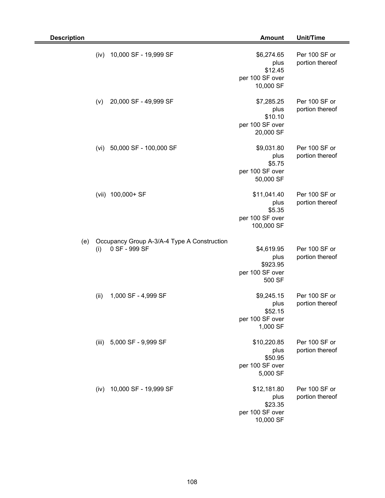| <b>Description</b> |       |                                                              | <b>Amount</b>                                                  | Unit/Time                        |
|--------------------|-------|--------------------------------------------------------------|----------------------------------------------------------------|----------------------------------|
|                    | (iv)  | 10,000 SF - 19,999 SF                                        | \$6,274.65<br>plus<br>\$12.45<br>per 100 SF over<br>10,000 SF  | Per 100 SF or<br>portion thereof |
|                    | (v)   | 20,000 SF - 49,999 SF                                        | \$7,285.25<br>plus<br>\$10.10<br>per 100 SF over<br>20,000 SF  | Per 100 SF or<br>portion thereof |
|                    | (vi)  | 50,000 SF - 100,000 SF                                       | \$9,031.80<br>plus<br>\$5.75<br>per 100 SF over<br>50,000 SF   | Per 100 SF or<br>portion thereof |
|                    | (vii) | 100,000+ SF                                                  | \$11,041.40<br>plus<br>\$5.35<br>per 100 SF over<br>100,000 SF | Per 100 SF or<br>portion thereof |
| (e)                | (i)   | Occupancy Group A-3/A-4 Type A Construction<br>0 SF - 999 SF | \$4,619.95<br>plus<br>\$923.95<br>per 100 SF over<br>500 SF    | Per 100 SF or<br>portion thereof |
|                    | (ii)  | 1,000 SF - 4,999 SF                                          | \$9,245.15<br>plus<br>\$52.15<br>per 100 SF over<br>1,000 SF   | Per 100 SF or<br>portion thereof |
|                    |       | (iii) 5,000 SF - 9,999 SF                                    | \$10,220.85<br>plus<br>\$50.95<br>per 100 SF over<br>5,000 SF  | Per 100 SF or<br>portion thereof |
|                    | (iv)  | 10,000 SF - 19,999 SF                                        | \$12,181.80<br>plus<br>\$23.35<br>per 100 SF over<br>10,000 SF | Per 100 SF or<br>portion thereof |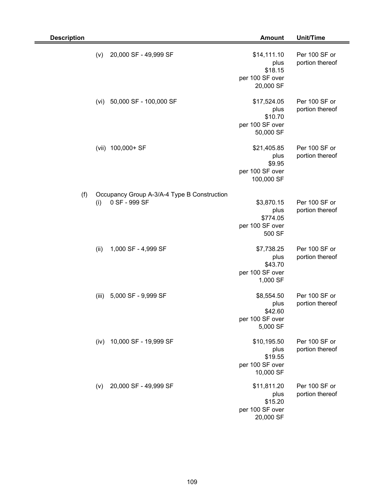| <b>Description</b> |       |                                                              | <b>Amount</b>                                                  | Unit/Time                        |
|--------------------|-------|--------------------------------------------------------------|----------------------------------------------------------------|----------------------------------|
|                    | (v)   | 20,000 SF - 49,999 SF                                        | \$14,111.10<br>plus<br>\$18.15<br>per 100 SF over<br>20,000 SF | Per 100 SF or<br>portion thereof |
|                    | (vi)  | 50,000 SF - 100,000 SF                                       | \$17,524.05<br>plus<br>\$10.70<br>per 100 SF over<br>50,000 SF | Per 100 SF or<br>portion thereof |
|                    | (vii) | 100,000+ SF                                                  | \$21,405.85<br>plus<br>\$9.95<br>per 100 SF over<br>100,000 SF | Per 100 SF or<br>portion thereof |
| (f)                | (i)   | Occupancy Group A-3/A-4 Type B Construction<br>0 SF - 999 SF | \$3,870.15<br>plus<br>\$774.05<br>per 100 SF over<br>500 SF    | Per 100 SF or<br>portion thereof |
|                    | (ii)  | 1,000 SF - 4,999 SF                                          | \$7,738.25<br>plus<br>\$43.70<br>per 100 SF over<br>1,000 SF   | Per 100 SF or<br>portion thereof |
|                    | (iii) | 5,000 SF - 9,999 SF                                          | \$8,554.50<br>plus<br>\$42.60<br>per 100 SF over<br>5,000 SF   | Per 100 SF or<br>portion thereof |
|                    | (iv)  | 10,000 SF - 19,999 SF                                        | \$10,195.50<br>plus<br>\$19.55<br>per 100 SF over<br>10,000 SF | Per 100 SF or<br>portion thereof |
|                    | (v)   | 20,000 SF - 49,999 SF                                        | \$11,811.20<br>plus<br>\$15.20<br>per 100 SF over<br>20,000 SF | Per 100 SF or<br>portion thereof |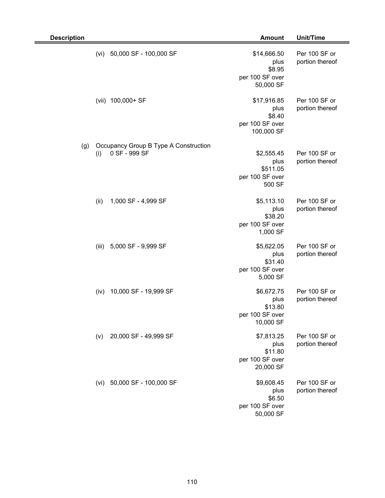| <b>Description</b> |                                                               | <b>Amount</b>                                                  | Unit/Time                        |
|--------------------|---------------------------------------------------------------|----------------------------------------------------------------|----------------------------------|
|                    | 50,000 SF - 100,000 SF<br>(vi)                                | \$14,666.50<br>plus<br>\$8.95<br>per 100 SF over<br>50,000 SF  | Per 100 SF or<br>portion thereof |
|                    | (vii) 100,000+ SF                                             | \$17,916.85<br>plus<br>\$8.40<br>per 100 SF over<br>100,000 SF | Per 100 SF or<br>portion thereof |
| (g)                | Occupancy Group B Type A Construction<br>0 SF - 999 SF<br>(i) | \$2,555.45<br>plus<br>\$511.05<br>per 100 SF over<br>500 SF    | Per 100 SF or<br>portion thereof |
|                    | (ii)<br>1,000 SF - 4,999 SF                                   | \$5,113.10<br>plus<br>\$38.20<br>per 100 SF over<br>1,000 SF   | Per 100 SF or<br>portion thereof |
|                    | (iii)<br>5,000 SF - 9,999 SF                                  | \$5,622.05<br>plus<br>\$31.40<br>per 100 SF over<br>5,000 SF   | Per 100 SF or<br>portion thereof |
|                    | 10,000 SF - 19,999 SF<br>(iv)                                 | \$6,672.75<br>plus<br>\$13.80<br>per 100 SF over<br>10,000 SF  | Per 100 SF or<br>portion thereof |
|                    | 20,000 SF - 49,999 SF<br>(v)                                  | \$7,813.25<br>plus<br>\$11.80<br>per 100 SF over<br>20,000 SF  | Per 100 SF or<br>portion thereof |
|                    | 50,000 SF - 100,000 SF<br>(vi)                                | \$9,608.45<br>plus<br>\$6.50<br>per 100 SF over<br>50,000 SF   | Per 100 SF or<br>portion thereof |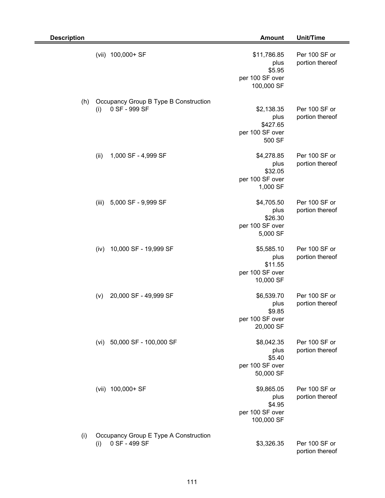| <b>Description</b> |       |                                                        | <b>Amount</b>                                                  | Unit/Time                        |
|--------------------|-------|--------------------------------------------------------|----------------------------------------------------------------|----------------------------------|
|                    |       | (vii) 100,000+ SF                                      | \$11,786.85<br>plus<br>\$5.95<br>per 100 SF over<br>100,000 SF | Per 100 SF or<br>portion thereof |
| (h)                | (i)   | Occupancy Group B Type B Construction<br>0 SF - 999 SF | \$2,138.35<br>plus<br>\$427.65<br>per 100 SF over<br>500 SF    | Per 100 SF or<br>portion thereof |
|                    | (ii)  | 1,000 SF - 4,999 SF                                    | \$4,278.85<br>plus<br>\$32.05<br>per 100 SF over<br>1,000 SF   | Per 100 SF or<br>portion thereof |
|                    | (iii) | 5,000 SF - 9,999 SF                                    | \$4,705.50<br>plus<br>\$26.30<br>per 100 SF over<br>5,000 SF   | Per 100 SF or<br>portion thereof |
|                    | (iv)  | 10,000 SF - 19,999 SF                                  | \$5,585.10<br>plus<br>\$11.55<br>per 100 SF over<br>10,000 SF  | Per 100 SF or<br>portion thereof |
|                    | (v)   | 20,000 SF - 49,999 SF                                  | \$6,539.70<br>plus<br>\$9.85<br>per 100 SF over<br>20,000 SF   | Per 100 SF or<br>portion thereof |
|                    | (vi)  | 50,000 SF - 100,000 SF                                 | \$8,042.35<br>plus<br>\$5.40<br>per 100 SF over<br>50,000 SF   | Per 100 SF or<br>portion thereof |
|                    |       | (vii) 100,000+ SF                                      | \$9,865.05<br>plus<br>\$4.95<br>per 100 SF over<br>100,000 SF  | Per 100 SF or<br>portion thereof |
| (i)                | (i)   | Occupancy Group E Type A Construction<br>0 SF - 499 SF | \$3,326.35                                                     | Per 100 SF or<br>portion thereof |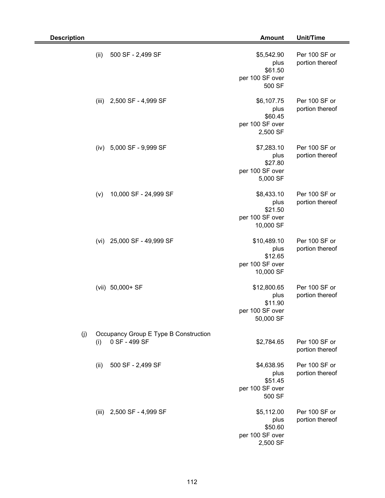| <b>Description</b>                                                   | <b>Amount</b>                                                  | Unit/Time                        |
|----------------------------------------------------------------------|----------------------------------------------------------------|----------------------------------|
| (ii)<br>500 SF - 2,499 SF                                            | \$5,542.90<br>plus<br>\$61.50<br>per 100 SF over<br>500 SF     | Per 100 SF or<br>portion thereof |
| 2,500 SF - 4,999 SF<br>(iii)                                         | \$6,107.75<br>plus<br>\$60.45<br>per 100 SF over<br>2,500 SF   | Per 100 SF or<br>portion thereof |
| 5,000 SF - 9,999 SF<br>(iv)                                          | \$7,283.10<br>plus<br>\$27.80<br>per 100 SF over<br>5,000 SF   | Per 100 SF or<br>portion thereof |
| 10,000 SF - 24,999 SF<br>(v)                                         | \$8,433.10<br>plus<br>\$21.50<br>per 100 SF over<br>10,000 SF  | Per 100 SF or<br>portion thereof |
| 25,000 SF - 49,999 SF<br>(vi)                                        | \$10,489.10<br>plus<br>\$12.65<br>per 100 SF over<br>10,000 SF | Per 100 SF or<br>portion thereof |
| (vii) 50,000+ SF                                                     | \$12,800.65<br>plus<br>\$11.90<br>per 100 SF over<br>50,000 SF | Per 100 SF or<br>portion thereof |
| Occupancy Group E Type B Construction<br>(j)<br>0 SF - 499 SF<br>(i) | \$2,784.65                                                     | Per 100 SF or<br>portion thereof |
| 500 SF - 2,499 SF<br>(ii)                                            | \$4,638.95<br>plus<br>\$51.45<br>per 100 SF over<br>500 SF     | Per 100 SF or<br>portion thereof |
| (iii) 2,500 SF - 4,999 SF                                            | \$5,112.00<br>plus<br>\$50.60<br>per 100 SF over<br>2,500 SF   | Per 100 SF or<br>portion thereof |

2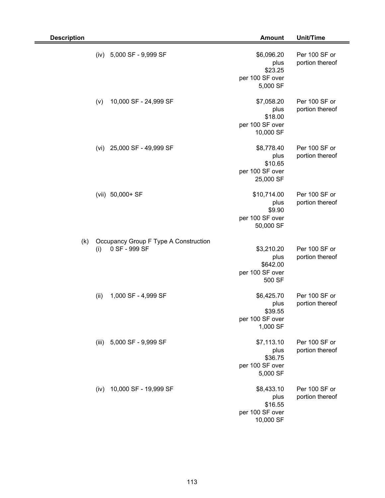| <b>Description</b> |      |                                                        | <b>Amount</b>                                                 | Unit/Time                        |
|--------------------|------|--------------------------------------------------------|---------------------------------------------------------------|----------------------------------|
|                    | (iv) | 5,000 SF - 9,999 SF                                    | \$6,096.20<br>plus<br>\$23.25<br>per 100 SF over<br>5,000 SF  | Per 100 SF or<br>portion thereof |
|                    | (v)  | 10,000 SF - 24,999 SF                                  | \$7,058.20<br>plus<br>\$18.00<br>per 100 SF over<br>10,000 SF | Per 100 SF or<br>portion thereof |
|                    | (vi) | 25,000 SF - 49,999 SF                                  | \$8,778.40<br>plus<br>\$10.65<br>per 100 SF over<br>25,000 SF | Per 100 SF or<br>portion thereof |
|                    |      | (vii) 50,000+ SF                                       | \$10,714.00<br>plus<br>\$9.90<br>per 100 SF over<br>50,000 SF | Per 100 SF or<br>portion thereof |
| (k)                | (i)  | Occupancy Group F Type A Construction<br>0 SF - 999 SF | \$3,210.20<br>plus<br>\$642.00<br>per 100 SF over<br>500 SF   | Per 100 SF or<br>portion thereof |
|                    | (ii) | 1,000 SF - 4,999 SF                                    | \$6,425.70<br>plus<br>\$39.55<br>per 100 SF over<br>1,000 SF  | Per 100 SF or<br>portion thereof |
|                    |      | (iii) 5,000 SF - 9,999 SF                              | \$7,113.10<br>plus<br>\$36.75<br>per 100 SF over<br>5,000 SF  | Per 100 SF or<br>portion thereof |
|                    | (iv) | 10,000 SF - 19,999 SF                                  | \$8,433.10<br>plus<br>\$16.55<br>per 100 SF over<br>10,000 SF | Per 100 SF or<br>portion thereof |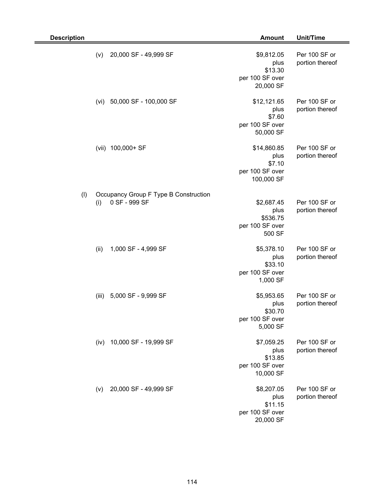| <b>Description</b> |       |                                                        | <b>Amount</b>                                                  | Unit/Time                        |
|--------------------|-------|--------------------------------------------------------|----------------------------------------------------------------|----------------------------------|
|                    | (v)   | 20,000 SF - 49,999 SF                                  | \$9,812.05<br>plus<br>\$13.30<br>per 100 SF over<br>20,000 SF  | Per 100 SF or<br>portion thereof |
|                    | (vi)  | 50,000 SF - 100,000 SF                                 | \$12,121.65<br>plus<br>\$7.60<br>per 100 SF over<br>50,000 SF  | Per 100 SF or<br>portion thereof |
|                    | (vii) | 100,000+ SF                                            | \$14,860.85<br>plus<br>\$7.10<br>per 100 SF over<br>100,000 SF | Per 100 SF or<br>portion thereof |
| (1)                | (i)   | Occupancy Group F Type B Construction<br>0 SF - 999 SF | \$2,687.45<br>plus<br>\$536.75<br>per 100 SF over<br>500 SF    | Per 100 SF or<br>portion thereof |
|                    | (ii)  | 1,000 SF - 4,999 SF                                    | \$5,378.10<br>plus<br>\$33.10<br>per 100 SF over<br>1,000 SF   | Per 100 SF or<br>portion thereof |
|                    | (iii) | 5,000 SF - 9,999 SF                                    | \$5,953.65<br>plus<br>\$30.70<br>per 100 SF over<br>5,000 SF   | Per 100 SF or<br>portion thereof |
|                    | (iv)  | 10,000 SF - 19,999 SF                                  | \$7,059.25<br>plus<br>\$13.85<br>per 100 SF over<br>10,000 SF  | Per 100 SF or<br>portion thereof |
|                    | (v)   | 20,000 SF - 49,999 SF                                  | \$8,207.05<br>plus<br>\$11.15<br>per 100 SF over<br>20,000 SF  | Per 100 SF or<br>portion thereof |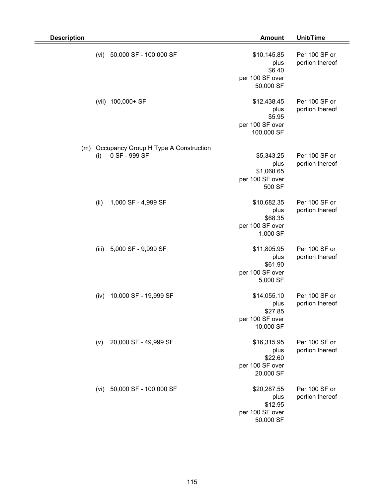| <b>Description</b> |       |                                                        | <b>Amount</b>                                                  | <b>Unit/Time</b>                 |
|--------------------|-------|--------------------------------------------------------|----------------------------------------------------------------|----------------------------------|
|                    | (vi)  | 50,000 SF - 100,000 SF                                 | \$10,145.85<br>plus<br>\$6.40<br>per 100 SF over<br>50,000 SF  | Per 100 SF or<br>portion thereof |
|                    | (vii) | 100,000+ SF                                            | \$12,438.45<br>plus<br>\$5.95<br>per 100 SF over<br>100,000 SF | Per 100 SF or<br>portion thereof |
| (m)                | (i)   | Occupancy Group H Type A Construction<br>0 SF - 999 SF | \$5,343.25<br>plus<br>\$1,068.65<br>per 100 SF over<br>500 SF  | Per 100 SF or<br>portion thereof |
|                    | (ii)  | 1,000 SF - 4,999 SF                                    | \$10,682.35<br>plus<br>\$68.35<br>per 100 SF over<br>1,000 SF  | Per 100 SF or<br>portion thereof |
|                    | (iii) | 5,000 SF - 9,999 SF                                    | \$11,805.95<br>plus<br>\$61.90<br>per 100 SF over<br>5,000 SF  | Per 100 SF or<br>portion thereof |
|                    | (iv)  | 10,000 SF - 19,999 SF                                  | \$14,055.10<br>plus<br>\$27.85<br>per 100 SF over<br>10,000 SF | Per 100 SF or<br>portion thereof |
|                    | (v)   | 20,000 SF - 49,999 SF                                  | \$16,315.95<br>plus<br>\$22.60<br>per 100 SF over<br>20,000 SF | Per 100 SF or<br>portion thereof |
|                    |       | (vi) 50,000 SF - 100,000 SF                            | \$20,287.55<br>plus<br>\$12.95<br>per 100 SF over<br>50,000 SF | Per 100 SF or<br>portion thereof |

Ξ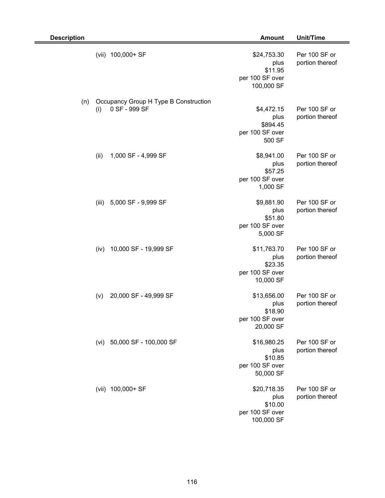| <b>Description</b> |       |                                                        | <b>Amount</b>                                                   | Unit/Time                        |
|--------------------|-------|--------------------------------------------------------|-----------------------------------------------------------------|----------------------------------|
|                    |       | (vii) 100,000+ SF                                      | \$24,753.30<br>plus<br>\$11.95<br>per 100 SF over<br>100,000 SF | Per 100 SF or<br>portion thereof |
| (n)                | (i)   | Occupancy Group H Type B Construction<br>0 SF - 999 SF | \$4,472.15<br>plus<br>\$894.45<br>per 100 SF over<br>500 SF     | Per 100 SF or<br>portion thereof |
|                    | (ii)  | 1,000 SF - 4,999 SF                                    | \$8,941.00<br>plus<br>\$57.25<br>per 100 SF over<br>1,000 SF    | Per 100 SF or<br>portion thereof |
|                    | (iii) | 5,000 SF - 9,999 SF                                    | \$9,881.90<br>plus<br>\$51.80<br>per 100 SF over<br>5,000 SF    | Per 100 SF or<br>portion thereof |
|                    | (iv)  | 10,000 SF - 19,999 SF                                  | \$11,763.70<br>plus<br>\$23.35<br>per 100 SF over<br>10,000 SF  | Per 100 SF or<br>portion thereof |
|                    | (v)   | 20,000 SF - 49,999 SF                                  | \$13,656.00<br>plus<br>\$18.90<br>per 100 SF over<br>20,000 SF  | Per 100 SF or<br>portion thereof |
|                    | (vi)  | 50,000 SF - 100,000 SF                                 | \$16,980.25<br>plus<br>\$10.85<br>per 100 SF over<br>50,000 SF  | Per 100 SF or<br>portion thereof |
|                    |       | (vii) 100,000+ SF                                      | \$20,718.35<br>plus<br>\$10.00<br>per 100 SF over<br>100,000 SF | Per 100 SF or<br>portion thereof |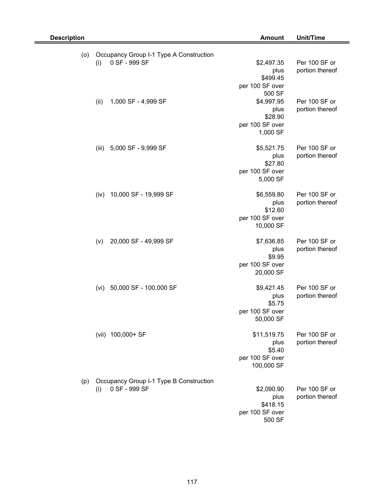| <b>Description</b> |                                                                 | <b>Amount</b>                 | Unit/Time                        |
|--------------------|-----------------------------------------------------------------|-------------------------------|----------------------------------|
| (o)                | Occupancy Group I-1 Type A Construction                         |                               |                                  |
|                    | 0 SF - 999 SF<br>(i)                                            | \$2,497.35<br>plus            | Per 100 SF or<br>portion thereof |
|                    |                                                                 | \$499.45                      |                                  |
|                    |                                                                 | per 100 SF over               |                                  |
|                    | 1,000 SF - 4,999 SF                                             | 500 SF<br>\$4,997.95          | Per 100 SF or                    |
|                    | (ii)                                                            | plus                          | portion thereof                  |
|                    |                                                                 | \$28.90                       |                                  |
|                    |                                                                 | per 100 SF over               |                                  |
|                    |                                                                 | 1,000 SF                      |                                  |
|                    | 5,000 SF - 9,999 SF<br>(iii)                                    | \$5,521.75                    | Per 100 SF or                    |
|                    |                                                                 | plus                          | portion thereof                  |
|                    |                                                                 | \$27.80<br>per 100 SF over    |                                  |
|                    |                                                                 | 5,000 SF                      |                                  |
|                    |                                                                 |                               |                                  |
|                    | 10,000 SF - 19,999 SF<br>(iv)                                   | \$6,559.80                    | Per 100 SF or                    |
|                    |                                                                 | plus<br>\$12.60               | portion thereof                  |
|                    |                                                                 | per 100 SF over               |                                  |
|                    |                                                                 | 10,000 SF                     |                                  |
|                    | 20,000 SF - 49,999 SF<br>(v)                                    | \$7,636.85                    | Per 100 SF or                    |
|                    |                                                                 | plus                          | portion thereof                  |
|                    |                                                                 | \$9.95<br>per 100 SF over     |                                  |
|                    |                                                                 | 20,000 SF                     |                                  |
|                    |                                                                 |                               |                                  |
|                    | 50,000 SF - 100,000 SF<br>(vi)                                  | \$9,421.45<br>plus            | Per 100 SF or<br>portion thereof |
|                    |                                                                 | \$5.75                        |                                  |
|                    |                                                                 | per 100 SF over               |                                  |
|                    |                                                                 | 50,000 SF                     |                                  |
|                    | (vii) 100,000+ SF                                               | \$11,519.75                   | Per 100 SF or                    |
|                    |                                                                 | plus                          | portion thereof                  |
|                    |                                                                 | \$5.40                        |                                  |
|                    |                                                                 | per 100 SF over<br>100,000 SF |                                  |
|                    |                                                                 |                               |                                  |
| (p)                | Occupancy Group I-1 Type B Construction<br>0 SF - 999 SF<br>(i) | \$2,090.90                    | Per 100 SF or                    |
|                    |                                                                 | plus                          | portion thereof                  |
|                    |                                                                 | \$418.15                      |                                  |
|                    |                                                                 | per 100 SF over               |                                  |
|                    |                                                                 | 500 SF                        |                                  |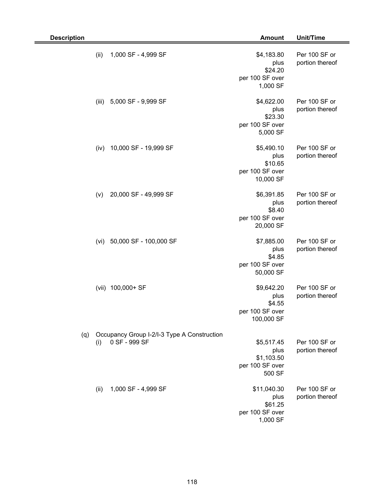| <b>Description</b> |       |                                                              | <b>Amount</b>                                                 | Unit/Time                        |
|--------------------|-------|--------------------------------------------------------------|---------------------------------------------------------------|----------------------------------|
|                    | (ii)  | 1,000 SF - 4,999 SF                                          | \$4,183.80<br>plus<br>\$24.20<br>per 100 SF over<br>1,000 SF  | Per 100 SF or<br>portion thereof |
|                    | (iii) | 5,000 SF - 9,999 SF                                          | \$4,622.00<br>plus<br>\$23.30<br>per 100 SF over<br>5,000 SF  | Per 100 SF or<br>portion thereof |
|                    | (iv)  | 10,000 SF - 19,999 SF                                        | \$5,490.10<br>plus<br>\$10.65<br>per 100 SF over<br>10,000 SF | Per 100 SF or<br>portion thereof |
|                    | (v)   | 20,000 SF - 49,999 SF                                        | \$6,391.85<br>plus<br>\$8.40<br>per 100 SF over<br>20,000 SF  | Per 100 SF or<br>portion thereof |
|                    | (vi)  | 50,000 SF - 100,000 SF                                       | \$7,885.00<br>plus<br>\$4.85<br>per 100 SF over<br>50,000 SF  | Per 100 SF or<br>portion thereof |
|                    |       | (vii) 100,000+ SF                                            | \$9,642.20<br>plus<br>\$4.55<br>per 100 SF over<br>100,000 SF | Per 100 SF or<br>portion thereof |
| (q)                | (i)   | Occupancy Group I-2/I-3 Type A Construction<br>0 SF - 999 SF | \$5,517.45<br>plus<br>\$1,103.50<br>per 100 SF over<br>500 SF | Per 100 SF or<br>portion thereof |
|                    | (ii)  | 1,000 SF - 4,999 SF                                          | \$11,040.30<br>plus<br>\$61.25<br>per 100 SF over<br>1,000 SF | Per 100 SF or<br>portion thereof |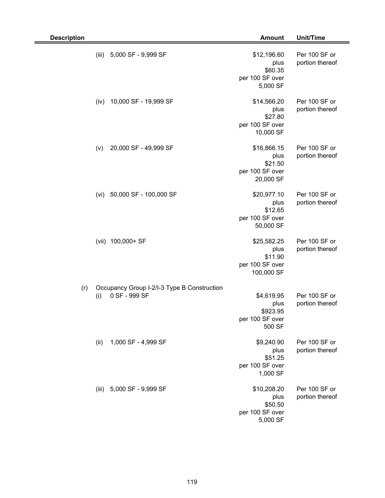| <b>Description</b> |                                                                     | <b>Amount</b>                                                   | Unit/Time                        |
|--------------------|---------------------------------------------------------------------|-----------------------------------------------------------------|----------------------------------|
|                    | (iii)<br>5,000 SF - 9,999 SF                                        | \$12,196.60<br>plus<br>\$60.35<br>per 100 SF over<br>5,000 SF   | Per 100 SF or<br>portion thereof |
|                    | 10,000 SF - 19,999 SF<br>(iv)                                       | \$14,566.20<br>plus<br>\$27.80<br>per 100 SF over<br>10,000 SF  | Per 100 SF or<br>portion thereof |
|                    | 20,000 SF - 49,999 SF<br>(v)                                        | \$16,866.15<br>plus<br>\$21.50<br>per 100 SF over<br>20,000 SF  | Per 100 SF or<br>portion thereof |
|                    | 50,000 SF - 100,000 SF<br>(vi)                                      | \$20,977.10<br>plus<br>\$12.65<br>per 100 SF over<br>50,000 SF  | Per 100 SF or<br>portion thereof |
|                    | (vii) 100,000+ SF                                                   | \$25,582.25<br>plus<br>\$11.90<br>per 100 SF over<br>100,000 SF | Per 100 SF or<br>portion thereof |
| (r)                | Occupancy Group I-2/I-3 Type B Construction<br>0 SF - 999 SF<br>(i) | \$4,619.95<br>plus<br>\$923.95<br>per 100 SF over<br>500 SF     | Per 100 SF or<br>portion thereof |
|                    | 1,000 SF - 4,999 SF<br>(ii)                                         | \$9,240.90<br>plus<br>\$51.25<br>per 100 SF over<br>1,000 SF    | Per 100 SF or<br>portion thereof |
|                    | (iii) 5,000 SF - 9,999 SF                                           | \$10,208.20<br>plus<br>\$50.50<br>per 100 SF over<br>5,000 SF   | Per 100 SF or<br>portion thereof |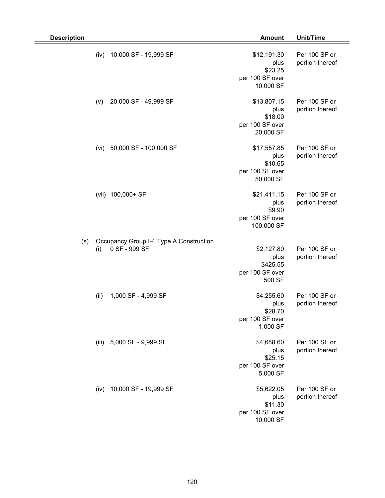| <b>Description</b> |       |                                                          | <b>Amount</b>                                                  | Unit/Time                        |
|--------------------|-------|----------------------------------------------------------|----------------------------------------------------------------|----------------------------------|
|                    | (iv)  | 10,000 SF - 19,999 SF                                    | \$12,191.30<br>plus<br>\$23.25<br>per 100 SF over<br>10,000 SF | Per 100 SF or<br>portion thereof |
|                    | (v)   | 20,000 SF - 49,999 SF                                    | \$13,807.15<br>plus<br>\$18.00<br>per 100 SF over<br>20,000 SF | Per 100 SF or<br>portion thereof |
|                    | (vi)  | 50,000 SF - 100,000 SF                                   | \$17,557.85<br>plus<br>\$10.65<br>per 100 SF over<br>50,000 SF | Per 100 SF or<br>portion thereof |
|                    | (vii) | 100,000+ SF                                              | \$21,411.15<br>plus<br>\$9.90<br>per 100 SF over<br>100,000 SF | Per 100 SF or<br>portion thereof |
| (s)                | (i)   | Occupancy Group I-4 Type A Construction<br>0 SF - 999 SF | \$2,127.80<br>plus<br>\$425.55<br>per 100 SF over<br>500 SF    | Per 100 SF or<br>portion thereof |
|                    | (ii)  | 1,000 SF - 4,999 SF                                      | \$4,255.60<br>plus<br>\$28.70<br>per 100 SF over<br>1,000 SF   | Per 100 SF or<br>portion thereof |
|                    |       | (iii) 5,000 SF - 9,999 SF                                | \$4,688.60<br>plus<br>\$25.15<br>per 100 SF over<br>5,000 SF   | Per 100 SF or<br>portion thereof |
|                    | (iv)  | 10,000 SF - 19,999 SF                                    | \$5,622.05<br>plus<br>\$11.30<br>per 100 SF over<br>10,000 SF  | Per 100 SF or<br>portion thereof |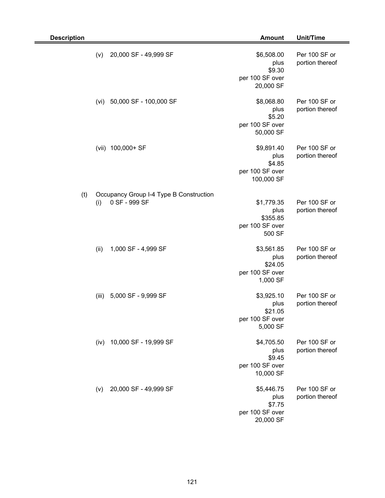| <b>Description</b> |       |                                                          | <b>Amount</b>                                                 | Unit/Time                        |
|--------------------|-------|----------------------------------------------------------|---------------------------------------------------------------|----------------------------------|
|                    | (v)   | 20,000 SF - 49,999 SF                                    | \$6,508.00<br>plus<br>\$9.30<br>per 100 SF over<br>20,000 SF  | Per 100 SF or<br>portion thereof |
|                    | (vi)  | 50,000 SF - 100,000 SF                                   | \$8,068.80<br>plus<br>\$5.20<br>per 100 SF over<br>50,000 SF  | Per 100 SF or<br>portion thereof |
|                    | (vii) | 100,000+ SF                                              | \$9,891.40<br>plus<br>\$4.85<br>per 100 SF over<br>100,000 SF | Per 100 SF or<br>portion thereof |
| (t)                | (i)   | Occupancy Group I-4 Type B Construction<br>0 SF - 999 SF | \$1,779.35<br>plus<br>\$355.85<br>per 100 SF over<br>500 SF   | Per 100 SF or<br>portion thereof |
|                    | (ii)  | 1,000 SF - 4,999 SF                                      | \$3,561.85<br>plus<br>\$24.05<br>per 100 SF over<br>1,000 SF  | Per 100 SF or<br>portion thereof |
|                    | (iii) | 5,000 SF - 9,999 SF                                      | \$3,925.10<br>plus<br>\$21.05<br>per 100 SF over<br>5,000 SF  | Per 100 SF or<br>portion thereof |
|                    | (iv)  | 10,000 SF - 19,999 SF                                    | \$4,705.50<br>plus<br>\$9.45<br>per 100 SF over<br>10,000 SF  | Per 100 SF or<br>portion thereof |
|                    | (v)   | 20,000 SF - 49,999 SF                                    | \$5,446.75<br>plus<br>\$7.75<br>per 100 SF over<br>20,000 SF  | Per 100 SF or<br>portion thereof |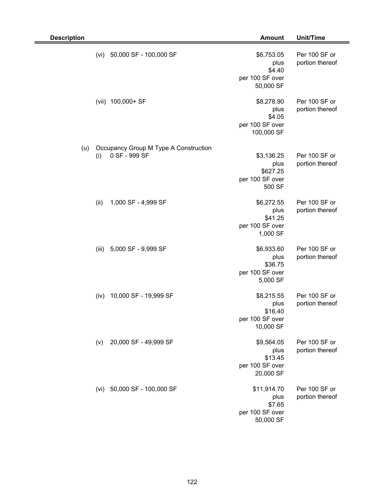| <b>Description</b> |                      |                                       | <b>Amount</b>                                                 | <b>Unit/Time</b>                 |
|--------------------|----------------------|---------------------------------------|---------------------------------------------------------------|----------------------------------|
|                    | (vi)                 | 50,000 SF - 100,000 SF                | \$6,753.05<br>plus<br>\$4.40<br>per 100 SF over<br>50,000 SF  | Per 100 SF or<br>portion thereof |
|                    | 100,000+ SF<br>(vii) |                                       | \$8,278.90<br>plus<br>\$4.05<br>per 100 SF over<br>100,000 SF | Per 100 SF or<br>portion thereof |
| (u)                | 0 SF - 999 SF<br>(i) | Occupancy Group M Type A Construction | \$3,136.25<br>plus<br>\$627.25<br>per 100 SF over<br>500 SF   | Per 100 SF or<br>portion thereof |
|                    | (ii)                 | 1,000 SF - 4,999 SF                   | \$6,272.55<br>plus<br>\$41.25<br>per 100 SF over<br>1,000 SF  | Per 100 SF or<br>portion thereof |
|                    | (iii)                | 5,000 SF - 9,999 SF                   | \$6,933.60<br>plus<br>\$36.75<br>per 100 SF over<br>5,000 SF  | Per 100 SF or<br>portion thereof |
|                    | (iv)                 | 10,000 SF - 19,999 SF                 | \$8,215.55<br>plus<br>\$16.40<br>per 100 SF over<br>10,000 SF | Per 100 SF or<br>portion thereof |
|                    | (v)                  | 20,000 SF - 49,999 SF                 | \$9,564.05<br>plus<br>\$13.45<br>per 100 SF over<br>20,000 SF | Per 100 SF or<br>portion thereof |
|                    |                      | (vi) 50,000 SF - 100,000 SF           | \$11,914.70<br>plus<br>\$7.65<br>per 100 SF over<br>50,000 SF | Per 100 SF or<br>portion thereof |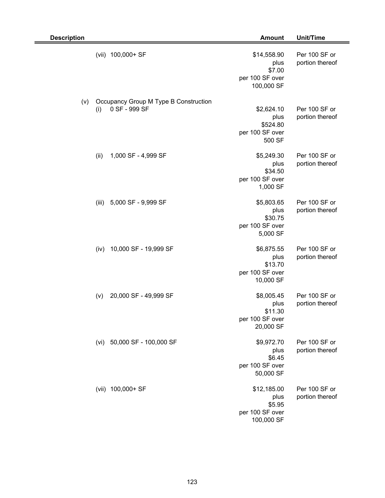| <b>Description</b> |       |                                                        | <b>Amount</b>                                                  | <b>Unit/Time</b>                 |
|--------------------|-------|--------------------------------------------------------|----------------------------------------------------------------|----------------------------------|
|                    |       | (vii) 100,000+ SF                                      | \$14,558.90<br>plus<br>\$7.00<br>per 100 SF over<br>100,000 SF | Per 100 SF or<br>portion thereof |
| (v)                | (i)   | Occupancy Group M Type B Construction<br>0 SF - 999 SF | \$2,624.10<br>plus<br>\$524.80<br>per 100 SF over<br>500 SF    | Per 100 SF or<br>portion thereof |
|                    | (ii)  | 1,000 SF - 4,999 SF                                    | \$5,249.30<br>plus<br>\$34.50<br>per 100 SF over<br>1,000 SF   | Per 100 SF or<br>portion thereof |
|                    | (iii) | 5,000 SF - 9,999 SF                                    | \$5,803.65<br>plus<br>\$30.75<br>per 100 SF over<br>5,000 SF   | Per 100 SF or<br>portion thereof |
|                    | (iv)  | 10,000 SF - 19,999 SF                                  | \$6,875.55<br>plus<br>\$13.70<br>per 100 SF over<br>10,000 SF  | Per 100 SF or<br>portion thereof |
|                    | (v)   | 20,000 SF - 49,999 SF                                  | \$8,005.45<br>plus<br>\$11.30<br>per 100 SF over<br>20,000 SF  | Per 100 SF or<br>portion thereof |
|                    | (vi)  | 50,000 SF - 100,000 SF                                 | \$9,972.70<br>plus<br>\$6.45<br>per 100 SF over<br>50,000 SF   | Per 100 SF or<br>portion thereof |
|                    |       | (vii) 100,000+ SF                                      | \$12,185.00<br>plus<br>\$5.95<br>per 100 SF over<br>100,000 SF | Per 100 SF or<br>portion thereof |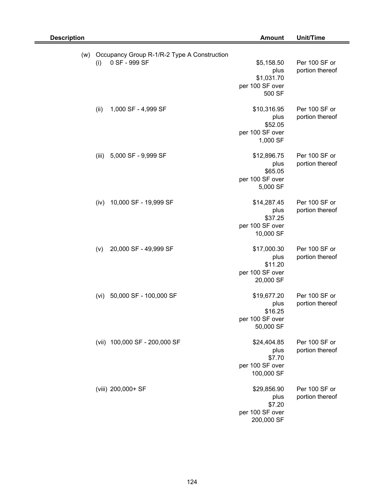| <b>Description</b> |                                                                     | <b>Amount</b>                                                  | Unit/Time                        |
|--------------------|---------------------------------------------------------------------|----------------------------------------------------------------|----------------------------------|
| (w)                | Occupancy Group R-1/R-2 Type A Construction<br>0 SF - 999 SF<br>(i) | \$5,158.50<br>plus<br>\$1,031.70<br>per 100 SF over<br>500 SF  | Per 100 SF or<br>portion thereof |
|                    | (ii)<br>1,000 SF - 4,999 SF                                         | \$10,316.95<br>plus<br>\$52.05<br>per 100 SF over<br>1,000 SF  | Per 100 SF or<br>portion thereof |
|                    | 5,000 SF - 9,999 SF<br>(iii)                                        | \$12,896.75<br>plus<br>\$65.05<br>per 100 SF over<br>5,000 SF  | Per 100 SF or<br>portion thereof |
|                    | 10,000 SF - 19,999 SF<br>(iv)                                       | \$14,287.45<br>plus<br>\$37.25<br>per 100 SF over<br>10,000 SF | Per 100 SF or<br>portion thereof |
|                    | 20,000 SF - 49,999 SF<br>(v)                                        | \$17,000.30<br>plus<br>\$11.20<br>per 100 SF over<br>20,000 SF | Per 100 SF or<br>portion thereof |
|                    | 50,000 SF - 100,000 SF<br>(vi)                                      | \$19,677.20<br>plus<br>\$16.25<br>per 100 SF over<br>50,000 SF | Per 100 SF or<br>portion thereof |
|                    | (vii) 100,000 SF - 200,000 SF                                       | \$24,404.85<br>plus<br>\$7.70<br>per 100 SF over<br>100,000 SF | Per 100 SF or<br>portion thereof |
|                    | (viii) 200,000+ SF                                                  | \$29,856.90<br>plus<br>\$7.20<br>per 100 SF over<br>200,000 SF | Per 100 SF or<br>portion thereof |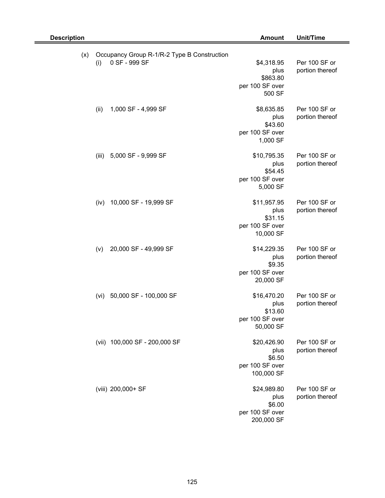| <b>Description</b> |                                                                     | <b>Amount</b>                                                  | Unit/Time                        |
|--------------------|---------------------------------------------------------------------|----------------------------------------------------------------|----------------------------------|
| (x)                | Occupancy Group R-1/R-2 Type B Construction<br>0 SF - 999 SF<br>(i) | \$4,318.95<br>plus<br>\$863.80<br>per 100 SF over<br>500 SF    | Per 100 SF or<br>portion thereof |
|                    | (ii)<br>1,000 SF - 4,999 SF                                         | \$8,635.85<br>plus<br>\$43.60<br>per 100 SF over<br>1,000 SF   | Per 100 SF or<br>portion thereof |
|                    | 5,000 SF - 9,999 SF<br>(iii)                                        | \$10,795.35<br>plus<br>\$54.45<br>per 100 SF over<br>5,000 SF  | Per 100 SF or<br>portion thereof |
|                    | 10,000 SF - 19,999 SF<br>(iv)                                       | \$11,957.95<br>plus<br>\$31.15<br>per 100 SF over<br>10,000 SF | Per 100 SF or<br>portion thereof |
|                    | 20,000 SF - 49,999 SF<br>(v)                                        | \$14,229.35<br>plus<br>\$9.35<br>per 100 SF over<br>20,000 SF  | Per 100 SF or<br>portion thereof |
|                    | 50,000 SF - 100,000 SF<br>(vi)                                      | \$16,470.20<br>plus<br>\$13.60<br>per 100 SF over<br>50,000 SF | Per 100 SF or<br>portion thereof |
|                    | (vii) 100,000 SF - 200,000 SF                                       | \$20,426.90<br>plus<br>\$6.50<br>per 100 SF over<br>100,000 SF | Per 100 SF or<br>portion thereof |
|                    | (viii) 200,000+ SF                                                  | \$24,989.80<br>plus<br>\$6.00<br>per 100 SF over<br>200,000 SF | Per 100 SF or<br>portion thereof |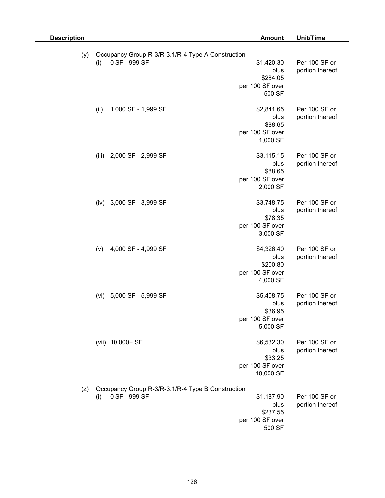| <b>Description</b> |                                                                           | <b>Amount</b>                                                 | Unit/Time                        |
|--------------------|---------------------------------------------------------------------------|---------------------------------------------------------------|----------------------------------|
| (y)                | Occupancy Group R-3/R-3.1/R-4 Type A Construction<br>0 SF - 999 SF<br>(i) | \$1,420.30                                                    | Per 100 SF or                    |
|                    |                                                                           | plus<br>\$284.05<br>per 100 SF over<br>500 SF                 | portion thereof                  |
|                    | 1,000 SF - 1,999 SF<br>(ii)                                               | \$2,841.65<br>plus<br>\$88.65<br>per 100 SF over<br>1,000 SF  | Per 100 SF or<br>portion thereof |
|                    | 2,000 SF - 2,999 SF<br>(iii)                                              | \$3,115.15<br>plus<br>\$88.65<br>per 100 SF over<br>2,000 SF  | Per 100 SF or<br>portion thereof |
|                    | 3,000 SF - 3,999 SF<br>(iv)                                               | \$3,748.75<br>plus<br>\$78.35<br>per 100 SF over<br>3,000 SF  | Per 100 SF or<br>portion thereof |
|                    | 4,000 SF - 4,999 SF<br>(v)                                                | \$4,326.40<br>plus<br>\$200.80<br>per 100 SF over<br>4,000 SF | Per 100 SF or<br>portion thereof |
|                    | 5,000 SF - 5,999 SF<br>(vi)                                               | \$5,408.75<br>plus<br>\$36.95<br>per 100 SF over<br>5,000 SF  | Per 100 SF or<br>portion thereof |
|                    | (vii) 10,000+ SF                                                          | \$6,532.30<br>plus<br>\$33.25<br>per 100 SF over<br>10,000 SF | Per 100 SF or<br>portion thereof |
| (z)                | Occupancy Group R-3/R-3.1/R-4 Type B Construction<br>0 SF - 999 SF<br>(i) | \$1,187.90<br>plus<br>\$237.55<br>per 100 SF over<br>500 SF   | Per 100 SF or<br>portion thereof |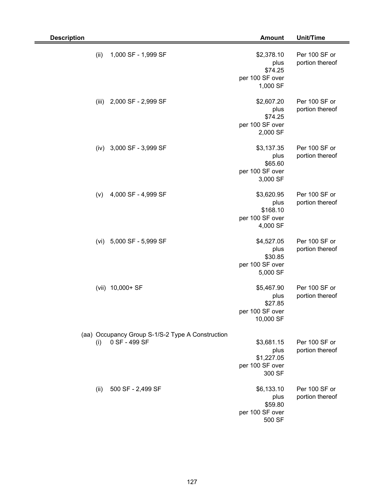| <b>Description</b> |                                                                   | <b>Amount</b>                                                 | Unit/Time                        |
|--------------------|-------------------------------------------------------------------|---------------------------------------------------------------|----------------------------------|
| (ii)               | 1,000 SF - 1,999 SF                                               | \$2,378.10<br>plus<br>\$74.25<br>per 100 SF over<br>1,000 SF  | Per 100 SF or<br>portion thereof |
| (iii)              | 2,000 SF - 2,999 SF                                               | \$2,607.20<br>plus<br>\$74.25<br>per 100 SF over<br>2,000 SF  | Per 100 SF or<br>portion thereof |
| (iv)               | 3,000 SF - 3,999 SF                                               | \$3,137.35<br>plus<br>\$65.60<br>per 100 SF over<br>3,000 SF  | Per 100 SF or<br>portion thereof |
| (v)                | 4,000 SF - 4,999 SF                                               | \$3,620.95<br>plus<br>\$168.10<br>per 100 SF over<br>4,000 SF | Per 100 SF or<br>portion thereof |
| (vi)               | 5,000 SF - 5,999 SF                                               | \$4,527.05<br>plus<br>\$30.85<br>per 100 SF over<br>5,000 SF  | Per 100 SF or<br>portion thereof |
|                    | (vii) 10,000+ SF                                                  | \$5,467.90<br>plus<br>\$27.85<br>per 100 SF over<br>10,000 SF | Per 100 SF or<br>portion thereof |
| (i)                | (aa) Occupancy Group S-1/S-2 Type A Construction<br>0 SF - 499 SF | \$3,681.15<br>plus<br>\$1,227.05<br>per 100 SF over<br>300 SF | Per 100 SF or<br>portion thereof |
| (ii)               | 500 SF - 2,499 SF                                                 | \$6,133.10<br>plus<br>\$59.80<br>per 100 SF over<br>500 SF    | Per 100 SF or<br>portion thereof |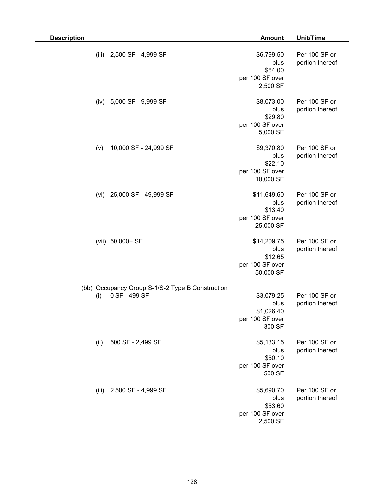| <b>Description</b>                                                       | <b>Amount</b>                                                  | Unit/Time                        |
|--------------------------------------------------------------------------|----------------------------------------------------------------|----------------------------------|
| (iii)<br>2,500 SF - 4,999 SF                                             | \$6,799.50<br>plus<br>\$64.00<br>per 100 SF over<br>2,500 SF   | Per 100 SF or<br>portion thereof |
| 5,000 SF - 9,999 SF<br>(iv)                                              | \$8,073.00<br>plus<br>\$29.80<br>per 100 SF over<br>5,000 SF   | Per 100 SF or<br>portion thereof |
| 10,000 SF - 24,999 SF<br>(v)                                             | \$9,370.80<br>plus<br>\$22.10<br>per 100 SF over<br>10,000 SF  | Per 100 SF or<br>portion thereof |
| 25,000 SF - 49,999 SF<br>(vi)                                            | \$11,649.60<br>plus<br>\$13.40<br>per 100 SF over<br>25,000 SF | Per 100 SF or<br>portion thereof |
| (vii) 50,000+ SF                                                         | \$14,209.75<br>plus<br>\$12.65<br>per 100 SF over<br>50,000 SF | Per 100 SF or<br>portion thereof |
| (bb) Occupancy Group S-1/S-2 Type B Construction<br>0 SF - 499 SF<br>(i) | \$3,079.25<br>plus<br>\$1,026.40<br>per 100 SF over<br>300 SF  | Per 100 SF or<br>portion thereof |
| 500 SF - 2,499 SF<br>(ii)                                                | \$5,133.15<br>plus<br>\$50.10<br>per 100 SF over<br>500 SF     | Per 100 SF or<br>portion thereof |
| (iii) 2,500 SF - 4,999 SF                                                | \$5,690.70<br>plus<br>\$53.60<br>per 100 SF over<br>2,500 SF   | Per 100 SF or<br>portion thereof |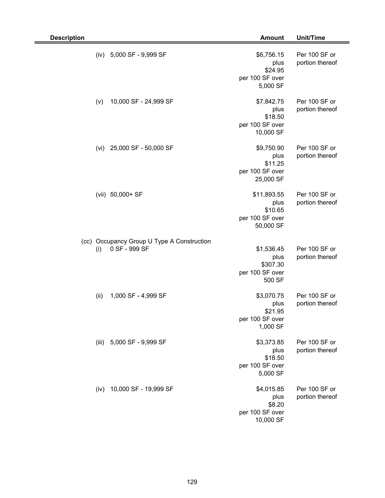| <b>Description</b> |                                                             | <b>Amount</b>                                                  | Unit/Time                        |
|--------------------|-------------------------------------------------------------|----------------------------------------------------------------|----------------------------------|
| (iv)               | 5,000 SF - 9,999 SF                                         | \$6,756.15<br>plus<br>\$24.95<br>per 100 SF over<br>5,000 SF   | Per 100 SF or<br>portion thereof |
| (v)                | 10,000 SF - 24,999 SF                                       | \$7,842.75<br>plus<br>\$18.50<br>per 100 SF over<br>10,000 SF  | Per 100 SF or<br>portion thereof |
| (vi)               | 25,000 SF - 50,000 SF                                       | \$9,750.90<br>plus<br>\$11.25<br>per 100 SF over<br>25,000 SF  | Per 100 SF or<br>portion thereof |
| (vii) 50,000+ SF   |                                                             | \$11,893.55<br>plus<br>\$10.65<br>per 100 SF over<br>50,000 SF | Per 100 SF or<br>portion thereof |
| (i)                | (cc) Occupancy Group U Type A Construction<br>0 SF - 999 SF | \$1,536.45<br>plus<br>\$307.30<br>per 100 SF over<br>500 SF    | Per 100 SF or<br>portion thereof |
| (ii)               | 1,000 SF - 4,999 SF                                         | \$3,070.75<br>plus<br>\$21.95<br>per 100 SF over<br>1,000 SF   | Per 100 SF or<br>portion thereof |
|                    | (iii) 5,000 SF - 9,999 SF                                   | \$3,373.85<br>plus<br>\$18.50<br>per 100 SF over<br>5,000 SF   | Per 100 SF or<br>portion thereof |
| (iv)               | 10,000 SF - 19,999 SF                                       | \$4,015.85<br>plus<br>\$8.20<br>per 100 SF over<br>10,000 SF   | Per 100 SF or<br>portion thereof |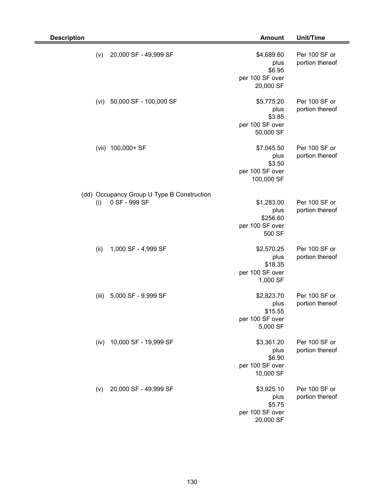| <b>Description</b>                                                 | <b>Amount</b>                                                 | Unit/Time                        |
|--------------------------------------------------------------------|---------------------------------------------------------------|----------------------------------|
| (v)<br>20,000 SF - 49,999 SF                                       | \$4,689.60<br>plus<br>\$6.95<br>per 100 SF over<br>20,000 SF  | Per 100 SF or<br>portion thereof |
| 50,000 SF - 100,000 SF<br>(vi)                                     | \$5,775.20<br>plus<br>\$3.85<br>per 100 SF over<br>50,000 SF  | Per 100 SF or<br>portion thereof |
| 100,000+ SF<br>(vii)                                               | \$7,045.50<br>plus<br>\$3.50<br>per 100 SF over<br>100,000 SF | Per 100 SF or<br>portion thereof |
| (dd) Occupancy Group U Type B Construction<br>0 SF - 999 SF<br>(i) | \$1,283.00<br>plus<br>\$256.60<br>per 100 SF over<br>500 SF   | Per 100 SF or<br>portion thereof |
| 1,000 SF - 4,999 SF<br>(ii)                                        | \$2,570.25<br>plus<br>\$18.35<br>per 100 SF over<br>1,000 SF  | Per 100 SF or<br>portion thereof |
| 5,000 SF - 9,999 SF<br>(iii)                                       | \$2,823.70<br>plus<br>\$15.55<br>per 100 SF over<br>5,000 SF  | Per 100 SF or<br>portion thereof |
| 10,000 SF - 19,999 SF<br>(iv)                                      | \$3,361.20<br>plus<br>\$6.90<br>per 100 SF over<br>10,000 SF  | Per 100 SF or<br>portion thereof |
| 20,000 SF - 49,999 SF<br>(v)                                       | \$3,925.10<br>plus<br>\$5.75<br>per 100 SF over<br>20,000 SF  | Per 100 SF or<br>portion thereof |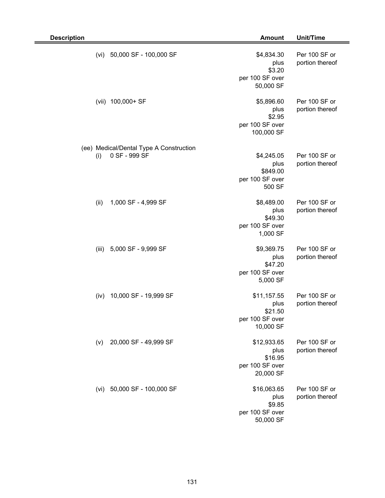| <b>Description</b>                                              | <b>Amount</b>                                                  | <b>Unit/Time</b>                 |
|-----------------------------------------------------------------|----------------------------------------------------------------|----------------------------------|
| 50,000 SF - 100,000 SF<br>(vi)                                  | \$4,834.30<br>plus<br>\$3.20<br>per 100 SF over<br>50,000 SF   | Per 100 SF or<br>portion thereof |
| 100,000+ SF<br>(vii)                                            | \$5,896.60<br>plus<br>\$2.95<br>per 100 SF over<br>100,000 SF  | Per 100 SF or<br>portion thereof |
| (ee) Medical/Dental Type A Construction<br>0 SF - 999 SF<br>(i) | \$4,245.05<br>plus<br>\$849.00<br>per 100 SF over<br>500 SF    | Per 100 SF or<br>portion thereof |
| (ii)<br>1,000 SF - 4,999 SF                                     | \$8,489.00<br>plus<br>\$49.30<br>per 100 SF over<br>1,000 SF   | Per 100 SF or<br>portion thereof |
| 5,000 SF - 9,999 SF<br>(iii)                                    | \$9,369.75<br>plus<br>\$47.20<br>per 100 SF over<br>5,000 SF   | Per 100 SF or<br>portion thereof |
| 10,000 SF - 19,999 SF<br>(iv)                                   | \$11,157.55<br>plus<br>\$21.50<br>per 100 SF over<br>10,000 SF | Per 100 SF or<br>portion thereof |
| 20,000 SF - 49,999 SF<br>(v)                                    | \$12,933.65<br>plus<br>\$16.95<br>per 100 SF over<br>20,000 SF | Per 100 SF or<br>portion thereof |
| 50,000 SF - 100,000 SF<br>(vi)                                  | \$16,063.65<br>plus<br>\$9.85<br>per 100 SF over<br>50,000 SF  | Per 100 SF or<br>portion thereof |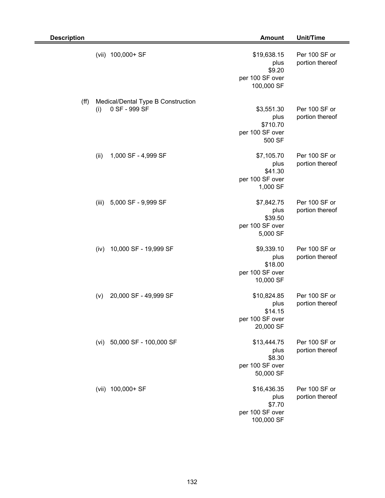| <b>Description</b> |       |                                                     | <b>Amount</b>                                                  | <b>Unit/Time</b>                 |
|--------------------|-------|-----------------------------------------------------|----------------------------------------------------------------|----------------------------------|
|                    |       | (vii) 100,000+ SF                                   | \$19,638.15<br>plus<br>\$9.20<br>per 100 SF over<br>100,000 SF | Per 100 SF or<br>portion thereof |
| (ff)               | (i)   | Medical/Dental Type B Construction<br>0 SF - 999 SF | \$3,551.30<br>plus<br>\$710.70<br>per 100 SF over<br>500 SF    | Per 100 SF or<br>portion thereof |
|                    | (ii)  | 1,000 SF - 4,999 SF                                 | \$7,105.70<br>plus<br>\$41.30<br>per 100 SF over<br>1,000 SF   | Per 100 SF or<br>portion thereof |
|                    | (iii) | 5,000 SF - 9,999 SF                                 | \$7,842.75<br>plus<br>\$39.50<br>per 100 SF over<br>5,000 SF   | Per 100 SF or<br>portion thereof |
|                    | (iv)  | 10,000 SF - 19,999 SF                               | \$9,339.10<br>plus<br>\$18.00<br>per 100 SF over<br>10,000 SF  | Per 100 SF or<br>portion thereof |
|                    | (v)   | 20,000 SF - 49,999 SF                               | \$10,824.85<br>plus<br>\$14.15<br>per 100 SF over<br>20,000 SF | Per 100 SF or<br>portion thereof |
|                    | (vi)  | 50,000 SF - 100,000 SF                              | \$13,444.75<br>plus<br>\$8.30<br>per 100 SF over<br>50,000 SF  | Per 100 SF or<br>portion thereof |
|                    |       | (vii) 100,000+ SF                                   | \$16,436.35<br>plus<br>\$7.70<br>per 100 SF over<br>100,000 SF | Per 100 SF or<br>portion thereof |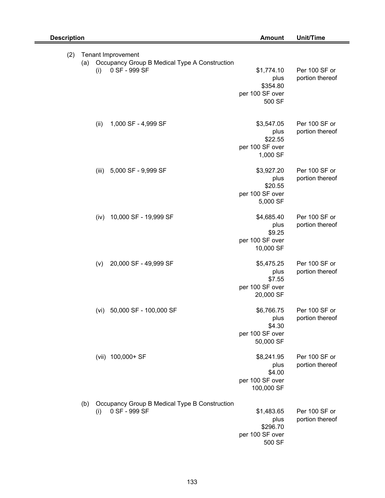| <b>Description</b> | <b>Amount</b>                                                                               |                                                               | Unit/Time                        |
|--------------------|---------------------------------------------------------------------------------------------|---------------------------------------------------------------|----------------------------------|
| (2)<br>(a)         | Tenant Improvement<br>Occupancy Group B Medical Type A Construction<br>0 SF - 999 SF<br>(i) | \$1,774.10<br>plus<br>\$354.80<br>per 100 SF over<br>500 SF   | Per 100 SF or<br>portion thereof |
|                    | (ii)<br>1,000 SF - 4,999 SF                                                                 | \$3,547.05<br>plus<br>\$22.55<br>per 100 SF over<br>1,000 SF  | Per 100 SF or<br>portion thereof |
|                    | 5,000 SF - 9,999 SF<br>(iii)                                                                | \$3,927.20<br>plus<br>\$20.55<br>per 100 SF over<br>5,000 SF  | Per 100 SF or<br>portion thereof |
|                    | 10,000 SF - 19,999 SF<br>(iv)                                                               | \$4,685.40<br>plus<br>\$9.25<br>per 100 SF over<br>10,000 SF  | Per 100 SF or<br>portion thereof |
|                    | 20,000 SF - 49,999 SF<br>(v)                                                                | \$5,475.25<br>plus<br>\$7.55<br>per 100 SF over<br>20,000 SF  | Per 100 SF or<br>portion thereof |
|                    | 50,000 SF - 100,000 SF<br>(vi)                                                              | \$6,766.75<br>plus<br>\$4.30<br>per 100 SF over<br>50,000 SF  | Per 100 SF or<br>portion thereof |
|                    | (vii) 100,000+ SF                                                                           | \$8,241.95<br>plus<br>\$4.00<br>per 100 SF over<br>100,000 SF | Per 100 SF or<br>portion thereof |
| (b)                | Occupancy Group B Medical Type B Construction<br>0 SF - 999 SF<br>(i)                       | \$1,483.65<br>plus<br>\$296.70<br>per 100 SF over<br>500 SF   | Per 100 SF or<br>portion thereof |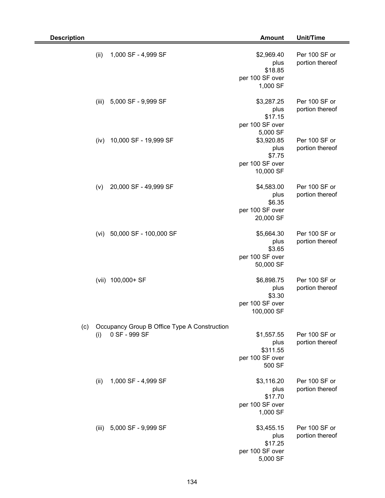| <b>Description</b> |       |                                                               | <b>Amount</b>                                                 | Unit/Time                        |
|--------------------|-------|---------------------------------------------------------------|---------------------------------------------------------------|----------------------------------|
|                    | (ii)  | 1,000 SF - 4,999 SF                                           | \$2,969.40<br>plus<br>\$18.85<br>per 100 SF over<br>1,000 SF  | Per 100 SF or<br>portion thereof |
|                    | (iii) | 5,000 SF - 9,999 SF                                           | \$3,287.25<br>plus<br>\$17.15<br>per 100 SF over<br>5,000 SF  | Per 100 SF or<br>portion thereof |
|                    | (iv)  | 10,000 SF - 19,999 SF                                         | \$3,920.85<br>plus<br>\$7.75<br>per 100 SF over<br>10,000 SF  | Per 100 SF or<br>portion thereof |
|                    | (v)   | 20,000 SF - 49,999 SF                                         | \$4,583.00<br>plus<br>\$6.35<br>per 100 SF over<br>20,000 SF  | Per 100 SF or<br>portion thereof |
|                    | (vi)  | 50,000 SF - 100,000 SF                                        | \$5,664.30<br>plus<br>\$3.65<br>per 100 SF over<br>50,000 SF  | Per 100 SF or<br>portion thereof |
|                    |       | (vii) 100,000+ SF                                             | \$6,898.75<br>plus<br>\$3.30<br>per 100 SF over<br>100,000 SF | Per 100 SF or<br>portion thereof |
| (c)                | (i)   | Occupancy Group B Office Type A Construction<br>0 SF - 999 SF | \$1,557.55<br>plus<br>\$311.55<br>per 100 SF over<br>500 SF   | Per 100 SF or<br>portion thereof |
|                    | (ii)  | 1,000 SF - 4,999 SF                                           | \$3,116.20<br>plus<br>\$17.70<br>per 100 SF over<br>1,000 SF  | Per 100 SF or<br>portion thereof |
|                    |       | (iii) 5,000 SF - 9,999 SF                                     | \$3,455.15<br>plus<br>\$17.25<br>per 100 SF over<br>5,000 SF  | Per 100 SF or<br>portion thereof |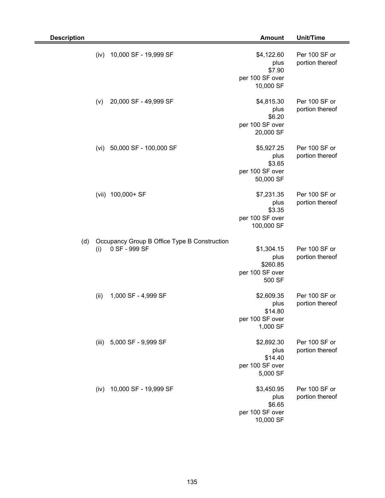| <b>Description</b> |       |                                                               | <b>Amount</b>                                                 | Unit/Time                        |
|--------------------|-------|---------------------------------------------------------------|---------------------------------------------------------------|----------------------------------|
|                    | (iv)  | 10,000 SF - 19,999 SF                                         | \$4,122.60<br>plus<br>\$7.90<br>per 100 SF over<br>10,000 SF  | Per 100 SF or<br>portion thereof |
|                    | (v)   | 20,000 SF - 49,999 SF                                         | \$4,815.30<br>plus<br>\$6.20<br>per 100 SF over<br>20,000 SF  | Per 100 SF or<br>portion thereof |
|                    | (vi)  | 50,000 SF - 100,000 SF                                        | \$5,927.25<br>plus<br>\$3.65<br>per 100 SF over<br>50,000 SF  | Per 100 SF or<br>portion thereof |
|                    | (vii) | 100,000+ SF                                                   | \$7,231.35<br>plus<br>\$3.35<br>per 100 SF over<br>100,000 SF | Per 100 SF or<br>portion thereof |
| (d)                | (i)   | Occupancy Group B Office Type B Construction<br>0 SF - 999 SF | \$1,304.15<br>plus<br>\$260.85<br>per 100 SF over<br>500 SF   | Per 100 SF or<br>portion thereof |
|                    | (ii)  | 1,000 SF - 4,999 SF                                           | \$2,609.35<br>plus<br>\$14.80<br>per 100 SF over<br>1,000 SF  | Per 100 SF or<br>portion thereof |
|                    |       | (iii) 5,000 SF - 9,999 SF                                     | \$2,892.30<br>plus<br>\$14.40<br>per 100 SF over<br>5,000 SF  | Per 100 SF or<br>portion thereof |
|                    | (iv)  | 10,000 SF - 19,999 SF                                         | \$3,450.95<br>plus<br>\$6.65<br>per 100 SF over<br>10,000 SF  | Per 100 SF or<br>portion thereof |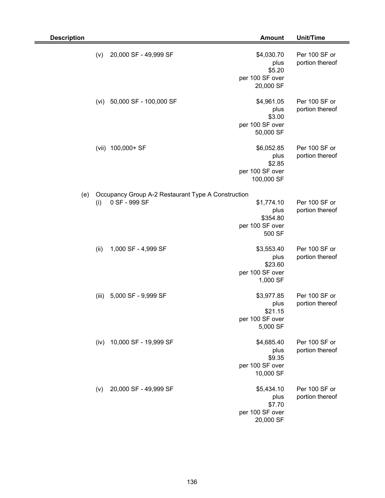| <b>Description</b> |       |                                                                     | <b>Amount</b>                                                 | Unit/Time                        |
|--------------------|-------|---------------------------------------------------------------------|---------------------------------------------------------------|----------------------------------|
|                    | (v)   | 20,000 SF - 49,999 SF                                               | \$4,030.70<br>plus<br>\$5.20<br>per 100 SF over<br>20,000 SF  | Per 100 SF or<br>portion thereof |
|                    | (vi)  | 50,000 SF - 100,000 SF                                              | \$4,961.05<br>plus<br>\$3.00<br>per 100 SF over<br>50,000 SF  | Per 100 SF or<br>portion thereof |
|                    |       | (vii) 100,000+ SF                                                   | \$6,052.85<br>plus<br>\$2.85<br>per 100 SF over<br>100,000 SF | Per 100 SF or<br>portion thereof |
| (e)                | (i)   | Occupancy Group A-2 Restaurant Type A Construction<br>0 SF - 999 SF | \$1,774.10<br>plus<br>\$354.80<br>per 100 SF over<br>500 SF   | Per 100 SF or<br>portion thereof |
|                    | (ii)  | 1,000 SF - 4,999 SF                                                 | \$3,553.40<br>plus<br>\$23.60<br>per 100 SF over<br>1,000 SF  | Per 100 SF or<br>portion thereof |
|                    | (iii) | 5,000 SF - 9,999 SF                                                 | \$3,977.85<br>plus<br>\$21.15<br>per 100 SF over<br>5,000 SF  | Per 100 SF or<br>portion thereof |
|                    | (iv)  | 10,000 SF - 19,999 SF                                               | \$4,685.40<br>plus<br>\$9.35<br>per 100 SF over<br>10,000 SF  | Per 100 SF or<br>portion thereof |
|                    | (v)   | 20,000 SF - 49,999 SF                                               | \$5,434.10<br>plus<br>\$7.70<br>per 100 SF over<br>20,000 SF  | Per 100 SF or<br>portion thereof |

Ξ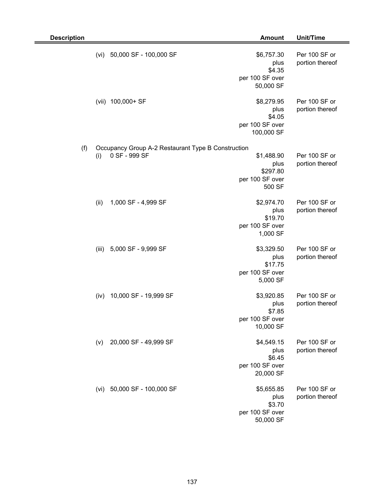| <b>Description</b> |                                                                            | <b>Amount</b>                                                 | Unit/Time                        |
|--------------------|----------------------------------------------------------------------------|---------------------------------------------------------------|----------------------------------|
|                    | 50,000 SF - 100,000 SF<br>(vi)                                             | \$6,757.30<br>plus<br>\$4.35<br>per 100 SF over<br>50,000 SF  | Per 100 SF or<br>portion thereof |
|                    | 100,000+ SF<br>(vii)                                                       | \$8,279.95<br>plus<br>\$4.05<br>per 100 SF over<br>100,000 SF | Per 100 SF or<br>portion thereof |
| (f)                | Occupancy Group A-2 Restaurant Type B Construction<br>0 SF - 999 SF<br>(i) | \$1,488.90<br>plus<br>\$297.80<br>per 100 SF over<br>500 SF   | Per 100 SF or<br>portion thereof |
|                    | 1,000 SF - 4,999 SF<br>(ii)                                                | \$2,974.70<br>plus<br>\$19.70<br>per 100 SF over<br>1,000 SF  | Per 100 SF or<br>portion thereof |
|                    | 5,000 SF - 9,999 SF<br>(iii)                                               | \$3,329.50<br>plus<br>\$17.75<br>per 100 SF over<br>5,000 SF  | Per 100 SF or<br>portion thereof |
|                    | 10,000 SF - 19,999 SF<br>(iv)                                              | \$3,920.85<br>plus<br>\$7.85<br>per 100 SF over<br>10,000 SF  | Per 100 SF or<br>portion thereof |
|                    | 20,000 SF - 49,999 SF<br>(v)                                               | \$4,549.15<br>plus<br>\$6.45<br>per 100 SF over<br>20,000 SF  | Per 100 SF or<br>portion thereof |
|                    | 50,000 SF - 100,000 SF<br>(vi)                                             | \$5,655.85<br>plus<br>\$3.70<br>per 100 SF over<br>50,000 SF  | Per 100 SF or<br>portion thereof |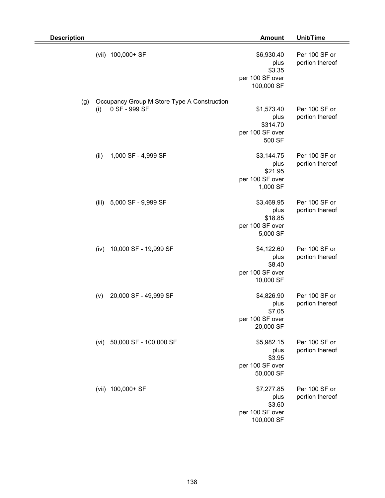| <b>Description</b> |       |                                                              | <b>Amount</b>                                                 | Unit/Time                        |
|--------------------|-------|--------------------------------------------------------------|---------------------------------------------------------------|----------------------------------|
|                    |       | (vii) 100,000+ SF                                            | \$6,930.40<br>plus<br>\$3.35<br>per 100 SF over<br>100,000 SF | Per 100 SF or<br>portion thereof |
| (g)                | (i)   | Occupancy Group M Store Type A Construction<br>0 SF - 999 SF | \$1,573.40<br>plus<br>\$314.70<br>per 100 SF over<br>500 SF   | Per 100 SF or<br>portion thereof |
|                    | (ii)  | 1,000 SF - 4,999 SF                                          | \$3,144.75<br>plus<br>\$21.95<br>per 100 SF over<br>1,000 SF  | Per 100 SF or<br>portion thereof |
|                    | (iii) | 5,000 SF - 9,999 SF                                          | \$3,469.95<br>plus<br>\$18.85<br>per 100 SF over<br>5,000 SF  | Per 100 SF or<br>portion thereof |
|                    | (iv)  | 10,000 SF - 19,999 SF                                        | \$4,122.60<br>plus<br>\$8.40<br>per 100 SF over<br>10,000 SF  | Per 100 SF or<br>portion thereof |
|                    | (v)   | 20,000 SF - 49,999 SF                                        | \$4,826.90<br>plus<br>\$7.05<br>per 100 SF over<br>20,000 SF  | Per 100 SF or<br>portion thereof |
|                    |       | (vi) 50,000 SF - 100,000 SF                                  | \$5,982.15<br>plus<br>\$3.95<br>per 100 SF over<br>50,000 SF  | Per 100 SF or<br>portion thereof |
|                    |       | (vii) 100,000+ SF                                            | \$7,277.85<br>plus<br>\$3.60<br>per 100 SF over<br>100,000 SF | Per 100 SF or<br>portion thereof |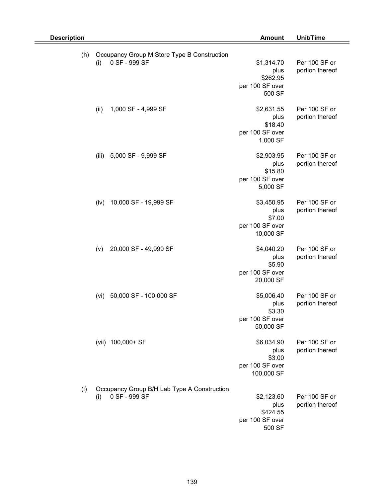| <b>Description</b> |                                                                     | <b>Amount</b>                                                 | Unit/Time                        |
|--------------------|---------------------------------------------------------------------|---------------------------------------------------------------|----------------------------------|
| (h)                | Occupancy Group M Store Type B Construction<br>0 SF - 999 SF<br>(i) | \$1,314.70<br>plus<br>\$262.95<br>per 100 SF over<br>500 SF   | Per 100 SF or<br>portion thereof |
|                    | 1,000 SF - 4,999 SF<br>(ii)                                         | \$2,631.55<br>plus<br>\$18.40<br>per 100 SF over<br>1,000 SF  | Per 100 SF or<br>portion thereof |
|                    | (iii)<br>5,000 SF - 9,999 SF                                        | \$2,903.95<br>plus<br>\$15.80<br>per 100 SF over<br>5,000 SF  | Per 100 SF or<br>portion thereof |
|                    | 10,000 SF - 19,999 SF<br>(iv)                                       | \$3,450.95<br>plus<br>\$7.00<br>per 100 SF over<br>10,000 SF  | Per 100 SF or<br>portion thereof |
|                    | 20,000 SF - 49,999 SF<br>(v)                                        | \$4,040.20<br>plus<br>\$5.90<br>per 100 SF over<br>20,000 SF  | Per 100 SF or<br>portion thereof |
|                    | 50,000 SF - 100,000 SF<br>(vi)                                      | \$5,006.40<br>plus<br>\$3.30<br>per 100 SF over<br>50,000 SF  | Per 100 SF or<br>portion thereof |
|                    | (vii) 100,000+ SF                                                   | \$6,034.90<br>plus<br>\$3.00<br>per 100 SF over<br>100,000 SF | Per 100 SF or<br>portion thereof |
| (i)                | Occupancy Group B/H Lab Type A Construction<br>0 SF - 999 SF<br>(i) | \$2,123.60<br>plus<br>\$424.55<br>per 100 SF over<br>500 SF   | Per 100 SF or<br>portion thereof |

# 139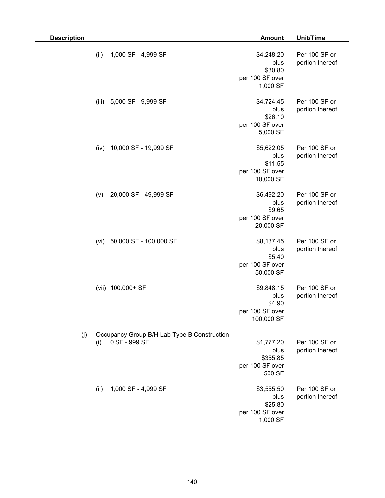| <b>Description</b> |       |                                                              | <b>Amount</b>                                                 | Unit/Time                        |
|--------------------|-------|--------------------------------------------------------------|---------------------------------------------------------------|----------------------------------|
|                    | (ii)  | 1,000 SF - 4,999 SF                                          | \$4,248.20<br>plus<br>\$30.80<br>per 100 SF over<br>1,000 SF  | Per 100 SF or<br>portion thereof |
|                    | (iii) | 5,000 SF - 9,999 SF                                          | \$4,724.45<br>plus<br>\$26.10<br>per 100 SF over<br>5,000 SF  | Per 100 SF or<br>portion thereof |
|                    | (iv)  | 10,000 SF - 19,999 SF                                        | \$5,622.05<br>plus<br>\$11.55<br>per 100 SF over<br>10,000 SF | Per 100 SF or<br>portion thereof |
|                    | (v)   | 20,000 SF - 49,999 SF                                        | \$6,492.20<br>plus<br>\$9.65<br>per 100 SF over<br>20,000 SF  | Per 100 SF or<br>portion thereof |
|                    | (vi)  | 50,000 SF - 100,000 SF                                       | \$8,137.45<br>plus<br>\$5.40<br>per 100 SF over<br>50,000 SF  | Per 100 SF or<br>portion thereof |
|                    |       | (vii) 100,000+ SF                                            | \$9,848.15<br>plus<br>\$4.90<br>per 100 SF over<br>100,000 SF | Per 100 SF or<br>portion thereof |
| (j)                | (i)   | Occupancy Group B/H Lab Type B Construction<br>0 SF - 999 SF | \$1,777.20<br>plus<br>\$355.85<br>per 100 SF over<br>500 SF   | Per 100 SF or<br>portion thereof |
|                    | (ii)  | 1,000 SF - 4,999 SF                                          | \$3,555.50<br>plus<br>\$25.80<br>per 100 SF over<br>1,000 SF  | Per 100 SF or<br>portion thereof |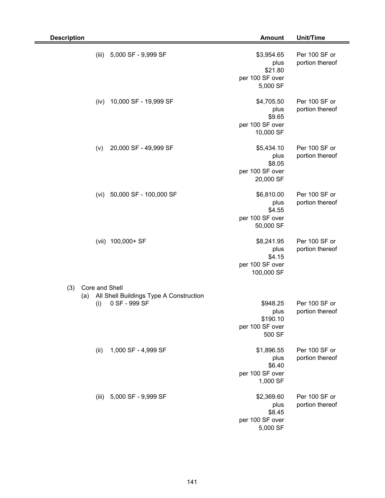| <b>Description</b>    |                                                          | <b>Amount</b>                                                 | Unit/Time                        |
|-----------------------|----------------------------------------------------------|---------------------------------------------------------------|----------------------------------|
| (iii)                 | 5,000 SF - 9,999 SF                                      | \$3,954.65<br>plus<br>\$21.80<br>per 100 SF over<br>5,000 SF  | Per 100 SF or<br>portion thereof |
| (iv)                  | 10,000 SF - 19,999 SF                                    | \$4,705.50<br>plus<br>\$9.65<br>per 100 SF over<br>10,000 SF  | Per 100 SF or<br>portion thereof |
| (v)                   | 20,000 SF - 49,999 SF                                    | \$5,434.10<br>plus<br>\$8.05<br>per 100 SF over<br>20,000 SF  | Per 100 SF or<br>portion thereof |
| (vi)                  | 50,000 SF - 100,000 SF                                   | \$6,810.00<br>plus<br>\$4.55<br>per 100 SF over<br>50,000 SF  | Per 100 SF or<br>portion thereof |
|                       | (vii) 100,000+ SF                                        | \$8,241.95<br>plus<br>\$4.15<br>per 100 SF over<br>100,000 SF | Per 100 SF or<br>portion thereof |
| Core and Shell<br>(3) |                                                          |                                                               |                                  |
| (a)<br>(i)            | All Shell Buildings Type A Construction<br>0 SF - 999 SF | \$948.25<br>plus<br>\$190.10<br>per 100 SF over<br>500 SF     | Per 100 SF or<br>portion thereof |
| (ii)                  | 1,000 SF - 4,999 SF                                      | \$1,896.55<br>plus<br>\$6.40<br>per 100 SF over<br>1,000 SF   | Per 100 SF or<br>portion thereof |
|                       | (iii) 5,000 SF - 9,999 SF                                | \$2,369.60<br>plus<br>\$8.45<br>per 100 SF over<br>5,000 SF   | Per 100 SF or<br>portion thereof |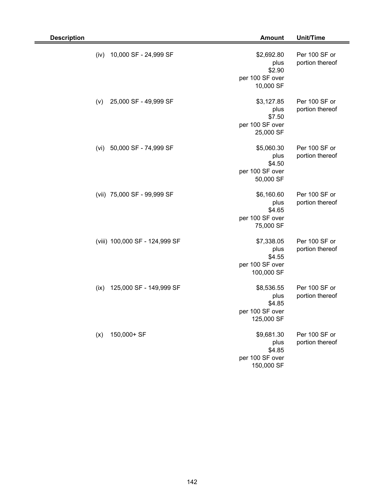| <b>Description</b>              | <b>Amount</b>                                                 | <b>Unit/Time</b>                 |
|---------------------------------|---------------------------------------------------------------|----------------------------------|
| 10,000 SF - 24,999 SF<br>(iv)   | \$2,692.80<br>plus<br>\$2.90<br>per 100 SF over<br>10,000 SF  | Per 100 SF or<br>portion thereof |
| 25,000 SF - 49,999 SF<br>(v)    | \$3,127.85<br>plus<br>\$7.50<br>per 100 SF over<br>25,000 SF  | Per 100 SF or<br>portion thereof |
| 50,000 SF - 74,999 SF<br>(vi)   | \$5,060.30<br>plus<br>\$4.50<br>per 100 SF over<br>50,000 SF  | Per 100 SF or<br>portion thereof |
| (vii) 75,000 SF - 99,999 SF     | \$6,160.60<br>plus<br>\$4.65<br>per 100 SF over<br>75,000 SF  | Per 100 SF or<br>portion thereof |
| (viii) 100,000 SF - 124,999 SF  | \$7,338.05<br>plus<br>\$4.55<br>per 100 SF over<br>100,000 SF | Per 100 SF or<br>portion thereof |
| 125,000 SF - 149,999 SF<br>(ix) | \$8,536.55<br>plus<br>\$4.85<br>per 100 SF over<br>125,000 SF | Per 100 SF or<br>portion thereof |
| 150,000+ SF<br>(x)              | \$9,681.30<br>plus<br>\$4.85<br>per 100 SF over<br>150,000 SF | Per 100 SF or<br>portion thereof |

2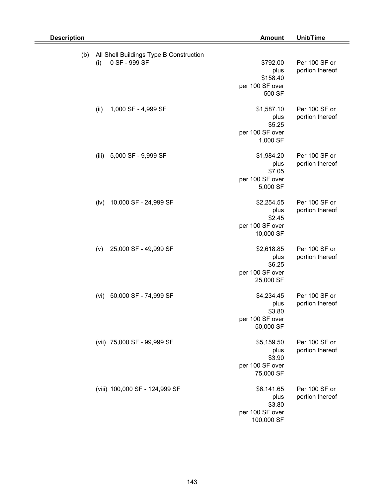| <b>Description</b> |                                                                 | <b>Amount</b>                                                 | Unit/Time                        |
|--------------------|-----------------------------------------------------------------|---------------------------------------------------------------|----------------------------------|
| (b)                | All Shell Buildings Type B Construction<br>0 SF - 999 SF<br>(i) | \$792.00<br>plus<br>\$158.40<br>per 100 SF over<br>500 SF     | Per 100 SF or<br>portion thereof |
|                    | 1,000 SF - 4,999 SF<br>(ii)                                     | \$1,587.10<br>plus<br>\$5.25<br>per 100 SF over<br>1,000 SF   | Per 100 SF or<br>portion thereof |
|                    | 5,000 SF - 9,999 SF<br>(iii)                                    | \$1,984.20<br>plus<br>\$7.05<br>per 100 SF over<br>5,000 SF   | Per 100 SF or<br>portion thereof |
|                    | 10,000 SF - 24,999 SF<br>(iv)                                   | \$2,254.55<br>plus<br>\$2.45<br>per 100 SF over<br>10,000 SF  | Per 100 SF or<br>portion thereof |
|                    | 25,000 SF - 49,999 SF<br>(v)                                    | \$2,618.85<br>plus<br>\$6.25<br>per 100 SF over<br>25,000 SF  | Per 100 SF or<br>portion thereof |
|                    | 50,000 SF - 74,999 SF<br>(vi)                                   | \$4,234.45<br>plus<br>\$3.80<br>per 100 SF over<br>50,000 SF  | Per 100 SF or<br>portion thereof |
|                    | (vii) 75,000 SF - 99,999 SF                                     | \$5,159.50<br>plus<br>\$3.90<br>per 100 SF over<br>75,000 SF  | Per 100 SF or<br>portion thereof |
|                    | (viii) 100,000 SF - 124,999 SF                                  | \$6,141.65<br>plus<br>\$3.80<br>per 100 SF over<br>100,000 SF | Per 100 SF or<br>portion thereof |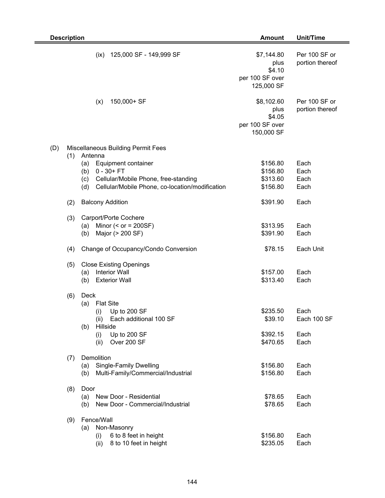|     | <b>Description</b> |                                                        | <b>Amount</b>                                                 | Unit/Time                        |
|-----|--------------------|--------------------------------------------------------|---------------------------------------------------------------|----------------------------------|
|     |                    | 125,000 SF - 149,999 SF<br>(ix)                        | \$7,144.80<br>plus<br>\$4.10<br>per 100 SF over<br>125,000 SF | Per 100 SF or<br>portion thereof |
|     |                    | 150,000+ SF<br>(x)                                     | \$8,102.60<br>plus<br>\$4.05<br>per 100 SF over<br>150,000 SF | Per 100 SF or<br>portion thereof |
| (D) |                    | <b>Miscellaneous Building Permit Fees</b>              |                                                               |                                  |
|     | (1)                | Antenna                                                |                                                               |                                  |
|     |                    | Equipment container<br>(a)                             | \$156.80                                                      | Each                             |
|     |                    | $0 - 30 + FT$<br>(b)                                   | \$156.80                                                      | Each                             |
|     |                    | Cellular/Mobile Phone, free-standing<br>(c)            | \$313.60                                                      | Each                             |
|     |                    | Cellular/Mobile Phone, co-location/modification<br>(d) | \$156.80                                                      | Each                             |
|     | (2)                | <b>Balcony Addition</b>                                | \$391.90                                                      | Each                             |
|     | (3)                | Carport/Porte Cochere                                  |                                                               |                                  |
|     |                    | Minor $(<$ or = 200SF)<br>(a)                          | \$313.95                                                      | Each                             |
|     |                    | Major (> 200 SF)<br>(b)                                | \$391.90                                                      | Each                             |
|     | (4)                | Change of Occupancy/Condo Conversion                   | \$78.15                                                       | Each Unit                        |
|     | (5)                | <b>Close Existing Openings</b>                         |                                                               |                                  |
|     |                    | <b>Interior Wall</b><br>(a)                            | \$157.00                                                      | Each                             |
|     |                    | <b>Exterior Wall</b><br>(b)                            | \$313.40                                                      | Each                             |
|     | (6)                | Deck                                                   |                                                               |                                  |
|     |                    | <b>Flat Site</b><br>(a)                                |                                                               |                                  |
|     |                    | Up to 200 SF<br>(i)                                    | \$235.50                                                      | Each                             |
|     |                    | Each additional 100 SF<br>(ii)                         | \$39.10                                                       | Each 100 SF                      |
|     |                    | Hillside<br>(b)                                        |                                                               |                                  |
|     |                    | Up to 200 SF<br>(i)                                    | \$392.15                                                      | Each                             |
|     |                    | Over 200 SF<br>(ii)                                    | \$470.65                                                      | Each                             |
|     | (7)                | Demolition                                             |                                                               |                                  |
|     |                    | <b>Single-Family Dwelling</b><br>(a)                   | \$156.80                                                      | Each                             |
|     |                    | Multi-Family/Commercial/Industrial<br>(b)              | \$156.80                                                      | Each                             |
|     |                    |                                                        |                                                               |                                  |
|     | (8)                | Door                                                   |                                                               |                                  |
|     |                    | New Door - Residential<br>(a)                          | \$78.65                                                       | Each                             |
|     |                    | New Door - Commercial/Industrial<br>(b)                | \$78.65                                                       | Each                             |
|     | (9)                | Fence/Wall                                             |                                                               |                                  |
|     |                    | Non-Masonry<br>(a)                                     |                                                               |                                  |
|     |                    | 6 to 8 feet in height<br>(i)                           | \$156.80                                                      | Each                             |
|     |                    | 8 to 10 feet in height<br>(ii)                         | \$235.05                                                      | Each                             |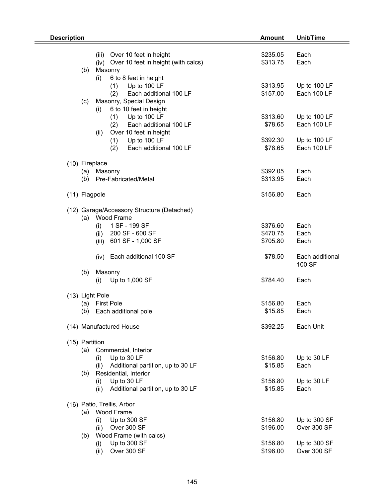| <b>Description</b> |                                            | <b>Amount</b> | Unit/Time       |
|--------------------|--------------------------------------------|---------------|-----------------|
|                    |                                            |               |                 |
|                    | (iii)<br>Over 10 feet in height            | \$235.05      | Each            |
|                    | (iv) Over 10 feet in height (with calcs)   | \$313.75      | Each            |
|                    | Masonry<br>(b)                             |               |                 |
|                    | 6 to 8 feet in height<br>(i)               |               |                 |
|                    | Up to 100 LF<br>(1)                        | \$313.95      | Up to 100 LF    |
|                    | (2)<br>Each additional 100 LF              | \$157.00      | Each 100 LF     |
|                    | Masonry, Special Design<br>(c)             |               |                 |
|                    | 6 to 10 feet in height<br>(i)              |               |                 |
|                    | (1)<br>Up to 100 LF                        | \$313.60      | Up to 100 LF    |
|                    | Each additional 100 LF<br>(2)              | \$78.65       | Each 100 LF     |
|                    | Over 10 feet in height<br>(ii)             |               |                 |
|                    | Up to 100 LF<br>(1)                        | \$392.30      | Up to 100 LF    |
|                    | Each additional 100 LF<br>(2)              | \$78.65       | Each 100 LF     |
|                    | (10) Fireplace                             |               |                 |
|                    | Masonry<br>(a)                             | \$392.05      | Each            |
|                    | Pre-Fabricated/Metal<br>(b)                | \$313.95      | Each            |
|                    |                                            |               |                 |
|                    | (11) Flagpole                              | \$156.80      | Each            |
|                    |                                            |               |                 |
|                    | (12) Garage/Accessory Structure (Detached) |               |                 |
|                    | (a) Wood Frame                             |               |                 |
|                    | 1 SF - 199 SF<br>(i)                       | \$376.60      | Each            |
|                    | 200 SF - 600 SF<br>(ii)                    | \$470.75      | Each            |
|                    | 601 SF - 1,000 SF<br>(iii)                 | \$705.80      | Each            |
|                    |                                            |               |                 |
|                    | (iv) Each additional 100 SF                | \$78.50       | Each additional |
|                    |                                            |               | 100 SF          |
|                    | Masonry<br>(b)<br>Up to 1,000 SF<br>(i)    | \$784.40      | Each            |
|                    |                                            |               |                 |
|                    | (13) Light Pole                            |               |                 |
|                    | <b>First Pole</b><br>(a)                   | \$156.80      | Each            |
|                    | (b)<br>Each additional pole                | \$15.85       | Each            |
|                    |                                            |               |                 |
|                    | (14) Manufactured House                    | \$392.25      | Each Unit       |
|                    |                                            |               |                 |
|                    | (15) Partition                             |               |                 |
|                    | (a)<br>Commercial, Interior                |               |                 |
|                    | Up to 30 LF<br>(i)                         | \$156.80      | Up to 30 LF     |
|                    | Additional partition, up to 30 LF<br>(ii)  | \$15.85       | Each            |
|                    | Residential, Interior<br>(b)               |               |                 |
|                    | Up to 30 LF<br>(i)                         | \$156.80      | Up to 30 LF     |
|                    | Additional partition, up to 30 LF<br>(ii)  | \$15.85       | Each            |
|                    | (16) Patio, Trellis, Arbor                 |               |                 |
|                    | Wood Frame<br>(a)                          |               |                 |
|                    | Up to 300 SF<br>(i)                        | \$156.80      | Up to 300 SF    |
|                    | Over 300 SF<br>(ii)                        | \$196.00      | Over 300 SF     |
|                    | Wood Frame (with calcs)<br>(b)             |               |                 |
|                    | Up to 300 SF<br>(i)                        | \$156.80      | Up to 300 SF    |
|                    | Over 300 SF<br>(ii)                        | \$196.00      | Over 300 SF     |
|                    |                                            |               |                 |

-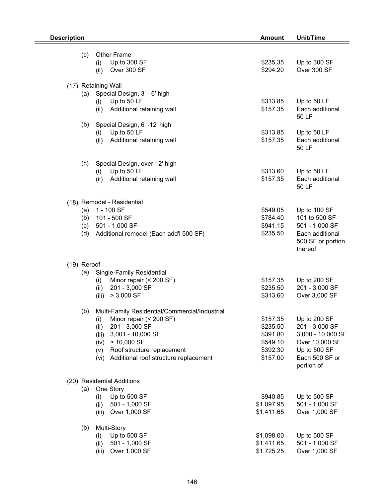|             | <b>Description</b> |                                                                  |                      | Unit/Time                                                         |
|-------------|--------------------|------------------------------------------------------------------|----------------------|-------------------------------------------------------------------|
|             | (c)                | <b>Other Frame</b><br>Up to 300 SF<br>(i)<br>Over 300 SF<br>(ii) | \$235.35<br>\$294.20 | Up to 300 SF<br>Over 300 SF                                       |
|             |                    | (17) Retaining Wall                                              |                      |                                                                   |
|             | (a)                | Special Design, 3' - 6' high                                     |                      |                                                                   |
|             |                    | Up to 50 LF<br>(i)<br>(ii)<br>Additional retaining wall          | \$313.85<br>\$157.35 | Up to 50 LF<br>Each additional<br>50 LF                           |
|             | (b)                | Special Design, 6' -12' high                                     |                      |                                                                   |
|             |                    | Up to 50 LF<br>(i)<br>Additional retaining wall<br>(ii)          | \$313.85<br>\$157.35 | Up to 50 LF<br>Each additional<br>50 LF                           |
|             |                    |                                                                  |                      |                                                                   |
|             | (c)                | Special Design, over 12' high                                    |                      |                                                                   |
|             |                    | Up to 50 LF<br>(i)<br>Additional retaining wall<br>(ii)          | \$313.60<br>\$157.35 | Up to 50 LF<br>Each additional<br>50 LF                           |
|             |                    | (18) Remodel - Residential                                       |                      |                                                                   |
|             | (a)                | 1 - 100 SF                                                       | \$549.05             | Up to 100 SF                                                      |
|             | (b)                | 101 - 500 SF                                                     | \$784.40             | 101 to 500 SF                                                     |
|             | (c)<br>(d)         | 501 - 1,000 SF<br>Additional remodel (Each add'l 500 SF)         | \$941.15<br>\$235.50 | 501 - 1,000 SF<br>Each additional<br>500 SF or portion<br>thereof |
| (19) Reroof |                    |                                                                  |                      |                                                                   |
|             | (a)                | Single-Family Residential                                        |                      |                                                                   |
|             |                    | Minor repair (< 200 SF)<br>(i)                                   | \$157.35             | Up to 200 SF                                                      |
|             |                    | 201 - 3,000 SF<br>(ii)                                           | \$235.50             | 201 - 3,000 SF                                                    |
|             |                    | (iii)<br>$> 3,000$ SF                                            | \$313.60             | Over 3,000 SF                                                     |
|             | (b)                | Multi-Family Residential/Commercial/Industrial                   |                      |                                                                   |
|             |                    | Minor repair (< 200 SF)<br>(i)                                   | \$157.35             | Up to 200 SF                                                      |
|             |                    | 201 - 3,000 SF<br>(ii)                                           | \$235.50             | 201 - 3,000 SF                                                    |
|             |                    | 3,001 - 10,000 SF<br>(iii)                                       | \$391.80             | 3,000 - 10,000 SF                                                 |
|             |                    | $> 10,000$ SF<br>(iv)<br>Roof structure replacement              | \$549.10<br>\$392.30 | Over 10,000 SF<br>Up to 500 SF                                    |
|             |                    | (v)<br>Additional roof structure replacement<br>(vi)             | \$157.00             | Each 500 SF or<br>portion of                                      |
|             |                    | (20) Residential Additions                                       |                      |                                                                   |
|             | (a)                | One Story                                                        |                      |                                                                   |
|             |                    | Up to 500 SF<br>(i)                                              | \$940.85             | Up to 500 SF                                                      |
|             |                    | 501 - 1,000 SF<br>(ii)                                           | \$1,097.95           | 501 - 1,000 SF                                                    |
|             |                    | Over 1,000 SF<br>(iii)                                           | \$1,411.65           | Over 1,000 SF                                                     |
|             | (b)                | Multi-Story                                                      |                      |                                                                   |
|             |                    | Up to 500 SF<br>(i)                                              | \$1,098.00           | Up to 500 SF                                                      |
|             |                    | 501 - 1,000 SF<br>(ii)                                           | \$1,411.65           | 501 - 1,000 SF                                                    |
|             |                    | Over 1,000 SF<br>(iii)                                           | \$1,725.25           | Over 1,000 SF                                                     |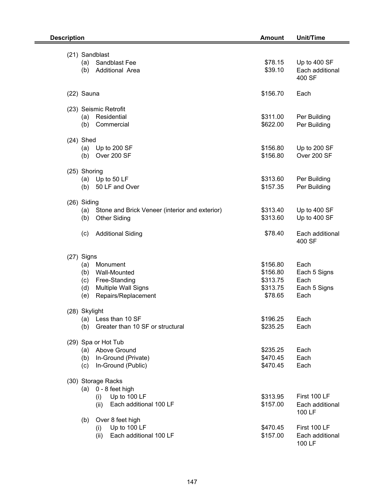| <b>Unit/Time</b><br><b>Description</b><br><b>Amount</b>                                                                                  |                                                         |                                                      |
|------------------------------------------------------------------------------------------------------------------------------------------|---------------------------------------------------------|------------------------------------------------------|
| (21) Sandblast<br>(a) Sandblast Fee<br>Additional Area<br>(b)                                                                            | \$78.15<br>\$39.10                                      | Up to 400 SF<br>Each additional<br>400 SF            |
| (22) Sauna                                                                                                                               | \$156.70                                                | Each                                                 |
| (23) Seismic Retrofit<br>Residential<br>(a)<br>Commercial<br>(b)                                                                         | \$311.00<br>\$622.00                                    | Per Building<br>Per Building                         |
| $(24)$ Shed<br>Up to 200 SF<br>(a)<br>Over 200 SF<br>(b)                                                                                 | \$156.80<br>\$156.80                                    | Up to 200 SF<br>Over 200 SF                          |
| (25) Shoring<br>(a) Up to $50$ LF<br>50 LF and Over<br>(b)                                                                               | \$313.60<br>\$157.35                                    | Per Building<br>Per Building                         |
| (26) Siding<br>(a)<br>Stone and Brick Veneer (interior and exterior)<br>(b)<br><b>Other Siding</b>                                       | \$313.40<br>\$313.60                                    | Up to 400 SF<br>Up to 400 SF                         |
| (c)<br><b>Additional Siding</b>                                                                                                          | \$78.40                                                 | Each additional<br>400 SF                            |
| (27) Signs<br>(a)<br>Monument<br>Wall-Mounted<br>(b)<br>Free-Standing<br>(c)<br>Multiple Wall Signs<br>(d)<br>Repairs/Replacement<br>(e) | \$156.80<br>\$156.80<br>\$313.75<br>\$313.75<br>\$78.65 | Each<br>Each 5 Signs<br>Each<br>Each 5 Signs<br>Each |
| (28) Skylight<br>Less than 10 SF<br>(a)<br>Greater than 10 SF or structural<br>(b)                                                       | \$196.25<br>\$235.25                                    | Each<br>Each                                         |
| (29) Spa or Hot Tub<br>(a) Above Ground<br>In-Ground (Private)<br>(b)<br>In-Ground (Public)<br>(c)                                       | \$235.25<br>\$470.45<br>\$470.45                        | Each<br>Each<br>Each                                 |
| (30) Storage Racks<br>0 - 8 feet high<br>(a)<br>Up to 100 LF<br>(i)<br>Each additional 100 LF<br>(ii)                                    | \$313.95<br>\$157.00                                    | First 100 LF<br>Each additional<br>100 LF            |
| Over 8 feet high<br>(b)<br>Up to 100 LF<br>(i)<br>Each additional 100 LF<br>(ii)                                                         | \$470.45<br>\$157.00                                    | First 100 LF<br>Each additional<br>100 LF            |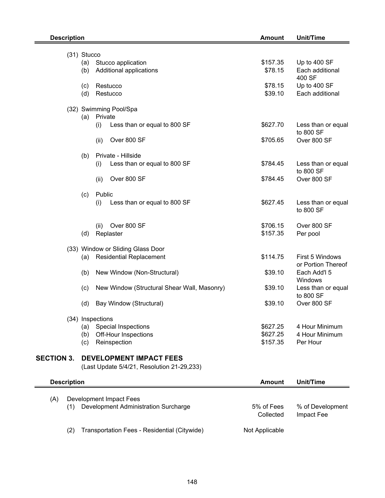| <b>Description</b> |                    |                                                                 | <b>Amount</b>      | Unit/Time                       |
|--------------------|--------------------|-----------------------------------------------------------------|--------------------|---------------------------------|
|                    |                    |                                                                 |                    |                                 |
|                    | (31) Stucco<br>(a) | Stucco application                                              | \$157.35           | Up to 400 SF                    |
|                    | (b)                | Additional applications                                         | \$78.15            | Each additional                 |
|                    |                    |                                                                 |                    | 400 SF                          |
|                    | (c)<br>(d)         | Restucco<br>Restucco                                            | \$78.15<br>\$39.10 | Up to 400 SF<br>Each additional |
|                    |                    | (32) Swimming Pool/Spa                                          |                    |                                 |
|                    | (a)                | Private                                                         |                    |                                 |
|                    |                    | (i)<br>Less than or equal to 800 SF                             | \$627.70           | Less than or equal<br>to 800 SF |
|                    |                    | Over 800 SF<br>(ii)                                             | \$705.65           | Over 800 SF                     |
|                    | (b)                | Private - Hillside                                              |                    |                                 |
|                    |                    | Less than or equal to 800 SF<br>(i)                             | \$784.45           | Less than or equal<br>to 800 SF |
|                    |                    | Over 800 SF<br>(ii)                                             | \$784.45           | Over 800 SF                     |
|                    |                    |                                                                 |                    |                                 |
|                    | (c)                | Public<br>Less than or equal to 800 SF<br>(i)                   | \$627.45           | Less than or equal              |
|                    |                    |                                                                 |                    | to 800 SF                       |
|                    |                    | Over 800 SF<br>(ii)                                             | \$706.15           | Over 800 SF                     |
|                    | (d)                | Replaster                                                       | \$157.35           | Per pool                        |
|                    |                    | (33) Window or Sliding Glass Door                               |                    |                                 |
|                    | (a)                | <b>Residential Replacement</b>                                  | \$114.75           | First 5 Windows                 |
|                    |                    |                                                                 |                    | or Portion Thereof              |
|                    | (b)                | New Window (Non-Structural)                                     | \$39.10            | Each Add'l 5<br>Windows         |
|                    | (c)                | New Window (Structural Shear Wall, Masonry)                     | \$39.10            | Less than or equal<br>to 800 SF |
|                    | (d)                | Bay Window (Structural)                                         | \$39.10            | Over 800 SF                     |
|                    |                    | (34) Inspections                                                |                    |                                 |
|                    | (a)                | Special Inspections                                             | \$627.25           | 4 Hour Minimum                  |
|                    | (b)                | Off-Hour Inspections                                            | \$627.25           | 4 Hour Minimum                  |
|                    | (c)                | Reinspection                                                    | \$157.35           | Per Hour                        |
| <b>SECTION 3.</b>  |                    | <b>DEVELOPMENT IMPACT FEES</b>                                  |                    |                                 |
|                    |                    | (Last Update 5/4/21, Resolution 21-29,233)                      |                    |                                 |
| <b>Description</b> |                    |                                                                 | <b>Amount</b>      | Unit/Time                       |
|                    |                    |                                                                 |                    |                                 |
| (A)<br>(1)         |                    | Development Impact Fees<br>Development Administration Surcharge | 5% of Fees         | % of Development                |
|                    |                    |                                                                 | Collected          | Impact Fee                      |
| (2)                |                    | Transportation Fees - Residential (Citywide)                    | Not Applicable     |                                 |

Ē,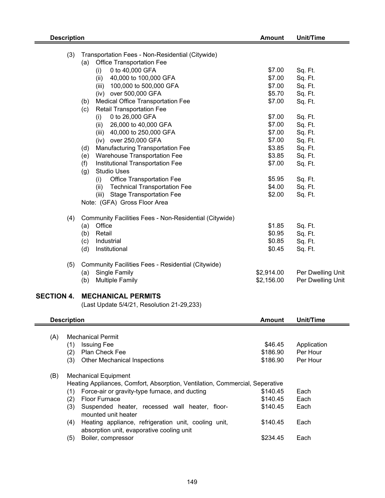| <b>Description</b>                      |                                                                                                                                                                                                                                                                                                                                                                                                                                                                                                                                                                                                                                                                                                                                            | <b>Amount</b>                                                                                                                                      | Unit/Time                                                                                                                                                         |
|-----------------------------------------|--------------------------------------------------------------------------------------------------------------------------------------------------------------------------------------------------------------------------------------------------------------------------------------------------------------------------------------------------------------------------------------------------------------------------------------------------------------------------------------------------------------------------------------------------------------------------------------------------------------------------------------------------------------------------------------------------------------------------------------------|----------------------------------------------------------------------------------------------------------------------------------------------------|-------------------------------------------------------------------------------------------------------------------------------------------------------------------|
| (3)                                     | Transportation Fees - Non-Residential (Citywide)<br><b>Office Transportation Fee</b><br>(a)<br>0 to 40,000 GFA<br>(i)<br>40,000 to 100,000 GFA<br>(ii)<br>100,000 to 500,000 GFA<br>(iii)<br>(iv) over 500,000 GFA<br>Medical Office Transportation Fee<br>(b)<br><b>Retail Transportation Fee</b><br>(c)<br>0 to 26,000 GFA<br>(i)<br>26,000 to 40,000 GFA<br>(ii)<br>(iii) 40,000 to 250,000 GFA<br>(iv) over 250,000 GFA<br>Manufacturing Transportation Fee<br>(d)<br>Warehouse Transportation Fee<br>(e)<br>Institutional Transportation Fee<br>(f)<br><b>Studio Uses</b><br>(g)<br>Office Transportation Fee<br>(i)<br><b>Technical Transportation Fee</b><br>(ii)<br>(iii) Stage Transportation Fee<br>Note: (GFA) Gross Floor Area | \$7.00<br>\$7.00<br>\$7.00<br>\$5.70<br>\$7.00<br>\$7.00<br>\$7.00<br>\$7.00<br>\$7.00<br>\$3.85<br>\$3.85<br>\$7.00<br>\$5.95<br>\$4.00<br>\$2.00 | Sq. Ft.<br>Sq. Ft.<br>Sq. Ft.<br>Sq. Ft.<br>Sq. Ft.<br>Sq. Ft.<br>Sq. Ft.<br>Sq. Ft.<br>Sq. Ft.<br>Sq. Ft.<br>Sq. Ft.<br>Sq. Ft.<br>Sq. Ft.<br>Sq. Ft.<br>Sq. Ft. |
| (4)<br>(5)                              | Community Facilities Fees - Non-Residential (Citywide)<br>Office<br>(a)<br>(b)<br>Retail<br>Industrial<br>(c)<br>(d)<br>Institutional<br>Community Facilities Fees - Residential (Citywide)<br>Single Family<br>(a)                                                                                                                                                                                                                                                                                                                                                                                                                                                                                                                        | \$1.85<br>\$0.95<br>\$0.85<br>\$0.45<br>\$2,914.00                                                                                                 | Sq. Ft.<br>Sq. Ft.<br>Sq. Ft.<br>Sq. Ft.<br>Per Dwelling Unit                                                                                                     |
| <b>SECTION 4.</b><br><b>Description</b> | (b)<br><b>Multiple Family</b><br><b>MECHANICAL PERMITS</b><br>(Last Update 5/4/21, Resolution 21-29,233)                                                                                                                                                                                                                                                                                                                                                                                                                                                                                                                                                                                                                                   | \$2,156.00<br><b>Amount</b>                                                                                                                        | Per Dwelling Unit<br>Unit/Time                                                                                                                                    |
| (A)<br>(1)<br>(2)<br>(3)                | <b>Mechanical Permit</b><br><b>Issuing Fee</b><br>Plan Check Fee<br><b>Other Mechanical Inspections</b>                                                                                                                                                                                                                                                                                                                                                                                                                                                                                                                                                                                                                                    | \$46.45<br>\$186.90<br>\$186.90                                                                                                                    | Application<br>Per Hour<br>Per Hour                                                                                                                               |
| (B)<br>(1)<br>(2)<br>(3)<br>(4)<br>(5)  | <b>Mechanical Equipment</b><br>Heating Appliances, Comfort, Absorption, Ventilation, Commercial, Seperative<br>Force-air or gravity-type furnace, and ducting<br><b>Floor Furnace</b><br>Suspended heater, recessed wall heater, floor-<br>mounted unit heater<br>Heating appliance, refrigeration unit, cooling unit,<br>absorption unit, evaporative cooling unit<br>Boiler, compressor                                                                                                                                                                                                                                                                                                                                                  | \$140.45<br>\$140.45<br>\$140.45<br>\$140.45<br>\$234.45                                                                                           | Each<br>Each<br>Each<br>Each<br>Each                                                                                                                              |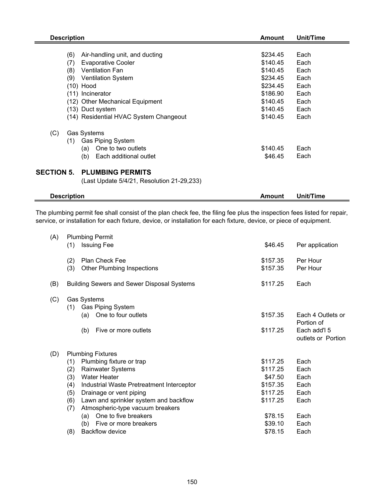| <b>Description</b>                                                                                                                                                                                                                                                               | Amount                                                                                                   | Unit/Time                                                            |
|----------------------------------------------------------------------------------------------------------------------------------------------------------------------------------------------------------------------------------------------------------------------------------|----------------------------------------------------------------------------------------------------------|----------------------------------------------------------------------|
| Air-handling unit, and ducting<br>(6)<br><b>Evaporative Cooler</b><br>(7)<br>(8)<br><b>Ventilation Fan</b><br>(9)<br><b>Ventilation System</b><br>(10) Hood<br>(11) Incinerator<br>(12) Other Mechanical Equipment<br>(13) Duct system<br>(14) Residential HVAC System Changeout | \$234.45<br>\$140.45<br>\$140.45<br>\$234.45<br>\$234.45<br>\$186.90<br>\$140.45<br>\$140.45<br>\$140.45 | Each<br>Each<br>Each<br>Each<br>Each<br>Each<br>Each<br>Each<br>Each |
| (C)<br>Gas Systems<br><b>Gas Piping System</b><br>(1)<br>One to two outlets<br>(a)<br>(b)<br>Each additional outlet                                                                                                                                                              | \$140.45<br>\$46.45                                                                                      | Each<br>Each                                                         |
| <b>PLUMBING PERMITS</b><br><b>SECTION 5.</b><br>(Last Update 5/4/21, Resolution 21-29,233)                                                                                                                                                                                       |                                                                                                          |                                                                      |

| <b>Description</b> | Amount | .<br><b>fime</b><br>∪nıu ′ |  |
|--------------------|--------|----------------------------|--|
|                    |        |                            |  |

The plumbing permit fee shall consist of the plan check fee, the filing fee plus the inspection fees listed for repair, service, or installation for each fixture, device, or installation for each fixture, device, or piece of equipment.

| (1)        | <b>Issuing Fee</b>                                                         | \$46.45                                                                                                                                              | Per application                    |
|------------|----------------------------------------------------------------------------|------------------------------------------------------------------------------------------------------------------------------------------------------|------------------------------------|
| (2)<br>(3) | Plan Check Fee<br><b>Other Plumbing Inspections</b>                        | \$157.35<br>\$157.35                                                                                                                                 | Per Hour<br>Per Hour               |
|            |                                                                            | \$117.25                                                                                                                                             | Each                               |
| (1)        | Gas Piping System                                                          |                                                                                                                                                      |                                    |
|            |                                                                            |                                                                                                                                                      | Each 4 Outlets or<br>Portion of    |
|            | Five or more outlets<br>(b)                                                | \$117.25                                                                                                                                             | Each add'l 5<br>outlets or Portion |
|            |                                                                            |                                                                                                                                                      |                                    |
| (1)        | Plumbing fixture or trap                                                   | \$117.25                                                                                                                                             | Each                               |
| (2)        | <b>Rainwater Systems</b>                                                   | \$117.25                                                                                                                                             | Each                               |
| (3)        | <b>Water Heater</b>                                                        | \$47.50                                                                                                                                              | Each                               |
| (4)        | Industrial Waste Pretreatment Interceptor                                  | \$157.35                                                                                                                                             | Each                               |
| (5)        | Drainage or vent piping                                                    | \$117.25                                                                                                                                             | Each                               |
| (6)<br>(7) | Lawn and sprinkler system and backflow<br>Atmospheric-type vacuum breakers | \$117.25                                                                                                                                             | Each                               |
|            | One to five breakers<br>(a)                                                | \$78.15                                                                                                                                              | Each                               |
|            | (b)<br>Five or more breakers                                               | \$39.10                                                                                                                                              | Each                               |
| (8)        | <b>Backflow device</b>                                                     | \$78.15                                                                                                                                              | Each                               |
|            |                                                                            | <b>Plumbing Permit</b><br><b>Building Sewers and Sewer Disposal Systems</b><br>Gas Systems<br>One to four outlets<br>(a)<br><b>Plumbing Fixtures</b> | \$157.35                           |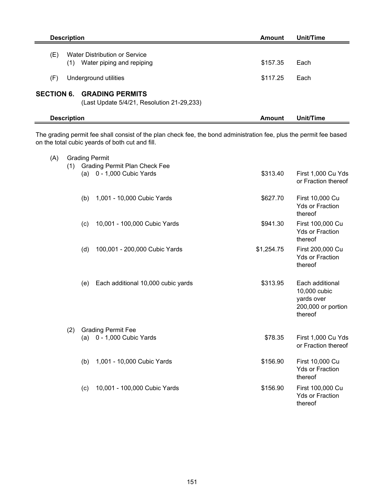|     | <b>Description</b> |                                                                                 | Amount   | Unit/Time |
|-----|--------------------|---------------------------------------------------------------------------------|----------|-----------|
| (E) | (1)                | Water Distribution or Service<br>Water piping and repiping                      | \$157.35 | Each      |
| (F) |                    | Underground utilities                                                           | \$117.25 | Each      |
|     |                    | <b>SECTION 6. GRADING PERMITS</b><br>(Last Update 5/4/21, Resolution 21-29,233) |          |           |
|     | <b>Description</b> |                                                                                 | Amount   | Unit/Time |
|     |                    |                                                                                 |          |           |

The grading permit fee shall consist of the plan check fee, the bond administration fee, plus the permit fee based on the total cubic yeards of both cut and fill.

eri

| (A) |     |     | <b>Grading Permit</b>                                          |            |                                                                                |
|-----|-----|-----|----------------------------------------------------------------|------------|--------------------------------------------------------------------------------|
|     |     |     | (1) Grading Permit Plan Check Fee<br>(a) 0 - 1,000 Cubic Yards | \$313.40   | First 1,000 Cu Yds<br>or Fraction thereof                                      |
|     |     | (b) | 1,001 - 10,000 Cubic Yards                                     | \$627.70   | First 10,000 Cu<br><b>Yds or Fraction</b><br>thereof                           |
|     |     | (c) | 10,001 - 100,000 Cubic Yards                                   | \$941.30   | First 100,000 Cu<br><b>Yds or Fraction</b><br>thereof                          |
|     |     | (d) | 100,001 - 200,000 Cubic Yards                                  | \$1,254.75 | First 200,000 Cu<br><b>Yds or Fraction</b><br>thereof                          |
|     |     | (e) | Each additional 10,000 cubic yards                             | \$313.95   | Each additional<br>10,000 cubic<br>yards over<br>200,000 or portion<br>thereof |
|     | (2) |     | <b>Grading Permit Fee</b>                                      |            |                                                                                |
|     |     |     | (a) 0 - 1,000 Cubic Yards                                      | \$78.35    | First 1,000 Cu Yds<br>or Fraction thereof                                      |
|     |     | (b) | 1,001 - 10,000 Cubic Yards                                     | \$156.90   | First 10,000 Cu<br><b>Yds or Fraction</b><br>thereof                           |
|     |     | (c) | 10,001 - 100,000 Cubic Yards                                   | \$156.90   | First 100,000 Cu<br><b>Yds or Fraction</b><br>thereof                          |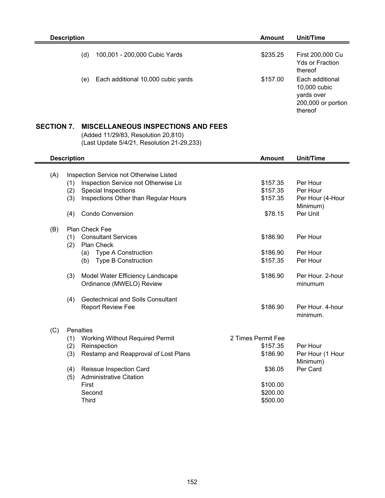| <b>Description</b> |                                    | Amount   | Unit/Time                                                                      |
|--------------------|------------------------------------|----------|--------------------------------------------------------------------------------|
| (d)                | 100,001 - 200,000 Cubic Yards      | \$235.25 | First 200,000 Cu<br><b>Yds or Fraction</b><br>thereof                          |
| (e)                | Each additional 10,000 cubic yards | \$157.00 | Each additional<br>10,000 cubic<br>yards over<br>200,000 or portion<br>thereof |
|                    |                                    |          |                                                                                |

## **SECTION 7. MISCELLANEOUS INSPECTIONS AND FEES**

(Added 11/29/83, Resolution 20,810) (Last Update 5/4/21, Resolution 21-29,233)

|     | <b>Description</b> |                                         | <b>Amount</b>      | Unit/Time        |
|-----|--------------------|-----------------------------------------|--------------------|------------------|
| (A) |                    | Inspection Service not Otherwise Listed |                    |                  |
|     | (1)                | Inspection Service not Otherwise Lis    | \$157.35           | Per Hour         |
|     | (2)                | <b>Special Inspections</b>              | \$157.35           | Per Hour         |
|     | (3)                | Inspections Other than Regular Hours    | \$157.35           | Per Hour (4-Hour |
|     |                    |                                         |                    | Minimum)         |
|     | (4)                | <b>Condo Conversion</b>                 | \$78.15            | Per Unit         |
| (B) |                    | Plan Check Fee                          |                    |                  |
|     | (1)                | <b>Consultant Services</b>              | \$186.90           | Per Hour         |
|     | (2)                | Plan Check                              |                    |                  |
|     |                    | <b>Type A Construction</b><br>(a)       | \$186.90           | Per Hour         |
|     |                    | <b>Type B Construction</b><br>(b)       | \$157.35           | Per Hour         |
|     |                    |                                         |                    |                  |
|     | (3)                | Model Water Efficiency Landscape        | \$186.90           | Per Hour, 2-hour |
|     |                    | Ordinance (MWELO) Review                |                    | minumum          |
|     | (4)                | Geotechnical and Soils Consultant       |                    |                  |
|     |                    | <b>Report Review Fee</b>                | \$186.90           | Per Hour, 4-hour |
|     |                    |                                         |                    | minimum.         |
|     |                    |                                         |                    |                  |
| (C) |                    | Penalties                               |                    |                  |
|     | (1)                | <b>Working Without Required Permit</b>  | 2 Times Permit Fee |                  |
|     | (2)                | Reinspection                            | \$157.35           | Per Hour         |
|     | (3)                | Restamp and Reapproval of Lost Plans    | \$186.90           | Per Hour (1 Hour |
|     |                    |                                         |                    | Minimum)         |
|     | (4)                | Reissue Inspection Card                 | \$36.05            | Per Card         |
|     | (5)                | <b>Administrative Citation</b>          |                    |                  |
|     |                    | First                                   | \$100.00           |                  |
|     |                    | Second                                  | \$200.00           |                  |
|     |                    | <b>Third</b>                            | \$500.00           |                  |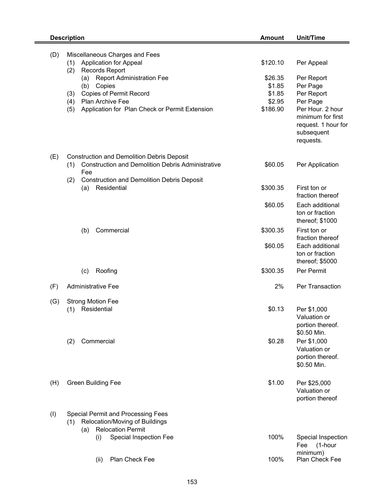|     | <b>Description</b>                                                                                                                                                                                                                                                                              | <b>Amount</b>                                                 | Unit/Time                                                                                                                                                 |
|-----|-------------------------------------------------------------------------------------------------------------------------------------------------------------------------------------------------------------------------------------------------------------------------------------------------|---------------------------------------------------------------|-----------------------------------------------------------------------------------------------------------------------------------------------------------|
| (D) | Miscellaneous Charges and Fees<br><b>Application for Appeal</b><br>(1)<br>(2)<br><b>Records Report</b><br><b>Report Administration Fee</b><br>(a)<br>(b)<br>Copies<br><b>Copies of Permit Record</b><br>(3)<br>Plan Archive Fee<br>(4)<br>(5)<br>Application for Plan Check or Permit Extension | \$120.10<br>\$26.35<br>\$1.85<br>\$1.85<br>\$2.95<br>\$186.90 | Per Appeal<br>Per Report<br>Per Page<br>Per Report<br>Per Page<br>Per Hour. 2 hour<br>minimum for first<br>request. 1 hour for<br>subsequent<br>requests. |
| (E) | <b>Construction and Demolition Debris Deposit</b><br><b>Construction and Demolition Debris Administrative</b><br>(1)<br>Fee                                                                                                                                                                     | \$60.05                                                       | Per Application                                                                                                                                           |
|     | (2)<br><b>Construction and Demolition Debris Deposit</b><br>Residential<br>(a)                                                                                                                                                                                                                  | \$300.35                                                      | First ton or                                                                                                                                              |
|     |                                                                                                                                                                                                                                                                                                 | \$60.05                                                       | fraction thereof<br>Each additional<br>ton or fraction<br>thereof; \$1000                                                                                 |
|     | Commercial<br>(b)                                                                                                                                                                                                                                                                               | \$300.35                                                      | First ton or<br>fraction thereof                                                                                                                          |
|     |                                                                                                                                                                                                                                                                                                 | \$60.05                                                       | Each additional<br>ton or fraction<br>thereof; \$5000                                                                                                     |
|     | Roofing<br>(c)                                                                                                                                                                                                                                                                                  | \$300.35                                                      | Per Permit                                                                                                                                                |
| (F) | <b>Administrative Fee</b>                                                                                                                                                                                                                                                                       | 2%                                                            | Per Transaction                                                                                                                                           |
| (G) | <b>Strong Motion Fee</b><br>Residential<br>(1)                                                                                                                                                                                                                                                  | \$0.13                                                        | Per \$1,000<br>Valuation or<br>portion thereof.<br>\$0.50 Min.                                                                                            |
|     | Commercial<br>(2)                                                                                                                                                                                                                                                                               | \$0.28                                                        | Per \$1,000<br>Valuation or<br>portion thereof.<br>\$0.50 Min.                                                                                            |
| (H) | <b>Green Building Fee</b>                                                                                                                                                                                                                                                                       | \$1.00                                                        | Per \$25,000<br>Valuation or<br>portion thereof                                                                                                           |
| (1) | <b>Special Permit and Processing Fees</b><br>Relocation/Moving of Buildings<br>(1)<br><b>Relocation Permit</b><br>(a)                                                                                                                                                                           |                                                               |                                                                                                                                                           |
|     | Special Inspection Fee<br>(i)                                                                                                                                                                                                                                                                   | 100%                                                          | Special Inspection<br>(1-hour<br>Fee                                                                                                                      |
|     | Plan Check Fee<br>(ii)                                                                                                                                                                                                                                                                          | 100%                                                          | minimum)<br>Plan Check Fee                                                                                                                                |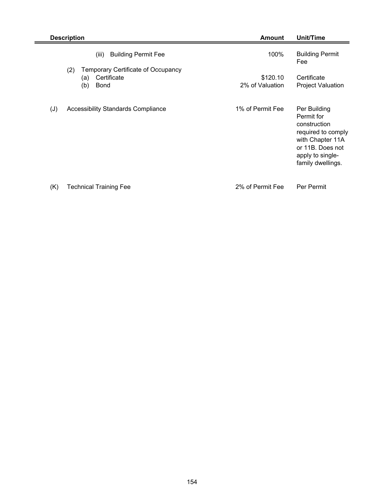|     | <b>Description</b>                                                                    | <b>Amount</b>               | Unit/Time                                                                                                                                         |
|-----|---------------------------------------------------------------------------------------|-----------------------------|---------------------------------------------------------------------------------------------------------------------------------------------------|
|     | <b>Building Permit Fee</b><br>(iii)                                                   | 100%                        | <b>Building Permit</b><br>Fee                                                                                                                     |
|     | Temporary Certificate of Occupancy<br>(2)<br>Certificate<br>(a)<br>(b)<br><b>Bond</b> | \$120.10<br>2% of Valuation | Certificate<br><b>Project Valuation</b>                                                                                                           |
| (J) | <b>Accessibility Standards Compliance</b>                                             | 1% of Permit Fee            | Per Building<br>Permit for<br>construction<br>required to comply<br>with Chapter 11A<br>or 11B. Does not<br>apply to single-<br>family dwellings. |

(K) Technical Training Fee 2% of Permit Fee Per Permit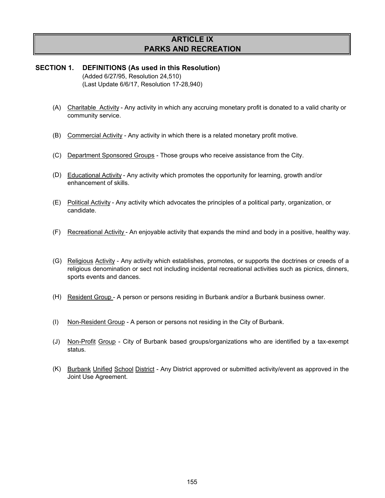## **ARTICLE IX PARKS AND RECREATION**

#### **SECTION 1. DEFINITIONS (As used in this Resolution)** (Added 6/27/95, Resolution 24,510) (Last Update 6/6/17, Resolution 17-28,940)

- (A) Charitable Activity Any activity in which any accruing monetary profit is donated to a valid charity or community service.
- (B) Commercial Activity Any activity in which there is a related monetary profit motive.
- (C) Department Sponsored Groups Those groups who receive assistance from the City.
- (D) Educational Activity Any activity which promotes the opportunity for learning, growth and/or enhancement of skills.
- (E) Political Activity Any activity which advocates the principles of a political party, organization, or candidate.
- (F) Recreational Activity An enjoyable activity that expands the mind and body in a positive, healthy way.
- (G) Religious Activity Any activity which establishes, promotes, or supports the doctrines or creeds of a religious denomination or sect not including incidental recreational activities such as picnics, dinners, sports events and dances.
- (H) Resident Group A person or persons residing in Burbank and/or a Burbank business owner.
- (I) Non-Resident Group - A person or persons not residing in the City of Burbank.
- (J) Non-Profit Group City of Burbank based groups/organizations who are identified by a tax-exempt status.
- (K) Burbank Unified School District Any District approved or submitted activity/event as approved in the Joint Use Agreement.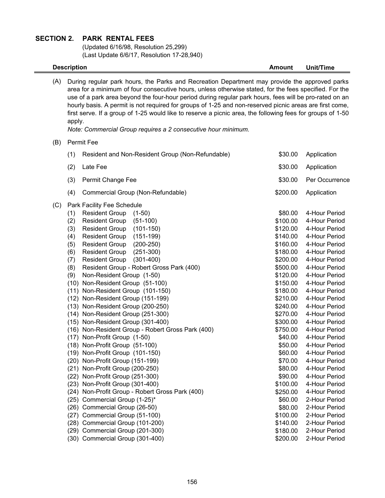#### **SECTION 2. PARK RENTAL FEES**

(Updated 6/16/98, Resolution 25,299) (Last Update 6/6/17, Resolution 17-28,940)

**Description Amount** Unit/Time

(A) During regular park hours, the Parks and Recreation Department may provide the approved parks area for a minimum of four consecutive hours, unless otherwise stated, for the fees specified. For the use of a park area beyond the four-hour period during regular park hours, fees will be pro-rated on an hourly basis. A permit is not required for groups of 1-25 and non-reserved picnic areas are first come, first serve. If a group of 1-25 would like to reserve a picnic area, the following fees for groups of 1-50 apply.

*Note: Commercial Group requires a 2 consecutive hour minimum.*

#### (B) Permit Fee

|     | (1) | Resident and Non-Resident Group (Non-Refundable)  | \$30.00  | Application    |
|-----|-----|---------------------------------------------------|----------|----------------|
|     | (2) | Late Fee                                          | \$30.00  | Application    |
|     | (3) | Permit Change Fee                                 | \$30.00  | Per Occurrence |
|     | (4) | Commercial Group (Non-Refundable)                 | \$200.00 | Application    |
| (C) |     | Park Facility Fee Schedule                        |          |                |
|     | (1) | <b>Resident Group</b><br>$(1-50)$                 | \$80.00  | 4-Hour Period  |
|     | (2) | <b>Resident Group</b><br>$(51-100)$               | \$100.00 | 4-Hour Period  |
|     | (3) | <b>Resident Group</b><br>$(101-150)$              | \$120.00 | 4-Hour Period  |
|     | (4) | <b>Resident Group</b><br>$(151-199)$              | \$140.00 | 4-Hour Period  |
|     | (5) | $(200-250)$<br><b>Resident Group</b>              | \$160.00 | 4-Hour Period  |
|     | (6) | $(251-300)$<br><b>Resident Group</b>              | \$180.00 | 4-Hour Period  |
|     | (7) | $(301-400)$<br><b>Resident Group</b>              | \$200.00 | 4-Hour Period  |
|     | (8) | Resident Group - Robert Gross Park (400)          | \$500.00 | 4-Hour Period  |
|     | (9) | Non-Resident Group (1-50)                         | \$120.00 | 4-Hour Period  |
|     |     | (10) Non-Resident Group (51-100)                  | \$150.00 | 4-Hour Period  |
|     |     | (11) Non-Resident Group (101-150)                 | \$180.00 | 4-Hour Period  |
|     |     | (12) Non-Resident Group (151-199)                 | \$210.00 | 4-Hour Period  |
|     |     | (13) Non-Resident Group (200-250)                 | \$240.00 | 4-Hour Period  |
|     |     | (14) Non-Resident Group (251-300)                 | \$270.00 | 4-Hour Period  |
|     |     | (15) Non-Resident Group (301-400)                 | \$300.00 | 4-Hour Period  |
|     |     | (16) Non-Resident Group - Robert Gross Park (400) | \$750.00 | 4-Hour Period  |
|     |     | (17) Non-Profit Group (1-50)                      | \$40.00  | 4-Hour Period  |
|     |     | (18) Non-Profit Group (51-100)                    | \$50.00  | 4-Hour Period  |
|     |     | (19) Non-Profit Group (101-150)                   | \$60.00  | 4-Hour Period  |
|     |     | (20) Non-Profit Group (151-199)                   | \$70.00  | 4-Hour Period  |
|     |     | (21) Non-Profit Group (200-250)                   | \$80.00  | 4-Hour Period  |
|     |     | (22) Non-Profit Group (251-300)                   | \$90.00  | 4-Hour Period  |
|     |     | (23) Non-Profit Group (301-400)                   | \$100.00 | 4-Hour Period  |
|     |     | (24) Non-Profit Group - Robert Gross Park (400)   | \$250.00 | 4-Hour Period  |
|     |     | (25) Commercial Group (1-25)*                     | \$60.00  | 2-Hour Period  |
|     |     | (26) Commercial Group (26-50)                     | \$80.00  | 2-Hour Period  |
|     |     | (27) Commercial Group (51-100)                    | \$100.00 | 2-Hour Period  |
|     |     | (28) Commercial Group (101-200)                   | \$140.00 | 2-Hour Period  |
|     |     | (29) Commercial Group (201-300)                   | \$180.00 | 2-Hour Period  |
|     |     | (30) Commercial Group (301-400)                   | \$200.00 | 2-Hour Period  |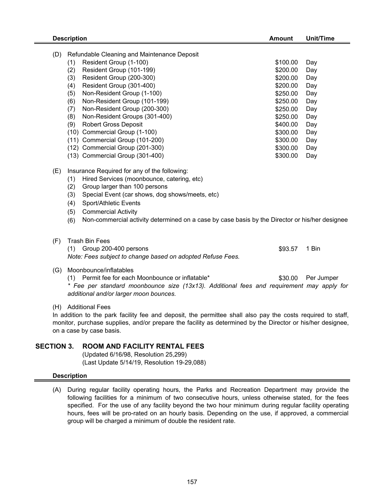|     | <b>Description</b>                                                                                                                                                                                                                                                                                                                                                                                                                                                                                                               | <b>Amount</b>                                                                                                                                            | <b>Unit/Time</b>                                                                        |
|-----|----------------------------------------------------------------------------------------------------------------------------------------------------------------------------------------------------------------------------------------------------------------------------------------------------------------------------------------------------------------------------------------------------------------------------------------------------------------------------------------------------------------------------------|----------------------------------------------------------------------------------------------------------------------------------------------------------|-----------------------------------------------------------------------------------------|
| (D) | Refundable Cleaning and Maintenance Deposit<br>Resident Group (1-100)<br>(1)<br>Resident Group (101-199)<br>(2)<br>Resident Group (200-300)<br>(3)<br>Resident Group (301-400)<br>(4)<br>Non-Resident Group (1-100)<br>(5)<br>Non-Resident Group (101-199)<br>(6)<br>Non-Resident Group (200-300)<br>(7)<br>Non-Resident Groups (301-400)<br>(8)<br><b>Robert Gross Deposit</b><br>(9)<br>(10) Commercial Group (1-100)<br>(11) Commercial Group (101-200)<br>(12) Commercial Group (201-300)<br>(13) Commercial Group (301-400) | \$100.00<br>\$200.00<br>\$200.00<br>\$200.00<br>\$250.00<br>\$250.00<br>\$250.00<br>\$250.00<br>\$400.00<br>\$300.00<br>\$300.00<br>\$300.00<br>\$300.00 | Day<br>Day<br>Day<br>Day<br>Day<br>Day<br>Day<br>Day<br>Day<br>Day<br>Day<br>Day<br>Day |
| (E) | Insurance Required for any of the following:<br>Hired Services (moonbounce, catering, etc)<br>(1)<br>Group larger than 100 persons<br>(2)<br>Special Event (car shows, dog shows/meets, etc)<br>(3)<br>Sport/Athletic Events<br>(4)<br>(5)<br><b>Commercial Activity</b><br>Non-commercial activity determined on a case by case basis by the Director or his/her designee<br>(6)                                                                                                                                                |                                                                                                                                                          |                                                                                         |
| (F) | <b>Trash Bin Fees</b><br>(1) Group 200-400 persons<br>Note: Fees subject to change based on adopted Refuse Fees.                                                                                                                                                                                                                                                                                                                                                                                                                 | \$93.57                                                                                                                                                  | 1 Bin                                                                                   |
| (G) | Moonbounce/inflatables<br>(1) Permit fee for each Moonbounce or inflatable*<br>* Fee per standard moonbounce size (13x13). Additional fees and requirement may apply for<br>additional and/or larger moon bounces.                                                                                                                                                                                                                                                                                                               | \$30.00                                                                                                                                                  | Per Jumper                                                                              |
|     | <br>. .                                                                                                                                                                                                                                                                                                                                                                                                                                                                                                                          |                                                                                                                                                          |                                                                                         |

(H) Additional Fees

In addition to the park facility fee and deposit, the permittee shall also pay the costs required to staff, monitor, purchase supplies, and/or prepare the facility as determined by the Director or his/her designee, on a case by case basis.

### **SECTION 3. ROOM AND FACILITY RENTAL FEES**

(Updated 6/16/98, Resolution 25,299) (Last Update 5/14/19, Resolution 19-29,088)

### **Description**

(A) During regular facility operating hours, the Parks and Recreation Department may provide the following facilities for a minimum of two consecutive hours, unless otherwise stated, for the fees specified. For the use of any facility beyond the two hour minimum during regular facility operating hours, fees will be pro-rated on an hourly basis. Depending on the use, if approved, a commercial group will be charged a minimum of double the resident rate.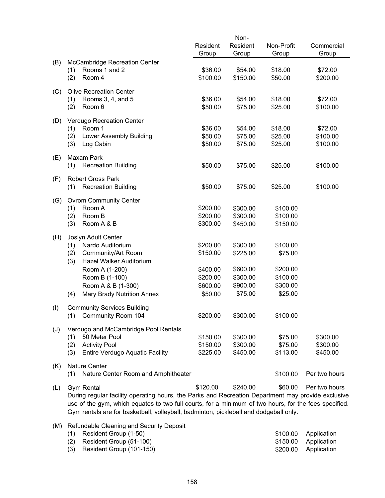|     |     |                                                                                                       |          | Non-     |            |               |
|-----|-----|-------------------------------------------------------------------------------------------------------|----------|----------|------------|---------------|
|     |     |                                                                                                       | Resident | Resident | Non-Profit | Commercial    |
|     |     |                                                                                                       | Group    | Group    | Group      | Group         |
| (B) |     | McCambridge Recreation Center                                                                         |          |          |            |               |
|     | (1) | Rooms 1 and 2                                                                                         | \$36.00  | \$54.00  | \$18.00    | \$72.00       |
|     | (2) | Room 4                                                                                                | \$100.00 | \$150.00 | \$50.00    | \$200.00      |
|     |     |                                                                                                       |          |          |            |               |
| (C) |     | <b>Olive Recreation Center</b>                                                                        |          |          |            |               |
|     | (1) | Rooms 3, 4, and 5                                                                                     | \$36.00  | \$54.00  | \$18.00    | \$72.00       |
|     | (2) | Room 6                                                                                                | \$50.00  | \$75.00  | \$25.00    | \$100.00      |
|     |     | Verdugo Recreation Center                                                                             |          |          |            |               |
| (D) | (1) | Room 1                                                                                                | \$36.00  | \$54.00  | \$18.00    | \$72.00       |
|     | (2) | Lower Assembly Building                                                                               | \$50.00  | \$75.00  | \$25.00    | \$100.00      |
|     | (3) | Log Cabin                                                                                             | \$50.00  | \$75.00  | \$25.00    | \$100.00      |
|     |     |                                                                                                       |          |          |            |               |
| (E) |     | Maxam Park                                                                                            |          |          |            |               |
|     | (1) | <b>Recreation Building</b>                                                                            | \$50.00  | \$75.00  | \$25.00    | \$100.00      |
|     |     |                                                                                                       |          |          |            |               |
| (F) |     | <b>Robert Gross Park</b>                                                                              |          |          |            |               |
|     | (1) | <b>Recreation Building</b>                                                                            | \$50.00  | \$75.00  | \$25.00    | \$100.00      |
|     |     | <b>Ovrom Community Center</b>                                                                         |          |          |            |               |
| (G) | (1) | Room A                                                                                                | \$200.00 | \$300.00 | \$100.00   |               |
|     | (2) | Room B                                                                                                | \$200.00 | \$300.00 | \$100.00   |               |
|     | (3) | Room A & B                                                                                            | \$300.00 | \$450.00 | \$150.00   |               |
|     |     |                                                                                                       |          |          |            |               |
| (H) |     | Joslyn Adult Center                                                                                   |          |          |            |               |
|     | (1) | Nardo Auditorium                                                                                      | \$200.00 | \$300.00 | \$100.00   |               |
|     | (2) | Community/Art Room                                                                                    | \$150.00 | \$225.00 | \$75.00    |               |
|     | (3) | Hazel Walker Auditorium                                                                               |          |          |            |               |
|     |     | Room A (1-200)                                                                                        | \$400.00 | \$600.00 | \$200.00   |               |
|     |     | Room B (1-100)                                                                                        | \$200.00 | \$300.00 | \$100.00   |               |
|     |     | Room A & B (1-300)                                                                                    | \$600.00 | \$900.00 | \$300.00   |               |
|     | (4) | Mary Brady Nutrition Annex                                                                            | \$50.00  | \$75.00  | \$25.00    |               |
|     |     |                                                                                                       |          |          |            |               |
| (1) |     | <b>Community Services Building</b>                                                                    |          |          |            |               |
|     |     | (1) Community Room 104                                                                                | \$200.00 | \$300.00 | \$100.00   |               |
| (J) |     | Verdugo and McCambridge Pool Rentals                                                                  |          |          |            |               |
|     | (1) | 50 Meter Pool                                                                                         | \$150.00 | \$300.00 | \$75.00    | \$300.00      |
|     | (2) | <b>Activity Pool</b>                                                                                  | \$150.00 | \$300.00 | \$75.00    | \$300.00      |
|     | (3) | <b>Entire Verdugo Aquatic Facility</b>                                                                | \$225.00 | \$450.00 | \$113.00   | \$450.00      |
|     |     |                                                                                                       |          |          |            |               |
| (K) |     | <b>Nature Center</b>                                                                                  |          |          |            |               |
|     | (1) | Nature Center Room and Amphitheater                                                                   |          |          | \$100.00   | Per two hours |
|     |     |                                                                                                       |          |          |            |               |
| (L) |     | <b>Gym Rental</b>                                                                                     | \$120.00 | \$240.00 | \$60.00    | Per two hours |
|     |     | During regular facility operating hours, the Parks and Recreation Department may provide exclusive    |          |          |            |               |
|     |     | use of the gym, which equates to two full courts, for a minimum of two hours, for the fees specified. |          |          |            |               |
|     |     | Gym rentals are for basketball, volleyball, badminton, pickleball and dodgeball only.                 |          |          |            |               |
| (M) |     | Refundable Cleaning and Security Deposit                                                              |          |          |            |               |

| $(1)$ Resident Group $(1-50)$    | \$100.00 Application |
|----------------------------------|----------------------|
| $(2)$ Resident Group $(51-100)$  | \$150.00 Application |
| $(3)$ Resident Group $(101-150)$ | \$200.00 Application |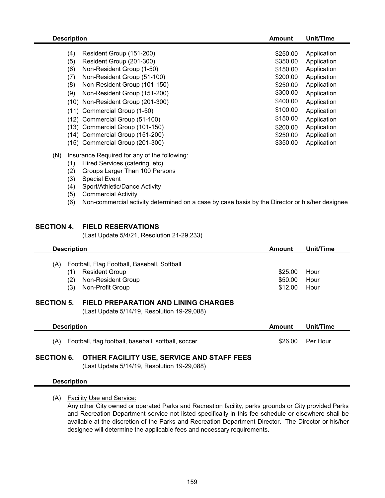| <b>Description</b>                  | Amount   | Unit/Time   |
|-------------------------------------|----------|-------------|
|                                     |          |             |
| (4)<br>Resident Group (151-200)     | \$250.00 | Application |
| (5)<br>Resident Group (201-300)     | \$350.00 | Application |
| (6)<br>Non-Resident Group (1-50)    | \$150.00 | Application |
| (7)<br>Non-Resident Group (51-100)  | \$200.00 | Application |
| (8)<br>Non-Resident Group (101-150) | \$250.00 | Application |
| (9)<br>Non-Resident Group (151-200) | \$300.00 | Application |
| (10) Non-Resident Group (201-300)   | \$400.00 | Application |
| (11) Commercial Group (1-50)        | \$100.00 | Application |
| (12) Commercial Group (51-100)      | \$150.00 | Application |
| (13) Commercial Group (101-150)     | \$200.00 | Application |
| (14) Commercial Group (151-200)     | \$250.00 | Application |
| (15) Commercial Group (201-300)     | \$350.00 | Application |
|                                     |          |             |

- (N) Insurance Required for any of the following:
	- (1) Hired Services (catering, etc)
	- (2) Groups Larger Than 100 Persons
	- (3) Special Event
	- (4) Sport/Athletic/Dance Activity
	- (5) Commercial Activity
	- (6) Non-commercial activity determined on a case by case basis by the Director or his/her designee

#### **SECTION 4. FIELD RESERVATIONS**

(Last Update 5/4/21, Resolution 21-29,233)

| <b>Description</b>       |                                                                                                                | Amount                        | Unit/Time            |  |
|--------------------------|----------------------------------------------------------------------------------------------------------------|-------------------------------|----------------------|--|
| (A)<br>(1)<br>(2)<br>(3) | Football, Flag Football, Baseball, Softball<br><b>Resident Group</b><br>Non-Resident Group<br>Non-Profit Group | \$25.00<br>\$50.00<br>\$12.00 | Hour<br>Hour<br>Hour |  |
| <b>SECTION 5.</b>        | <b>FIELD PREPARATION AND LINING CHARGES</b><br>(Last Update 5/14/19, Resolution 19-29,088)                     |                               |                      |  |
| <b>Description</b>       |                                                                                                                | Amount                        | Unit/Time            |  |

(A) Football, flag football, baseball, softball, soccer \$26.00 Per Hour

#### **SECTION 6. OTHER FACILITY USE, SERVICE AND STAFF FEES**

(Last Update 5/14/19, Resolution 19-29,088)

#### **Description**

(A) Facility Use and Service:

Any other City owned or operated Parks and Recreation facility, parks grounds or City provided Parks and Recreation Department service not listed specifically in this fee schedule or elsewhere shall be available at the discretion of the Parks and Recreation Department Director. The Director or his/her designee will determine the applicable fees and necessary requirements.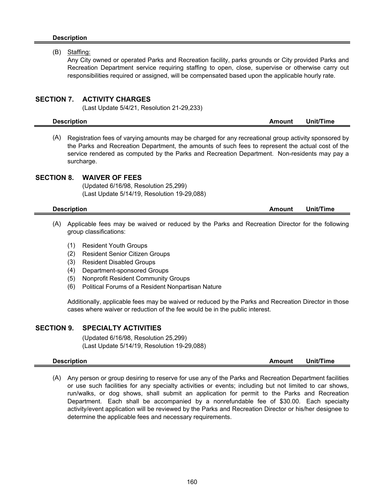#### **Description**

#### (B) Staffing:

Any City owned or operated Parks and Recreation facility, parks grounds or City provided Parks and Recreation Department service requiring staffing to open, close, supervise or otherwise carry out responsibilities required or assigned, will be compensated based upon the applicable hourly rate.

#### **SECTION 7. ACTIVITY CHARGES**

(Last Update 5/4/21, Resolution 21-29,233)

| <b>Description</b> | Amount | Unit/Time |  |
|--------------------|--------|-----------|--|
|                    |        |           |  |

(A) Registration fees of varying amounts may be charged for any recreational group activity sponsored by the Parks and Recreation Department, the amounts of such fees to represent the actual cost of the service rendered as computed by the Parks and Recreation Department. Non-residents may pay a surcharge.

#### **SECTION 8. WAIVER OF FEES**

(Updated 6/16/98, Resolution 25,299) (Last Update 5/14/19, Resolution 19-29,088)

- (A) Applicable fees may be waived or reduced by the Parks and Recreation Director for the following group classifications:
	- (1) Resident Youth Groups
	- (2) Resident Senior Citizen Groups
	- (3) Resident Disabled Groups
	- (4) Department-sponsored Groups
	- (5) Nonprofit Resident Community Groups
	- (6) Political Forums of a Resident Nonpartisan Nature

Additionally, applicable fees may be waived or reduced by the Parks and Recreation Director in those cases where waiver or reduction of the fee would be in the public interest.

#### **SECTION 9. SPECIALTY ACTIVITIES**

(Updated 6/16/98, Resolution 25,299) (Last Update 5/14/19, Resolution 19-29,088)

#### **Description Amount Unit/Time**

(A) Any person or group desiring to reserve for use any of the Parks and Recreation Department facilities or use such facilities for any specialty activities or events; including but not limited to car shows, run/walks, or dog shows, shall submit an application for permit to the Parks and Recreation Department. Each shall be accompanied by a nonrefundable fee of \$30.00. Each specialty activity/event application will be reviewed by the Parks and Recreation Director or his/her designee to determine the applicable fees and necessary requirements.

**Description Amount** Unit/Time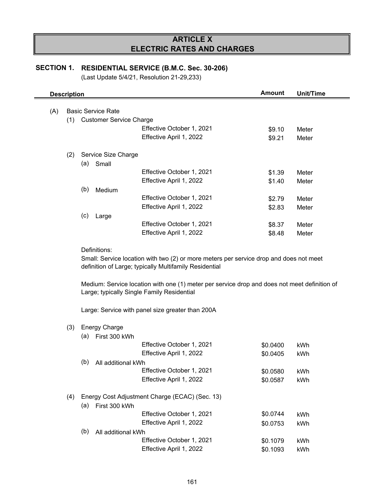## **ARTICLE X ELECTRIC RATES AND CHARGES**

## **SECTION 1. RESIDENTIAL SERVICE (B.M.C. Sec. 30-206)**

|     | <b>Description</b> |                             |                                                                                                                                                        | <b>Amount</b> | <b>Unit/Time</b> |
|-----|--------------------|-----------------------------|--------------------------------------------------------------------------------------------------------------------------------------------------------|---------------|------------------|
| (A) |                    | <b>Basic Service Rate</b>   |                                                                                                                                                        |               |                  |
|     |                    | (1) Customer Service Charge |                                                                                                                                                        |               |                  |
|     |                    |                             |                                                                                                                                                        |               |                  |
|     |                    |                             | Effective October 1, 2021                                                                                                                              | \$9.10        | Meter            |
|     |                    |                             | Effective April 1, 2022                                                                                                                                | \$9.21        | Meter            |
| (2) |                    | Service Size Charge         |                                                                                                                                                        |               |                  |
|     | (a)                | Small                       |                                                                                                                                                        |               |                  |
|     |                    |                             | Effective October 1, 2021                                                                                                                              | \$1.39        | Meter            |
|     |                    |                             | Effective April 1, 2022                                                                                                                                | \$1.40        | Meter            |
|     | (b)                | Medium                      |                                                                                                                                                        |               |                  |
|     |                    |                             | Effective October 1, 2021                                                                                                                              | \$2.79        | Meter            |
|     |                    |                             | Effective April 1, 2022                                                                                                                                | \$2.83        | Meter            |
|     | (c)                | Large                       |                                                                                                                                                        |               |                  |
|     |                    |                             | Effective October 1, 2021                                                                                                                              | \$8.37        | Meter            |
|     |                    |                             | Effective April 1, 2022                                                                                                                                | \$8.48        | Meter            |
|     |                    |                             |                                                                                                                                                        |               |                  |
|     |                    |                             | definition of Large; typically Multifamily Residential<br>Medium: Service location with one (1) meter per service drop and does not meet definition of |               |                  |
|     |                    |                             | Large; typically Single Family Residential                                                                                                             |               |                  |
|     |                    |                             | Large: Service with panel size greater than 200A                                                                                                       |               |                  |
| (3) |                    | <b>Energy Charge</b>        |                                                                                                                                                        |               |                  |
|     | (a)                | First 300 kWh               |                                                                                                                                                        |               |                  |
|     |                    |                             | Effective October 1, 2021                                                                                                                              | \$0.0400      | kWh              |
|     |                    |                             | Effective April 1, 2022                                                                                                                                | \$0.0405      | kWh              |
|     | (b)                | All additional kWh          |                                                                                                                                                        |               |                  |
|     |                    |                             |                                                                                                                                                        |               |                  |
|     |                    |                             | Effective October 1, 2021<br>Effective April 1, 2022                                                                                                   | \$0.0580      | kWh              |
|     |                    |                             |                                                                                                                                                        | \$0.0587      | kWh              |
| (4) |                    |                             | Energy Cost Adjustment Charge (ECAC) (Sec. 13)                                                                                                         |               |                  |
|     | (a)                | First 300 kWh               |                                                                                                                                                        |               |                  |
|     |                    |                             | Effective October 1, 2021                                                                                                                              | \$0.0744      | kWh              |
|     |                    |                             | Effective April 1, 2022                                                                                                                                | \$0.0753      | kWh              |
|     | (b)                | All additional kWh          |                                                                                                                                                        |               |                  |
|     |                    |                             | Effective October 1, 2021                                                                                                                              | \$0.1079      | kWh              |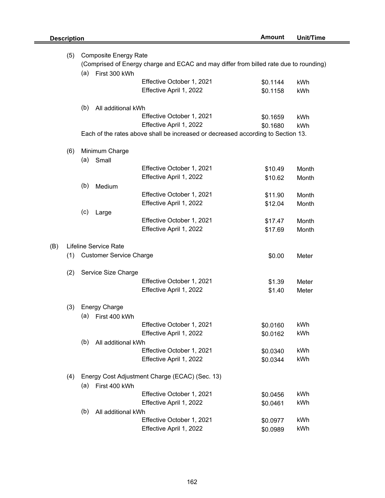$(B)$ 

| (5) | <b>Composite Energy Rate</b><br>(Comprised of Energy charge and ECAC and may differ from billed rate due to rounding) |                                |                                                                                  |          |       |  |  |
|-----|-----------------------------------------------------------------------------------------------------------------------|--------------------------------|----------------------------------------------------------------------------------|----------|-------|--|--|
|     | (a)                                                                                                                   | First 300 kWh                  |                                                                                  |          |       |  |  |
|     |                                                                                                                       |                                | Effective October 1, 2021                                                        | \$0.1144 | kWh   |  |  |
|     |                                                                                                                       |                                | Effective April 1, 2022                                                          | \$0.1158 | kWh   |  |  |
|     | (b)                                                                                                                   | All additional kWh             |                                                                                  |          |       |  |  |
|     |                                                                                                                       |                                | Effective October 1, 2021                                                        | \$0.1659 | kWh   |  |  |
|     |                                                                                                                       |                                | Effective April 1, 2022                                                          | \$0.1680 | kWh   |  |  |
|     |                                                                                                                       |                                | Each of the rates above shall be increased or decreased according to Section 13. |          |       |  |  |
| (6) |                                                                                                                       | Minimum Charge                 |                                                                                  |          |       |  |  |
|     | (a)                                                                                                                   | Small                          |                                                                                  |          |       |  |  |
|     |                                                                                                                       |                                | Effective October 1, 2021                                                        | \$10.49  | Month |  |  |
|     |                                                                                                                       |                                | Effective April 1, 2022                                                          | \$10.62  | Month |  |  |
|     | (b)                                                                                                                   | Medium                         |                                                                                  |          |       |  |  |
|     |                                                                                                                       |                                | Effective October 1, 2021                                                        | \$11.90  | Month |  |  |
|     |                                                                                                                       |                                | Effective April 1, 2022                                                          | \$12.04  | Month |  |  |
|     | (c)                                                                                                                   | Large                          |                                                                                  |          |       |  |  |
|     |                                                                                                                       |                                | Effective October 1, 2021                                                        | \$17.47  | Month |  |  |
|     |                                                                                                                       |                                | Effective April 1, 2022                                                          | \$17.69  | Month |  |  |
|     |                                                                                                                       | Lifeline Service Rate          |                                                                                  |          |       |  |  |
| (1) |                                                                                                                       | <b>Customer Service Charge</b> |                                                                                  | \$0.00   | Meter |  |  |
|     |                                                                                                                       |                                |                                                                                  |          |       |  |  |
| (2) |                                                                                                                       | Service Size Charge            |                                                                                  |          |       |  |  |
|     |                                                                                                                       |                                | Effective October 1, 2021                                                        | \$1.39   | Meter |  |  |
|     |                                                                                                                       |                                | Effective April 1, 2022                                                          | \$1.40   | Meter |  |  |
| (3) |                                                                                                                       | <b>Energy Charge</b>           |                                                                                  |          |       |  |  |
|     | (a)                                                                                                                   | First 400 kWh                  |                                                                                  |          |       |  |  |
|     |                                                                                                                       |                                | Effective October 1, 2021                                                        | \$0.0160 | kWh   |  |  |
|     |                                                                                                                       |                                | Effective April 1, 2022                                                          | \$0.0162 | kWh   |  |  |
|     | (b)                                                                                                                   | All additional kWh             |                                                                                  |          |       |  |  |
|     |                                                                                                                       |                                | Effective October 1, 2021                                                        | \$0.0340 | kWh   |  |  |
|     |                                                                                                                       |                                | Effective April 1, 2022                                                          | \$0.0344 | kWh   |  |  |
| (4) |                                                                                                                       |                                | Energy Cost Adjustment Charge (ECAC) (Sec. 13)                                   |          |       |  |  |
|     | (a)                                                                                                                   | First 400 kWh                  |                                                                                  |          |       |  |  |
|     |                                                                                                                       |                                | Effective October 1, 2021                                                        | \$0.0456 | kWh   |  |  |
|     |                                                                                                                       |                                | Effective April 1, 2022                                                          | \$0.0461 | kWh   |  |  |
|     | (b)                                                                                                                   | All additional kWh             |                                                                                  |          |       |  |  |
|     |                                                                                                                       |                                | Effective October 1, 2021                                                        | \$0.0977 | kWh   |  |  |
|     |                                                                                                                       |                                | Effective April 1, 2022                                                          | \$0.0989 | kWh   |  |  |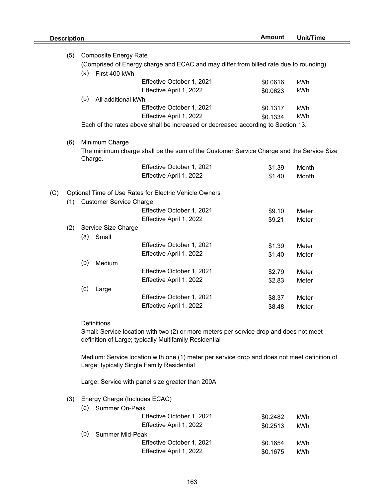|     | (5) |                                                                                       | <b>Composite Energy Rate</b>   |                                                                                         |          |       |  |
|-----|-----|---------------------------------------------------------------------------------------|--------------------------------|-----------------------------------------------------------------------------------------|----------|-------|--|
|     |     | (Comprised of Energy charge and ECAC and may differ from billed rate due to rounding) |                                |                                                                                         |          |       |  |
|     |     | (a)                                                                                   | First 400 kWh                  |                                                                                         |          |       |  |
|     |     |                                                                                       |                                | Effective October 1, 2021                                                               | \$0.0616 | kWh   |  |
|     |     |                                                                                       |                                | Effective April 1, 2022                                                                 | \$0.0623 | kWh   |  |
|     |     | (b)                                                                                   | All additional kWh             |                                                                                         |          |       |  |
|     |     |                                                                                       |                                | Effective October 1, 2021                                                               | \$0.1317 | kWh   |  |
|     |     |                                                                                       |                                | Effective April 1, 2022                                                                 | \$0.1334 | kWh   |  |
|     |     |                                                                                       |                                | Each of the rates above shall be increased or decreased according to Section 13.        |          |       |  |
|     |     |                                                                                       |                                |                                                                                         |          |       |  |
|     | (6) |                                                                                       | Minimum Charge                 |                                                                                         |          |       |  |
|     |     |                                                                                       |                                | The minimum charge shall be the sum of the Customer Service Charge and the Service Size |          |       |  |
|     |     |                                                                                       | Charge.                        |                                                                                         |          |       |  |
|     |     |                                                                                       |                                | Effective October 1, 2021                                                               | \$1.39   | Month |  |
|     |     |                                                                                       |                                | Effective April 1, 2022                                                                 | \$1.40   | Month |  |
| (C) |     |                                                                                       |                                | Optional Time of Use Rates for Electric Vehicle Owners                                  |          |       |  |
|     | (1) |                                                                                       | <b>Customer Service Charge</b> |                                                                                         |          |       |  |
|     |     |                                                                                       |                                | Effective October 1, 2021                                                               |          |       |  |
|     |     |                                                                                       |                                | Effective April 1, 2022                                                                 | \$9.10   | Meter |  |
|     | (2) |                                                                                       | Service Size Charge            |                                                                                         | \$9.21   | Meter |  |
|     |     | (a)                                                                                   | Small                          |                                                                                         |          |       |  |
|     |     |                                                                                       |                                | Effective October 1, 2021                                                               |          | Meter |  |
|     |     |                                                                                       |                                | Effective April 1, 2022                                                                 | \$1.39   |       |  |
|     |     | (b)                                                                                   | Medium                         |                                                                                         | \$1.40   | Meter |  |
|     |     |                                                                                       |                                | Effective October 1, 2021                                                               |          | Meter |  |
|     |     |                                                                                       |                                | Effective April 1, 2022                                                                 | \$2.79   |       |  |
|     |     |                                                                                       |                                |                                                                                         | \$2.83   | Meter |  |
|     |     | (c)                                                                                   | Large                          | Effective October 1, 2021                                                               |          |       |  |
|     |     |                                                                                       |                                | Effective April 1, 2022                                                                 | \$8.37   | Meter |  |
|     |     |                                                                                       |                                |                                                                                         | \$8.48   | Meter |  |

#### **Definitions**

Small: Service location with two (2) or more meters per service drop and does not meet definition of Large; typically Multifamily Residential

Medium: Service location with one (1) meter per service drop and does not meet definition of Large; typically Single Family Residential

Large: Service with panel size greater than 200A

#### (3) Energy Charge (Includes ECAC)

| (a) | Summer On-Peak            |          |     |
|-----|---------------------------|----------|-----|
|     | Effective October 1, 2021 | \$0.2482 | kWh |
|     | Effective April 1, 2022   | \$0.2513 | kWh |
| (b) | <b>Summer Mid-Peak</b>    |          |     |
|     | Effective October 1, 2021 | \$0.1654 | kWh |
|     | Effective April 1, 2022   | \$0.1675 | kWh |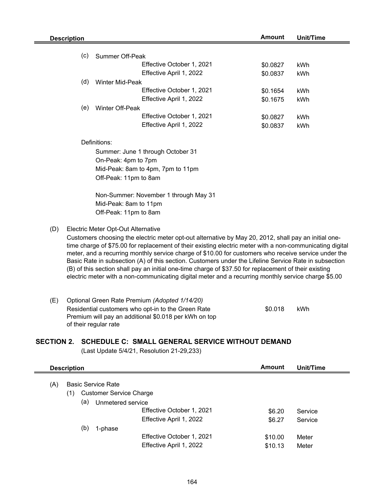|     | <b>Description</b> |                                    |                                                                                                          | <b>Amount</b>        | <b>Unit/Time</b> |
|-----|--------------------|------------------------------------|----------------------------------------------------------------------------------------------------------|----------------------|------------------|
|     |                    |                                    |                                                                                                          |                      |                  |
|     | (c)                | Summer Off-Peak                    |                                                                                                          |                      |                  |
|     |                    |                                    | Effective October 1, 2021                                                                                | \$0.0827             | <b>kWh</b>       |
|     |                    |                                    | Effective April 1, 2022                                                                                  | \$0.0837             | kWh              |
|     | (d)                | Winter Mid-Peak                    |                                                                                                          |                      |                  |
|     |                    |                                    | Effective October 1, 2021                                                                                | \$0.1654             | kWh              |
|     |                    |                                    | Effective April 1, 2022                                                                                  | \$0.1675             | kWh              |
|     | (e)                | Winter Off-Peak                    | Effective October 1, 2021                                                                                |                      |                  |
|     |                    |                                    | Effective April 1, 2022                                                                                  | \$0.0827<br>\$0.0837 | kWh<br>kWh       |
|     |                    |                                    |                                                                                                          |                      |                  |
|     |                    | Definitions:                       |                                                                                                          |                      |                  |
|     |                    |                                    | Summer: June 1 through October 31                                                                        |                      |                  |
|     |                    | On-Peak: 4pm to 7pm                |                                                                                                          |                      |                  |
|     |                    |                                    | Mid-Peak: 8am to 4pm, 7pm to 11pm                                                                        |                      |                  |
|     |                    | Off-Peak: 11pm to 8am              |                                                                                                          |                      |                  |
|     |                    |                                    |                                                                                                          |                      |                  |
|     |                    |                                    | Non-Summer: November 1 through May 31                                                                    |                      |                  |
|     |                    | Mid-Peak: 8am to 11pm              |                                                                                                          |                      |                  |
|     |                    | Off-Peak: 11pm to 8am              |                                                                                                          |                      |                  |
| (D) |                    | Electric Meter Opt-Out Alternative |                                                                                                          |                      |                  |
|     |                    |                                    | Customers choosing the electric meter opt-out alternative by May 20, 2012, shall pay an initial one-     |                      |                  |
|     |                    |                                    | time charge of \$75.00 for replacement of their existing electric meter with a non-communicating digital |                      |                  |
|     |                    |                                    | meter, and a recurring monthly service charge of \$10.00 for customers who receive service under the     |                      |                  |
|     |                    |                                    | Basic Rate in subsection (A) of this section. Customers under the Lifeline Service Rate in subsection    |                      |                  |
|     |                    |                                    | (B) of this section shall pay an initial one-time charge of \$37.50 for replacement of their existing    |                      |                  |
|     |                    |                                    | electric meter with a non-communicating digital meter and a recurring monthly service charge \$5.00      |                      |                  |
|     |                    |                                    |                                                                                                          |                      |                  |
| (E) |                    |                                    | Optional Green Rate Premium (Adopted 1/14/20)                                                            |                      |                  |
|     |                    |                                    | Residential customers who opt-in to the Green Rate                                                       | \$0.018              | kWh              |
|     |                    |                                    | Premium will pay an additional \$0.018 per kWh on top                                                    |                      |                  |
|     |                    | of their regular rate              |                                                                                                          |                      |                  |
|     |                    |                                    |                                                                                                          |                      |                  |
|     |                    |                                    | SECTION 2. SCHEDULE C: SMALL GENERAL SERVICE WITHOUT DEMAND                                              |                      |                  |
|     |                    |                                    | (Last Update 5/4/21, Resolution 21-29,233)                                                               |                      |                  |

|     | <b>Description</b><br><b>Basic Service Rate</b> |                                |                           | Amount  | Unit/Time |  |
|-----|-------------------------------------------------|--------------------------------|---------------------------|---------|-----------|--|
| (A) |                                                 |                                |                           |         |           |  |
|     | (1)                                             | <b>Customer Service Charge</b> |                           |         |           |  |
|     | (a)                                             | Unmetered service              |                           |         |           |  |
|     |                                                 |                                | Effective October 1, 2021 | \$6.20  | Service   |  |
|     |                                                 |                                | Effective April 1, 2022   | \$6.27  | Service   |  |
|     | (b)                                             | 1-phase                        |                           |         |           |  |
|     |                                                 |                                | Effective October 1, 2021 | \$10.00 | Meter     |  |
|     |                                                 |                                | Effective April 1, 2022   | \$10.13 | Meter     |  |
|     |                                                 |                                |                           |         |           |  |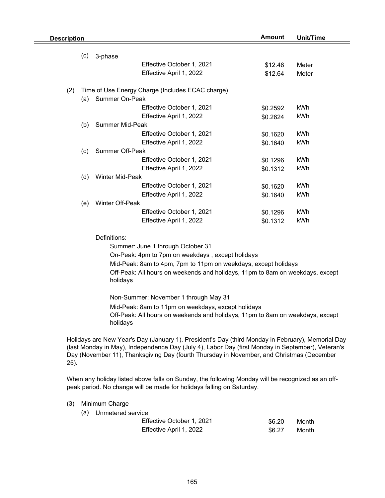| <b>Description</b> |     |                        |                                                                                                                                                                                                | <b>Amount</b> | <b>Unit/Time</b> |
|--------------------|-----|------------------------|------------------------------------------------------------------------------------------------------------------------------------------------------------------------------------------------|---------------|------------------|
|                    | (c) | 3-phase                |                                                                                                                                                                                                |               |                  |
|                    |     |                        | Effective October 1, 2021                                                                                                                                                                      | \$12.48       | Meter            |
|                    |     |                        | Effective April 1, 2022                                                                                                                                                                        | \$12.64       | Meter            |
|                    |     |                        |                                                                                                                                                                                                |               |                  |
| (2)                |     |                        | Time of Use Energy Charge (Includes ECAC charge)                                                                                                                                               |               |                  |
|                    | (a) | Summer On-Peak         |                                                                                                                                                                                                |               |                  |
|                    |     |                        | Effective October 1, 2021                                                                                                                                                                      | \$0.2592      | kWh              |
|                    |     |                        | Effective April 1, 2022                                                                                                                                                                        | \$0.2624      | kWh              |
|                    | (b) | <b>Summer Mid-Peak</b> |                                                                                                                                                                                                |               |                  |
|                    |     |                        | Effective October 1, 2021                                                                                                                                                                      | \$0.1620      | kWh              |
|                    |     |                        | Effective April 1, 2022                                                                                                                                                                        | \$0.1640      | kWh              |
|                    | (c) | <b>Summer Off-Peak</b> |                                                                                                                                                                                                |               |                  |
|                    |     |                        | Effective October 1, 2021                                                                                                                                                                      | \$0.1296      | kWh              |
|                    |     |                        | Effective April 1, 2022                                                                                                                                                                        | \$0.1312      | kWh              |
|                    | (d) | Winter Mid-Peak        |                                                                                                                                                                                                |               |                  |
|                    |     |                        | Effective October 1, 2021                                                                                                                                                                      | \$0.1620      | kWh              |
|                    |     |                        | Effective April 1, 2022                                                                                                                                                                        | \$0.1640      | kWh              |
|                    | (e) | Winter Off-Peak        |                                                                                                                                                                                                |               |                  |
|                    |     |                        | Effective October 1, 2021                                                                                                                                                                      | \$0.1296      | kWh              |
|                    |     |                        | Effective April 1, 2022                                                                                                                                                                        | \$0.1312      | kWh              |
|                    |     | Definitions:           |                                                                                                                                                                                                |               |                  |
|                    |     |                        | Summer: June 1 through October 31                                                                                                                                                              |               |                  |
|                    |     |                        | On-Peak: 4pm to 7pm on weekdays, except holidays                                                                                                                                               |               |                  |
|                    |     |                        | Mid-Peak: 8am to 4pm, 7pm to 11pm on weekdays, except holidays                                                                                                                                 |               |                  |
|                    |     |                        | Off-Peak: All hours on weekends and holidays, 11pm to 8am on weekdays, except                                                                                                                  |               |                  |
|                    |     | holidays               |                                                                                                                                                                                                |               |                  |
|                    |     |                        | Non-Summer: November 1 through May 31                                                                                                                                                          |               |                  |
|                    |     |                        | Mid-Peak: 8am to 11pm on weekdays, except holidays                                                                                                                                             |               |                  |
|                    |     | holidays               | Off-Peak: All hours on weekends and holidays, 11pm to 8am on weekdays, except                                                                                                                  |               |                  |
|                    |     |                        |                                                                                                                                                                                                |               |                  |
|                    |     |                        | Holidays are New Year's Day (January 1), President's Day (third Monday in February), Memorial Day                                                                                              |               |                  |
|                    |     |                        | (last Monday in May), Independence Day (July 4), Labor Day (first Monday in September), Veteran's<br>Day (November 11), Thanksgiving Day (fourth Thursday in November, and Christmas (December |               |                  |
| 25).               |     |                        |                                                                                                                                                                                                |               |                  |

When any holiday listed above falls on Sunday, the following Monday will be recognized as an offpeak period. No change will be made for holidays falling on Saturday.

(3) Minimum Charge

| (a) Unmetered service     |        |       |
|---------------------------|--------|-------|
| Effective October 1, 2021 | \$6.20 | Month |
| Effective April 1, 2022   | \$6.27 | Month |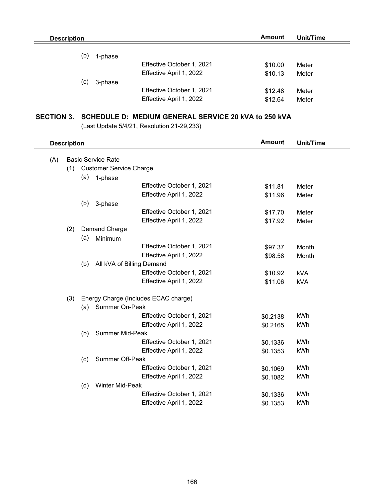| <b>Description</b> | Amount                    | Unit/Time |       |
|--------------------|---------------------------|-----------|-------|
|                    |                           |           |       |
| (b)<br>1-phase     |                           |           |       |
|                    | Effective October 1, 2021 | \$10.00   | Meter |
|                    | Effective April 1, 2022   | \$10.13   | Meter |
| (c)<br>3-phase     |                           |           |       |
|                    | Effective October 1, 2021 | \$12.48   | Meter |
|                    | Effective April 1, 2022   | \$12.64   | Meter |

## **SECTION 3. SCHEDULE D: MEDIUM GENERAL SERVICE 20 kVA to 250 kVA**

|     | <b>Description</b> |     |                                      | <b>Amount</b> | <b>Unit/Time</b> |
|-----|--------------------|-----|--------------------------------------|---------------|------------------|
|     |                    |     |                                      |               |                  |
| (A) |                    |     | <b>Basic Service Rate</b>            |               |                  |
|     | (1)                |     | <b>Customer Service Charge</b>       |               |                  |
|     |                    | (a) | 1-phase                              |               |                  |
|     |                    |     | Effective October 1, 2021            | \$11.81       | Meter            |
|     |                    |     | Effective April 1, 2022              | \$11.96       | Meter            |
|     |                    | (b) | 3-phase                              |               |                  |
|     |                    |     | Effective October 1, 2021            | \$17.70       | Meter            |
|     |                    |     | Effective April 1, 2022              | \$17.92       | Meter            |
|     | (2)                |     | <b>Demand Charge</b>                 |               |                  |
|     |                    | (a) | Minimum                              |               |                  |
|     |                    |     | Effective October 1, 2021            | \$97.37       | Month            |
|     |                    |     | Effective April 1, 2022              | \$98.58       | Month            |
|     |                    | (b) | All kVA of Billing Demand            |               |                  |
|     |                    |     | Effective October 1, 2021            | \$10.92       | <b>kVA</b>       |
|     |                    |     | Effective April 1, 2022              | \$11.06       | kVA              |
|     | (3)                |     | Energy Charge (Includes ECAC charge) |               |                  |
|     |                    | (a) | Summer On-Peak                       |               |                  |
|     |                    |     | Effective October 1, 2021            | \$0.2138      | kWh              |
|     |                    |     | Effective April 1, 2022              | \$0.2165      | kWh              |
|     |                    | (b) | <b>Summer Mid-Peak</b>               |               |                  |
|     |                    |     | Effective October 1, 2021            | \$0.1336      | kWh              |
|     |                    |     | Effective April 1, 2022              | \$0.1353      | kWh              |
|     |                    | (c) | <b>Summer Off-Peak</b>               |               |                  |
|     |                    |     | Effective October 1, 2021            | \$0.1069      | kWh              |
|     |                    |     | Effective April 1, 2022              | \$0.1082      | kWh              |
|     |                    | (d) | Winter Mid-Peak                      |               |                  |
|     |                    |     | Effective October 1, 2021            | \$0.1336      | kWh              |
|     |                    |     | Effective April 1, 2022              | \$0.1353      | kWh              |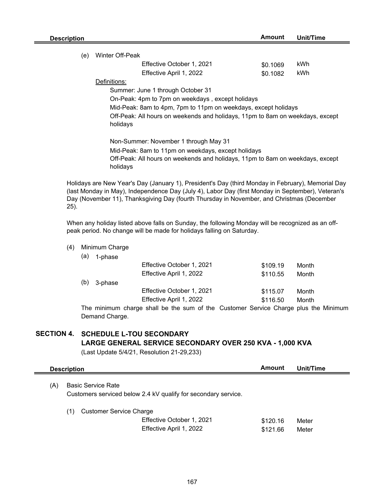| Description |                                                                                                                                                 | Amount   | Unit/Time |
|-------------|-------------------------------------------------------------------------------------------------------------------------------------------------|----------|-----------|
| (e)         | Winter Off-Peak                                                                                                                                 |          |           |
|             | Effective October 1, 2021                                                                                                                       | \$0.1069 | kWh       |
|             | Effective April 1, 2022                                                                                                                         | \$0.1082 | kWh       |
|             | Definitions:                                                                                                                                    |          |           |
|             | Summer: June 1 through October 31                                                                                                               |          |           |
|             | On-Peak: 4pm to 7pm on weekdays, except holidays                                                                                                |          |           |
|             | Mid-Peak: 8am to 4pm, 7pm to 11pm on weekdays, except holidays                                                                                  |          |           |
|             | Off-Peak: All hours on weekends and holidays, 11pm to 8am on weekdays, except<br>holidays                                                       |          |           |
|             | Non-Summer: November 1 through May 31                                                                                                           |          |           |
|             | Mid-Peak: 8am to 11pm on weekdays, except holidays<br>Off-Peak: All hours on weekends and holidays, 11pm to 8am on weekdays, except<br>holidays |          |           |
|             | Holidays are New Year's Day (January 1). President's Day (third Monday in February). Memorial Day                                               |          |           |

Holidays are New Year's Day (January 1), President's Day (third Monday in February), Memorial Day (last Monday in May), Independence Day (July 4), Labor Day (first Monday in September), Veteran's Day (November 11), Thanksgiving Day (fourth Thursday in November, and Christmas (December 25).

When any holiday listed above falls on Sunday, the following Monday will be recognized as an offpeak period. No change will be made for holidays falling on Saturday.

- (4) Minimum Charge
	- (a) 1-phase

|     |         | Effective October 1, 2021                                                           | \$109.19 | Month |  |
|-----|---------|-------------------------------------------------------------------------------------|----------|-------|--|
|     |         | Effective April 1, 2022                                                             | \$110.55 | Month |  |
| (b) | 3-phase |                                                                                     |          |       |  |
|     |         | Effective October 1, 2021                                                           | \$115.07 | Month |  |
|     |         | Effective April 1, 2022                                                             | \$116.50 | Month |  |
|     |         | The minimum charge shall be the sum of the Customer Service Charge plus the Minimum |          |       |  |

Demand Charge.

# **SECTION 4. SCHEDULE L-TOU SECONDARY LARGE GENERAL SERVICE SECONDARY OVER 250 KVA - 1,000 KVA**

| <b>Description</b>        | Amount                                               | Unit/Time                                                                                        |                |  |
|---------------------------|------------------------------------------------------|--------------------------------------------------------------------------------------------------|----------------|--|
| <b>Basic Service Rate</b> |                                                      |                                                                                                  |                |  |
| (1)                       | Effective October 1, 2021<br>Effective April 1, 2022 | \$120.16<br>\$121.66                                                                             | Meter<br>Meter |  |
|                           |                                                      | Customers serviced below 2.4 kV qualify for secondary service.<br><b>Customer Service Charge</b> |                |  |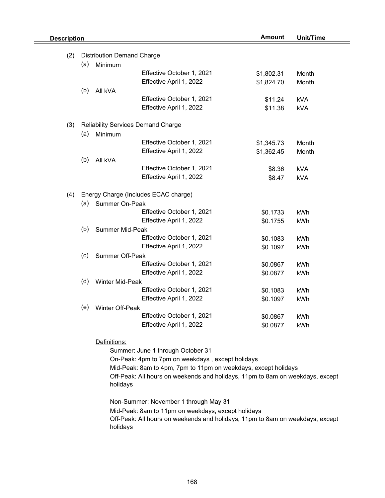| <b>Description</b> |     |                                              |                                                                               | <b>Amount</b> | <b>Unit/Time</b> |  |
|--------------------|-----|----------------------------------------------|-------------------------------------------------------------------------------|---------------|------------------|--|
|                    |     |                                              |                                                                               |               |                  |  |
| (2)                | (a) | <b>Distribution Demand Charge</b><br>Minimum |                                                                               |               |                  |  |
|                    |     |                                              | Effective October 1, 2021                                                     |               |                  |  |
|                    |     |                                              | Effective April 1, 2022                                                       | \$1,802.31    | Month            |  |
|                    |     |                                              |                                                                               | \$1,824.70    | Month            |  |
|                    | (b) | All kVA                                      | Effective October 1, 2021                                                     |               |                  |  |
|                    |     |                                              |                                                                               | \$11.24       | <b>kVA</b>       |  |
|                    |     |                                              | Effective April 1, 2022                                                       | \$11.38       | <b>kVA</b>       |  |
| (3)                |     |                                              | <b>Reliability Services Demand Charge</b>                                     |               |                  |  |
|                    | (a) | Minimum                                      |                                                                               |               |                  |  |
|                    |     |                                              | Effective October 1, 2021                                                     | \$1,345.73    | Month            |  |
|                    |     |                                              | Effective April 1, 2022                                                       | \$1,362.45    | Month            |  |
|                    | (b) | All kVA                                      |                                                                               |               |                  |  |
|                    |     |                                              | Effective October 1, 2021                                                     | \$8.36        | <b>kVA</b>       |  |
|                    |     |                                              | Effective April 1, 2022                                                       | \$8.47        | <b>kVA</b>       |  |
|                    |     |                                              |                                                                               |               |                  |  |
| (4)                |     |                                              | Energy Charge (Includes ECAC charge)                                          |               |                  |  |
|                    | (a) | <b>Summer On-Peak</b>                        |                                                                               |               |                  |  |
|                    |     |                                              | Effective October 1, 2021                                                     | \$0.1733      | kWh              |  |
|                    |     |                                              | Effective April 1, 2022                                                       | \$0.1755      | kWh              |  |
|                    | (b) | <b>Summer Mid-Peak</b>                       |                                                                               |               |                  |  |
|                    |     |                                              | Effective October 1, 2021                                                     | \$0.1083      | kWh              |  |
|                    |     |                                              | Effective April 1, 2022                                                       | \$0.1097      | kWh              |  |
|                    | (c) | Summer Off-Peak                              |                                                                               |               |                  |  |
|                    |     |                                              | Effective October 1, 2021                                                     | \$0.0867      | kWh              |  |
|                    |     |                                              | Effective April 1, 2022                                                       | \$0.0877      | kWh              |  |
|                    | (d) | Winter Mid-Peak                              |                                                                               |               |                  |  |
|                    |     |                                              | Effective October 1, 2021                                                     | \$0.1083      | kWh              |  |
|                    |     |                                              | Effective April 1, 2022                                                       | \$0.1097      | kWh              |  |
|                    | (e) | Winter Off-Peak                              |                                                                               |               |                  |  |
|                    |     |                                              | Effective October 1, 2021                                                     | \$0.0867      | kWh              |  |
|                    |     |                                              | Effective April 1, 2022                                                       | \$0.0877      | kWh              |  |
|                    |     |                                              |                                                                               |               |                  |  |
|                    |     | Definitions:                                 |                                                                               |               |                  |  |
|                    |     |                                              | Summer: June 1 through October 31                                             |               |                  |  |
|                    |     |                                              | On-Peak: 4pm to 7pm on weekdays, except holidays                              |               |                  |  |
|                    |     |                                              | Mid-Peak: 8am to 4pm, 7pm to 11pm on weekdays, except holidays                |               |                  |  |
|                    |     | holidays                                     | Off-Peak: All hours on weekends and holidays, 11pm to 8am on weekdays, except |               |                  |  |
|                    |     |                                              | Non-Summer: November 1 through May 31                                         |               |                  |  |
|                    |     |                                              | Mid-Peak: 8am to 11pm on weekdays, except holidays                            |               |                  |  |
|                    |     | holidays                                     | Off-Peak: All hours on weekends and holidays, 11pm to 8am on weekdays, except |               |                  |  |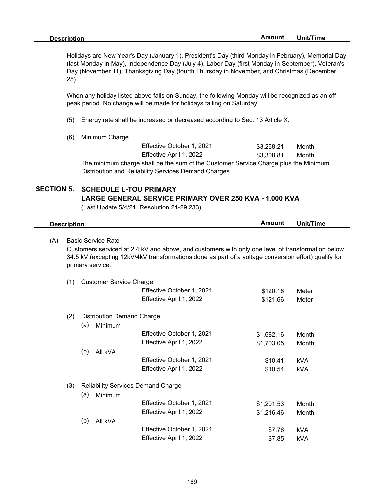Holidays are New Year's Day (January 1), President's Day (third Monday in February), Memorial Day (last Monday in May), Independence Day (July 4), Labor Day (first Monday in September), Veteran's Day (November 11), Thanksgiving Day (fourth Thursday in November, and Christmas (December 25).

When any holiday listed above falls on Sunday, the following Monday will be recognized as an offpeak period. No change will be made for holidays falling on Saturday.

- (5) Energy rate shall be increased or decreased according to Sec. 13 Article X.
- (6) Minimum Charge

| Effective October 1, 2021                                                           | \$3.268.21 | Month |
|-------------------------------------------------------------------------------------|------------|-------|
| Effective April 1, 2022                                                             | \$3.308.81 | Month |
| The minimum charge shall be the sum of the Customer Service Charge plus the Minimum |            |       |
| Distribution and Reliability Services Demand Charges.                               |            |       |

# **SECTION 5. SCHEDULE L-TOU PRIMARY LARGE GENERAL SERVICE PRIMARY OVER 250 KVA - 1,000 KVA**

| <b>Description</b> |                                                                                                                                                                                                                                                            |                                   |                                                      | <b>Amount</b>        | Unit/Time      |
|--------------------|------------------------------------------------------------------------------------------------------------------------------------------------------------------------------------------------------------------------------------------------------------|-----------------------------------|------------------------------------------------------|----------------------|----------------|
| (A)                | <b>Basic Service Rate</b><br>Customers serviced at 2.4 kV and above, and customers with only one level of transformation below<br>34.5 kV (excepting 12kV/4kV transformations done as part of a voltage conversion effort) qualify for<br>primary service. |                                   |                                                      |                      |                |
| (1)                |                                                                                                                                                                                                                                                            | <b>Customer Service Charge</b>    |                                                      |                      |                |
|                    |                                                                                                                                                                                                                                                            |                                   | Effective October 1, 2021<br>Effective April 1, 2022 | \$120.16<br>\$121.66 | Meter<br>Meter |
| (2)                |                                                                                                                                                                                                                                                            | <b>Distribution Demand Charge</b> |                                                      |                      |                |
|                    | (a)                                                                                                                                                                                                                                                        | Minimum                           |                                                      |                      |                |
|                    |                                                                                                                                                                                                                                                            |                                   | Effective October 1, 2021<br>Effective April 1, 2022 | \$1,682.16           | Month          |
|                    | (b)                                                                                                                                                                                                                                                        | All kVA                           |                                                      | \$1,703.05           | Month          |
|                    |                                                                                                                                                                                                                                                            |                                   | Effective October 1, 2021                            | \$10.41              | <b>kVA</b>     |
|                    |                                                                                                                                                                                                                                                            |                                   | Effective April 1, 2022                              | \$10.54              | kVA            |
| (3)                |                                                                                                                                                                                                                                                            |                                   | <b>Reliability Services Demand Charge</b>            |                      |                |
|                    | (a)                                                                                                                                                                                                                                                        | Minimum                           |                                                      |                      |                |
|                    |                                                                                                                                                                                                                                                            |                                   | Effective October 1, 2021                            | \$1,201.53           | Month          |
|                    | (b)                                                                                                                                                                                                                                                        | All kVA                           | Effective April 1, 2022                              | \$1,216.46           | Month          |
|                    |                                                                                                                                                                                                                                                            |                                   | Effective October 1, 2021                            | \$7.76               | <b>kVA</b>     |
|                    |                                                                                                                                                                                                                                                            |                                   | Effective April 1, 2022                              | \$7.85               | <b>kVA</b>     |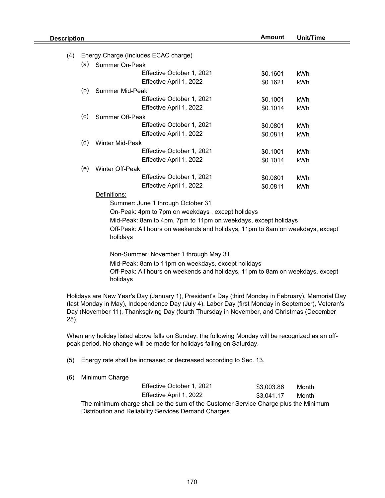| <b>Description</b> |     |                        | Amount                                                                                                                                                                                                                                                                                              | <b>Unit/Time</b> |            |
|--------------------|-----|------------------------|-----------------------------------------------------------------------------------------------------------------------------------------------------------------------------------------------------------------------------------------------------------------------------------------------------|------------------|------------|
|                    |     |                        |                                                                                                                                                                                                                                                                                                     |                  |            |
| (4)                |     |                        | Energy Charge (Includes ECAC charge)                                                                                                                                                                                                                                                                |                  |            |
|                    | (a) | Summer On-Peak         | Effective October 1, 2021                                                                                                                                                                                                                                                                           |                  |            |
|                    |     |                        |                                                                                                                                                                                                                                                                                                     | \$0.1601         | kWh        |
|                    |     |                        | Effective April 1, 2022                                                                                                                                                                                                                                                                             | \$0.1621         | kWh        |
|                    | (b) | Summer Mid-Peak        | Effective October 1, 2021                                                                                                                                                                                                                                                                           |                  |            |
|                    |     |                        |                                                                                                                                                                                                                                                                                                     | \$0.1001         | kWh        |
|                    |     |                        | Effective April 1, 2022                                                                                                                                                                                                                                                                             | \$0.1014         | <b>kWh</b> |
|                    | (c) | Summer Off-Peak        |                                                                                                                                                                                                                                                                                                     |                  |            |
|                    |     |                        | Effective October 1, 2021                                                                                                                                                                                                                                                                           | \$0.0801         | kWh        |
|                    |     |                        | Effective April 1, 2022                                                                                                                                                                                                                                                                             | \$0.0811         | kWh        |
|                    | (d) | Winter Mid-Peak        |                                                                                                                                                                                                                                                                                                     |                  |            |
|                    |     |                        | Effective October 1, 2021                                                                                                                                                                                                                                                                           | \$0.1001         | kWh        |
|                    |     |                        | Effective April 1, 2022                                                                                                                                                                                                                                                                             | \$0.1014         | kWh        |
|                    | (e) | <b>Winter Off-Peak</b> |                                                                                                                                                                                                                                                                                                     |                  |            |
|                    |     |                        | Effective October 1, 2021                                                                                                                                                                                                                                                                           | \$0.0801         | kWh        |
|                    |     |                        | Effective April 1, 2022                                                                                                                                                                                                                                                                             | \$0.0811         | kWh        |
|                    |     | Definitions:           |                                                                                                                                                                                                                                                                                                     |                  |            |
|                    |     |                        | Summer: June 1 through October 31                                                                                                                                                                                                                                                                   |                  |            |
|                    |     |                        | On-Peak: 4pm to 7pm on weekdays, except holidays                                                                                                                                                                                                                                                    |                  |            |
|                    |     |                        | Mid-Peak: 8am to 4pm, 7pm to 11pm on weekdays, except holidays                                                                                                                                                                                                                                      |                  |            |
|                    |     | holidays               | Off-Peak: All hours on weekends and holidays, 11pm to 8am on weekdays, except                                                                                                                                                                                                                       |                  |            |
|                    |     |                        | Non-Summer: November 1 through May 31                                                                                                                                                                                                                                                               |                  |            |
|                    |     |                        | Mid-Peak: 8am to 11pm on weekdays, except holidays                                                                                                                                                                                                                                                  |                  |            |
|                    |     |                        | Off-Peak: All hours on weekends and holidays, 11pm to 8am on weekdays, except                                                                                                                                                                                                                       |                  |            |
|                    |     | holidays               |                                                                                                                                                                                                                                                                                                     |                  |            |
| 25).               |     |                        | Holidays are New Year's Day (January 1), President's Day (third Monday in February), Memorial Day<br>(last Monday in May), Independence Day (July 4), Labor Day (first Monday in September), Veteran's<br>Day (November 11), Thanksgiving Day (fourth Thursday in November, and Christmas (December |                  |            |
|                    |     |                        | When any holiday listed above falls on Sunday, the following Monday will be recognized as an off-<br>peak period. No change will be made for holidays falling on Saturday.                                                                                                                          |                  |            |

- (5) Energy rate shall be increased or decreased according to Sec. 13.
- (6) Minimum Charge

| Effective October 1, 2021                                                           | \$3,003.86 | Month |  |  |  |
|-------------------------------------------------------------------------------------|------------|-------|--|--|--|
| Effective April 1, 2022                                                             | \$3.041.17 | Month |  |  |  |
| The minimum charge shall be the sum of the Customer Service Charge plus the Minimum |            |       |  |  |  |
| Distribution and Reliability Services Demand Charges.                               |            |       |  |  |  |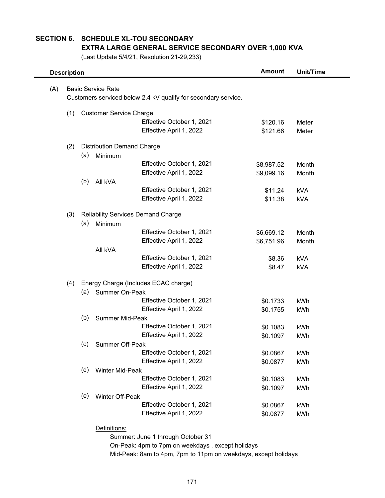## **SECTION 6. SCHEDULE XL-TOU SECONDARY EXTRA LARGE GENERAL SERVICE SECONDARY OVER 1,000 KVA**

(Last Update 5/4/21, Resolution 21-29,233)

| <b>Description</b> |     |                                   | <b>Amount</b>                                                  | <b>Unit/Time</b> |            |
|--------------------|-----|-----------------------------------|----------------------------------------------------------------|------------------|------------|
| (A)                |     | <b>Basic Service Rate</b>         |                                                                |                  |            |
|                    |     |                                   | Customers serviced below 2.4 kV qualify for secondary service. |                  |            |
|                    |     |                                   |                                                                |                  |            |
|                    | (1) | <b>Customer Service Charge</b>    |                                                                |                  |            |
|                    |     |                                   | Effective October 1, 2021                                      | \$120.16         | Meter      |
|                    |     |                                   | Effective April 1, 2022                                        | \$121.66         | Meter      |
|                    | (2) | <b>Distribution Demand Charge</b> |                                                                |                  |            |
|                    | (a) | Minimum                           |                                                                |                  |            |
|                    |     |                                   | Effective October 1, 2021                                      | \$8,987.52       | Month      |
|                    |     |                                   | Effective April 1, 2022                                        | \$9,099.16       | Month      |
|                    | (b) | All kVA                           |                                                                |                  |            |
|                    |     |                                   | Effective October 1, 2021                                      | \$11.24          | <b>kVA</b> |
|                    |     |                                   | Effective April 1, 2022                                        | \$11.38          | <b>kVA</b> |
|                    | (3) |                                   | <b>Reliability Services Demand Charge</b>                      |                  |            |
|                    | (a) | Minimum                           |                                                                |                  |            |
|                    |     |                                   | Effective October 1, 2021                                      | \$6,669.12       | Month      |
|                    |     |                                   | Effective April 1, 2022                                        | \$6,751.96       | Month      |
|                    |     | All kVA                           |                                                                |                  |            |
|                    |     |                                   | Effective October 1, 2021                                      | \$8.36           | <b>kVA</b> |
|                    |     |                                   | Effective April 1, 2022                                        | \$8.47           | <b>kVA</b> |
|                    | (4) |                                   | Energy Charge (Includes ECAC charge)                           |                  |            |
|                    | (a) | <b>Summer On-Peak</b>             |                                                                |                  |            |
|                    |     |                                   | Effective October 1, 2021                                      | \$0.1733         | kWh        |
|                    |     |                                   | Effective April 1, 2022                                        | \$0.1755         | kWh        |
|                    | (b) | <b>Summer Mid-Peak</b>            |                                                                |                  |            |
|                    |     |                                   | Effective October 1, 2021                                      | \$0.1083         | kWh        |
|                    |     |                                   | Effective April 1, 2022                                        | \$0.1097         | kWh        |
|                    | (c) | <b>Summer Off-Peak</b>            |                                                                |                  |            |
|                    |     |                                   | Effective October 1, 2021                                      | \$0.0867         | kWh        |
|                    |     |                                   | Effective April 1, 2022                                        | \$0.0877         | kWh        |
|                    | (d) | Winter Mid-Peak                   |                                                                |                  |            |
|                    |     |                                   | Effective October 1, 2021                                      | \$0.1083         | kWh        |
|                    |     |                                   | Effective April 1, 2022                                        | \$0.1097         | kWh        |
|                    | (e) | Winter Off-Peak                   |                                                                |                  |            |
|                    |     |                                   | Effective October 1, 2021                                      | \$0.0867         | kWh        |
|                    |     |                                   | Effective April 1, 2022                                        | \$0.0877         | kWh        |
|                    |     | Definitions:                      |                                                                |                  |            |
|                    |     |                                   | Summer: June 1 through October 31                              |                  |            |
|                    |     |                                   | On-Peak: 4pm to 7pm on weekdays, except holidays               |                  |            |

Mid-Peak: 8am to 4pm, 7pm to 11pm on weekdays, except holidays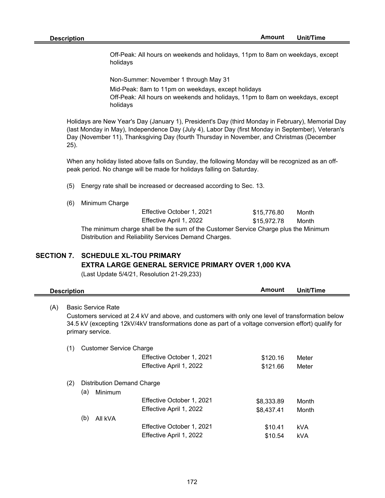Off-Peak: All hours on weekends and holidays, 11pm to 8am on weekdays, except holidays

Non-Summer: November 1 through May 31

Mid-Peak: 8am to 11pm on weekdays, except holidays

Off-Peak: All hours on weekends and holidays, 11pm to 8am on weekdays, except holidays

Holidays are New Year's Day (January 1), President's Day (third Monday in February), Memorial Day (last Monday in May), Independence Day (July 4), Labor Day (first Monday in September), Veteran's Day (November 11), Thanksgiving Day (fourth Thursday in November, and Christmas (December 25).

When any holiday listed above falls on Sunday, the following Monday will be recognized as an offpeak period. No change will be made for holidays falling on Saturday.

(5) Energy rate shall be increased or decreased according to Sec. 13.

(6) Minimum Charge

| Effective October 1, 2021 | \$15.776.80 | Month |
|---------------------------|-------------|-------|
| Effective April 1, 2022   | \$15,972.78 | Month |

The minimum charge shall be the sum of the Customer Service Charge plus the Minimum Distribution and Reliability Services Demand Charges.

## **SECTION 7. SCHEDULE XL-TOU PRIMARY EXTRA LARGE GENERAL SERVICE PRIMARY OVER 1,000 KVA**

|     | <b>Description</b>                                                                                                                                                                                                                                         |     |                                                     |                                                      |                          | Unit/Time      |  |
|-----|------------------------------------------------------------------------------------------------------------------------------------------------------------------------------------------------------------------------------------------------------------|-----|-----------------------------------------------------|------------------------------------------------------|--------------------------|----------------|--|
| (A) | <b>Basic Service Rate</b><br>Customers serviced at 2.4 kV and above, and customers with only one level of transformation below<br>34.5 kV (excepting 12kV/4kV transformations done as part of a voltage conversion effort) qualify for<br>primary service. |     |                                                     |                                                      |                          |                |  |
|     | (1)                                                                                                                                                                                                                                                        |     | Customer Service Charge                             | Effective October 1, 2021<br>Effective April 1, 2022 | \$120.16<br>\$121.66     | Meter<br>Meter |  |
|     | (2)                                                                                                                                                                                                                                                        | (a) | <b>Distribution Demand Charge</b><br><b>Minimum</b> | Effective October 1, 2021<br>Effective April 1, 2022 | \$8,333.89<br>\$8,437.41 | Month<br>Month |  |
|     |                                                                                                                                                                                                                                                            | (b) | All kVA                                             | Effective October 1, 2021<br>Effective April 1, 2022 | \$10.41<br>\$10.54       | kVA<br>kVA     |  |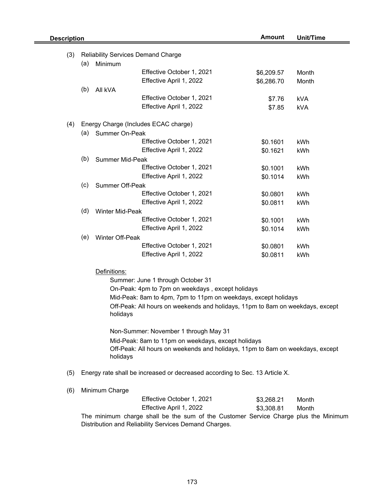| <b>Description</b> |                                                                                                                                              |                                                                | <b>Amount</b>                                                                 | <b>Unit/Time</b>     |            |  |  |  |
|--------------------|----------------------------------------------------------------------------------------------------------------------------------------------|----------------------------------------------------------------|-------------------------------------------------------------------------------|----------------------|------------|--|--|--|
| (3)                | <b>Reliability Services Demand Charge</b>                                                                                                    |                                                                |                                                                               |                      |            |  |  |  |
|                    | (a)<br>Minimum                                                                                                                               |                                                                |                                                                               |                      |            |  |  |  |
|                    |                                                                                                                                              |                                                                | Effective October 1, 2021                                                     | \$6,209.57           | Month      |  |  |  |
|                    |                                                                                                                                              |                                                                | Effective April 1, 2022                                                       | \$6,286.70           | Month      |  |  |  |
|                    | (b)                                                                                                                                          | All kVA                                                        |                                                                               |                      |            |  |  |  |
|                    |                                                                                                                                              |                                                                | Effective October 1, 2021                                                     | \$7.76               | <b>kVA</b> |  |  |  |
|                    |                                                                                                                                              |                                                                | Effective April 1, 2022                                                       | \$7.85               | <b>kVA</b> |  |  |  |
| (4)                | Energy Charge (Includes ECAC charge)                                                                                                         |                                                                |                                                                               |                      |            |  |  |  |
|                    | (a)<br>Summer On-Peak                                                                                                                        |                                                                |                                                                               |                      |            |  |  |  |
|                    |                                                                                                                                              |                                                                | Effective October 1, 2021                                                     | \$0.1601             | kWh        |  |  |  |
|                    |                                                                                                                                              |                                                                | Effective April 1, 2022                                                       | \$0.1621             | kWh        |  |  |  |
|                    | (b)                                                                                                                                          | <b>Summer Mid-Peak</b>                                         |                                                                               |                      |            |  |  |  |
|                    |                                                                                                                                              |                                                                | Effective October 1, 2021                                                     | \$0.1001             | kWh        |  |  |  |
|                    |                                                                                                                                              |                                                                | Effective April 1, 2022                                                       | \$0.1014             | kWh        |  |  |  |
|                    | (c)                                                                                                                                          | Summer Off-Peak                                                |                                                                               |                      |            |  |  |  |
|                    |                                                                                                                                              |                                                                | Effective October 1, 2021                                                     | \$0.0801             | kWh        |  |  |  |
|                    |                                                                                                                                              |                                                                | Effective April 1, 2022                                                       | \$0.0811             | kWh        |  |  |  |
|                    | (d)                                                                                                                                          | Winter Mid-Peak                                                |                                                                               |                      |            |  |  |  |
|                    |                                                                                                                                              |                                                                | Effective October 1, 2021                                                     | \$0.1001             | kWh        |  |  |  |
|                    |                                                                                                                                              |                                                                | Effective April 1, 2022                                                       | \$0.1014             | kWh        |  |  |  |
|                    | (e)                                                                                                                                          | Winter Off-Peak                                                | Effective October 1, 2021                                                     |                      |            |  |  |  |
|                    |                                                                                                                                              |                                                                | Effective April 1, 2022                                                       | \$0.0801<br>\$0.0811 | kWh<br>kWh |  |  |  |
|                    |                                                                                                                                              |                                                                |                                                                               |                      |            |  |  |  |
|                    | Definitions:                                                                                                                                 |                                                                |                                                                               |                      |            |  |  |  |
|                    | Summer: June 1 through October 31                                                                                                            |                                                                |                                                                               |                      |            |  |  |  |
|                    |                                                                                                                                              |                                                                | On-Peak: 4pm to 7pm on weekdays, except holidays                              |                      |            |  |  |  |
|                    |                                                                                                                                              | Mid-Peak: 8am to 4pm, 7pm to 11pm on weekdays, except holidays |                                                                               |                      |            |  |  |  |
|                    |                                                                                                                                              | holidays                                                       | Off-Peak: All hours on weekends and holidays, 11pm to 8am on weekdays, except |                      |            |  |  |  |
|                    |                                                                                                                                              | Non-Summer: November 1 through May 31                          |                                                                               |                      |            |  |  |  |
|                    |                                                                                                                                              | Mid-Peak: 8am to 11pm on weekdays, except holidays             |                                                                               |                      |            |  |  |  |
|                    |                                                                                                                                              | holidays                                                       | Off-Peak: All hours on weekends and holidays, 11pm to 8am on weekdays, except |                      |            |  |  |  |
| (5)                | Energy rate shall be increased or decreased according to Sec. 13 Article X.                                                                  |                                                                |                                                                               |                      |            |  |  |  |
| (6)                |                                                                                                                                              | Minimum Charge                                                 |                                                                               |                      |            |  |  |  |
|                    |                                                                                                                                              |                                                                | Effective October 1, 2021                                                     | \$3,268.21           | Month      |  |  |  |
|                    |                                                                                                                                              |                                                                | Effective April 1, 2022                                                       | \$3,308.81           | Month      |  |  |  |
|                    | The minimum charge shall be the sum of the Customer Service Charge plus the Minimum<br>Distribution and Reliability Services Demand Charges. |                                                                |                                                                               |                      |            |  |  |  |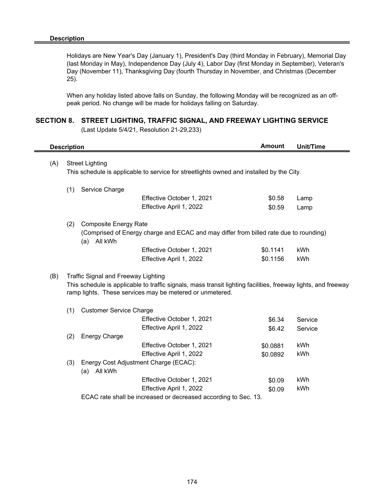e.

Holidays are New Year's Day (January 1), President's Day (third Monday in February), Memorial Day (last Monday in May), Independence Day (July 4), Labor Day (first Monday in September), Veteran's Day (November 11), Thanksgiving Day (fourth Thursday in November, and Christmas (December 25).

When any holiday listed above falls on Sunday, the following Monday will be recognized as an offpeak period. No change will be made for holidays falling on Saturday.

#### **SECTION 8. STREET LIGHTING, TRAFFIC SIGNAL, AND FREEWAY LIGHTING SERVICE**

| <b>Description</b> |                                                                                                                                                                                                                         |                                                                                       |                                       | <b>Amount</b> | <b>Unit/Time</b> |  |  |
|--------------------|-------------------------------------------------------------------------------------------------------------------------------------------------------------------------------------------------------------------------|---------------------------------------------------------------------------------------|---------------------------------------|---------------|------------------|--|--|
| (A)                | <b>Street Lighting</b><br>This schedule is applicable to service for streetlights owned and installed by the City.                                                                                                      |                                                                                       |                                       |               |                  |  |  |
|                    |                                                                                                                                                                                                                         |                                                                                       |                                       |               |                  |  |  |
|                    | (1)                                                                                                                                                                                                                     | Service Charge                                                                        |                                       |               |                  |  |  |
|                    |                                                                                                                                                                                                                         |                                                                                       | Effective October 1, 2021             | \$0.58        | Lamp             |  |  |
|                    |                                                                                                                                                                                                                         |                                                                                       | Effective April 1, 2022               | \$0.59        | Lamp             |  |  |
|                    | (2)                                                                                                                                                                                                                     | <b>Composite Energy Rate</b>                                                          |                                       |               |                  |  |  |
|                    |                                                                                                                                                                                                                         | (Comprised of Energy charge and ECAC and may differ from billed rate due to rounding) |                                       |               |                  |  |  |
|                    |                                                                                                                                                                                                                         |                                                                                       | Effective October 1, 2021             | \$0.1141      | kWh              |  |  |
|                    |                                                                                                                                                                                                                         |                                                                                       | Effective April 1, 2022               | \$0.1156      | kWh              |  |  |
| (B)                | <b>Traffic Signal and Freeway Lighting</b><br>This schedule is applicable to traffic signals, mass transit lighting facilities, freeway lights, and freeway<br>ramp lights. These services may be metered or unmetered. |                                                                                       |                                       |               |                  |  |  |
|                    | (1)                                                                                                                                                                                                                     | <b>Customer Service Charge</b>                                                        |                                       |               |                  |  |  |
|                    |                                                                                                                                                                                                                         |                                                                                       | Effective October 1, 2021             | \$6.34        | Service          |  |  |
|                    |                                                                                                                                                                                                                         |                                                                                       | Effective April 1, 2022               | \$6.42        | Service          |  |  |
|                    | (2)                                                                                                                                                                                                                     | <b>Energy Charge</b>                                                                  |                                       |               |                  |  |  |
|                    |                                                                                                                                                                                                                         |                                                                                       | Effective October 1, 2021             | \$0.0881      | kWh              |  |  |
|                    |                                                                                                                                                                                                                         |                                                                                       | Effective April 1, 2022               | \$0.0892      | kWh              |  |  |
|                    | (3)                                                                                                                                                                                                                     | All kWh<br>(a)                                                                        | Energy Cost Adjustment Charge (ECAC): |               |                  |  |  |
|                    |                                                                                                                                                                                                                         |                                                                                       | Effective October 1, 2021             | \$0.09        | kWh              |  |  |
|                    |                                                                                                                                                                                                                         |                                                                                       | Effective April 1, 2022               | \$0.09        | kWh              |  |  |
|                    |                                                                                                                                                                                                                         | ECAC rate shall be increased or decreased according to Sec. 13.                       |                                       |               |                  |  |  |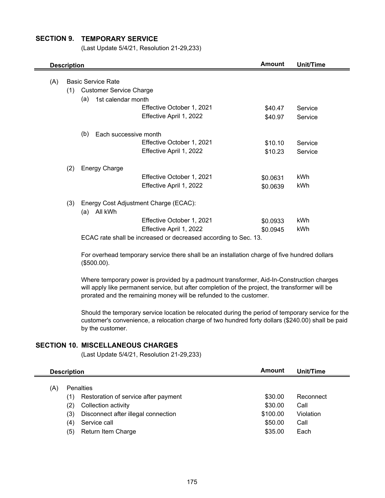## **SECTION 9. TEMPORARY SERVICE**

(Last Update 5/4/21, Resolution 21-29,233)

|     | <b>Description</b> |                                |                                                                 | <b>Amount</b> | Unit/Time |  |  |  |  |
|-----|--------------------|--------------------------------|-----------------------------------------------------------------|---------------|-----------|--|--|--|--|
|     |                    |                                |                                                                 |               |           |  |  |  |  |
| (A) |                    | <b>Basic Service Rate</b>      |                                                                 |               |           |  |  |  |  |
|     | (1)                | <b>Customer Service Charge</b> |                                                                 |               |           |  |  |  |  |
|     |                    | (a)<br>1st calendar month      |                                                                 |               |           |  |  |  |  |
|     |                    |                                | Effective October 1, 2021                                       | \$40.47       | Service   |  |  |  |  |
|     |                    |                                | Effective April 1, 2022                                         | \$40.97       | Service   |  |  |  |  |
|     |                    | (b)<br>Each successive month   |                                                                 |               |           |  |  |  |  |
|     |                    |                                | Effective October 1, 2021                                       | \$10.10       | Service   |  |  |  |  |
|     |                    |                                | Effective April 1, 2022                                         | \$10.23       | Service   |  |  |  |  |
|     | (2)                | <b>Energy Charge</b>           |                                                                 |               |           |  |  |  |  |
|     |                    |                                | Effective October 1, 2021                                       | \$0.0631      | kWh       |  |  |  |  |
|     |                    |                                | Effective April 1, 2022                                         | \$0.0639      | kWh       |  |  |  |  |
|     | (3)                | All kWh<br>(a)                 | Energy Cost Adjustment Charge (ECAC):                           |               |           |  |  |  |  |
|     |                    |                                | Effective October 1, 2021                                       | \$0.0933      | kWh       |  |  |  |  |
|     |                    |                                | Effective April 1, 2022                                         | \$0.0945      | kWh       |  |  |  |  |
|     |                    |                                | ECAC rate shall be increased or decreased according to Sec. 13. |               |           |  |  |  |  |

For overhead temporary service there shall be an installation charge of five hundred dollars (\$500.00).

Where temporary power is provided by a padmount transformer, Aid-In-Construction charges will apply like permanent service, but after completion of the project, the transformer will be prorated and the remaining money will be refunded to the customer.

Should the temporary service location be relocated during the period of temporary service for the customer's convenience, a relocation charge of two hundred forty dollars (\$240.00) shall be paid by the customer.

## **SECTION 10. MISCELLANEOUS CHARGES**

(Last Update 5/4/21, Resolution 21-29,233)

|     | <b>Description</b>                                                                                                                                                                             | Amount                                               | Unit/Time                                      |
|-----|------------------------------------------------------------------------------------------------------------------------------------------------------------------------------------------------|------------------------------------------------------|------------------------------------------------|
| (A) | <b>Penalties</b><br>Restoration of service after payment<br>1)<br>Collection activity<br>(2)<br>Disconnect after illegal connection<br>(3)<br>(4)<br>Service call<br>Return Item Charge<br>(5) | \$30.00<br>\$30.00<br>\$100.00<br>\$50.00<br>\$35.00 | Reconnect<br>Call<br>Violation<br>Call<br>Each |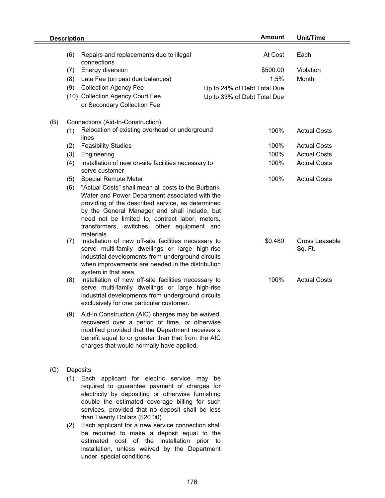| <b>Description</b> |                                                                                                                                                                                                                                                                                                                                             | <b>Amount</b>                                                                  | Unit/Time                 |
|--------------------|---------------------------------------------------------------------------------------------------------------------------------------------------------------------------------------------------------------------------------------------------------------------------------------------------------------------------------------------|--------------------------------------------------------------------------------|---------------------------|
| (6)                | Repairs and replacements due to illegal<br>connections                                                                                                                                                                                                                                                                                      | At Cost                                                                        | Each                      |
| (7)<br>(8)<br>(9)  | Energy diversion<br>Late Fee (on past due balances)<br><b>Collection Agency Fee</b><br>(10) Collection Agency Court Fee<br>or Secondary Collection Fee                                                                                                                                                                                      | \$500.00<br>1.5%<br>Up to 24% of Debt Total Due<br>Up to 33% of Debt Total Due | Violation<br>Month        |
| (B)<br>(1)         | Connections (Aid-In-Construction)<br>Relocation of existing overhead or underground                                                                                                                                                                                                                                                         | 100%                                                                           | <b>Actual Costs</b>       |
|                    | lines                                                                                                                                                                                                                                                                                                                                       |                                                                                |                           |
| (2)                | <b>Feasibility Studies</b>                                                                                                                                                                                                                                                                                                                  | 100%                                                                           | <b>Actual Costs</b>       |
| (3)                | Engineering                                                                                                                                                                                                                                                                                                                                 | 100%                                                                           | <b>Actual Costs</b>       |
| (4)                | Installation of new on-site facilities necessary to<br>serve customer                                                                                                                                                                                                                                                                       | 100%                                                                           | <b>Actual Costs</b>       |
| (5)<br>(6)         | <b>Special Remote Meter</b><br>"Actual Costs" shall mean all costs to the Burbank<br>Water and Power Department associated with the<br>providing of the described service, as determined<br>by the General Manager and shall include, but<br>need not be limited to, contract labor, meters,<br>transformers, switches, other equipment and | 100%                                                                           | <b>Actual Costs</b>       |
| (7)                | materials.<br>Installation of new off-site facilities necessary to<br>serve multi-family dwellings or large high-rise<br>industrial developments from underground circuits<br>when improvements are needed in the distribution<br>system in that area.                                                                                      | \$0.480                                                                        | Gross Leasable<br>Sq. Ft. |
| (8)                | Installation of new off-site facilities necessary to<br>serve multi-family dwellings or large high-rise<br>industrial developments from underground circuits<br>exclusively for one particular customer.                                                                                                                                    | 100%                                                                           | <b>Actual Costs</b>       |
|                    | (9) Aid-in Construction (AIC) charges may be waived,<br>recovered over a period of time, or otherwise<br>modified provided that the Department receives a<br>benefit equal to or greater than that from the AIC<br>charges that would normally have applied.                                                                                |                                                                                |                           |
| (C)                | Deposits                                                                                                                                                                                                                                                                                                                                    |                                                                                |                           |
| (1)                | Each applicant for electric service may<br>required to guarantee payment of charges for<br>electricity by depositing or otherwise furnishing<br>double the estimated coverage billing for such<br>services, provided that no deposit shall be less<br>than Twenty Dollars (\$20.00).                                                        | be                                                                             |                           |
| (2)                | Each applicant for a new service connection shall<br>be required to make a deposit equal to the                                                                                                                                                                                                                                             |                                                                                |                           |

be required to make a deposit equal to the estimated cost of the installation prior to installation, unless waived by the Department under special conditions.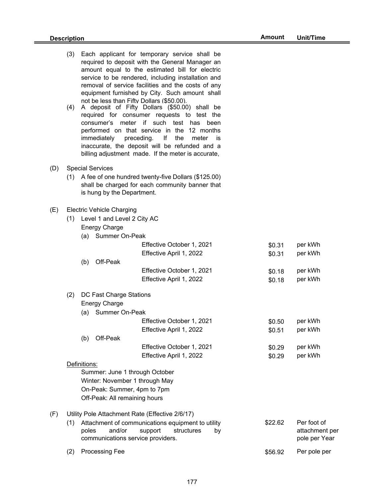|     | (3)<br>(4) |              | immediately                                                                                                       | Each applicant for temporary service shall be<br>required to deposit with the General Manager an<br>amount equal to the estimated bill for electric<br>service to be rendered, including installation and<br>removal of service facilities and the costs of any<br>equipment furnished by City. Such amount shall<br>not be less than Fifty Dollars (\$50.00).<br>A deposit of Fifty Dollars (\$50.00) shall be<br>required for consumer requests to test the<br>consumer's meter if such test has been<br>performed on that service in the 12 months<br>preceding.<br>lf<br>the<br>meter<br>İS<br>inaccurate, the deposit will be refunded and a<br>billing adjustment made. If the meter is accurate, |                  |                                                |
|-----|------------|--------------|-------------------------------------------------------------------------------------------------------------------|---------------------------------------------------------------------------------------------------------------------------------------------------------------------------------------------------------------------------------------------------------------------------------------------------------------------------------------------------------------------------------------------------------------------------------------------------------------------------------------------------------------------------------------------------------------------------------------------------------------------------------------------------------------------------------------------------------|------------------|------------------------------------------------|
| (D) |            |              | <b>Special Services</b>                                                                                           |                                                                                                                                                                                                                                                                                                                                                                                                                                                                                                                                                                                                                                                                                                         |                  |                                                |
|     | (1)        |              | is hung by the Department.                                                                                        | A fee of one hundred twenty-five Dollars (\$125.00)<br>shall be charged for each community banner that                                                                                                                                                                                                                                                                                                                                                                                                                                                                                                                                                                                                  |                  |                                                |
| (E) |            |              | <b>Electric Vehicle Charging</b><br>(1) Level 1 and Level 2 City AC<br><b>Energy Charge</b><br>(a) Summer On-Peak |                                                                                                                                                                                                                                                                                                                                                                                                                                                                                                                                                                                                                                                                                                         |                  |                                                |
|     |            |              |                                                                                                                   | Effective October 1, 2021<br>Effective April 1, 2022                                                                                                                                                                                                                                                                                                                                                                                                                                                                                                                                                                                                                                                    | \$0.31<br>\$0.31 | per kWh<br>per kWh                             |
|     |            | (b)          | Off-Peak                                                                                                          |                                                                                                                                                                                                                                                                                                                                                                                                                                                                                                                                                                                                                                                                                                         |                  |                                                |
|     |            |              |                                                                                                                   | Effective October 1, 2021                                                                                                                                                                                                                                                                                                                                                                                                                                                                                                                                                                                                                                                                               | \$0.18           | per kWh                                        |
|     |            |              |                                                                                                                   | Effective April 1, 2022                                                                                                                                                                                                                                                                                                                                                                                                                                                                                                                                                                                                                                                                                 | \$0.18           | per kWh                                        |
|     | (2)        |              | DC Fast Charge Stations                                                                                           |                                                                                                                                                                                                                                                                                                                                                                                                                                                                                                                                                                                                                                                                                                         |                  |                                                |
|     |            |              | <b>Energy Charge</b>                                                                                              |                                                                                                                                                                                                                                                                                                                                                                                                                                                                                                                                                                                                                                                                                                         |                  |                                                |
|     |            |              | (a) Summer On-Peak                                                                                                |                                                                                                                                                                                                                                                                                                                                                                                                                                                                                                                                                                                                                                                                                                         |                  |                                                |
|     |            |              |                                                                                                                   | Effective October 1, 2021                                                                                                                                                                                                                                                                                                                                                                                                                                                                                                                                                                                                                                                                               | \$0.50           | per kWh                                        |
|     |            | (b)          | Off-Peak                                                                                                          | Effective April 1, 2022                                                                                                                                                                                                                                                                                                                                                                                                                                                                                                                                                                                                                                                                                 | \$0.51           | per kWh                                        |
|     |            |              |                                                                                                                   | Effective October 1, 2021                                                                                                                                                                                                                                                                                                                                                                                                                                                                                                                                                                                                                                                                               | \$0.29           | per kWh                                        |
|     |            |              |                                                                                                                   | Effective April 1, 2022                                                                                                                                                                                                                                                                                                                                                                                                                                                                                                                                                                                                                                                                                 | \$0.29           | per kWh                                        |
|     |            | Definitions: |                                                                                                                   |                                                                                                                                                                                                                                                                                                                                                                                                                                                                                                                                                                                                                                                                                                         |                  |                                                |
|     |            |              |                                                                                                                   | Summer: June 1 through October                                                                                                                                                                                                                                                                                                                                                                                                                                                                                                                                                                                                                                                                          |                  |                                                |
|     |            |              |                                                                                                                   | Winter: November 1 through May                                                                                                                                                                                                                                                                                                                                                                                                                                                                                                                                                                                                                                                                          |                  |                                                |
|     |            |              | On-Peak: Summer, 4pm to 7pm                                                                                       |                                                                                                                                                                                                                                                                                                                                                                                                                                                                                                                                                                                                                                                                                                         |                  |                                                |
|     |            |              | Off-Peak: All remaining hours                                                                                     |                                                                                                                                                                                                                                                                                                                                                                                                                                                                                                                                                                                                                                                                                                         |                  |                                                |
| (F) |            |              |                                                                                                                   | Utility Pole Attachment Rate (Effective 2/6/17)                                                                                                                                                                                                                                                                                                                                                                                                                                                                                                                                                                                                                                                         |                  |                                                |
|     | (1)        | poles        | and/or                                                                                                            | Attachment of communications equipment to utility<br>support<br>structures<br>by<br>communications service providers.                                                                                                                                                                                                                                                                                                                                                                                                                                                                                                                                                                                   | \$22.62          | Per foot of<br>attachment per<br>pole per Year |
|     | (2)        |              | Processing Fee                                                                                                    |                                                                                                                                                                                                                                                                                                                                                                                                                                                                                                                                                                                                                                                                                                         | \$56.92          | Per pole per                                   |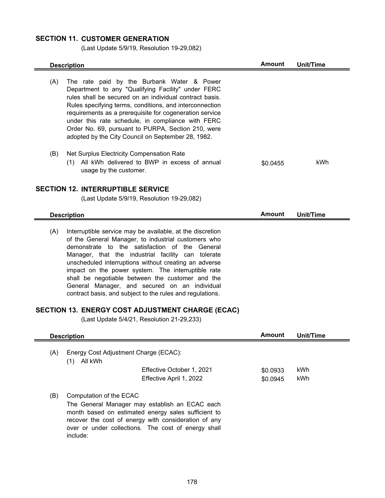# **SECTION 11. CUSTOMER GENERATION**

(Last Update 5/9/19, Resolution 19-29,082)

|     | <b>Description</b>                                                                                                                                                                                                                                                                                                                                                                                                                                                                                                                                                                                          | <b>Amount</b> | <b>Unit/Time</b> |
|-----|-------------------------------------------------------------------------------------------------------------------------------------------------------------------------------------------------------------------------------------------------------------------------------------------------------------------------------------------------------------------------------------------------------------------------------------------------------------------------------------------------------------------------------------------------------------------------------------------------------------|---------------|------------------|
| (A) | The rate paid by the Burbank Water & Power<br>Department to any "Qualifying Facility" under FERC<br>rules shall be secured on an individual contract basis.<br>Rules specifying terms, conditions, and interconnection<br>requirements as a prerequisite for cogeneration service<br>under this rate schedule, in compliance with FERC<br>Order No. 69, pursuant to PURPA, Section 210, were<br>adopted by the City Council on September 28, 1982.                                                                                                                                                          |               |                  |
| (B) | Net Surplus Electricity Compensation Rate<br>(1) All kWh delivered to BWP in excess of annual<br>usage by the customer.                                                                                                                                                                                                                                                                                                                                                                                                                                                                                     | \$0.0455      | kWh              |
|     | <b>SECTION 12. INTERRUPTIBLE SERVICE</b>                                                                                                                                                                                                                                                                                                                                                                                                                                                                                                                                                                    |               |                  |
|     | (Last Update 5/9/19, Resolution 19-29,082)                                                                                                                                                                                                                                                                                                                                                                                                                                                                                                                                                                  |               |                  |
|     | <b>Description</b>                                                                                                                                                                                                                                                                                                                                                                                                                                                                                                                                                                                          | <b>Amount</b> | Unit/Time        |
| (A) | Interruptible service may be available, at the discretion<br>of the General Manager, to industrial customers who<br>demonstrate to the satisfaction of the General<br>Manager, that the industrial facility can tolerate<br>unscheduled interruptions without creating an adverse<br>impact on the power system. The interruptible rate<br>shall be negotiable between the customer and the<br>General Manager, and secured on an individual<br>contract basis, and subject to the rules and regulations.<br>SECTION 13. ENERGY COST ADJUSTMENT CHARGE (ECAC)<br>(Last Update 5/4/21, Resolution 21-29,233) |               |                  |
|     | <b>Description</b>                                                                                                                                                                                                                                                                                                                                                                                                                                                                                                                                                                                          | Amount        | Unit/Time        |
| (A) | Energy Cost Adjustment Charge (ECAC):<br>(1) All kWh<br>Effective October 1, 2021                                                                                                                                                                                                                                                                                                                                                                                                                                                                                                                           | \$0.0933      | kWh              |
|     | Effective April 1, 2022                                                                                                                                                                                                                                                                                                                                                                                                                                                                                                                                                                                     | \$0.0945      | kWh              |
| (B) | Computation of the ECAC<br>The General Manager may establish an ECAC each<br>month based on estimated energy sales sufficient to<br>recover the cost of energy with consideration of any<br>over or under collections. The cost of energy shall                                                                                                                                                                                                                                                                                                                                                             |               |                  |

include: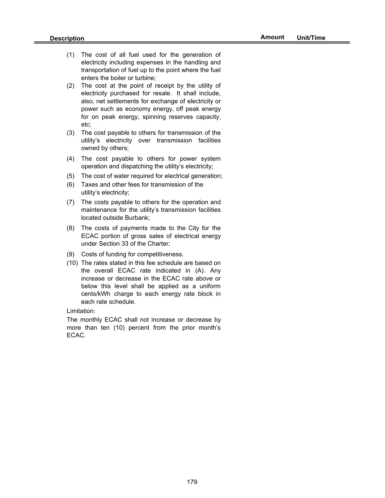- (1) The cost of all fuel used for the generation of electricity including expenses in the handling and transportation of fuel up to the point where the fuel enters the boiler or turbine;
- (2) The cost at the point of receipt by the utility of electricity purchased for resale. It shall include, also, net settlements for exchange of electricity or power such as economy energy, off peak energy for on peak energy, spinning reserves capacity, etc;
- (3) The cost payable to others for transmission of the utility's electricity over transmission facilities owned by others;
- (4) The cost payable to others for power system operation and dispatching the utility's electricity;
- (5) The cost of water required for electrical generation;
- (6) Taxes and other fees for transmission of the utility's electricity;
- (7) The costs payable to others for the operation and maintenance for the utility's transmission facilities located outside Burbank;
- (8) The costs of payments made to the City for the ECAC portion of gross sales of electrical energy under Section 33 of the Charter;
- (9) Costs of funding for competitiveness.
- (10) The rates stated in this fee schedule are based on the overall ECAC rate indicated in (A). Any increase or decrease in the ECAC rate above or below this level shall be applied as a uniform cents/kWh charge to each energy rate block in each rate schedule.

Limitation:

The monthly ECAC shall not increase or decrease by more than ten (10) percent from the prior month's ECAC.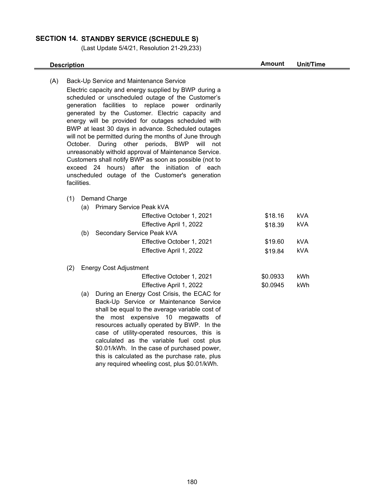## **SECTION 14. STANDBY SERVICE (SCHEDULE S)**

(Last Update 5/4/21, Resolution 21-29,233)

## **Description Amount Unit/Time**

(A) Back-Up Service and Maintenance Service (1) Demand Charge (a) Primary Service Peak kVA Electric capacity and energy supplied by BWP during a scheduled or unscheduled outage of the Customer's generation facilities to replace power ordinarily generated by the Customer. Electric capacity and energy will be provided for outages scheduled with BWP at least 30 days in advance. Scheduled outages will not be permitted during the months of June through October. During other periods, BWP will not unreasonably withold approval of Maintenance Service. Customers shall notify BWP as soon as possible (not to exceed 24 hours) after the initiation of each unscheduled outage of the Customer's generation facilities.

| Effective October 1, 2021         | \$18.16 | kVA |
|-----------------------------------|---------|-----|
| Effective April 1, 2022           | \$18.39 | kVA |
| Secondary Service Peak kVA<br>(b) |         |     |
| Effective October 1, 2021         | \$19.60 | kVA |
| Effective April 1, 2022           | \$19.84 | kVA |

#### (2) Energy Cost Adjustment

| Effective October 1, 2021 | \$0.0933 | kWh |
|---------------------------|----------|-----|
| Effective April 1, 2022   | \$0.0945 | kWh |

(a) During an Energy Cost Crisis, the ECAC for Back-Up Service or Maintenance Service shall be equal to the average variable cost of the most expensive 10 megawatts of resources actually operated by BWP. In the case of utility-operated resources, this is calculated as the variable fuel cost plus \$0.01/kWh. In the case of purchased power, this is calculated as the purchase rate, plus any required wheeling cost, plus \$0.01/kWh.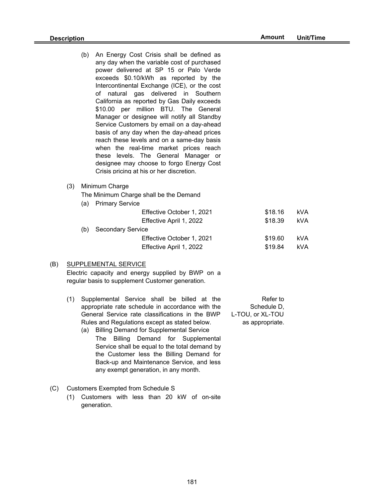- (b) An Energy Cost Crisis shall be defined as any day when the variable cost of purchased power delivered at SP 15 or Palo Verde exceeds \$0.10/kWh as reported by the Intercontinental Exchange (ICE), or the cost of natural gas delivered in Southern California as reported by Gas Daily exceeds \$10.00 per million BTU. The General Manager or designee will notify all Standby Service Customers by email on a day-ahead basis of any day when the day-ahead prices reach these levels and on a same-day basis when the real-time market prices reach these levels. The General Manager or designee may choose to forgo Energy Cost Crisis pricing at his or her discretion.
- (3) Minimum Charge

The Minimum Charge shall be the Demand

(a) Primary Service

|     | Effective October 1, 2021 | \$18.16 | kVA |
|-----|---------------------------|---------|-----|
|     | Effective April 1, 2022   | \$18.39 | kVA |
| (b) | Secondary Service         |         |     |
|     | Effective October 1, 2021 | \$19.60 | kVA |
|     | Effective April 1, 2022   | \$19.84 | kVA |

#### (B) SUPPLEMENTAL SERVICE

Electric capacity and energy supplied by BWP on a regular basis to supplement Customer generation.

- (1) Refer to Supplemental Service shall be billed at the (a) Billing Demand for Supplemental Service appropriate rate schedule in accordance with the General Service rate classifications in the BWP Rules and Regulations except as stated below.
	- The Billing Demand for Supplemental Service shall be equal to the total demand by the Customer less the Billing Demand for Back-up and Maintenance Service, and less any exempt generation, in any month.

Schedule D, L-TOU, or XL-TOU as appropriate.

- (C) Customers Exempted from Schedule S
	- (1) Customers with less than 20 kW of on-site generation.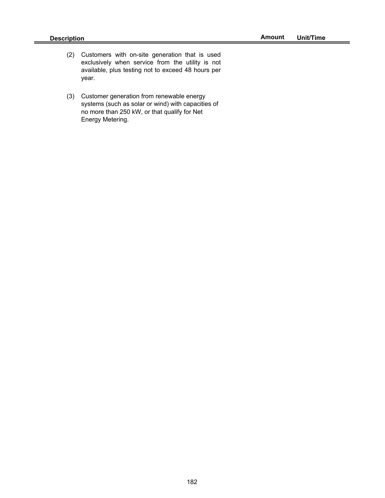- (2) Customers with on-site generation that is used exclusively when service from the utility is not available, plus testing not to exceed 48 hours per year.
- (3) Customer generation from renewable energy systems (such as solar or wind) with capacities of no more than 250 kW, or that qualify for Net Energy Metering.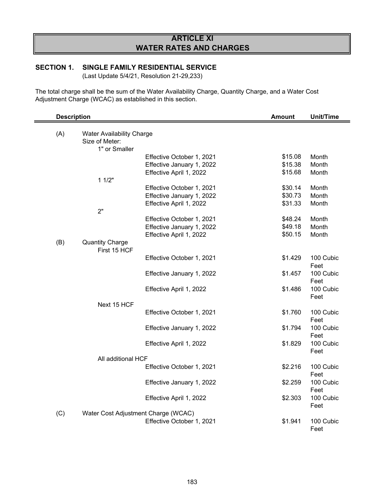# **ARTICLE XI WATER RATES AND CHARGES**

## **SECTION 1. SINGLE FAMILY RESIDENTIAL SERVICE**

(Last Update 5/4/21, Resolution 21-29,233)

The total charge shall be the sum of the Water Availability Charge, Quantity Charge, and a Water Cost Adjustment Charge (WCAC) as established in this section.

| <b>Description</b> |                                                    |                                     | <b>Amount</b> | <b>Unit/Time</b>  |
|--------------------|----------------------------------------------------|-------------------------------------|---------------|-------------------|
| (A)                | <b>Water Availability Charge</b><br>Size of Meter: |                                     |               |                   |
|                    | 1" or Smaller                                      |                                     |               |                   |
|                    |                                                    | Effective October 1, 2021           | \$15.08       | Month             |
|                    |                                                    | Effective January 1, 2022           | \$15.38       | Month             |
|                    |                                                    | Effective April 1, 2022             | \$15.68       | Month             |
|                    | 11/2"                                              |                                     |               |                   |
|                    |                                                    | Effective October 1, 2021           | \$30.14       | Month             |
|                    |                                                    | Effective January 1, 2022           | \$30.73       | Month             |
|                    |                                                    | Effective April 1, 2022             | \$31.33       | Month             |
|                    | 2"                                                 |                                     |               |                   |
|                    |                                                    | Effective October 1, 2021           | \$48.24       | Month             |
|                    |                                                    | Effective January 1, 2022           | \$49.18       | Month             |
|                    |                                                    | Effective April 1, 2022             | \$50.15       | Month             |
| (B)                | <b>Quantity Charge</b>                             |                                     |               |                   |
|                    | First 15 HCF                                       |                                     |               |                   |
|                    |                                                    | Effective October 1, 2021           | \$1.429       | 100 Cubic         |
|                    |                                                    |                                     |               | Feet              |
|                    |                                                    | Effective January 1, 2022           | \$1.457       | 100 Cubic         |
|                    |                                                    |                                     | \$1.486       | Feet<br>100 Cubic |
|                    |                                                    | Effective April 1, 2022             |               | Feet              |
|                    | Next 15 HCF                                        |                                     |               |                   |
|                    |                                                    | Effective October 1, 2021           | \$1.760       | 100 Cubic         |
|                    |                                                    |                                     |               | Feet              |
|                    |                                                    | Effective January 1, 2022           | \$1.794       | 100 Cubic         |
|                    |                                                    |                                     |               | Feet              |
|                    |                                                    | Effective April 1, 2022             | \$1.829       | 100 Cubic         |
|                    |                                                    |                                     |               | Feet              |
|                    | All additional HCF                                 |                                     |               |                   |
|                    |                                                    | Effective October 1, 2021           | \$2.216       | 100 Cubic         |
|                    |                                                    |                                     |               | Feet              |
|                    |                                                    | Effective January 1, 2022           | \$2.259       | 100 Cubic         |
|                    |                                                    |                                     |               | Feet              |
|                    |                                                    | Effective April 1, 2022             | \$2.303       | 100 Cubic         |
|                    |                                                    |                                     |               | Feet              |
| (C)                |                                                    | Water Cost Adjustment Charge (WCAC) |               |                   |
|                    |                                                    | Effective October 1, 2021           | \$1.941       | 100 Cubic<br>Feet |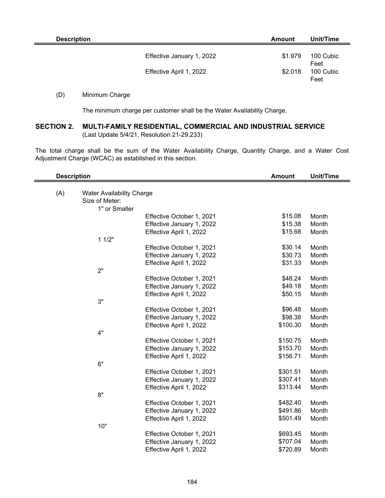| <b>Description</b> |                                                      | <b>Amount</b>      | Unit/Time                              |
|--------------------|------------------------------------------------------|--------------------|----------------------------------------|
|                    | Effective January 1, 2022<br>Effective April 1, 2022 | \$1.979<br>\$2.018 | 100 Cubic<br>Feet<br>100 Cubic<br>Feet |
|                    |                                                      |                    |                                        |

## (D) Minimum Charge

The minimum charge per customer shall be the Water Availability Charge.

## **SECTION 2. MULTI-FAMILY RESIDENTIAL, COMMERCIAL AND INDUSTRIAL SERVICE** (Last Update 5/4/21, Resolution 21-29,233)

The total charge shall be the sum of the Water Availability Charge, Quantity Charge, and a Water Cost Adjustment Charge (WCAC) as established in this section.

| <b>Description</b>                      | <b>Amount</b> | <b>Unit/Time</b> |
|-----------------------------------------|---------------|------------------|
|                                         |               |                  |
| (A)<br><b>Water Availability Charge</b> |               |                  |
| Size of Meter:                          |               |                  |
| 1" or Smaller                           |               |                  |
| Effective October 1, 2021               | \$15.08       | Month            |
| Effective January 1, 2022               | \$15.38       | Month            |
| Effective April 1, 2022                 | \$15.68       | Month            |
| 11/2"                                   |               |                  |
| Effective October 1, 2021               | \$30.14       | Month            |
| Effective January 1, 2022               | \$30.73       | Month            |
| Effective April 1, 2022                 | \$31.33       | Month            |
| 2"                                      |               |                  |
| Effective October 1, 2021               | \$48.24       | Month            |
| Effective January 1, 2022               | \$49.18       | Month            |
| Effective April 1, 2022                 | \$50.15       | Month            |
| 3"                                      |               |                  |
| Effective October 1, 2021               | \$96.48       | Month            |
| Effective January 1, 2022               | \$98.38       | Month            |
| Effective April 1, 2022                 | \$100.30      | Month            |
| 4"                                      |               |                  |
| Effective October 1, 2021               | \$150.75      | Month            |
| Effective January 1, 2022               | \$153.70      | Month            |
| Effective April 1, 2022                 | \$156.71      | Month            |
| 6"                                      |               |                  |
| Effective October 1, 2021               | \$301.51      | Month            |
| Effective January 1, 2022               | \$307.41      | Month            |
| Effective April 1, 2022                 | \$313.44      | Month            |
| 8"                                      |               |                  |
| Effective October 1, 2021               | \$482.40      | Month            |
| Effective January 1, 2022               | \$491.86      | Month            |
| Effective April 1, 2022                 | \$501.49      | Month            |
| 10"                                     |               |                  |
| Effective October 1, 2021               | \$693.45      | Month            |
| Effective January 1, 2022               | \$707.04      | Month            |
| Effective April 1, 2022                 | \$720.89      | Month            |
|                                         |               |                  |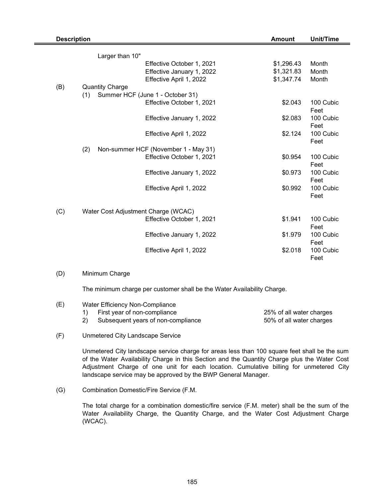| <b>Description</b><br><b>Amount</b> |                                             |                           | <b>Unit/Time</b> |                   |
|-------------------------------------|---------------------------------------------|---------------------------|------------------|-------------------|
|                                     | Larger than 10"                             |                           |                  |                   |
|                                     |                                             | Effective October 1, 2021 | \$1,296.43       | Month             |
|                                     |                                             | Effective January 1, 2022 | \$1,321.83       | Month             |
|                                     |                                             | Effective April 1, 2022   | \$1,347.74       | Month             |
| (B)                                 | <b>Quantity Charge</b>                      |                           |                  |                   |
|                                     | Summer HCF (June 1 - October 31)<br>(1)     |                           |                  |                   |
|                                     |                                             | Effective October 1, 2021 | \$2.043          | 100 Cubic         |
|                                     |                                             |                           |                  | Feet              |
|                                     |                                             | Effective January 1, 2022 | \$2.083          | 100 Cubic         |
|                                     |                                             |                           |                  | Feet              |
|                                     |                                             | Effective April 1, 2022   | \$2.124          | 100 Cubic         |
|                                     |                                             |                           |                  | Feet              |
|                                     | Non-summer HCF (November 1 - May 31)<br>(2) |                           |                  |                   |
|                                     |                                             | Effective October 1, 2021 | \$0.954          | 100 Cubic         |
|                                     |                                             |                           |                  | Feet              |
|                                     |                                             | Effective January 1, 2022 | \$0.973          | 100 Cubic         |
|                                     |                                             |                           |                  | Feet              |
|                                     |                                             | Effective April 1, 2022   | \$0.992          | 100 Cubic         |
|                                     |                                             |                           |                  | Feet              |
|                                     |                                             |                           |                  |                   |
| (C)                                 | Water Cost Adjustment Charge (WCAC)         |                           |                  |                   |
|                                     |                                             | Effective October 1, 2021 | \$1.941          | 100 Cubic         |
|                                     |                                             |                           |                  | Feet              |
|                                     |                                             | Effective January 1, 2022 | \$1.979          | 100 Cubic         |
|                                     |                                             | Effective April 1, 2022   | \$2.018          | Feet<br>100 Cubic |
|                                     |                                             |                           |                  | Feet              |
|                                     |                                             |                           |                  |                   |
| (D)                                 | Minimum Charge                              |                           |                  |                   |
|                                     |                                             |                           |                  |                   |

The minimum charge per customer shall be the Water Availability Charge.

| (E) | Water Efficiency Non-Compliance    |                          |  |  |
|-----|------------------------------------|--------------------------|--|--|
|     | First year of non-compliance       | 25% of all water charges |  |  |
|     | Subsequent years of non-compliance | 50% of all water charges |  |  |

(F) Unmetered City Landscape Service

> Unmetered City landscape service charge for areas less than 100 square feet shall be the sum of the Water Availability Charge in this Section and the Quantity Charge plus the Water Cost Adjustment Charge of one unit for each location. Cumulative billing for unmetered City landscape service may be approved by the BWP General Manager.

(G) Combination Domestic/Fire Service (F.M.

> The total charge for a combination domestic/fire service (F.M. meter) shall be the sum of the Water Availability Charge, the Quantity Charge, and the Water Cost Adjustment Charge (WCAC).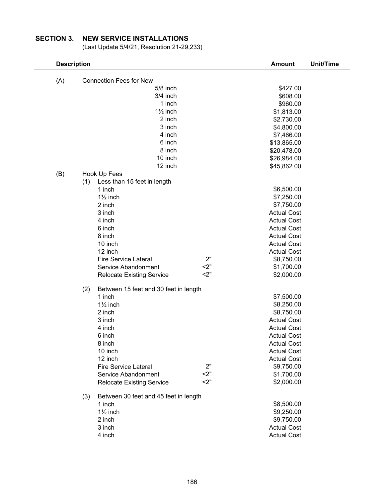# **SECTION 3. NEW SERVICE INSTALLATIONS**

(Last Update 5/4/21, Resolution 21-29,233)

|     | <b>Description</b>                                 | <b>Amount</b>                            | <b>Unit/Time</b> |
|-----|----------------------------------------------------|------------------------------------------|------------------|
| (A) | <b>Connection Fees for New</b>                     |                                          |                  |
|     | 5/8 inch                                           | \$427.00                                 |                  |
|     | 3/4 inch                                           | \$608.00                                 |                  |
|     | 1 inch                                             | \$960.00                                 |                  |
|     | $1\frac{1}{2}$ inch                                | \$1,813.00                               |                  |
|     | 2 inch                                             | \$2,730.00                               |                  |
|     | 3 inch                                             | \$4,800.00                               |                  |
|     | 4 inch                                             | \$7,466.00                               |                  |
|     | 6 inch                                             | \$13,865.00                              |                  |
|     | 8 inch                                             | \$20,478.00                              |                  |
|     | 10 inch                                            | \$26,984.00                              |                  |
|     | 12 inch                                            | \$45,862.00                              |                  |
| (B) | Hook Up Fees                                       |                                          |                  |
|     | (1)<br>Less than 15 feet in length                 |                                          |                  |
|     | 1 inch                                             | \$6,500.00                               |                  |
|     | $1\frac{1}{2}$ inch                                | \$7,250.00                               |                  |
|     | 2 inch                                             | \$7,750.00                               |                  |
|     | 3 inch                                             | <b>Actual Cost</b>                       |                  |
|     | 4 inch                                             | <b>Actual Cost</b>                       |                  |
|     | 6 inch                                             | <b>Actual Cost</b>                       |                  |
|     | 8 inch                                             | <b>Actual Cost</b>                       |                  |
|     | 10 inch<br>12 inch                                 | <b>Actual Cost</b><br><b>Actual Cost</b> |                  |
|     | <b>Fire Service Lateral</b>                        | 2"<br>\$8,750.00                         |                  |
|     | Service Abandonment                                | 2"<br>\$1,700.00                         |                  |
|     | <b>Relocate Existing Service</b>                   | 2"<br>\$2,000.00                         |                  |
|     |                                                    |                                          |                  |
|     | (2)<br>Between 15 feet and 30 feet in length       |                                          |                  |
|     | 1 inch                                             | \$7,500.00                               |                  |
|     | $1\frac{1}{2}$ inch                                | \$8,250.00                               |                  |
|     | 2 inch                                             | \$8,750.00                               |                  |
|     | 3 inch                                             | <b>Actual Cost</b>                       |                  |
|     | 4 inch                                             | <b>Actual Cost</b>                       |                  |
|     | 6 inch                                             | <b>Actual Cost</b>                       |                  |
|     | 8 inch                                             | <b>Actual Cost</b>                       |                  |
|     | 10 inch<br>12 inch                                 | <b>Actual Cost</b>                       |                  |
|     |                                                    | <b>Actual Cost</b><br>2"                 |                  |
|     | <b>Fire Service Lateral</b><br>Service Abandonment | \$9,750.00<br>2"<br>\$1,700.00           |                  |
|     | <b>Relocate Existing Service</b>                   | 2"<br>\$2,000.00                         |                  |
|     |                                                    |                                          |                  |
|     | Between 30 feet and 45 feet in length<br>(3)       |                                          |                  |
|     | 1 inch                                             | \$8,500.00                               |                  |
|     | $1\frac{1}{2}$ inch                                | \$9,250.00                               |                  |
|     | 2 inch                                             | \$9,750.00                               |                  |
|     | 3 inch                                             | <b>Actual Cost</b>                       |                  |
|     | 4 inch                                             | <b>Actual Cost</b>                       |                  |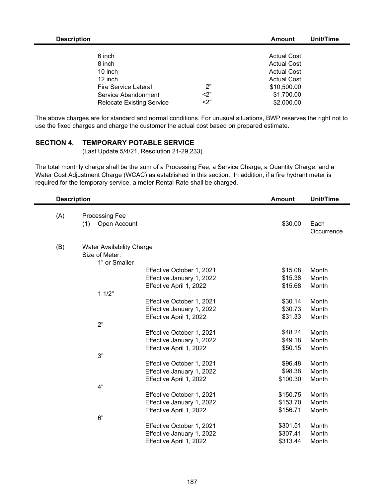| <b>Description</b>               |    | Amount             | Unit/Time |
|----------------------------------|----|--------------------|-----------|
|                                  |    |                    |           |
| 6 inch                           |    | <b>Actual Cost</b> |           |
| 8 inch                           |    | <b>Actual Cost</b> |           |
| 10 inch                          |    | <b>Actual Cost</b> |           |
| 12 inch                          |    | <b>Actual Cost</b> |           |
| <b>Fire Service Lateral</b>      | 2" | \$10,500.00        |           |
| Service Abandonment              | 2" | \$1,700.00         |           |
| <b>Relocate Existing Service</b> | 2" | \$2,000.00         |           |

The above charges are for standard and normal conditions. For unusual situations, BWP reserves the right not to use the fixed charges and charge the customer the actual cost based on prepared estimate.

## **SECTION 4. TEMPORARY POTABLE SERVICE**

(Last Update 5/4/21, Resolution 21-29,233)

The total monthly charge shall be the sum of a Processing Fee, a Service Charge, a Quantity Charge, and a Water Cost Adjustment Charge (WCAC) as established in this section. In addition, if a fire hydrant meter is required for the temporary service, a meter Rental Rate shall be charged.

| <b>Description</b><br><b>Amount</b> |                                              |                           | <b>Unit/Time</b>    |                    |
|-------------------------------------|----------------------------------------------|---------------------------|---------------------|--------------------|
| (A)                                 | <b>Processing Fee</b><br>(1)<br>Open Account |                           | \$30.00             | Each<br>Occurrence |
|                                     |                                              |                           |                     |                    |
| (B)                                 | <b>Water Availability Charge</b>             |                           |                     |                    |
|                                     | Size of Meter:                               |                           |                     |                    |
|                                     | 1" or Smaller                                |                           |                     |                    |
|                                     |                                              | Effective October 1, 2021 | \$15.08             | Month              |
|                                     |                                              | Effective January 1, 2022 | \$15.38             | Month              |
|                                     |                                              | Effective April 1, 2022   | \$15.68             | Month              |
|                                     | 11/2"                                        |                           |                     |                    |
|                                     |                                              | Effective October 1, 2021 | \$30.14             | Month              |
|                                     |                                              | Effective January 1, 2022 | \$30.73             | Month              |
|                                     |                                              | Effective April 1, 2022   | \$31.33             | Month              |
|                                     | 2"                                           |                           |                     |                    |
|                                     |                                              | Effective October 1, 2021 | \$48.24             | Month              |
|                                     |                                              | Effective January 1, 2022 | \$49.18             | Month              |
|                                     |                                              | Effective April 1, 2022   | \$50.15             | Month              |
|                                     | 3"                                           |                           |                     |                    |
|                                     |                                              | Effective October 1, 2021 | \$96.48             | Month              |
|                                     |                                              | Effective January 1, 2022 | \$98.38<br>\$100.30 | Month<br>Month     |
|                                     | 4"                                           | Effective April 1, 2022   |                     |                    |
|                                     |                                              | Effective October 1, 2021 | \$150.75            | Month              |
|                                     |                                              | Effective January 1, 2022 | \$153.70            | Month              |
|                                     |                                              | Effective April 1, 2022   | \$156.71            | Month              |
|                                     | 6"                                           |                           |                     |                    |
|                                     |                                              | Effective October 1, 2021 | \$301.51            | Month              |
|                                     |                                              | Effective January 1, 2022 | \$307.41            | Month              |
|                                     |                                              | Effective April 1, 2022   | \$313.44            | Month              |
|                                     |                                              |                           |                     |                    |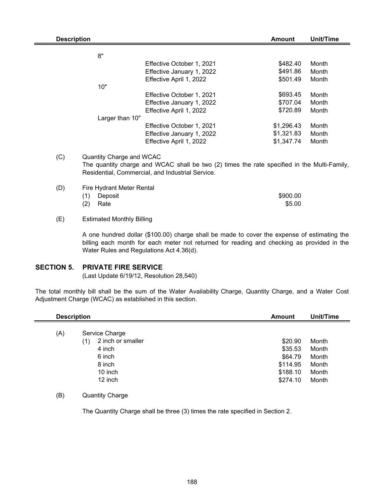| <b>Description</b> |                          |                                                                                              | <b>Amount</b> | Unit/Time |
|--------------------|--------------------------|----------------------------------------------------------------------------------------------|---------------|-----------|
|                    |                          |                                                                                              |               |           |
|                    | 8"                       |                                                                                              |               |           |
|                    |                          | Effective October 1, 2021                                                                    | \$482.40      | Month     |
|                    |                          | Effective January 1, 2022                                                                    | \$491.86      | Month     |
|                    |                          | Effective April 1, 2022                                                                      | \$501.49      | Month     |
|                    | 10"                      |                                                                                              |               |           |
|                    |                          | Effective October 1, 2021                                                                    | \$693.45      | Month     |
|                    |                          | Effective January 1, 2022                                                                    | \$707.04      | Month     |
|                    |                          | Effective April 1, 2022                                                                      | \$720.89      | Month     |
|                    | Larger than 10"          |                                                                                              |               |           |
|                    |                          | Effective October 1, 2021                                                                    | \$1,296.43    | Month     |
|                    |                          | Effective January 1, 2022                                                                    | \$1,321.83    | Month     |
|                    |                          | Effective April 1, 2022                                                                      | \$1,347.74    | Month     |
| (C)                | Quantity Charge and WCAC | The quantity charge and $MCAC$ shall be two (2) times the rate specified in the Multi Eamily |               |           |

The quantity charge and WCAC shall be two (2) times the rate specified in the Multi-Family, Residential, Commercial, and Industrial Service.

| (D) | Fire Hydrant Meter Rental |          |  |  |  |
|-----|---------------------------|----------|--|--|--|
|     | (1) Deposit               | \$900.00 |  |  |  |
|     | $(2)$ Rate                | \$5.00   |  |  |  |

#### (E) Estimated Monthly Billing

A one hundred dollar (\$100.00) charge shall be made to cover the expense of estimating the billing each month for each meter not returned for reading and checking as provided in the Water Rules and Regulations Act 4.36(d).

## **SECTION 5. PRIVATE FIRE SERVICE**

(Last Update 6/19/12, Resolution 28,540)

The total monthly bill shall be the sum of the Water Availability Charge, Quantity Charge, and a Water Cost Adjustment Charge (WCAC) as established in this section.

| <b>Description</b> |                          | Unit/Time<br><b>Amount</b> |       |
|--------------------|--------------------------|----------------------------|-------|
| (A)                | Service Charge           |                            |       |
|                    | 2 inch or smaller<br>(1) | \$20.90                    | Month |
|                    | 4 inch                   | \$35.53                    | Month |
|                    | 6 inch                   | \$64.79                    | Month |
|                    | 8 inch                   | \$114.95                   | Month |
|                    | 10 inch                  | \$188.10                   | Month |
|                    | 12 inch                  | \$274.10                   | Month |

### (B) Quantity Charge

The Quantity Charge shall be three (3) times the rate specified in Section 2.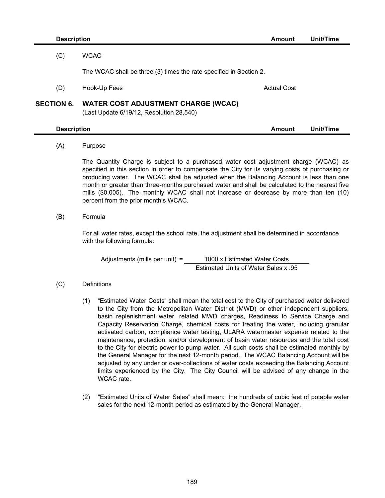|                   | <b>Description</b>                                                                                                                                                                                                                                                                                                                                                                                                                                                                                                      | <b>Amount</b>      | <b>Unit/Time</b> |
|-------------------|-------------------------------------------------------------------------------------------------------------------------------------------------------------------------------------------------------------------------------------------------------------------------------------------------------------------------------------------------------------------------------------------------------------------------------------------------------------------------------------------------------------------------|--------------------|------------------|
| (C)               | <b>WCAC</b>                                                                                                                                                                                                                                                                                                                                                                                                                                                                                                             |                    |                  |
|                   | The WCAC shall be three (3) times the rate specified in Section 2.                                                                                                                                                                                                                                                                                                                                                                                                                                                      |                    |                  |
|                   |                                                                                                                                                                                                                                                                                                                                                                                                                                                                                                                         |                    |                  |
| (D)               | Hook-Up Fees                                                                                                                                                                                                                                                                                                                                                                                                                                                                                                            | <b>Actual Cost</b> |                  |
| <b>SECTION 6.</b> | <b>WATER COST ADJUSTMENT CHARGE (WCAC)</b><br>(Last Update 6/19/12, Resolution 28,540)                                                                                                                                                                                                                                                                                                                                                                                                                                  |                    |                  |
|                   | <b>Description</b>                                                                                                                                                                                                                                                                                                                                                                                                                                                                                                      | <b>Amount</b>      | Unit/Time        |
| (A)               | Purpose                                                                                                                                                                                                                                                                                                                                                                                                                                                                                                                 |                    |                  |
|                   | The Quantity Charge is subject to a purchased water cost adjustment charge (WCAC) as<br>specified in this section in order to compensate the City for its varying costs of purchasing or<br>producing water. The WCAC shall be adjusted when the Balancing Account is less than one<br>month or greater than three-months purchased water and shall be calculated to the nearest five<br>mills (\$0.005). The monthly WCAC shall not increase or decrease by more than ten (10)<br>percent from the prior month's WCAC. |                    |                  |
| (B)               | Formula                                                                                                                                                                                                                                                                                                                                                                                                                                                                                                                 |                    |                  |
|                   | For all water rates, except the school rate, the adjustment shall be determined in accordance<br>with the following formula:                                                                                                                                                                                                                                                                                                                                                                                            |                    |                  |
|                   | Adjustments (mills per unit) =<br>1000 x Estimated Water Costs                                                                                                                                                                                                                                                                                                                                                                                                                                                          |                    |                  |
|                   | Estimated Units of Water Sales x .95                                                                                                                                                                                                                                                                                                                                                                                                                                                                                    |                    |                  |
| (C)               | Definitions                                                                                                                                                                                                                                                                                                                                                                                                                                                                                                             |                    |                  |
|                   | "Estimated Water Costs" shall mean the total cost to the City of purchased water delivered<br>(1)<br>to the City from the Metropolitan Water District (MWD) or other independent suppliers                                                                                                                                                                                                                                                                                                                              |                    |                  |

- to the City from the Metropolitan Water District (MWD) or other independent suppliers, basin replenishment water, related MWD charges, Readiness to Service Charge and Capacity Reservation Charge, chemical costs for treating the water, including granular activated carbon, compliance water testing, ULARA watermaster expense related to the maintenance, protection, and/or development of basin water resources and the total cost to the City for electric power to pump water. All such costs shall be estimated monthly by the General Manager for the next 12-month period. The WCAC Balancing Account will be adjusted by any under or over-collections of water costs exceeding the Balancing Account limits experienced by the City. The City Council will be advised of any change in the WCAC rate.
- (2) "Estimated Units of Water Sales" shall mean: the hundreds of cubic feet of potable water sales for the next 12-month period as estimated by the General Manager.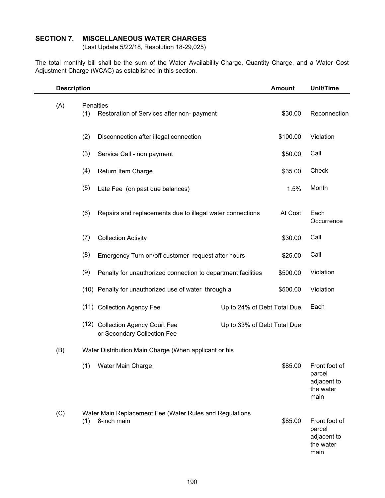## **SECTION 7. MISCELLANEOUS WATER CHARGES**

(Last Update 5/22/18, Resolution 18-29,025)

The total monthly bill shall be the sum of the Water Availability Charge, Quantity Charge, and a Water Cost Adjustment Charge (WCAC) as established in this section.

|     | <b>Description</b> |                                                                        |                             | <b>Amount</b> | <b>Unit/Time</b>                                            |
|-----|--------------------|------------------------------------------------------------------------|-----------------------------|---------------|-------------------------------------------------------------|
| (A) | Penalties<br>(1)   | Restoration of Services after non- payment                             |                             | \$30.00       | Reconnection                                                |
|     | (2)                | Disconnection after illegal connection                                 |                             | \$100.00      | Violation                                                   |
|     | (3)                | Service Call - non payment                                             |                             | \$50.00       | Call                                                        |
|     | (4)                | Return Item Charge                                                     |                             | \$35.00       | Check                                                       |
|     | (5)                | Late Fee (on past due balances)                                        |                             | 1.5%          | Month                                                       |
|     | (6)                | Repairs and replacements due to illegal water connections              |                             | At Cost       | Each<br>Occurrence                                          |
|     | (7)                | <b>Collection Activity</b>                                             |                             | \$30.00       | Call                                                        |
|     | (8)                | Emergency Turn on/off customer request after hours                     |                             | \$25.00       | Call                                                        |
|     | (9)                | Penalty for unauthorized connection to department facilities           |                             | \$500.00      | Violation                                                   |
|     |                    | (10) Penalty for unauthorized use of water through a                   |                             | \$500.00      | Violation                                                   |
|     |                    | (11) Collection Agency Fee                                             | Up to 24% of Debt Total Due |               | Each                                                        |
|     |                    | (12) Collection Agency Court Fee<br>or Secondary Collection Fee        | Up to 33% of Debt Total Due |               |                                                             |
| (B) |                    | Water Distribution Main Charge (When applicant or his                  |                             |               |                                                             |
|     |                    | (1) Water Main Charge                                                  |                             | \$85.00       | Front foot of<br>parcel<br>adjacent to<br>the water<br>main |
| (C) | (1)                | Water Main Replacement Fee (Water Rules and Regulations<br>8-inch main |                             | \$85.00       | Front foot of<br>parcel<br>adjacent to<br>the water<br>main |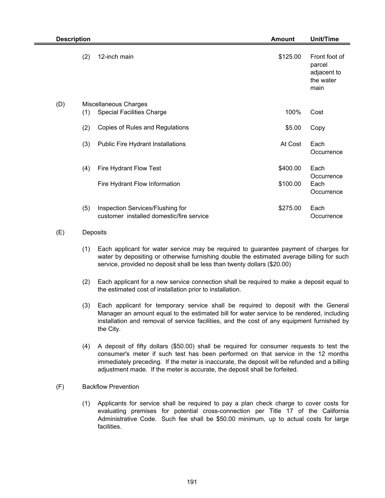| <b>Description</b><br><b>Amount</b> |     |                                                                              | Unit/Time |                                                             |
|-------------------------------------|-----|------------------------------------------------------------------------------|-----------|-------------------------------------------------------------|
|                                     | (2) | 12-inch main                                                                 | \$125.00  | Front foot of<br>parcel<br>adjacent to<br>the water<br>main |
| (D)                                 | (1) | Miscellaneous Charges<br><b>Special Facilities Charge</b>                    | 100%      | Cost                                                        |
|                                     | (2) | Copies of Rules and Regulations                                              | \$5.00    | Copy                                                        |
|                                     | (3) | Public Fire Hydrant Installations                                            | At Cost   | Each<br>Occurrence                                          |
|                                     | (4) | Fire Hydrant Flow Test                                                       | \$400.00  | Each<br>Occurrence                                          |
|                                     |     | Fire Hydrant Flow Information                                                | \$100.00  | Each<br>Occurrence                                          |
|                                     | (5) | Inspection Services/Flushing for<br>customer installed domestic/fire service | \$275.00  | Each<br>Occurrence                                          |

## (E) Deposits

- (1) Each applicant for water service may be required to guarantee payment of charges for water by depositing or otherwise furnishing double the estimated average billing for such service, provided no deposit shall be less than twenty dollars (\$20.00)
- (2) Each applicant for a new service connection shall be required to make a deposit equal to the estimated cost of installation prior to installation.
- (3) Each applicant for temporary service shall be required to deposit with the General Manager an amount equal to the estimated bill for water service to be rendered, including installation and removal of service facilities, and the cost of any equipment furnished by the City.
- (4) A deposit of fifty dollars (\$50.00) shall be required for consumer requests to test the consumer's meter if such test has been performed on that service in the 12 months immediately preceding. If the meter is inaccurate, the deposit will be refunded and a billing adjustment made. If the meter is accurate, the deposit shall be forfeited.

#### (F) Backflow Prevention

(1) Applicants for service shall be required to pay a plan check charge to cover costs for evaluating premises for potential cross-connection per Title 17 of the California Administrative Code. Such fee shall be \$50.00 minimum, up to actual costs for large facilities.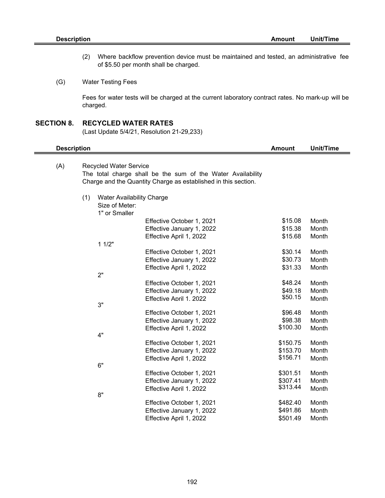- (2) Where backflow prevention device must be maintained and tested, an administrative fee of \$5.50 per month shall be charged.
- (G) Water Testing Fees

Fees for water tests will be charged at the current laboratory contract rates. No mark-up will be charged.

#### **SECTION 8. RECYCLED WATER RATES**

6"

8"

(Last Update 5/4/21, Resolution 21-29,233)

|     | <b>Description</b>                                                                                                                                             |                                                                     |                           | Amount   | Unit/Time |
|-----|----------------------------------------------------------------------------------------------------------------------------------------------------------------|---------------------------------------------------------------------|---------------------------|----------|-----------|
| (A) | <b>Recycled Water Service</b><br>The total charge shall be the sum of the Water Availability<br>Charge and the Quantity Charge as established in this section. |                                                                     |                           |          |           |
|     | (1)                                                                                                                                                            | <b>Water Availability Charge</b><br>Size of Meter:<br>1" or Smaller |                           |          |           |
|     |                                                                                                                                                                |                                                                     | Effective October 1, 2021 | \$15.08  | Month     |
|     |                                                                                                                                                                |                                                                     | Effective January 1, 2022 | \$15.38  | Month     |
|     |                                                                                                                                                                |                                                                     | Effective April 1, 2022   | \$15.68  | Month     |
|     |                                                                                                                                                                | 11/2"                                                               |                           |          |           |
|     |                                                                                                                                                                |                                                                     | Effective October 1, 2021 | \$30.14  | Month     |
|     |                                                                                                                                                                |                                                                     | Effective January 1, 2022 | \$30.73  | Month     |
|     |                                                                                                                                                                |                                                                     | Effective April 1, 2022   | \$31.33  | Month     |
|     |                                                                                                                                                                | 2"                                                                  |                           |          |           |
|     |                                                                                                                                                                |                                                                     | Effective October 1, 2021 | \$48.24  | Month     |
|     |                                                                                                                                                                |                                                                     | Effective January 1, 2022 | \$49.18  | Month     |
|     |                                                                                                                                                                |                                                                     | Effective April 1, 2022   | \$50.15  | Month     |
|     |                                                                                                                                                                | 3"                                                                  |                           |          |           |
|     |                                                                                                                                                                |                                                                     | Effective October 1, 2021 | \$96.48  | Month     |
|     |                                                                                                                                                                |                                                                     | Effective January 1, 2022 | \$98.38  | Month     |
|     |                                                                                                                                                                |                                                                     | Effective April 1, 2022   | \$100.30 | Month     |
|     |                                                                                                                                                                | 4"                                                                  |                           |          |           |
|     |                                                                                                                                                                |                                                                     | Effective October 1, 2021 | \$150.75 | Month     |

Effective January 1, 2022 \$153.70 Month Effective April 1, 2022 \$156.71 Month

Effective October 1, 2021 \$301.51 Month Effective January 1, 2022<br>
Effective April 1, 2022<br>
\$313.44 Month Effective April 1, 2022 \$313.44 Month

Effective October 1, 2021 \$482.40 Month Effective January 1, 2022 \$491.86 Month Effective April 1, 2022 \$501.49 Month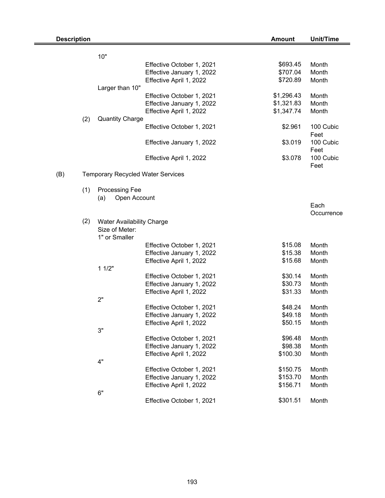| <b>Description</b> |     |                                 |                                          | <b>Amount</b> | <b>Unit/Time</b>  |
|--------------------|-----|---------------------------------|------------------------------------------|---------------|-------------------|
|                    |     | 10"                             |                                          |               |                   |
|                    |     |                                 | Effective October 1, 2021                | \$693.45      | Month             |
|                    |     |                                 | Effective January 1, 2022                | \$707.04      | Month             |
|                    |     |                                 | Effective April 1, 2022                  | \$720.89      | Month             |
|                    |     | Larger than 10"                 |                                          |               |                   |
|                    |     |                                 | Effective October 1, 2021                | \$1,296.43    | Month             |
|                    |     |                                 | Effective January 1, 2022                | \$1,321.83    | Month             |
|                    |     |                                 | Effective April 1, 2022                  | \$1,347.74    | Month             |
|                    | (2) | <b>Quantity Charge</b>          |                                          |               |                   |
|                    |     |                                 | Effective October 1, 2021                | \$2.961       | 100 Cubic<br>Feet |
|                    |     |                                 | Effective January 1, 2022                | \$3.019       | 100 Cubic         |
|                    |     |                                 | Effective April 1, 2022                  | \$3.078       | Feet<br>100 Cubic |
| (B)                |     |                                 | <b>Temporary Recycled Water Services</b> |               | Feet              |
|                    |     |                                 |                                          |               |                   |
|                    | (1) | Processing Fee                  |                                          |               |                   |
|                    |     | (a)                             | Open Account                             |               |                   |
|                    |     |                                 |                                          |               | Each              |
|                    |     |                                 |                                          |               | Occurrence        |
|                    | (2) |                                 | Water Availability Charge                |               |                   |
|                    |     | Size of Meter:<br>1" or Smaller |                                          |               |                   |
|                    |     |                                 | Effective October 1, 2021                | \$15.08       | Month             |
|                    |     |                                 | Effective January 1, 2022                | \$15.38       | Month             |
|                    |     |                                 | Effective April 1, 2022                  | \$15.68       | Month             |
|                    |     | 11/2"                           |                                          |               |                   |
|                    |     |                                 | Effective October 1, 2021                | \$30.14       | Month             |
|                    |     |                                 | Effective January 1, 2022                | \$30.73       | Month             |
|                    |     |                                 | Effective April 1, 2022                  | \$31.33       | Month             |
|                    |     | 2"                              |                                          |               |                   |
|                    |     |                                 | Effective October 1, 2021                | \$48.24       | Month             |
|                    |     |                                 | Effective January 1, 2022                | \$49.18       | Month             |
|                    |     |                                 | Effective April 1, 2022                  | \$50.15       | Month             |
|                    |     | 3"                              |                                          |               |                   |
|                    |     |                                 | Effective October 1, 2021                | \$96.48       | Month             |
|                    |     |                                 | Effective January 1, 2022                | \$98.38       | Month             |
|                    |     |                                 | Effective April 1, 2022                  | \$100.30      | Month             |
|                    |     | 4"                              |                                          |               |                   |
|                    |     |                                 | Effective October 1, 2021                | \$150.75      | Month             |
|                    |     |                                 | Effective January 1, 2022                | \$153.70      | Month             |
|                    |     |                                 | Effective April 1, 2022                  | \$156.71      | Month             |
|                    |     | 6"                              |                                          |               |                   |
|                    |     |                                 | Effective October 1, 2021                | \$301.51      | Month             |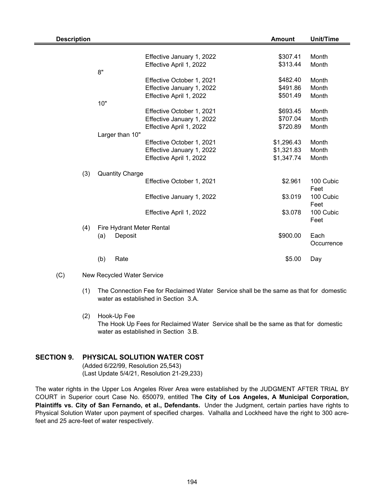| <b>Description</b> |                           |                           | <b>Amount</b> | <b>Unit/Time</b> |
|--------------------|---------------------------|---------------------------|---------------|------------------|
|                    |                           |                           |               |                  |
|                    |                           | Effective January 1, 2022 | \$307.41      | Month            |
|                    |                           | Effective April 1, 2022   | \$313.44      | Month            |
|                    | 8"                        |                           |               |                  |
|                    |                           | Effective October 1, 2021 | \$482.40      | Month            |
|                    |                           | Effective January 1, 2022 | \$491.86      | Month            |
|                    |                           | Effective April 1, 2022   | \$501.49      | Month            |
|                    | 10"                       |                           |               |                  |
|                    |                           | Effective October 1, 2021 | \$693.45      | Month            |
|                    |                           | Effective January 1, 2022 | \$707.04      | Month            |
|                    |                           | Effective April 1, 2022   | \$720.89      | Month            |
|                    | Larger than 10"           |                           |               |                  |
|                    |                           | Effective October 1, 2021 | \$1,296.43    | Month            |
|                    |                           | Effective January 1, 2022 | \$1,321.83    | Month            |
|                    |                           | Effective April 1, 2022   | \$1,347.74    | Month            |
|                    |                           |                           |               |                  |
| (3)                | <b>Quantity Charge</b>    |                           |               |                  |
|                    |                           | Effective October 1, 2021 | \$2.961       | 100 Cubic        |
|                    |                           |                           |               | Feet             |
|                    |                           | Effective January 1, 2022 | \$3.019       | 100 Cubic        |
|                    |                           |                           |               | Feet             |
|                    |                           | Effective April 1, 2022   | \$3.078       | 100 Cubic        |
|                    |                           |                           |               | Feet             |
| (4)                | Fire Hydrant Meter Rental |                           |               |                  |
|                    | (a)<br>Deposit            |                           | \$900.00      | Each             |
|                    |                           |                           |               | Occurrence       |
|                    |                           |                           |               |                  |
|                    | (b)<br>Rate               |                           | \$5.00        | Day              |
|                    |                           |                           |               |                  |

<sup>(</sup>C) New Recycled Water Service

- (1) The Connection Fee for Reclaimed Water Service shall be the same as that for domestic water as established in Section 3.A.
- (2) Hook-Up Fee The Hook Up Fees for Reclaimed Water Service shall be the same as that for domestic water as established in Section 3.B.

## **SECTION 9. PHYSICAL SOLUTION WATER COST**

(Added 6/22/99, Resolution 25,543) (Last Update 5/4/21, Resolution 21-29,233)

The water rights in the Upper Los Angeles River Area were established by the JUDGMENT AFTER TRIAL BY COURT in Superior court Case No. 650079, entitled T**he City of Los Angeles, A Municipal Corporation, Plaintiffs vs. City of San Fernando, et al., Defendants.** Under the Judgment, certain parties have rights to Physical Solution Water upon payment of specified charges. Valhalla and Lockheed have the right to 300 acrefeet and 25 acre-feet of water respectively.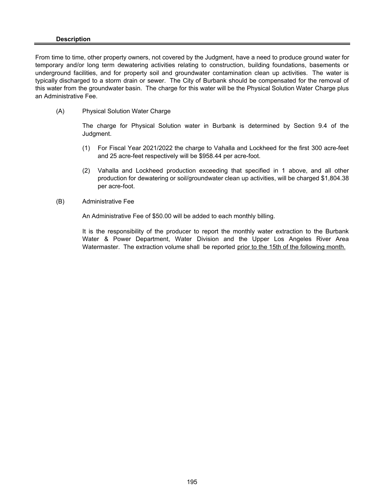#### **Description**

From time to time, other property owners, not covered by the Judgment, have a need to produce ground water for temporary and/or long term dewatering activities relating to construction, building foundations, basements or underground facilities, and for property soil and groundwater contamination clean up activities. The water is typically discharged to a storm drain or sewer. The City of Burbank should be compensated for the removal of this water from the groundwater basin. The charge for this water will be the Physical Solution Water Charge plus an Administrative Fee.

(A) Physical Solution Water Charge

The charge for Physical Solution water in Burbank is determined by Section 9.4 of the Judgment.

- (1) For Fiscal Year 2021/2022 the charge to Vahalla and Lockheed for the first 300 acre-feet and 25 acre-feet respectively will be \$958.44 per acre-foot.
- (2) Vahalla and Lockheed production exceeding that specified in 1 above, and all other production for dewatering or soil/groundwater clean up activities, will be charged \$1,804.38 per acre-foot.
- (B) Administrative Fee

An Administrative Fee of \$50.00 will be added to each monthly billing.

It is the responsibility of the producer to report the monthly water extraction to the Burbank Water & Power Department, Water Division and the Upper Los Angeles River Area Watermaster. The extraction volume shall be reported prior to the 15th of the following month.